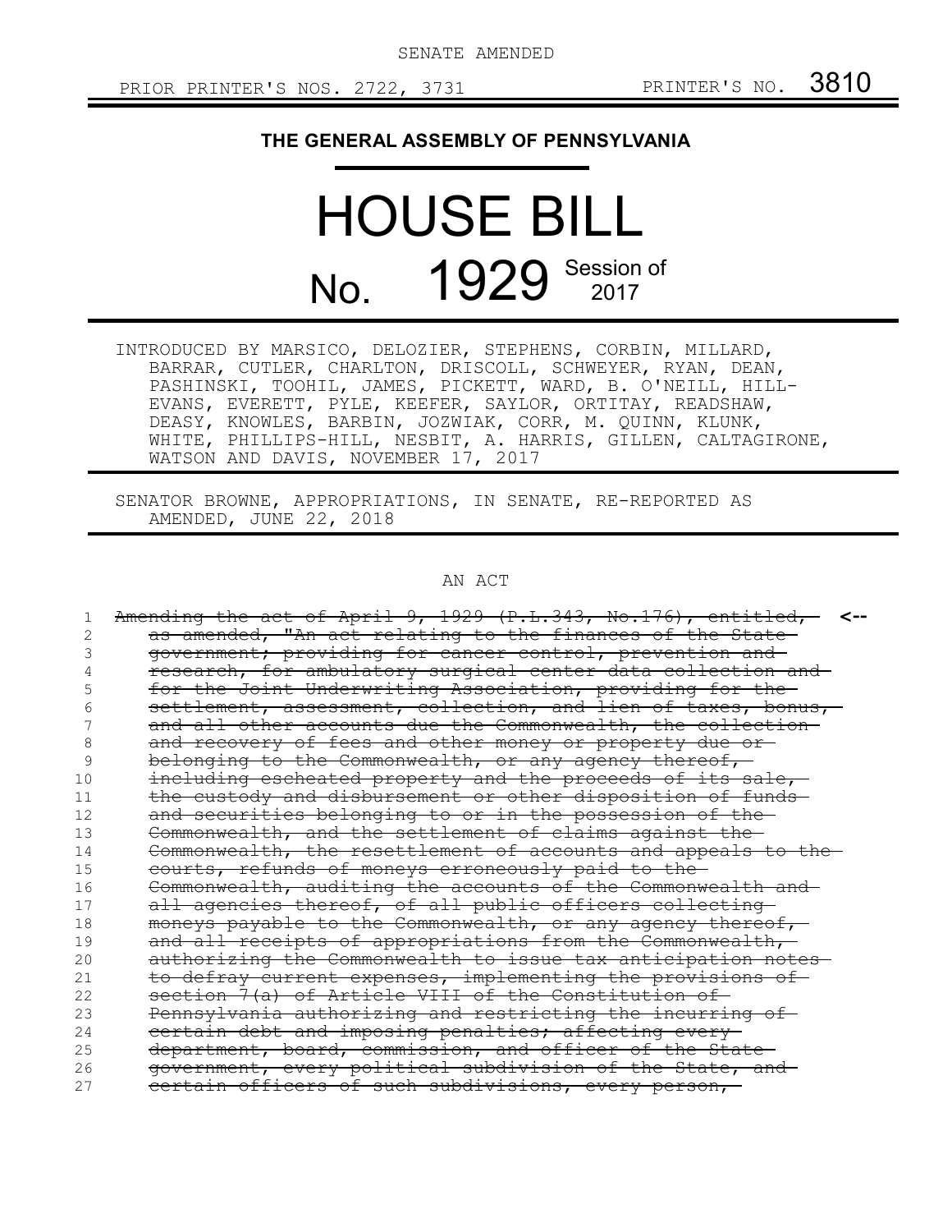SENATE AMENDED

## **THE GENERAL ASSEMBLY OF PENNSYLVANIA**

# HOUSE BILL No. 1929 Session of

INTRODUCED BY MARSICO, DELOZIER, STEPHENS, CORBIN, MILLARD, BARRAR, CUTLER, CHARLTON, DRISCOLL, SCHWEYER, RYAN, DEAN, PASHINSKI, TOOHIL, JAMES, PICKETT, WARD, B. O'NEILL, HILL-EVANS, EVERETT, PYLE, KEEFER, SAYLOR, ORTITAY, READSHAW, DEASY, KNOWLES, BARBIN, JOZWIAK, CORR, M. QUINN, KLUNK, WHITE, PHILLIPS-HILL, NESBIT, A. HARRIS, GILLEN, CALTAGIRONE, WATSON AND DAVIS, NOVEMBER 17, 2017

SENATOR BROWNE, APPROPRIATIONS, IN SENATE, RE-REPORTED AS AMENDED, JUNE 22, 2018

## AN ACT

|    | Amending the act of April 9, 1929 (P.L.343, No.176), entitled, |
|----|----------------------------------------------------------------|
|    | as amended, "An act relating to the finances of the State-     |
|    | government; providing for cancer control, prevention and       |
|    | research, for ambulatory surgical center data collection and   |
|    | for the Joint Underwriting Association, providing for the      |
|    | settlement, assessment, collection, and lien of taxes, bonus,  |
|    | and all other accounts due the Commonwealth, the collection-   |
| 8  | and recovery of fees and other money or property due or-       |
| 9  | belonging to the Commonwealth, or any agency thereof,          |
| 10 | including escheated property and the proceeds of its sale,-    |
| 11 | the custody and disbursement or other disposition of funds-    |
| 12 | and securities belonging to or in the possession of the-       |
| 13 | Commonwealth, and the settlement of claims against the         |
| 14 | Commonwealth, the resettlement of accounts and appeals to the  |
| 15 | courts, refunds of moneys erroneously paid to the              |
| 16 | Commonwealth, auditing the accounts of the Commonwealth and    |
| 17 | all agencies thereof, of all public officers collecting-       |
| 18 | moneys payable to the Commonwealth, or any agency thereof,     |
| 19 | and all receipts of appropriations from the Commonwealth,-     |
| 20 | authorizing the Commonwealth to issue tax anticipation notes-  |
| 21 | to defray current expenses, implementing the provisions of-    |
| 22 | section 7(a) of Article VIII of the Constitution of            |
| 23 | Pennsylvania authorizing and restricting the incurring of-     |
| 24 | certain debt and imposing penalties; affecting every-          |
| 25 | department, board, commission, and officer of the State-       |
| 26 | government, every political subdivision of the State, and      |
| 27 | eertain officers of such subdivisions, every person,           |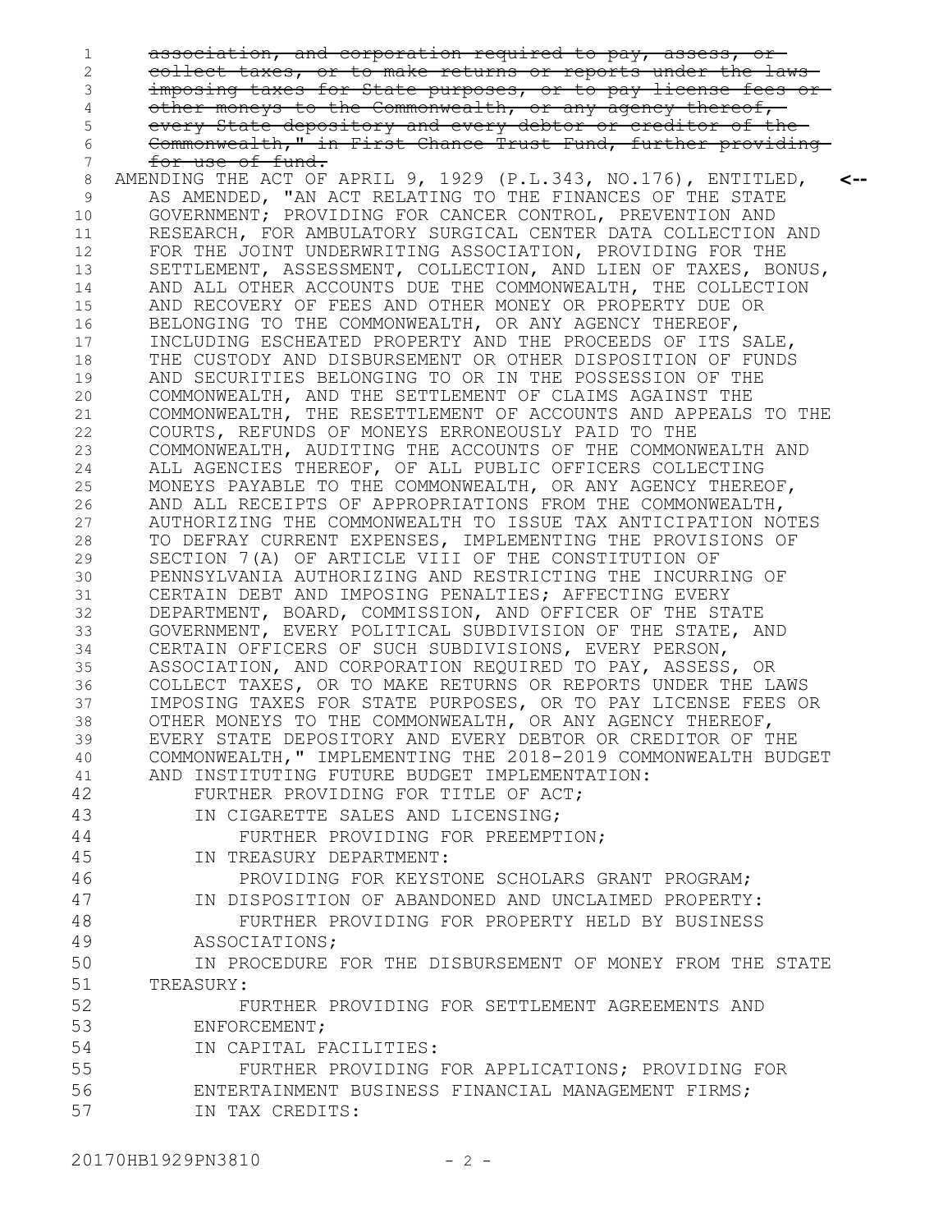association, and corporation required to pay, assess, or collect taxes, or to make returns or reports under the laws imposing taxes for State purposes, or to pay license fees or other moneys to the Commonwealth, or any agency thereof, every State depository and every debtor or creditor of the Commonwealth," in First Chance Trust Fund, further providing for use of fund. AMENDING THE ACT OF APRIL 9, 1929 (P.L.343, NO.176), ENTITLED, AS AMENDED, "AN ACT RELATING TO THE FINANCES OF THE STATE GOVERNMENT; PROVIDING FOR CANCER CONTROL, PREVENTION AND RESEARCH, FOR AMBULATORY SURGICAL CENTER DATA COLLECTION AND FOR THE JOINT UNDERWRITING ASSOCIATION, PROVIDING FOR THE SETTLEMENT, ASSESSMENT, COLLECTION, AND LIEN OF TAXES, BONUS, AND ALL OTHER ACCOUNTS DUE THE COMMONWEALTH, THE COLLECTION AND RECOVERY OF FEES AND OTHER MONEY OR PROPERTY DUE OR BELONGING TO THE COMMONWEALTH, OR ANY AGENCY THEREOF, INCLUDING ESCHEATED PROPERTY AND THE PROCEEDS OF ITS SALE, THE CUSTODY AND DISBURSEMENT OR OTHER DISPOSITION OF FUNDS AND SECURITIES BELONGING TO OR IN THE POSSESSION OF THE COMMONWEALTH, AND THE SETTLEMENT OF CLAIMS AGAINST THE COMMONWEALTH, THE RESETTLEMENT OF ACCOUNTS AND APPEALS TO THE COURTS, REFUNDS OF MONEYS ERRONEOUSLY PAID TO THE COMMONWEALTH, AUDITING THE ACCOUNTS OF THE COMMONWEALTH AND ALL AGENCIES THEREOF, OF ALL PUBLIC OFFICERS COLLECTING MONEYS PAYABLE TO THE COMMONWEALTH, OR ANY AGENCY THEREOF, AND ALL RECEIPTS OF APPROPRIATIONS FROM THE COMMONWEALTH, AUTHORIZING THE COMMONWEALTH TO ISSUE TAX ANTICIPATION NOTES TO DEFRAY CURRENT EXPENSES, IMPLEMENTING THE PROVISIONS OF SECTION 7(A) OF ARTICLE VIII OF THE CONSTITUTION OF PENNSYLVANIA AUTHORIZING AND RESTRICTING THE INCURRING OF CERTAIN DEBT AND IMPOSING PENALTIES; AFFECTING EVERY DEPARTMENT, BOARD, COMMISSION, AND OFFICER OF THE STATE GOVERNMENT, EVERY POLITICAL SUBDIVISION OF THE STATE, AND CERTAIN OFFICERS OF SUCH SUBDIVISIONS, EVERY PERSON, ASSOCIATION, AND CORPORATION REQUIRED TO PAY, ASSESS, OR COLLECT TAXES, OR TO MAKE RETURNS OR REPORTS UNDER THE LAWS IMPOSING TAXES FOR STATE PURPOSES, OR TO PAY LICENSE FEES OR OTHER MONEYS TO THE COMMONWEALTH, OR ANY AGENCY THEREOF, EVERY STATE DEPOSITORY AND EVERY DEBTOR OR CREDITOR OF THE COMMONWEALTH," IMPLEMENTING THE 2018-2019 COMMONWEALTH BUDGET AND INSTITUTING FUTURE BUDGET IMPLEMENTATION: FURTHER PROVIDING FOR TITLE OF ACT; IN CIGARETTE SALES AND LICENSING; FURTHER PROVIDING FOR PREEMPTION; IN TREASURY DEPARTMENT: PROVIDING FOR KEYSTONE SCHOLARS GRANT PROGRAM; IN DISPOSITION OF ABANDONED AND UNCLAIMED PROPERTY: FURTHER PROVIDING FOR PROPERTY HELD BY BUSINESS ASSOCIATIONS; IN PROCEDURE FOR THE DISBURSEMENT OF MONEY FROM THE STATE TREASURY: FURTHER PROVIDING FOR SETTLEMENT AGREEMENTS AND ENFORCEMENT; IN CAPITAL FACILITIES: FURTHER PROVIDING FOR APPLICATIONS; PROVIDING FOR ENTERTAINMENT BUSINESS FINANCIAL MANAGEMENT FIRMS; IN TAX CREDITS: **<--** 1 2 3 4 5 6 7 8 9 10 11 12 13 14 15 16 17 18 19 20 21 22 23 24 25 26 27 28 29 30 31 32 33 34 35 36 37 38 39 40 41 42 43 44 45 46 47 48 49 50 51 52 53 54 55 56 57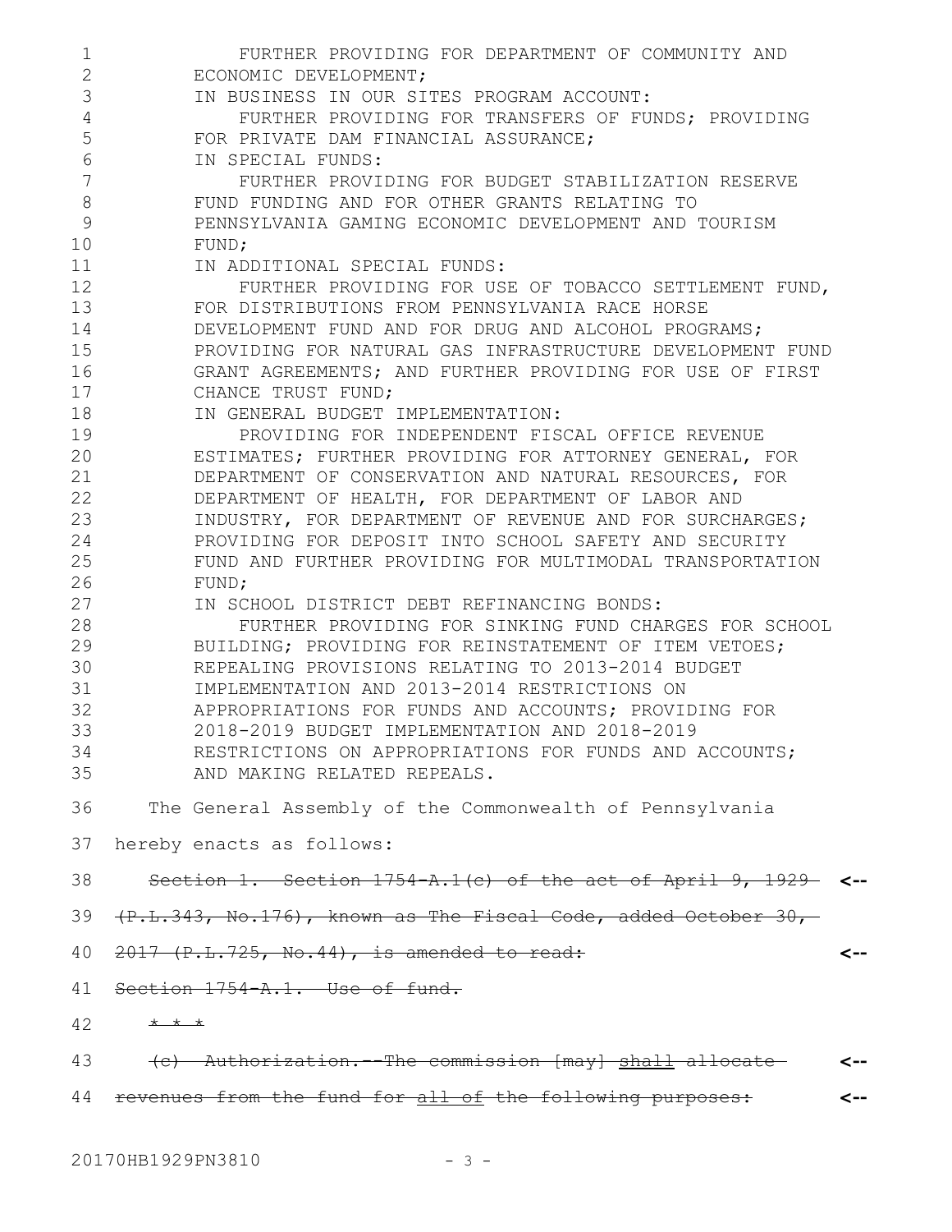| $\mathbf 1$    | FURTHER PROVIDING FOR DEPARTMENT OF COMMUNITY AND                 |     |
|----------------|-------------------------------------------------------------------|-----|
| $\overline{2}$ | ECONOMIC DEVELOPMENT;                                             |     |
| 3              | IN BUSINESS IN OUR SITES PROGRAM ACCOUNT:                         |     |
| 4              | FURTHER PROVIDING FOR TRANSFERS OF FUNDS; PROVIDING               |     |
| 5              | FOR PRIVATE DAM FINANCIAL ASSURANCE;                              |     |
| 6              | IN SPECIAL FUNDS:                                                 |     |
| 7              | FURTHER PROVIDING FOR BUDGET STABILIZATION RESERVE                |     |
| 8              | FUND FUNDING AND FOR OTHER GRANTS RELATING TO                     |     |
| 9              | PENNSYLVANIA GAMING ECONOMIC DEVELOPMENT AND TOURISM              |     |
| 10             | FUND;                                                             |     |
| 11             | IN ADDITIONAL SPECIAL FUNDS:                                      |     |
| 12             | FURTHER PROVIDING FOR USE OF TOBACCO SETTLEMENT FUND,             |     |
| 13             | FOR DISTRIBUTIONS FROM PENNSYLVANIA RACE HORSE                    |     |
| 14             | DEVELOPMENT FUND AND FOR DRUG AND ALCOHOL PROGRAMS;               |     |
| 15             | PROVIDING FOR NATURAL GAS INFRASTRUCTURE DEVELOPMENT FUND         |     |
| 16             | GRANT AGREEMENTS; AND FURTHER PROVIDING FOR USE OF FIRST          |     |
| 17             | CHANCE TRUST FUND;                                                |     |
| 18             | IN GENERAL BUDGET IMPLEMENTATION:                                 |     |
| 19             |                                                                   |     |
|                | PROVIDING FOR INDEPENDENT FISCAL OFFICE REVENUE                   |     |
| 20             | ESTIMATES; FURTHER PROVIDING FOR ATTORNEY GENERAL, FOR            |     |
| 21             | DEPARTMENT OF CONSERVATION AND NATURAL RESOURCES, FOR             |     |
| 22             | DEPARTMENT OF HEALTH, FOR DEPARTMENT OF LABOR AND                 |     |
| 23             | INDUSTRY, FOR DEPARTMENT OF REVENUE AND FOR SURCHARGES;           |     |
| 24             | PROVIDING FOR DEPOSIT INTO SCHOOL SAFETY AND SECURITY             |     |
| 25             | FUND AND FURTHER PROVIDING FOR MULTIMODAL TRANSPORTATION          |     |
| 26             | FUND;                                                             |     |
| 27             | IN SCHOOL DISTRICT DEBT REFINANCING BONDS:                        |     |
| 28             | FURTHER PROVIDING FOR SINKING FUND CHARGES FOR SCHOOL             |     |
| 29             | BUILDING; PROVIDING FOR REINSTATEMENT OF ITEM VETOES;             |     |
| 30             | REPEALING PROVISIONS RELATING TO 2013-2014 BUDGET                 |     |
| 31             | IMPLEMENTATION AND 2013-2014 RESTRICTIONS ON                      |     |
| 32             | APPROPRIATIONS FOR FUNDS AND ACCOUNTS; PROVIDING FOR              |     |
| 33             | 2018-2019 BUDGET IMPLEMENTATION AND 2018-2019                     |     |
| 34             | RESTRICTIONS ON APPROPRIATIONS FOR FUNDS AND ACCOUNTS;            |     |
| 35             | AND MAKING RELATED REPEALS.                                       |     |
| 36             | The General Assembly of the Commonwealth of Pennsylvania          |     |
| 37             | hereby enacts as follows:                                         |     |
| 38             | Section 1. Section $1754$ A.1(c) of the act of April 9, 1929- <-- |     |
| 39             | $(F.L.343, No.176)$ , known as The Fiscal Code, added October 30, |     |
| 40             | $2017$ (P.L.725, No.44), is amended to read:                      | <-- |
| 41             | Section 1754 A.1. Use of fund.                                    |     |
| 42             | $+$ $+$ $+$                                                       |     |
| 43             | (c) Authorization. The commission [may] shall allocate            | <-- |
| 44             | revenues from the fund for all of the following purposes:         |     |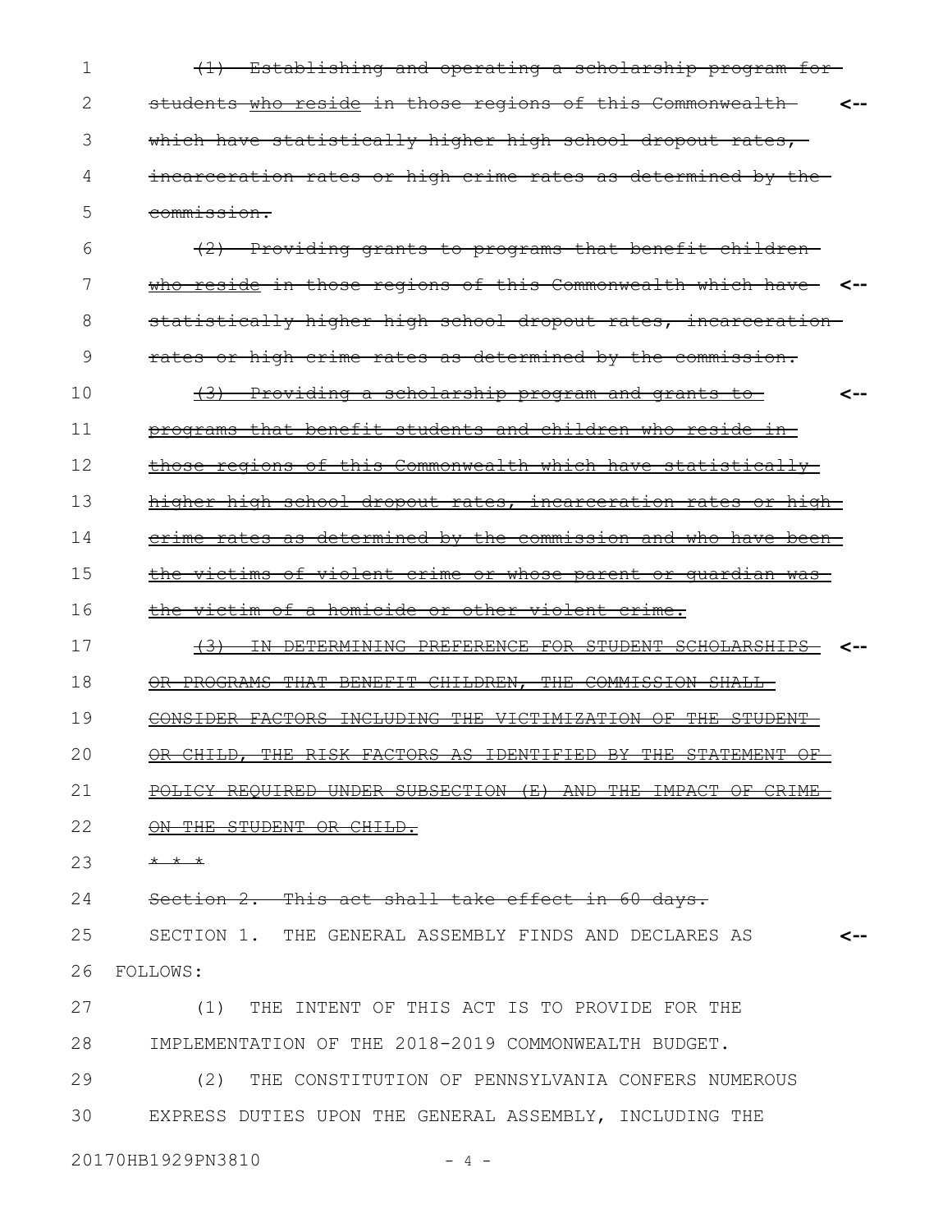(1) Establishing and operating a scholarship program for students who reside in those regions of this Commonwealth **<-** which have statistically higher high school dropout rates, incarceration rates or high crime rates as determined by the commission. 1 2 3 4 5

(2) Providing grants to programs that benefit children who reside in those regions of this Commonwealth which have **<-** statistically higher high school dropout rates, incarcerationrates or high crime rates as determined by the commission. 6 7 8 9

(3) Providing a scholarship program and grants to programs that benefit students and children who reside in those regions of this Commonwealth which have statistically higher high school dropout rates, incarceration rates or high-**<--** 10 11 12 13

crime rates as determined by the commission and who have been 14

the victims of violent crime or whose parent or guardian was 15

the victim of a homicide or other violent crime. 16

(3) IN DETERMINING PREFERENCE FOR STUDENT SCHOLARSHIPS **<--** OR PROGRAMS THAT BENEFIT CHILDREN, THE COMMISSION SHALL 17 18

CONSIDER FACTORS INCLUDING THE VICTIMIZATION OF THE STUDENT 19

OR CHILD, THE RISK FACTORS AS IDENTIFIED BY THE STATEMENT OF 20

POLICY REQUIRED UNDER SUBSECTION (E) AND THE IMPACT OF CRIME 21

ON THE STUDENT OR CHILD. 22

\* \* \* 23

Section 2. This act shall take effect in 60 days. 24

SECTION 1. THE GENERAL ASSEMBLY FINDS AND DECLARES AS FOLLOWS: **<--** 25 26

(1) THE INTENT OF THIS ACT IS TO PROVIDE FOR THE IMPLEMENTATION OF THE 2018-2019 COMMONWEALTH BUDGET. (2) THE CONSTITUTION OF PENNSYLVANIA CONFERS NUMEROUS 27 28 29

EXPRESS DUTIES UPON THE GENERAL ASSEMBLY, INCLUDING THE 30

20170HB1929PN3810 - 4 -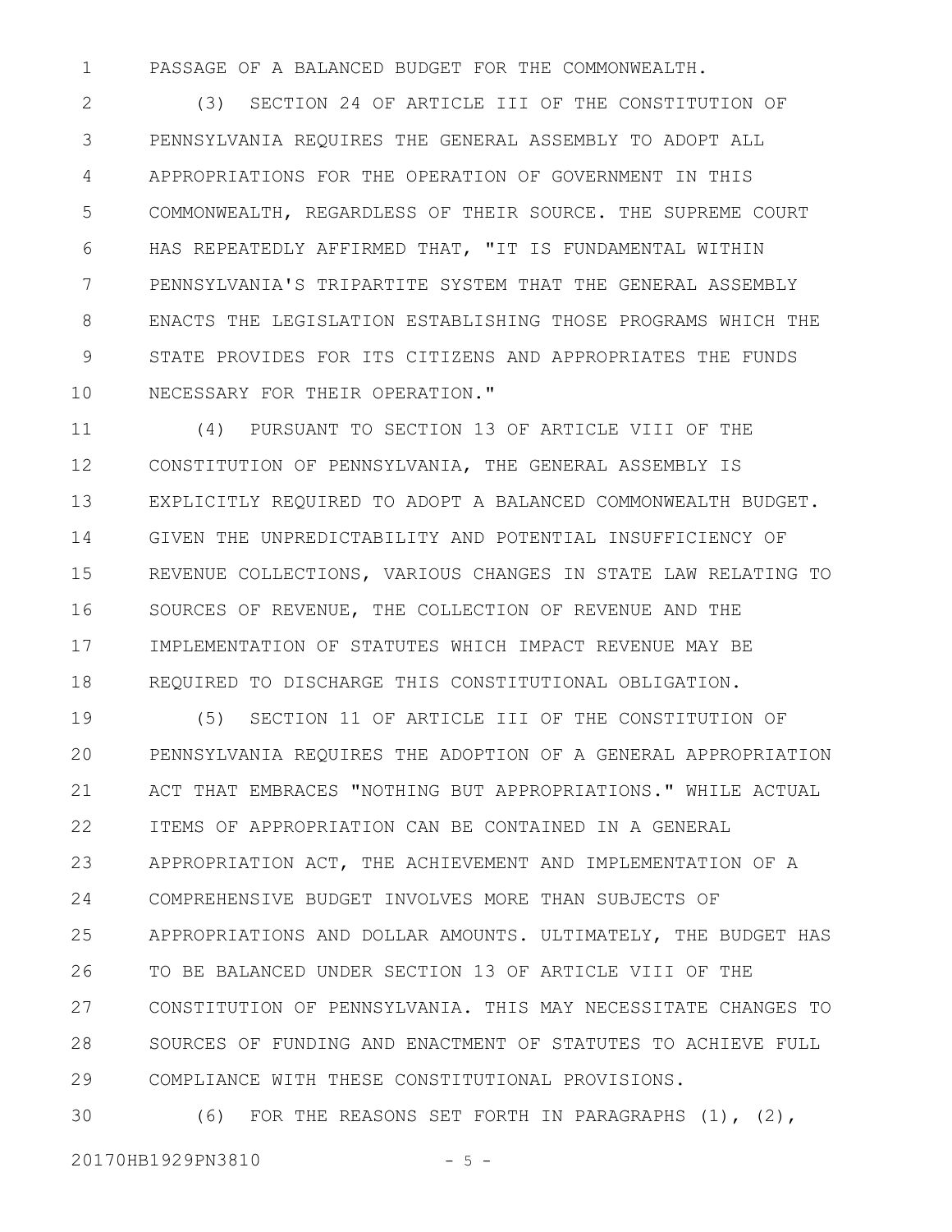PASSAGE OF A BALANCED BUDGET FOR THE COMMONWEALTH. 1

(3) SECTION 24 OF ARTICLE III OF THE CONSTITUTION OF PENNSYLVANIA REQUIRES THE GENERAL ASSEMBLY TO ADOPT ALL APPROPRIATIONS FOR THE OPERATION OF GOVERNMENT IN THIS COMMONWEALTH, REGARDLESS OF THEIR SOURCE. THE SUPREME COURT HAS REPEATEDLY AFFIRMED THAT, "IT IS FUNDAMENTAL WITHIN PENNSYLVANIA'S TRIPARTITE SYSTEM THAT THE GENERAL ASSEMBLY ENACTS THE LEGISLATION ESTABLISHING THOSE PROGRAMS WHICH THE STATE PROVIDES FOR ITS CITIZENS AND APPROPRIATES THE FUNDS NECESSARY FOR THEIR OPERATION." 2 3 4 5 6 7 8 9 10

(4) PURSUANT TO SECTION 13 OF ARTICLE VIII OF THE CONSTITUTION OF PENNSYLVANIA, THE GENERAL ASSEMBLY IS EXPLICITLY REQUIRED TO ADOPT A BALANCED COMMONWEALTH BUDGET. GIVEN THE UNPREDICTABILITY AND POTENTIAL INSUFFICIENCY OF REVENUE COLLECTIONS, VARIOUS CHANGES IN STATE LAW RELATING TO SOURCES OF REVENUE, THE COLLECTION OF REVENUE AND THE IMPLEMENTATION OF STATUTES WHICH IMPACT REVENUE MAY BE REQUIRED TO DISCHARGE THIS CONSTITUTIONAL OBLIGATION. 11 12 13 14 15 16 17 18

(5) SECTION 11 OF ARTICLE III OF THE CONSTITUTION OF PENNSYLVANIA REQUIRES THE ADOPTION OF A GENERAL APPROPRIATION ACT THAT EMBRACES "NOTHING BUT APPROPRIATIONS." WHILE ACTUAL ITEMS OF APPROPRIATION CAN BE CONTAINED IN A GENERAL APPROPRIATION ACT, THE ACHIEVEMENT AND IMPLEMENTATION OF A COMPREHENSIVE BUDGET INVOLVES MORE THAN SUBJECTS OF APPROPRIATIONS AND DOLLAR AMOUNTS. ULTIMATELY, THE BUDGET HAS TO BE BALANCED UNDER SECTION 13 OF ARTICLE VIII OF THE CONSTITUTION OF PENNSYLVANIA. THIS MAY NECESSITATE CHANGES TO SOURCES OF FUNDING AND ENACTMENT OF STATUTES TO ACHIEVE FULL COMPLIANCE WITH THESE CONSTITUTIONAL PROVISIONS. 19 20 21 22 23 24 25 26 27 28 29

(6) FOR THE REASONS SET FORTH IN PARAGRAPHS (1), (2), 30

20170HB1929PN3810 - 5 -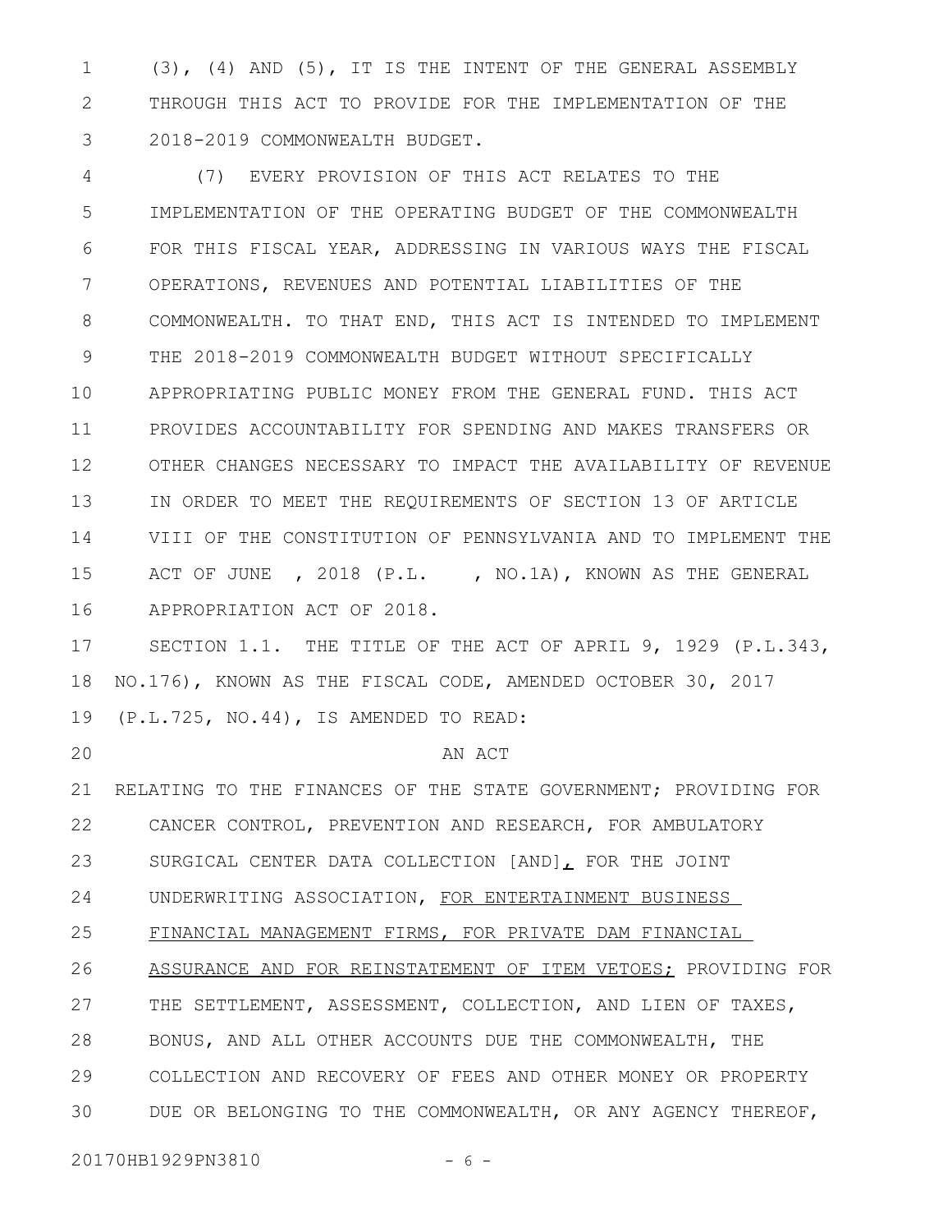(3), (4) AND (5), IT IS THE INTENT OF THE GENERAL ASSEMBLY THROUGH THIS ACT TO PROVIDE FOR THE IMPLEMENTATION OF THE 2018-2019 COMMONWEALTH BUDGET. 1 2 3

(7) EVERY PROVISION OF THIS ACT RELATES TO THE IMPLEMENTATION OF THE OPERATING BUDGET OF THE COMMONWEALTH FOR THIS FISCAL YEAR, ADDRESSING IN VARIOUS WAYS THE FISCAL OPERATIONS, REVENUES AND POTENTIAL LIABILITIES OF THE COMMONWEALTH. TO THAT END, THIS ACT IS INTENDED TO IMPLEMENT THE 2018-2019 COMMONWEALTH BUDGET WITHOUT SPECIFICALLY APPROPRIATING PUBLIC MONEY FROM THE GENERAL FUND. THIS ACT PROVIDES ACCOUNTABILITY FOR SPENDING AND MAKES TRANSFERS OR OTHER CHANGES NECESSARY TO IMPACT THE AVAILABILITY OF REVENUE IN ORDER TO MEET THE REQUIREMENTS OF SECTION 13 OF ARTICLE VIII OF THE CONSTITUTION OF PENNSYLVANIA AND TO IMPLEMENT THE ACT OF JUNE , 2018 (P.L. , NO.1A), KNOWN AS THE GENERAL APPROPRIATION ACT OF 2018. 4 5 6 7 8 9 10 11 12 13 14 15 16

SECTION 1.1. THE TITLE OF THE ACT OF APRIL 9, 1929 (P.L.343, NO.176), KNOWN AS THE FISCAL CODE, AMENDED OCTOBER 30, 2017 (P.L.725, NO.44), IS AMENDED TO READ: 17 18 19

20

#### AN ACT

RELATING TO THE FINANCES OF THE STATE GOVERNMENT; PROVIDING FOR CANCER CONTROL, PREVENTION AND RESEARCH, FOR AMBULATORY SURGICAL CENTER DATA COLLECTION [AND], FOR THE JOINT UNDERWRITING ASSOCIATION, FOR ENTERTAINMENT BUSINESS FINANCIAL MANAGEMENT FIRMS, FOR PRIVATE DAM FINANCIAL 21 22 23 24 25

ASSURANCE AND FOR REINSTATEMENT OF ITEM VETOES; PROVIDING FOR THE SETTLEMENT, ASSESSMENT, COLLECTION, AND LIEN OF TAXES, BONUS, AND ALL OTHER ACCOUNTS DUE THE COMMONWEALTH, THE COLLECTION AND RECOVERY OF FEES AND OTHER MONEY OR PROPERTY DUE OR BELONGING TO THE COMMONWEALTH, OR ANY AGENCY THEREOF, 26 27 28 29 30

20170HB1929PN3810 - 6 -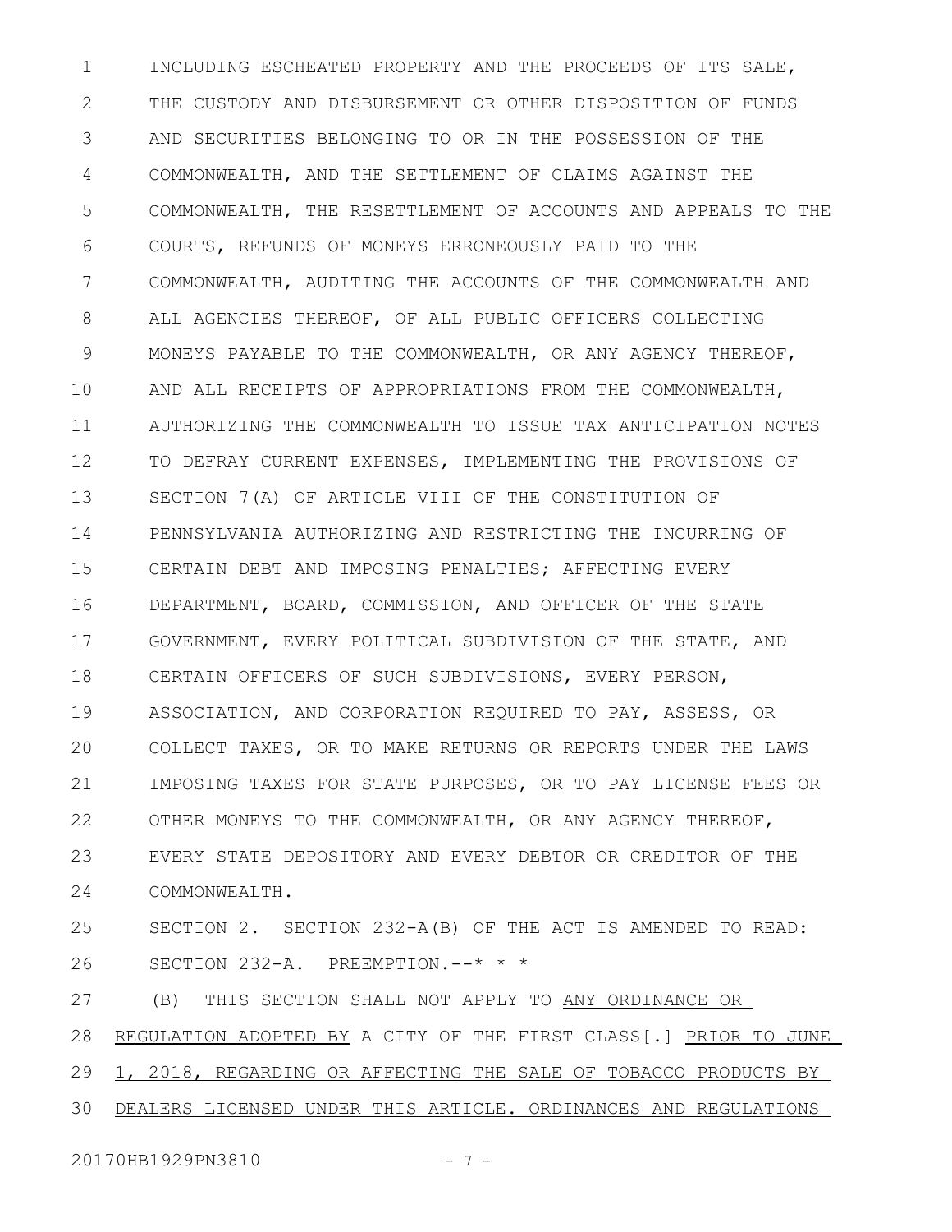INCLUDING ESCHEATED PROPERTY AND THE PROCEEDS OF ITS SALE, THE CUSTODY AND DISBURSEMENT OR OTHER DISPOSITION OF FUNDS AND SECURITIES BELONGING TO OR IN THE POSSESSION OF THE COMMONWEALTH, AND THE SETTLEMENT OF CLAIMS AGAINST THE COMMONWEALTH, THE RESETTLEMENT OF ACCOUNTS AND APPEALS TO THE COURTS, REFUNDS OF MONEYS ERRONEOUSLY PAID TO THE COMMONWEALTH, AUDITING THE ACCOUNTS OF THE COMMONWEALTH AND ALL AGENCIES THEREOF, OF ALL PUBLIC OFFICERS COLLECTING MONEYS PAYABLE TO THE COMMONWEALTH, OR ANY AGENCY THEREOF, AND ALL RECEIPTS OF APPROPRIATIONS FROM THE COMMONWEALTH, AUTHORIZING THE COMMONWEALTH TO ISSUE TAX ANTICIPATION NOTES TO DEFRAY CURRENT EXPENSES, IMPLEMENTING THE PROVISIONS OF SECTION 7(A) OF ARTICLE VIII OF THE CONSTITUTION OF PENNSYLVANIA AUTHORIZING AND RESTRICTING THE INCURRING OF CERTAIN DEBT AND IMPOSING PENALTIES; AFFECTING EVERY DEPARTMENT, BOARD, COMMISSION, AND OFFICER OF THE STATE GOVERNMENT, EVERY POLITICAL SUBDIVISION OF THE STATE, AND CERTAIN OFFICERS OF SUCH SUBDIVISIONS, EVERY PERSON, ASSOCIATION, AND CORPORATION REQUIRED TO PAY, ASSESS, OR COLLECT TAXES, OR TO MAKE RETURNS OR REPORTS UNDER THE LAWS IMPOSING TAXES FOR STATE PURPOSES, OR TO PAY LICENSE FEES OR OTHER MONEYS TO THE COMMONWEALTH, OR ANY AGENCY THEREOF, EVERY STATE DEPOSITORY AND EVERY DEBTOR OR CREDITOR OF THE COMMONWEALTH. SECTION 2. SECTION 232-A(B) OF THE ACT IS AMENDED TO READ: SECTION 232-A. PREEMPTION.--\* \* \* (B) THIS SECTION SHALL NOT APPLY TO ANY ORDINANCE OR 1 2 3 4 5 6 7 8 9 10 11 12 13 14 15 16 17 18 19  $20$ 21 22 23 24 25 26 27

REGULATION ADOPTED BY A CITY OF THE FIRST CLASS[.] PRIOR TO JUNE 28

1, 2018, REGARDING OR AFFECTING THE SALE OF TOBACCO PRODUCTS BY 29

DEALERS LICENSED UNDER THIS ARTICLE. ORDINANCES AND REGULATIONS 30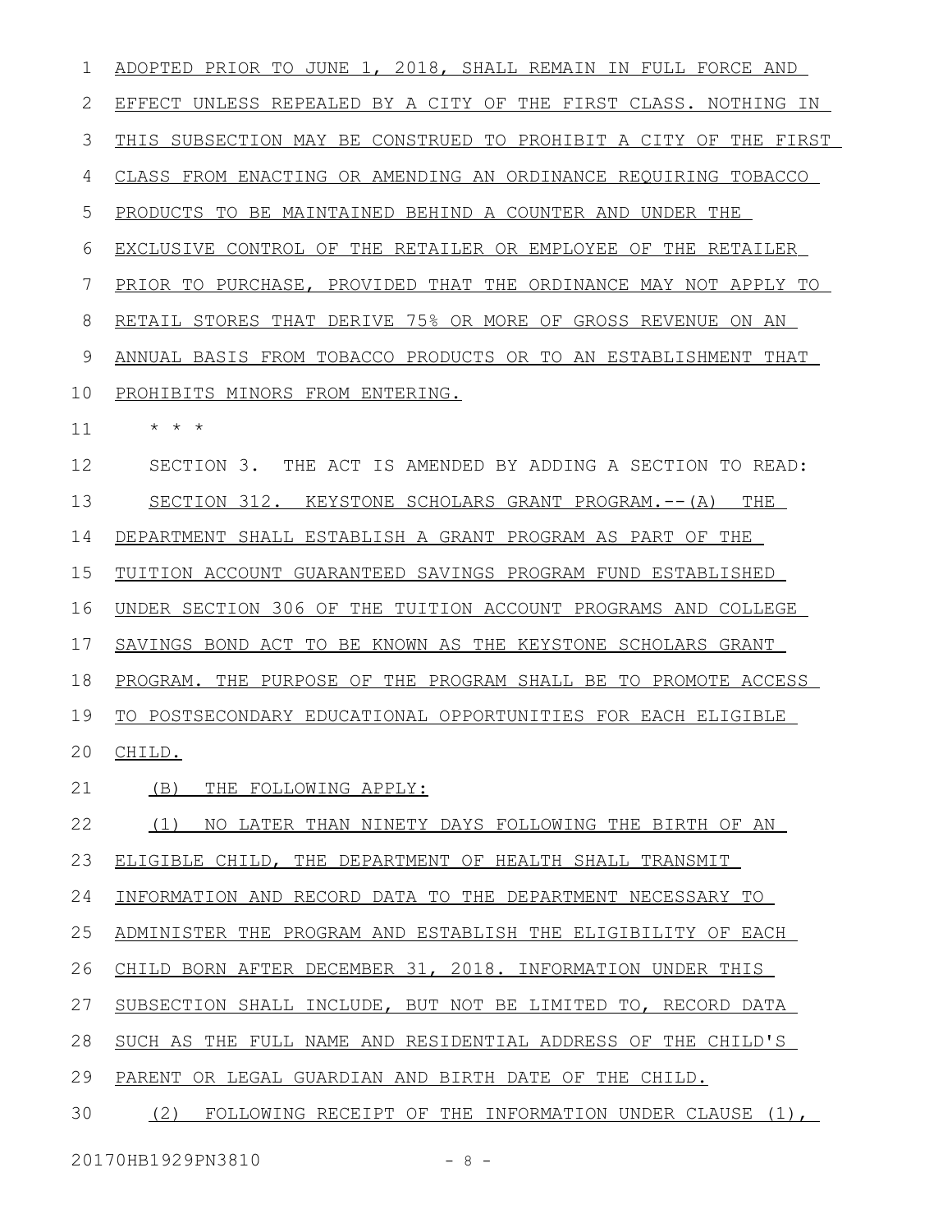ADOPTED PRIOR TO JUNE 1, 2018, SHALL REMAIN IN FULL FORCE AND EFFECT UNLESS REPEALED BY A CITY OF THE FIRST CLASS. NOTHING IN THIS SUBSECTION MAY BE CONSTRUED TO PROHIBIT A CITY OF THE FIRST CLASS FROM ENACTING OR AMENDING AN ORDINANCE REQUIRING TOBACCO PRODUCTS TO BE MAINTAINED BEHIND A COUNTER AND UNDER THE EXCLUSIVE CONTROL OF THE RETAILER OR EMPLOYEE OF THE RETAILER PRIOR TO PURCHASE, PROVIDED THAT THE ORDINANCE MAY NOT APPLY TO RETAIL STORES THAT DERIVE 75% OR MORE OF GROSS REVENUE ON AN ANNUAL BASIS FROM TOBACCO PRODUCTS OR TO AN ESTABLISHMENT THAT PROHIBITS MINORS FROM ENTERING. \* \* \* SECTION 3. THE ACT IS AMENDED BY ADDING A SECTION TO READ: SECTION 312. KEYSTONE SCHOLARS GRANT PROGRAM.--(A) THE DEPARTMENT SHALL ESTABLISH A GRANT PROGRAM AS PART OF THE TUITION ACCOUNT GUARANTEED SAVINGS PROGRAM FUND ESTABLISHED UNDER SECTION 306 OF THE TUITION ACCOUNT PROGRAMS AND COLLEGE SAVINGS BOND ACT TO BE KNOWN AS THE KEYSTONE SCHOLARS GRANT PROGRAM. THE PURPOSE OF THE PROGRAM SHALL BE TO PROMOTE ACCESS TO POSTSECONDARY EDUCATIONAL OPPORTUNITIES FOR EACH ELIGIBLE CHILD. (B) THE FOLLOWING APPLY: (1) NO LATER THAN NINETY DAYS FOLLOWING THE BIRTH OF AN ELIGIBLE CHILD, THE DEPARTMENT OF HEALTH SHALL TRANSMIT INFORMATION AND RECORD DATA TO THE DEPARTMENT NECESSARY TO ADMINISTER THE PROGRAM AND ESTABLISH THE ELIGIBILITY OF EACH CHILD BORN AFTER DECEMBER 31, 2018. INFORMATION UNDER THIS SUBSECTION SHALL INCLUDE, BUT NOT BE LIMITED TO, RECORD DATA SUCH AS THE FULL NAME AND RESIDENTIAL ADDRESS OF THE CHILD'S PARENT OR LEGAL GUARDIAN AND BIRTH DATE OF THE CHILD. (2) FOLLOWING RECEIPT OF THE INFORMATION UNDER CLAUSE (1), 1 2 3 4 5 6 7 8 9 10 11 12 13 14 15 16 17 18 19 20 21 22 23 24 25 26 27 28 29 30

20170HB1929PN3810 - 8 -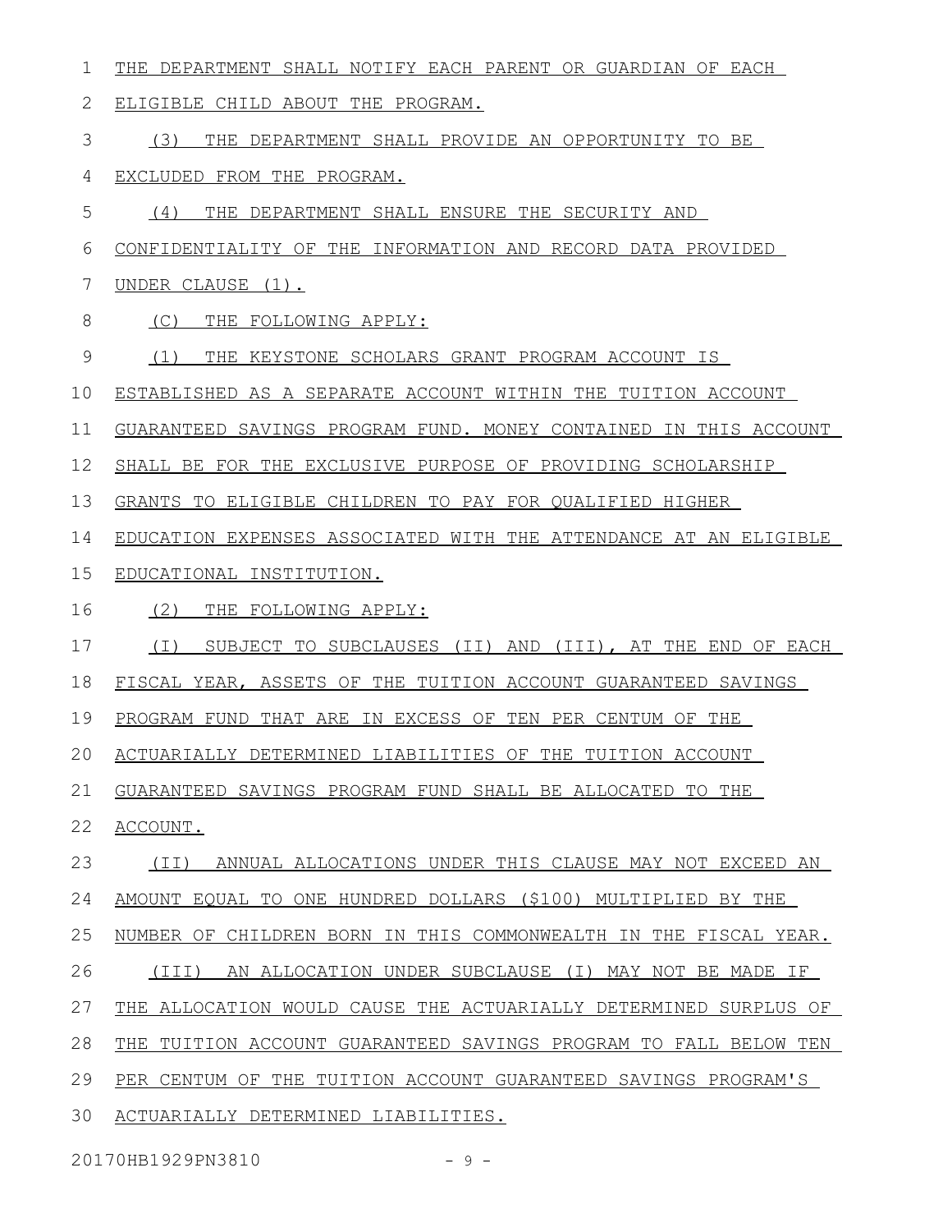THE DEPARTMENT SHALL NOTIFY EACH PARENT OR GUARDIAN OF EACH 1

ELIGIBLE CHILD ABOUT THE PROGRAM. 2

(3) THE DEPARTMENT SHALL PROVIDE AN OPPORTUNITY TO BE 3

EXCLUDED FROM THE PROGRAM. 4

(4) THE DEPARTMENT SHALL ENSURE THE SECURITY AND 5

CONFIDENTIALITY OF THE INFORMATION AND RECORD DATA PROVIDED 6

UNDER CLAUSE (1). 7

(C) THE FOLLOWING APPLY: 8

(1) THE KEYSTONE SCHOLARS GRANT PROGRAM ACCOUNT IS 9

ESTABLISHED AS A SEPARATE ACCOUNT WITHIN THE TUITION ACCOUNT 10

GUARANTEED SAVINGS PROGRAM FUND. MONEY CONTAINED IN THIS ACCOUNT 11

SHALL BE FOR THE EXCLUSIVE PURPOSE OF PROVIDING SCHOLARSHIP 12

GRANTS TO ELIGIBLE CHILDREN TO PAY FOR QUALIFIED HIGHER 13

EDUCATION EXPENSES ASSOCIATED WITH THE ATTENDANCE AT AN ELIGIBLE 14

EDUCATIONAL INSTITUTION. 15

(2) THE FOLLOWING APPLY: 16

(I) SUBJECT TO SUBCLAUSES (II) AND (III), AT THE END OF EACH 17

FISCAL YEAR, ASSETS OF THE TUITION ACCOUNT GUARANTEED SAVINGS 18

PROGRAM FUND THAT ARE IN EXCESS OF TEN PER CENTUM OF THE 19

ACTUARIALLY DETERMINED LIABILITIES OF THE TUITION ACCOUNT 20

GUARANTEED SAVINGS PROGRAM FUND SHALL BE ALLOCATED TO THE 21

ACCOUNT. 22

(II) ANNUAL ALLOCATIONS UNDER THIS CLAUSE MAY NOT EXCEED AN 23

AMOUNT EQUAL TO ONE HUNDRED DOLLARS (\$100) MULTIPLIED BY THE 24

NUMBER OF CHILDREN BORN IN THIS COMMONWEALTH IN THE FISCAL YEAR. 25

(III) AN ALLOCATION UNDER SUBCLAUSE (I) MAY NOT BE MADE IF 26

THE ALLOCATION WOULD CAUSE THE ACTUARIALLY DETERMINED SURPLUS OF 27

THE TUITION ACCOUNT GUARANTEED SAVINGS PROGRAM TO FALL BELOW TEN 28

PER CENTUM OF THE TUITION ACCOUNT GUARANTEED SAVINGS PROGRAM'S 29

ACTUARIALLY DETERMINED LIABILITIES. 30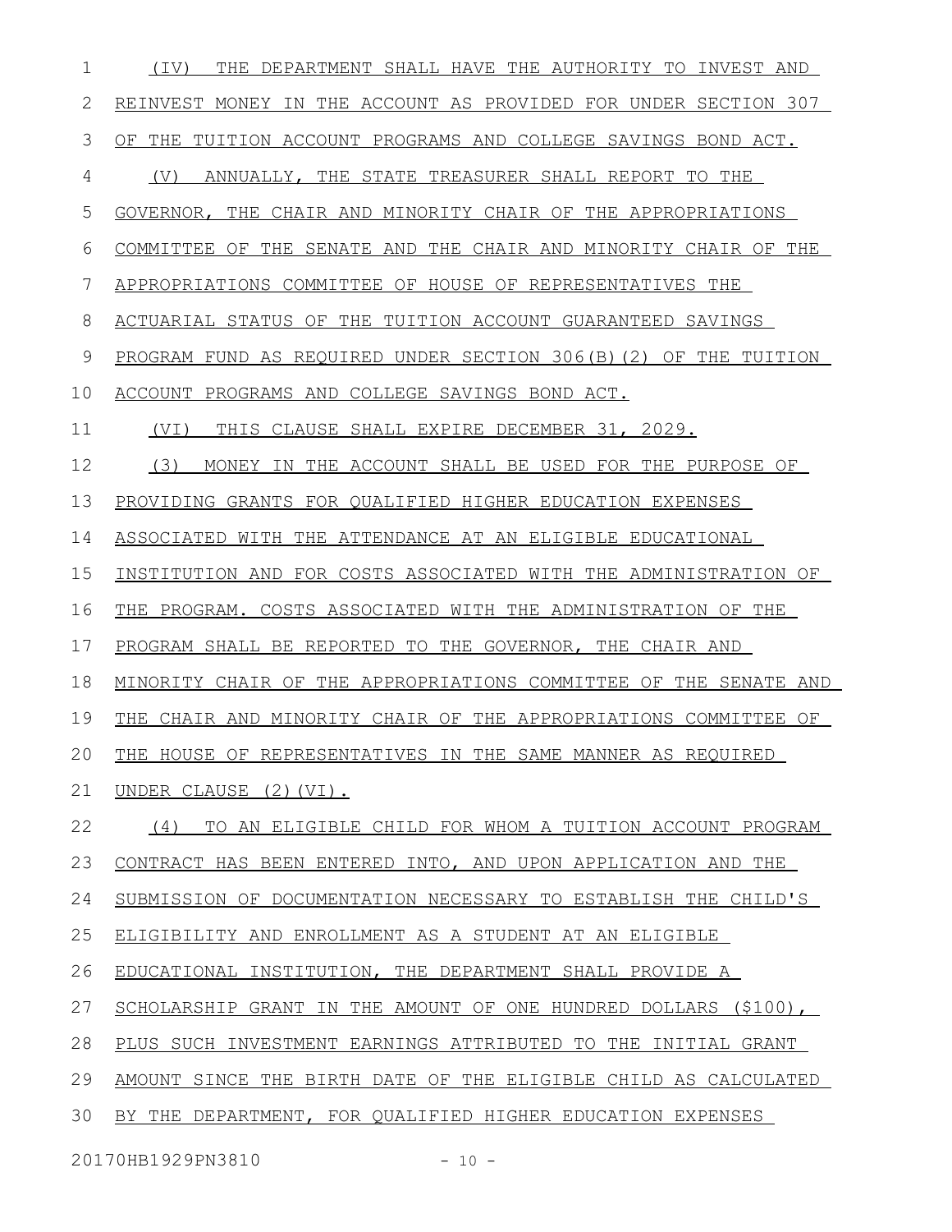| 1  | THE DEPARTMENT SHALL HAVE THE AUTHORITY TO INVEST AND<br>(IV)    |
|----|------------------------------------------------------------------|
| 2  | REINVEST MONEY IN THE ACCOUNT AS PROVIDED FOR UNDER SECTION 307  |
| 3  | OF THE TUITION ACCOUNT PROGRAMS AND COLLEGE SAVINGS BOND ACT.    |
| 4  | ANNUALLY, THE STATE TREASURER SHALL REPORT TO THE<br>(V)         |
| 5  | GOVERNOR, THE CHAIR AND MINORITY CHAIR OF THE APPROPRIATIONS     |
| 6  | COMMITTEE OF THE SENATE AND THE CHAIR AND MINORITY CHAIR OF THE  |
| 7  | APPROPRIATIONS COMMITTEE OF HOUSE OF REPRESENTATIVES THE         |
| 8  | ACTUARIAL STATUS OF THE TUITION ACCOUNT GUARANTEED SAVINGS       |
| 9  | PROGRAM FUND AS REQUIRED UNDER SECTION 306(B)(2) OF THE TUITION  |
| 10 | ACCOUNT PROGRAMS AND COLLEGE SAVINGS BOND ACT.                   |
| 11 | THIS CLAUSE SHALL EXPIRE DECEMBER 31, 2029.<br>(VI)              |
| 12 | (3)<br>MONEY IN THE ACCOUNT SHALL BE USED FOR THE PURPOSE OF     |
| 13 | PROVIDING GRANTS FOR QUALIFIED HIGHER EDUCATION EXPENSES         |
| 14 | ASSOCIATED WITH THE ATTENDANCE AT AN ELIGIBLE EDUCATIONAL        |
| 15 | INSTITUTION AND FOR COSTS ASSOCIATED WITH THE ADMINISTRATION OF  |
| 16 | THE PROGRAM. COSTS ASSOCIATED WITH THE ADMINISTRATION OF THE     |
| 17 | PROGRAM SHALL BE REPORTED TO THE GOVERNOR, THE CHAIR AND         |
| 18 | MINORITY CHAIR OF THE APPROPRIATIONS COMMITTEE OF THE SENATE AND |
| 19 | THE CHAIR AND MINORITY CHAIR OF THE APPROPRIATIONS COMMITTEE OF  |
| 20 | THE HOUSE OF REPRESENTATIVES IN THE SAME MANNER AS REQUIRED      |
| 21 | UNDER CLAUSE (2) (VI).                                           |
| 22 | (4)<br>TO AN ELIGIBLE CHILD FOR WHOM A TUITION ACCOUNT PROGRAM   |
| 23 | CONTRACT HAS BEEN ENTERED INTO, AND UPON APPLICATION AND THE     |
| 24 | SUBMISSION OF DOCUMENTATION NECESSARY TO ESTABLISH THE CHILD'S   |
| 25 | ELIGIBILITY AND ENROLLMENT AS A STUDENT AT AN ELIGIBLE           |
| 26 | EDUCATIONAL INSTITUTION, THE DEPARTMENT SHALL PROVIDE A          |
| 27 | SCHOLARSHIP GRANT IN THE AMOUNT OF ONE HUNDRED DOLLARS (\$100),  |
| 28 | PLUS SUCH INVESTMENT EARNINGS ATTRIBUTED TO THE INITIAL GRANT    |
| 29 | AMOUNT SINCE THE BIRTH DATE OF THE ELIGIBLE CHILD AS CALCULATED  |
| 30 | BY THE DEPARTMENT, FOR QUALIFIED HIGHER EDUCATION EXPENSES       |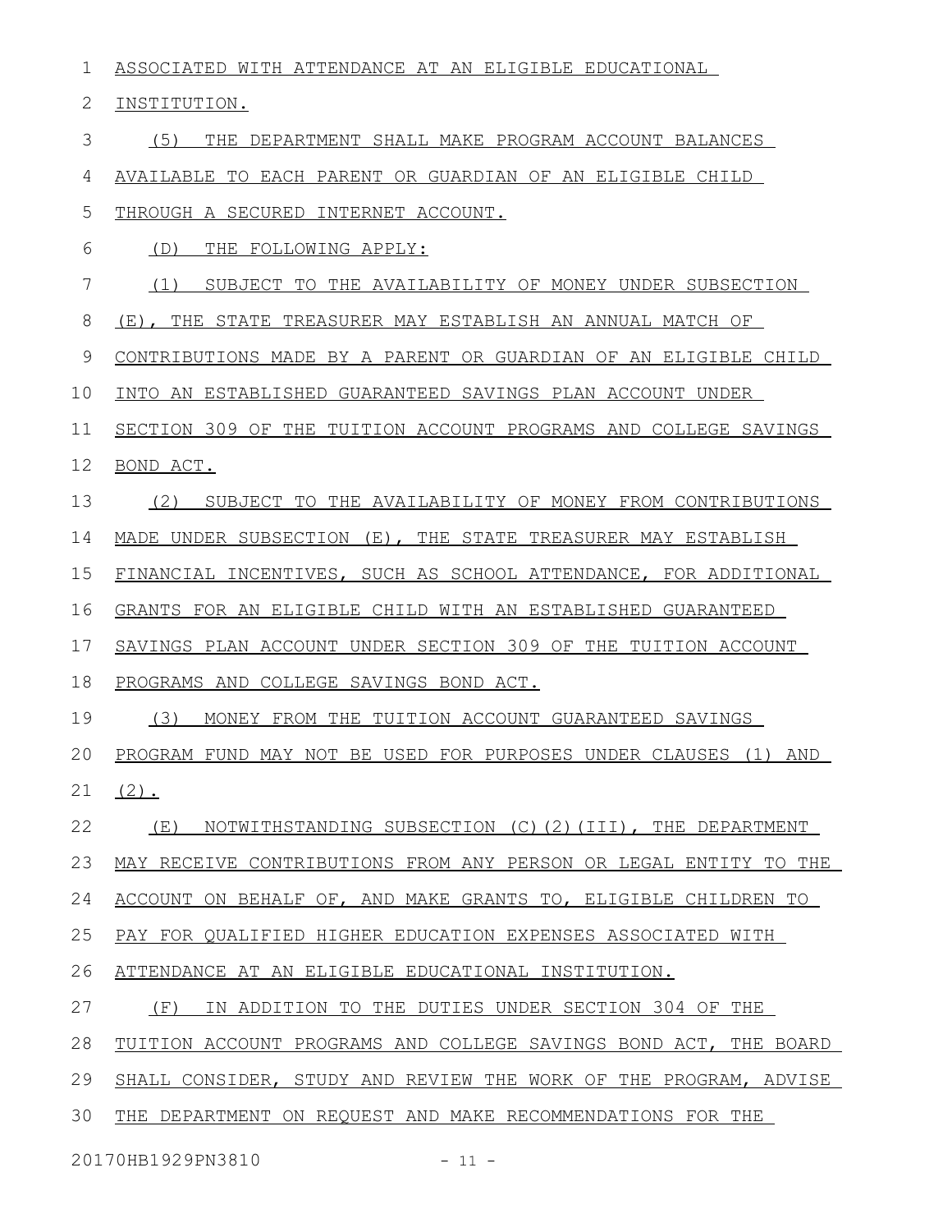ASSOCIATED WITH ATTENDANCE AT AN ELIGIBLE EDUCATIONAL 1

INSTITUTION. 2

(5) THE DEPARTMENT SHALL MAKE PROGRAM ACCOUNT BALANCES 3

AVAILABLE TO EACH PARENT OR GUARDIAN OF AN ELIGIBLE CHILD 4

THROUGH A SECURED INTERNET ACCOUNT. 5

(D) THE FOLLOWING APPLY: 6

(1) SUBJECT TO THE AVAILABILITY OF MONEY UNDER SUBSECTION 7

(E), THE STATE TREASURER MAY ESTABLISH AN ANNUAL MATCH OF 8

CONTRIBUTIONS MADE BY A PARENT OR GUARDIAN OF AN ELIGIBLE CHILD 9

INTO AN ESTABLISHED GUARANTEED SAVINGS PLAN ACCOUNT UNDER 10

SECTION 309 OF THE TUITION ACCOUNT PROGRAMS AND COLLEGE SAVINGS 11

BOND ACT. 12

(2) SUBJECT TO THE AVAILABILITY OF MONEY FROM CONTRIBUTIONS 13

MADE UNDER SUBSECTION (E), THE STATE TREASURER MAY ESTABLISH 14

FINANCIAL INCENTIVES, SUCH AS SCHOOL ATTENDANCE, FOR ADDITIONAL 15

GRANTS FOR AN ELIGIBLE CHILD WITH AN ESTABLISHED GUARANTEED 16

SAVINGS PLAN ACCOUNT UNDER SECTION 309 OF THE TUITION ACCOUNT 17

PROGRAMS AND COLLEGE SAVINGS BOND ACT. 18

(3) MONEY FROM THE TUITION ACCOUNT GUARANTEED SAVINGS 19

PROGRAM FUND MAY NOT BE USED FOR PURPOSES UNDER CLAUSES (1) AND (2). 20 21

(E) NOTWITHSTANDING SUBSECTION (C)(2)(III), THE DEPARTMENT 22

MAY RECEIVE CONTRIBUTIONS FROM ANY PERSON OR LEGAL ENTITY TO THE 23

ACCOUNT ON BEHALF OF, AND MAKE GRANTS TO, ELIGIBLE CHILDREN TO 24

PAY FOR QUALIFIED HIGHER EDUCATION EXPENSES ASSOCIATED WITH 25

ATTENDANCE AT AN ELIGIBLE EDUCATIONAL INSTITUTION. 26

(F) IN ADDITION TO THE DUTIES UNDER SECTION 304 OF THE 27

TUITION ACCOUNT PROGRAMS AND COLLEGE SAVINGS BOND ACT, THE BOARD 28

SHALL CONSIDER, STUDY AND REVIEW THE WORK OF THE PROGRAM, ADVISE 29

THE DEPARTMENT ON REQUEST AND MAKE RECOMMENDATIONS FOR THE 30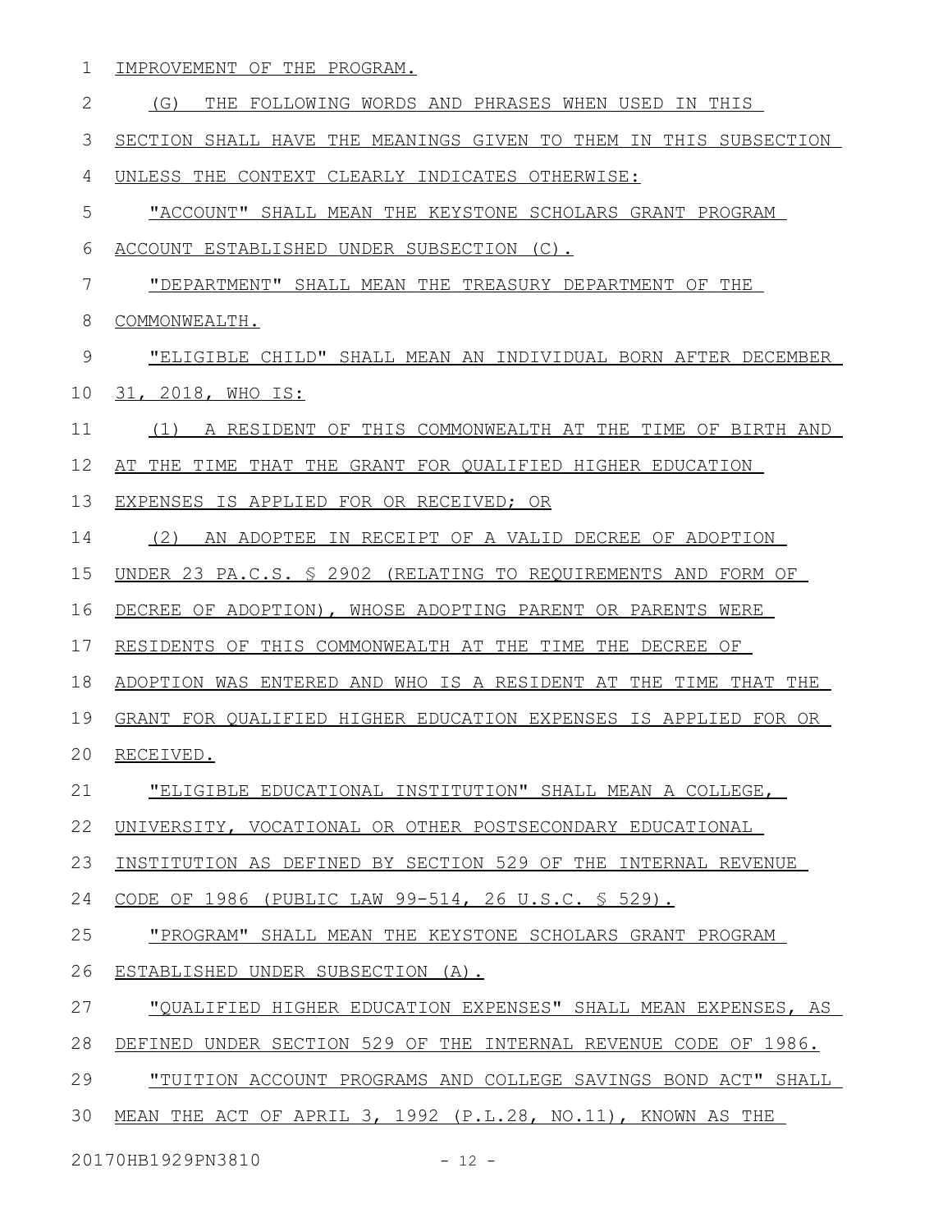1 IMPROVEMENT OF THE PROGRAM.

| $\mathbf{2}$ | THE FOLLOWING WORDS AND PHRASES WHEN USED IN THIS<br>(G)         |
|--------------|------------------------------------------------------------------|
| 3            | SECTION SHALL HAVE THE MEANINGS GIVEN TO THEM IN THIS SUBSECTION |
| 4            | UNLESS THE CONTEXT CLEARLY INDICATES OTHERWISE:                  |
| 5            | "ACCOUNT" SHALL MEAN THE KEYSTONE SCHOLARS GRANT PROGRAM         |
| 6            | ACCOUNT ESTABLISHED UNDER SUBSECTION (C).                        |
| 7            | "DEPARTMENT" SHALL MEAN THE TREASURY DEPARTMENT OF THE           |
| 8            | COMMONWEALTH.                                                    |
| 9            | "ELIGIBLE CHILD" SHALL MEAN AN INDIVIDUAL BORN AFTER DECEMBER    |
| 10           | 31, 2018, WHO IS:                                                |
| 11           | (1) A RESIDENT OF THIS COMMONWEALTH AT THE TIME OF BIRTH AND     |
| 12           | AT THE TIME THAT THE GRANT FOR QUALIFIED HIGHER EDUCATION        |
| 13           | EXPENSES IS APPLIED FOR OR RECEIVED; OR                          |
| 14           | (2)<br>AN ADOPTEE IN RECEIPT OF A VALID DECREE OF ADOPTION       |
| 15           | UNDER 23 PA.C.S. § 2902 (RELATING TO REQUIREMENTS AND FORM OF    |
| 16           | DECREE OF ADOPTION), WHOSE ADOPTING PARENT OR PARENTS WERE       |
| 17           | RESIDENTS OF THIS COMMONWEALTH AT THE TIME THE DECREE OF         |
| 18           | ADOPTION WAS ENTERED AND WHO IS A RESIDENT AT THE TIME THAT THE  |
| 19           | GRANT FOR QUALIFIED HIGHER EDUCATION EXPENSES IS APPLIED FOR OR  |
| 20           | RECEIVED.                                                        |
| 21           | <u>"ELIGIBLE EDUCATIONAL INSTITUTION" SHALL MEAN A COLLEGE,</u>  |
| 22           | UNIVERSITY, VOCATIONAL OR OTHER POSTSECONDARY EDUCATIONAL        |
| 23           | INSTITUTION AS DEFINED BY SECTION 529 OF THE INTERNAL REVENUE    |
| 24           | <u>CODE OF 1986 (PUBLIC LAW 99-514, 26 U.S.C. § 529).</u>        |
| 25           | "PROGRAM" SHALL MEAN THE KEYSTONE SCHOLARS GRANT PROGRAM         |
| 26           | ESTABLISHED UNDER SUBSECTION (A).                                |
| 27           | "OUALIFIED HIGHER EDUCATION EXPENSES" SHALL MEAN EXPENSES, AS    |
| 28           | DEFINED UNDER SECTION 529 OF THE INTERNAL REVENUE CODE OF 1986.  |
| 29           | "TUITION ACCOUNT PROGRAMS AND COLLEGE SAVINGS BOND ACT" SHALL    |
| 30           | MEAN THE ACT OF APRIL 3, 1992 (P.L.28, NO.11), KNOWN AS THE      |

20170HB1929PN3810 - 12 -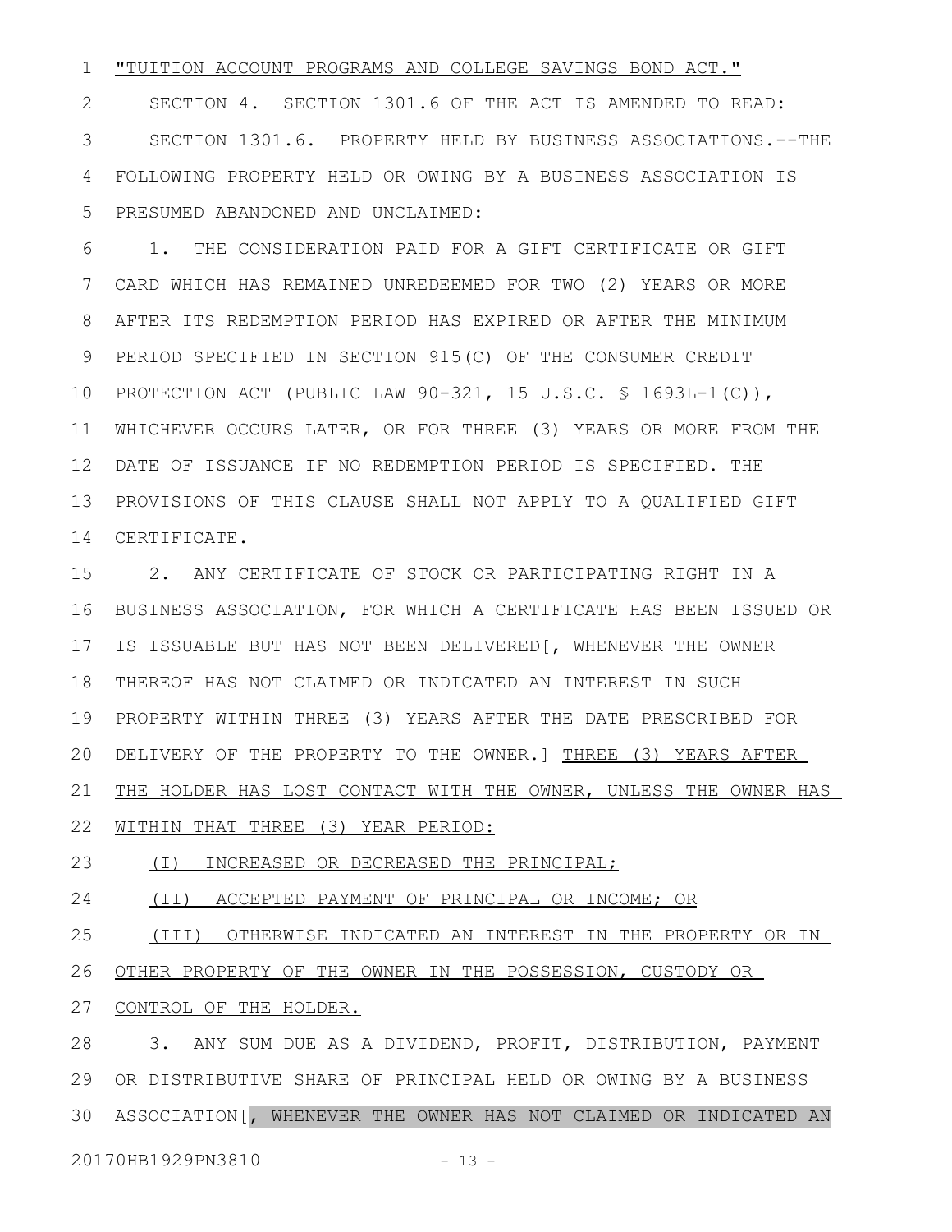#### "TUITION ACCOUNT PROGRAMS AND COLLEGE SAVINGS BOND ACT." 1

SECTION 4. SECTION 1301.6 OF THE ACT IS AMENDED TO READ: SECTION 1301.6. PROPERTY HELD BY BUSINESS ASSOCIATIONS.--THE FOLLOWING PROPERTY HELD OR OWING BY A BUSINESS ASSOCIATION IS PRESUMED ABANDONED AND UNCLAIMED: 2 3 4 5

1. THE CONSIDERATION PAID FOR A GIFT CERTIFICATE OR GIFT CARD WHICH HAS REMAINED UNREDEEMED FOR TWO (2) YEARS OR MORE AFTER ITS REDEMPTION PERIOD HAS EXPIRED OR AFTER THE MINIMUM PERIOD SPECIFIED IN SECTION 915(C) OF THE CONSUMER CREDIT PROTECTION ACT (PUBLIC LAW 90-321, 15 U.S.C. § 1693L-1(C)), 10 11 WHICHEVER OCCURS LATER, OR FOR THREE (3) YEARS OR MORE FROM THE DATE OF ISSUANCE IF NO REDEMPTION PERIOD IS SPECIFIED. THE 12 PROVISIONS OF THIS CLAUSE SHALL NOT APPLY TO A QUALIFIED GIFT 13 CERTIFICATE. 14 6 7 8 9

2. ANY CERTIFICATE OF STOCK OR PARTICIPATING RIGHT IN A BUSINESS ASSOCIATION, FOR WHICH A CERTIFICATE HAS BEEN ISSUED OR IS ISSUABLE BUT HAS NOT BEEN DELIVERED[, WHENEVER THE OWNER 18 THEREOF HAS NOT CLAIMED OR INDICATED AN INTEREST IN SUCH PROPERTY WITHIN THREE (3) YEARS AFTER THE DATE PRESCRIBED FOR 20 DELIVERY OF THE PROPERTY TO THE OWNER.] THREE (3) YEARS AFTER THE HOLDER HAS LOST CONTACT WITH THE OWNER, UNLESS THE OWNER HAS 15 16 17 19 21

WITHIN THAT THREE (3) YEAR PERIOD: 22

 (I) INCREASED OR DECREASED THE PRINCIPAL; 23

 (II) ACCEPTED PAYMENT OF PRINCIPAL OR INCOME; OR 24

 (III) OTHERWISE INDICATED AN INTEREST IN THE PROPERTY OR IN OTHER PROPERTY OF THE OWNER IN THE POSSESSION, CUSTODY OR 25 26

CONTROL OF THE HOLDER. 27

3. ANY SUM DUE AS A DIVIDEND, PROFIT, DISTRIBUTION, PAYMENT 28 OR DISTRIBUTIVE SHARE OF PRINCIPAL HELD OR OWING BY A BUSINESS 29 ASSOCIATION[, WHENEVER THE OWNER HAS NOT CLAIMED OR INDICATED AN 3020170HB1929PN3810 - 13 -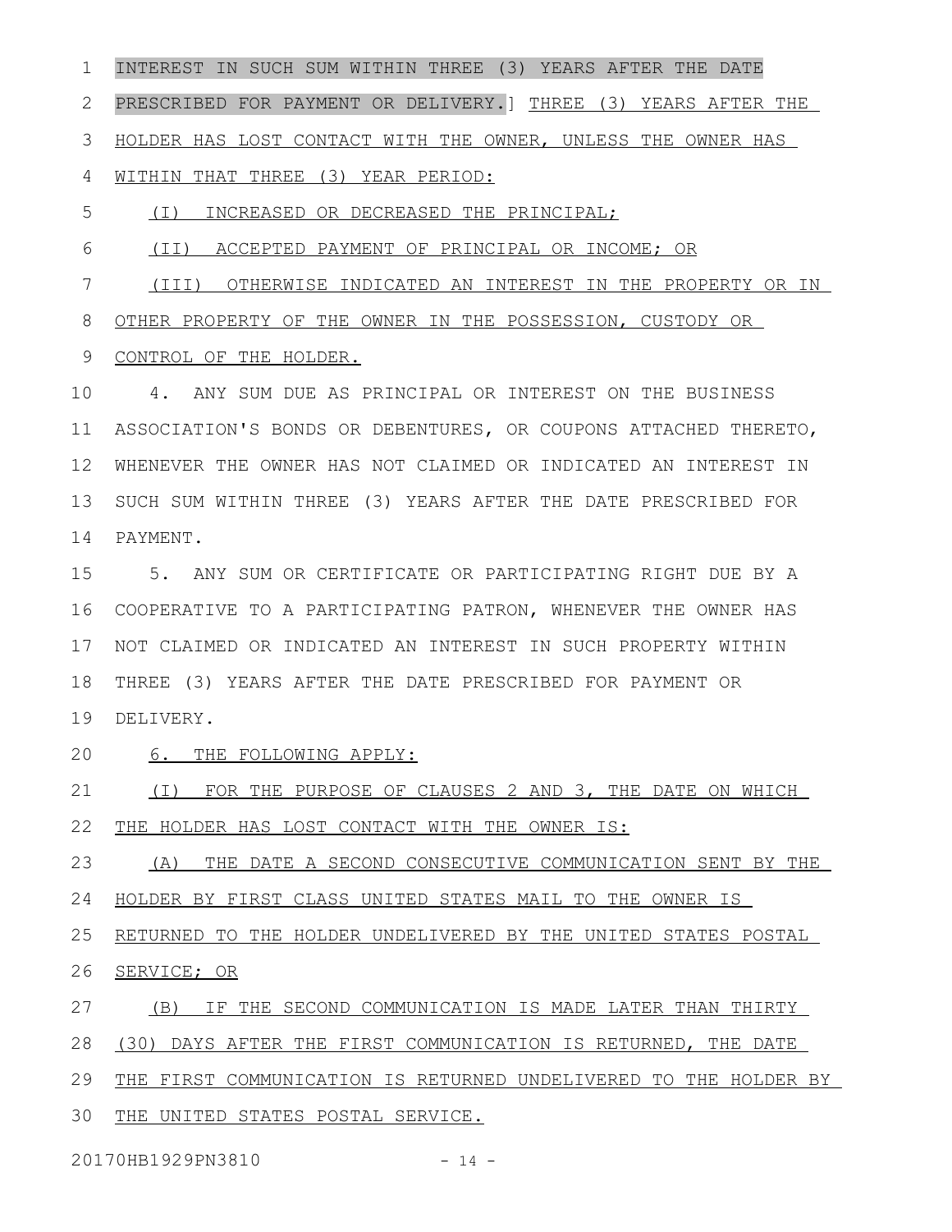INTEREST IN SUCH SUM WITHIN THREE (3) YEARS AFTER THE DATE PRESCRIBED FOR PAYMENT OR DELIVERY.] THREE (3) YEARS AFTER THE HOLDER HAS LOST CONTACT WITH THE OWNER, UNLESS THE OWNER HAS WITHIN THAT THREE (3) YEAR PERIOD: (I) INCREASED OR DECREASED THE PRINCIPAL; (II) ACCEPTED PAYMENT OF PRINCIPAL OR INCOME; OR (III) OTHERWISE INDICATED AN INTEREST IN THE PROPERTY OR IN 1 2 3 4 5 6 7

OTHER PROPERTY OF THE OWNER IN THE POSSESSION, CUSTODY OR 8

CONTROL OF THE HOLDER. 9

4. ANY SUM DUE AS PRINCIPAL OR INTEREST ON THE BUSINESS ASSOCIATION'S BONDS OR DEBENTURES, OR COUPONS ATTACHED THERETO, WHENEVER THE OWNER HAS NOT CLAIMED OR INDICATED AN INTEREST IN 12 SUCH SUM WITHIN THREE (3) YEARS AFTER THE DATE PRESCRIBED FOR PAYMENT. 10 11 13 14

5. ANY SUM OR CERTIFICATE OR PARTICIPATING RIGHT DUE BY A COOPERATIVE TO A PARTICIPATING PATRON, WHENEVER THE OWNER HAS 16 NOT CLAIMED OR INDICATED AN INTEREST IN SUCH PROPERTY WITHIN THREE (3) YEARS AFTER THE DATE PRESCRIBED FOR PAYMENT OR DELIVERY. 15 17 18 19

6. THE FOLLOWING APPLY: 20

(I) FOR THE PURPOSE OF CLAUSES 2 AND 3, THE DATE ON WHICH THE HOLDER HAS LOST CONTACT WITH THE OWNER IS: 21 22

(A) THE DATE A SECOND CONSECUTIVE COMMUNICATION SENT BY THE HOLDER BY FIRST CLASS UNITED STATES MAIL TO THE OWNER IS 23 24

RETURNED TO THE HOLDER UNDELIVERED BY THE UNITED STATES POSTAL 25

SERVICE; OR 26

(B) IF THE SECOND COMMUNICATION IS MADE LATER THAN THIRTY 27

(30) DAYS AFTER THE FIRST COMMUNICATION IS RETURNED, THE DATE 28

THE FIRST COMMUNICATION IS RETURNED UNDELIVERED TO THE HOLDER BY 29

30 THE UNITED STATES POSTAL SERVICE.

20170HB1929PN3810 - 14 -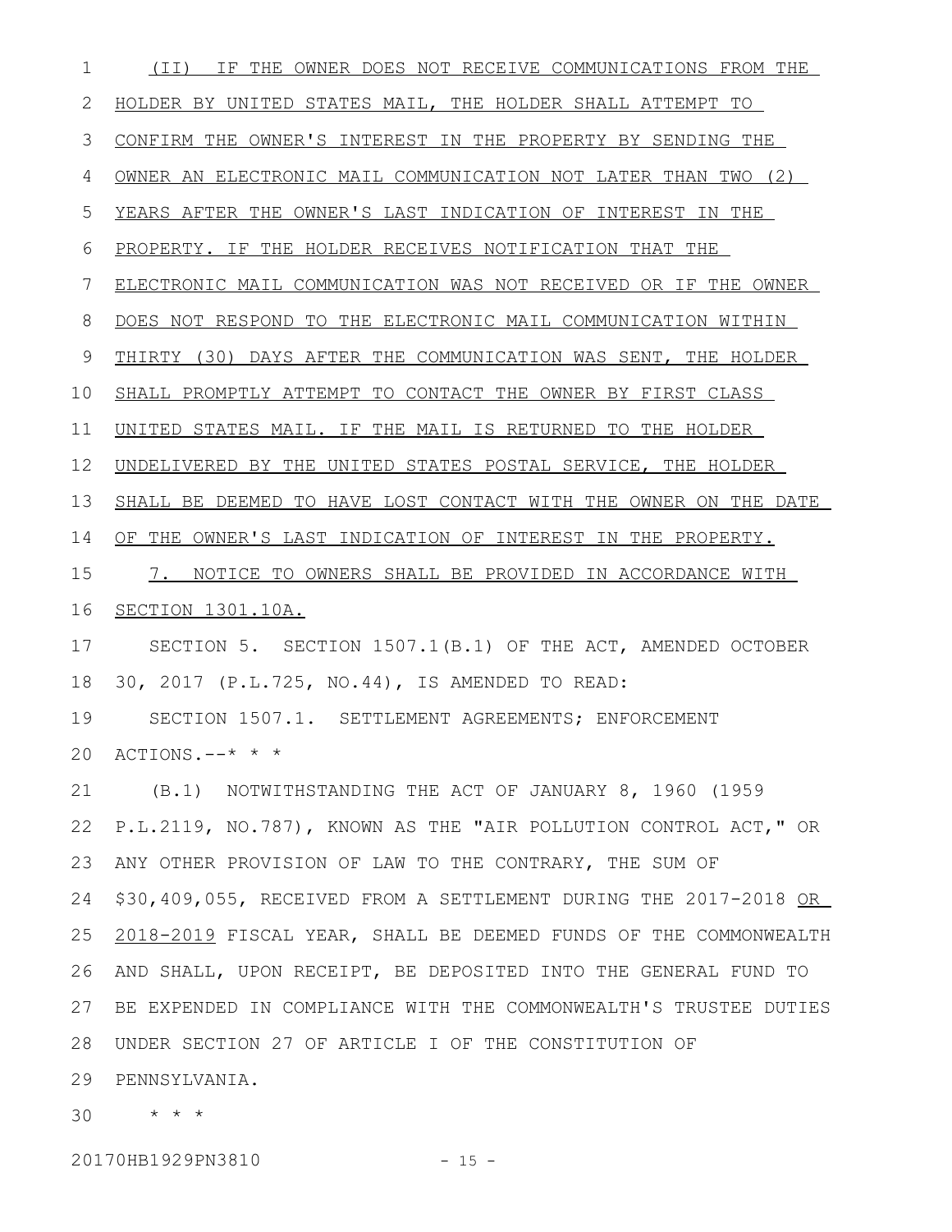(II) IF THE OWNER DOES NOT RECEIVE COMMUNICATIONS FROM THE HOLDER BY UNITED STATES MAIL, THE HOLDER SHALL ATTEMPT TO CONFIRM THE OWNER'S INTEREST IN THE PROPERTY BY SENDING THE OWNER AN ELECTRONIC MAIL COMMUNICATION NOT LATER THAN TWO (2) YEARS AFTER THE OWNER'S LAST INDICATION OF INTEREST IN THE PROPERTY. IF THE HOLDER RECEIVES NOTIFICATION THAT THE ELECTRONIC MAIL COMMUNICATION WAS NOT RECEIVED OR IF THE OWNER DOES NOT RESPOND TO THE ELECTRONIC MAIL COMMUNICATION WITHIN THIRTY (30) DAYS AFTER THE COMMUNICATION WAS SENT, THE HOLDER SHALL PROMPTLY ATTEMPT TO CONTACT THE OWNER BY FIRST CLASS UNITED STATES MAIL. IF THE MAIL IS RETURNED TO THE HOLDER UNDELIVERED BY THE UNITED STATES POSTAL SERVICE, THE HOLDER SHALL BE DEEMED TO HAVE LOST CONTACT WITH THE OWNER ON THE DATE OF THE OWNER'S LAST INDICATION OF INTEREST IN THE PROPERTY. 7. NOTICE TO OWNERS SHALL BE PROVIDED IN ACCORDANCE WITH SECTION 1301.10A. SECTION 5. SECTION 1507.1(B.1) OF THE ACT, AMENDED OCTOBER 30, 2017 (P.L.725, NO.44), IS AMENDED TO READ: SECTION 1507.1. SETTLEMENT AGREEMENTS; ENFORCEMENT ACTIONS.--\* \* \* (B.1) NOTWITHSTANDING THE ACT OF JANUARY 8, 1960 (1959 P.L.2119, NO.787), KNOWN AS THE "AIR POLLUTION CONTROL ACT," OR ANY OTHER PROVISION OF LAW TO THE CONTRARY, THE SUM OF \$30,409,055, RECEIVED FROM A SETTLEMENT DURING THE 2017-2018 OR 2018-2019 FISCAL YEAR, SHALL BE DEEMED FUNDS OF THE COMMONWEALTH AND SHALL, UPON RECEIPT, BE DEPOSITED INTO THE GENERAL FUND TO BE EXPENDED IN COMPLIANCE WITH THE COMMONWEALTH'S TRUSTEE DUTIES UNDER SECTION 27 OF ARTICLE I OF THE CONSTITUTION OF 28 29 PENNSYLVANIA. \* \* \* 301 2 3 4 5 6 7 8 9 10 11 12 13 14 15 16 17 18 19 20 21 22 23 24 25 26 27

20170HB1929PN3810 - 15 -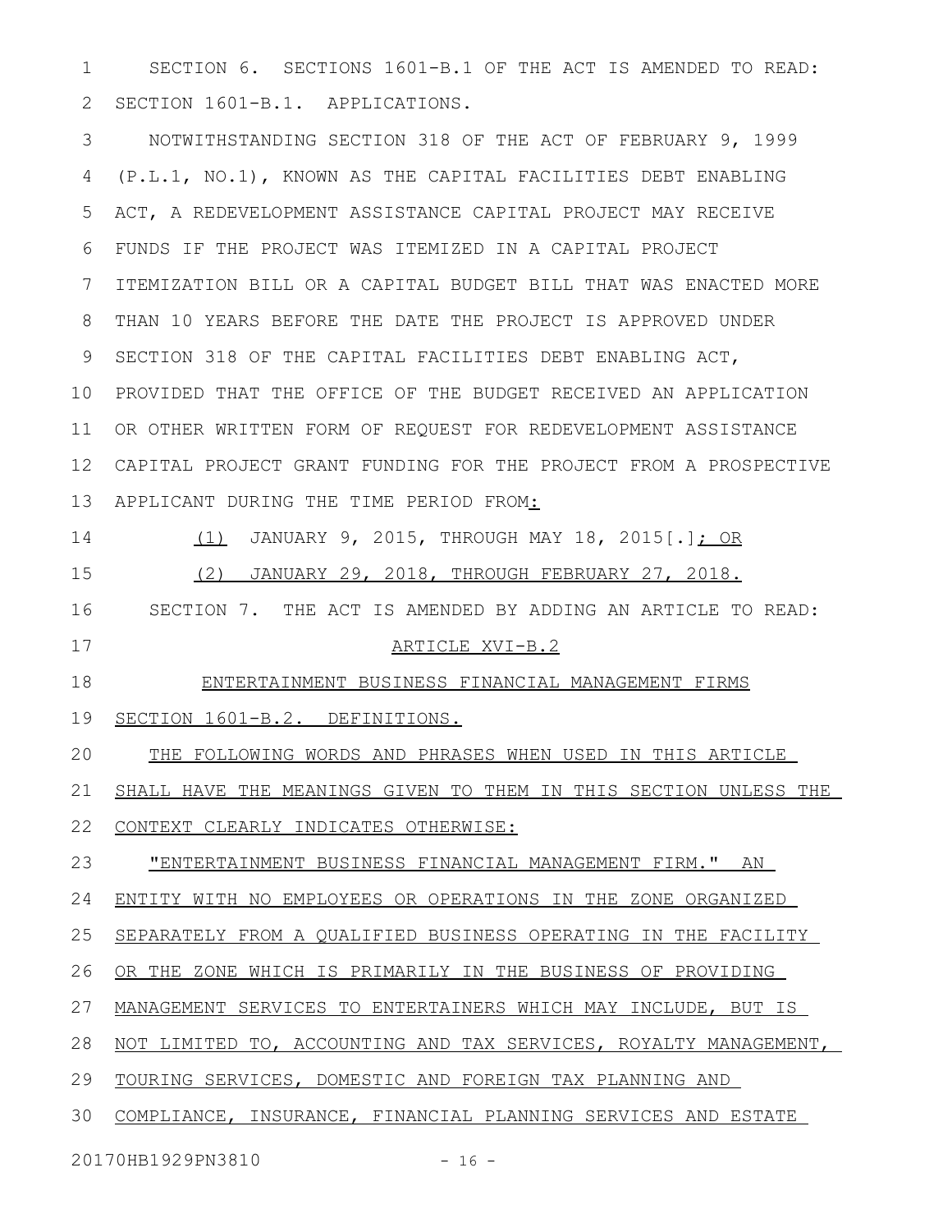SECTION 6. SECTIONS 1601-B.1 OF THE ACT IS AMENDED TO READ: SECTION 1601-B.1. APPLICATIONS. 1 2

NOTWITHSTANDING SECTION 318 OF THE ACT OF FEBRUARY 9, 1999 (P.L.1, NO.1), KNOWN AS THE CAPITAL FACILITIES DEBT ENABLING ACT, A REDEVELOPMENT ASSISTANCE CAPITAL PROJECT MAY RECEIVE FUNDS IF THE PROJECT WAS ITEMIZED IN A CAPITAL PROJECT ITEMIZATION BILL OR A CAPITAL BUDGET BILL THAT WAS ENACTED MORE THAN 10 YEARS BEFORE THE DATE THE PROJECT IS APPROVED UNDER SECTION 318 OF THE CAPITAL FACILITIES DEBT ENABLING ACT, 10 PROVIDED THAT THE OFFICE OF THE BUDGET RECEIVED AN APPLICATION OR OTHER WRITTEN FORM OF REQUEST FOR REDEVELOPMENT ASSISTANCE CAPITAL PROJECT GRANT FUNDING FOR THE PROJECT FROM A PROSPECTIVE APPLICANT DURING THE TIME PERIOD FROM: (1) JANUARY 9, 2015, THROUGH MAY 18, 2015[.]; OR (2) JANUARY 29, 2018, THROUGH FEBRUARY 27, 2018. SECTION 7. THE ACT IS AMENDED BY ADDING AN ARTICLE TO READ: 3 4 5 6 7 8 9 11 12 13 14 15 16

17

### ARTICLE XVI-B.2

ENTERTAINMENT BUSINESS FINANCIAL MANAGEMENT FIRMS 18

SECTION 1601-B.2. DEFINITIONS. 19

THE FOLLOWING WORDS AND PHRASES WHEN USED IN THIS ARTICLE 20

SHALL HAVE THE MEANINGS GIVEN TO THEM IN THIS SECTION UNLESS THE 21

CONTEXT CLEARLY INDICATES OTHERWISE: 22

"ENTERTAINMENT BUSINESS FINANCIAL MANAGEMENT FIRM." AN 23

ENTITY WITH NO EMPLOYEES OR OPERATIONS IN THE ZONE ORGANIZED 24

SEPARATELY FROM A QUALIFIED BUSINESS OPERATING IN THE FACILITY 25

OR THE ZONE WHICH IS PRIMARILY IN THE BUSINESS OF PROVIDING 26

MANAGEMENT SERVICES TO ENTERTAINERS WHICH MAY INCLUDE, BUT IS 27

NOT LIMITED TO, ACCOUNTING AND TAX SERVICES, ROYALTY MANAGEMENT, 28

TOURING SERVICES, DOMESTIC AND FOREIGN TAX PLANNING AND 29

COMPLIANCE, INSURANCE, FINANCIAL PLANNING SERVICES AND ESTATE 30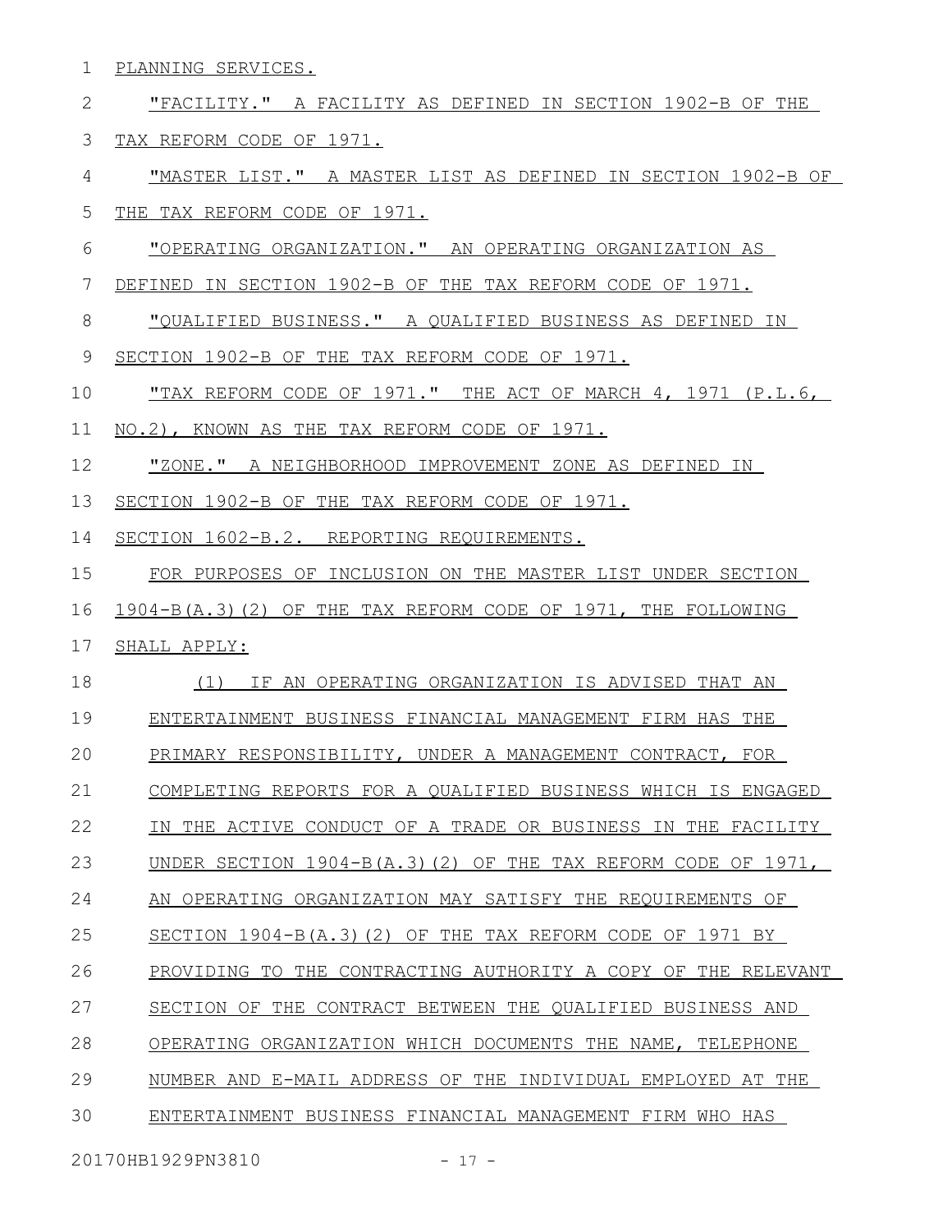| $\mathbf{1}$ | PLANNING SERVICES.                                                   |
|--------------|----------------------------------------------------------------------|
| 2            | "FACILITY." A FACILITY AS DEFINED IN SECTION 1902-B OF THE           |
| 3            | TAX REFORM CODE OF 1971.                                             |
| 4            | "MASTER LIST." A MASTER LIST AS DEFINED IN SECTION 1902-B OF         |
| 5            | THE TAX REFORM CODE OF 1971.                                         |
| 6            | <u> "OPERATING ORGANIZATION." AN OPERATING ORGANIZATION AS</u>       |
| 7            | DEFINED IN SECTION 1902-B OF THE TAX REFORM CODE OF 1971.            |
| 8            | "QUALIFIED BUSINESS." A QUALIFIED BUSINESS AS DEFINED IN             |
| 9            | SECTION 1902-B OF THE TAX REFORM CODE OF 1971.                       |
| 10           | <u>"TAX REFORM CODE OF 1971." THE ACT OF MARCH 4, 1971 (P.L.6, )</u> |
| 11           | NO.2), KNOWN AS THE TAX REFORM CODE OF 1971.                         |
| 12           | "ZONE." A NEIGHBORHOOD IMPROVEMENT ZONE AS DEFINED IN                |
| 13           | SECTION 1902-B OF THE TAX REFORM CODE OF 1971.                       |
| 14           | SECTION 1602-B.2. REPORTING REQUIREMENTS.                            |
| 15           | FOR PURPOSES OF INCLUSION ON THE MASTER LIST UNDER SECTION           |
| 16           | 1904-B(A.3)(2) OF THE TAX REFORM CODE OF 1971, THE FOLLOWING         |
| 17           | SHALL APPLY:                                                         |
| 18           | (1) IF AN OPERATING ORGANIZATION IS ADVISED THAT AN                  |
| 19           | ENTERTAINMENT BUSINESS FINANCIAL MANAGEMENT FIRM HAS THE             |
| 20           | PRIMARY RESPONSIBILITY, UNDER A MANAGEMENT CONTRACT, FOR             |
| 21           | COMPLETING REPORTS FOR A QUALIFIED BUSINESS WHICH IS ENGAGED         |
| 22           | IN THE ACTIVE CONDUCT OF A TRADE OR BUSINESS IN THE FACILITY         |
| 23           | UNDER SECTION $1904-B(A.3)$ (2) OF THE TAX REFORM CODE OF 1971,      |
| 24           | AN OPERATING ORGANIZATION MAY SATISFY THE REOUIREMENTS OF            |
| 25           | SECTION $1904-B(A.3)$ (2) OF THE TAX REFORM CODE OF 1971 BY          |
| 26           | PROVIDING TO THE CONTRACTING AUTHORITY A COPY OF THE RELEVANT        |
| 27           | SECTION OF THE CONTRACT BETWEEN THE QUALIFIED BUSINESS AND           |
| 28           | OPERATING ORGANIZATION WHICH DOCUMENTS THE NAME, TELEPHONE           |
| 29           | NUMBER AND E-MAIL ADDRESS OF THE INDIVIDUAL EMPLOYED AT THE          |
| 30           | ENTERTAINMENT BUSINESS FINANCIAL MANAGEMENT FIRM WHO HAS             |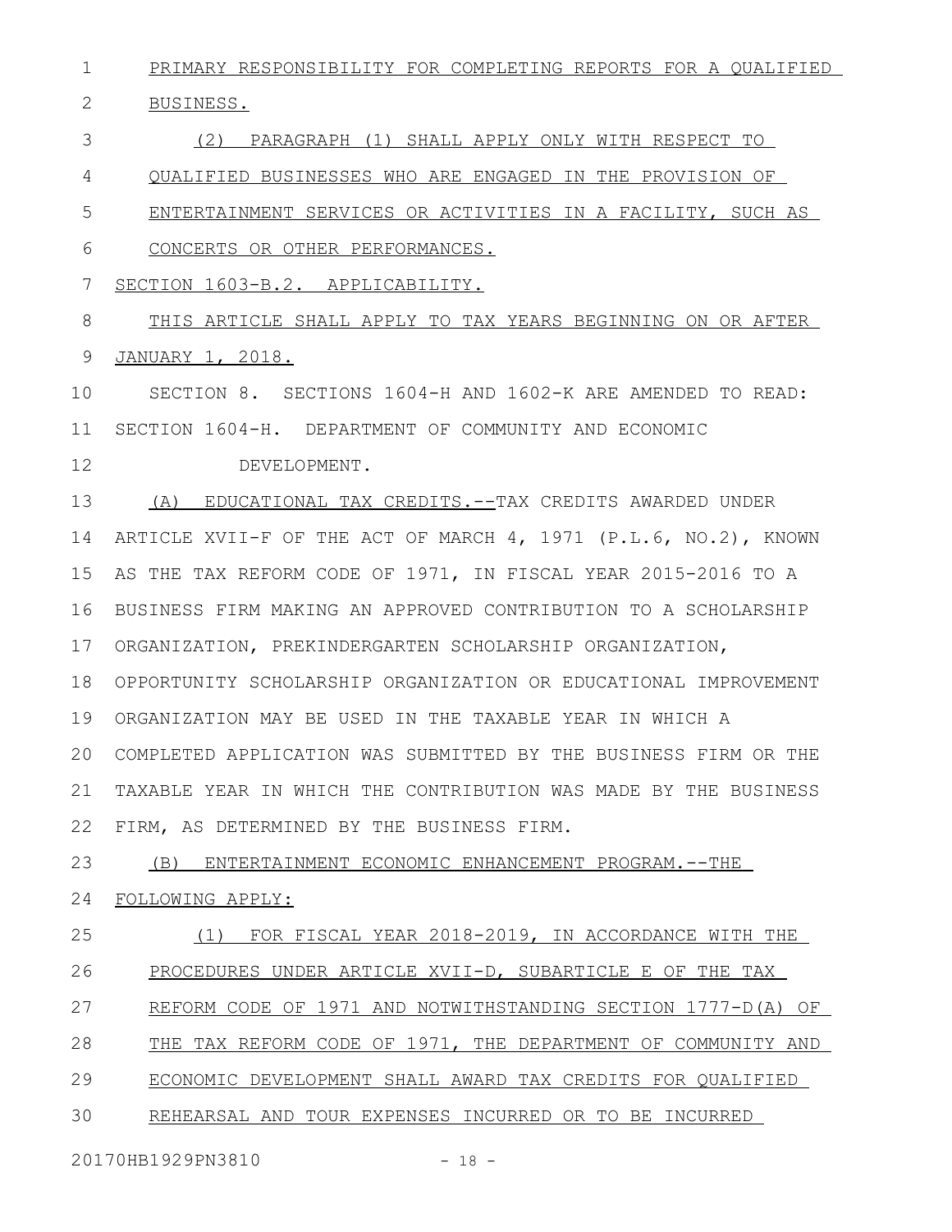PRIMARY RESPONSIBILITY FOR COMPLETING REPORTS FOR A QUALIFIED 1

BUSINESS. 2

(2) PARAGRAPH (1) SHALL APPLY ONLY WITH RESPECT TO 3

QUALIFIED BUSINESSES WHO ARE ENGAGED IN THE PROVISION OF 4

ENTERTAINMENT SERVICES OR ACTIVITIES IN A FACILITY, SUCH AS 5

CONCERTS OR OTHER PERFORMANCES. 6

SECTION 1603-B.2. APPLICABILITY. 7

THIS ARTICLE SHALL APPLY TO TAX YEARS BEGINNING ON OR AFTER JANUARY 1, 2018. 8 9

SECTION 8. SECTIONS 1604-H AND 1602-K ARE AMENDED TO READ: SECTION 1604-H. DEPARTMENT OF COMMUNITY AND ECONOMIC 10 11

DEVELOPMENT. 12

(A) EDUCATIONAL TAX CREDITS.--TAX CREDITS AWARDED UNDER 14 ARTICLE XVII-F OF THE ACT OF MARCH 4, 1971 (P.L.6, NO.2), KNOWN AS THE TAX REFORM CODE OF 1971, IN FISCAL YEAR 2015-2016 TO A BUSINESS FIRM MAKING AN APPROVED CONTRIBUTION TO A SCHOLARSHIP 16 ORGANIZATION, PREKINDERGARTEN SCHOLARSHIP ORGANIZATION, 17 OPPORTUNITY SCHOLARSHIP ORGANIZATION OR EDUCATIONAL IMPROVEMENT 18 ORGANIZATION MAY BE USED IN THE TAXABLE YEAR IN WHICH A 19 COMPLETED APPLICATION WAS SUBMITTED BY THE BUSINESS FIRM OR THE 20 TAXABLE YEAR IN WHICH THE CONTRIBUTION WAS MADE BY THE BUSINESS FIRM, AS DETERMINED BY THE BUSINESS FIRM. 13 15 21 22

(B) ENTERTAINMENT ECONOMIC ENHANCEMENT PROGRAM.--THE 23

FOLLOWING APPLY: 24

(1) FOR FISCAL YEAR 2018-2019, IN ACCORDANCE WITH THE PROCEDURES UNDER ARTICLE XVII-D, SUBARTICLE E OF THE TAX REFORM CODE OF 1971 AND NOTWITHSTANDING SECTION 1777-D(A) OF THE TAX REFORM CODE OF 1971, THE DEPARTMENT OF COMMUNITY AND ECONOMIC DEVELOPMENT SHALL AWARD TAX CREDITS FOR QUALIFIED 25 26 27 28 29

REHEARSAL AND TOUR EXPENSES INCURRED OR TO BE INCURRED 30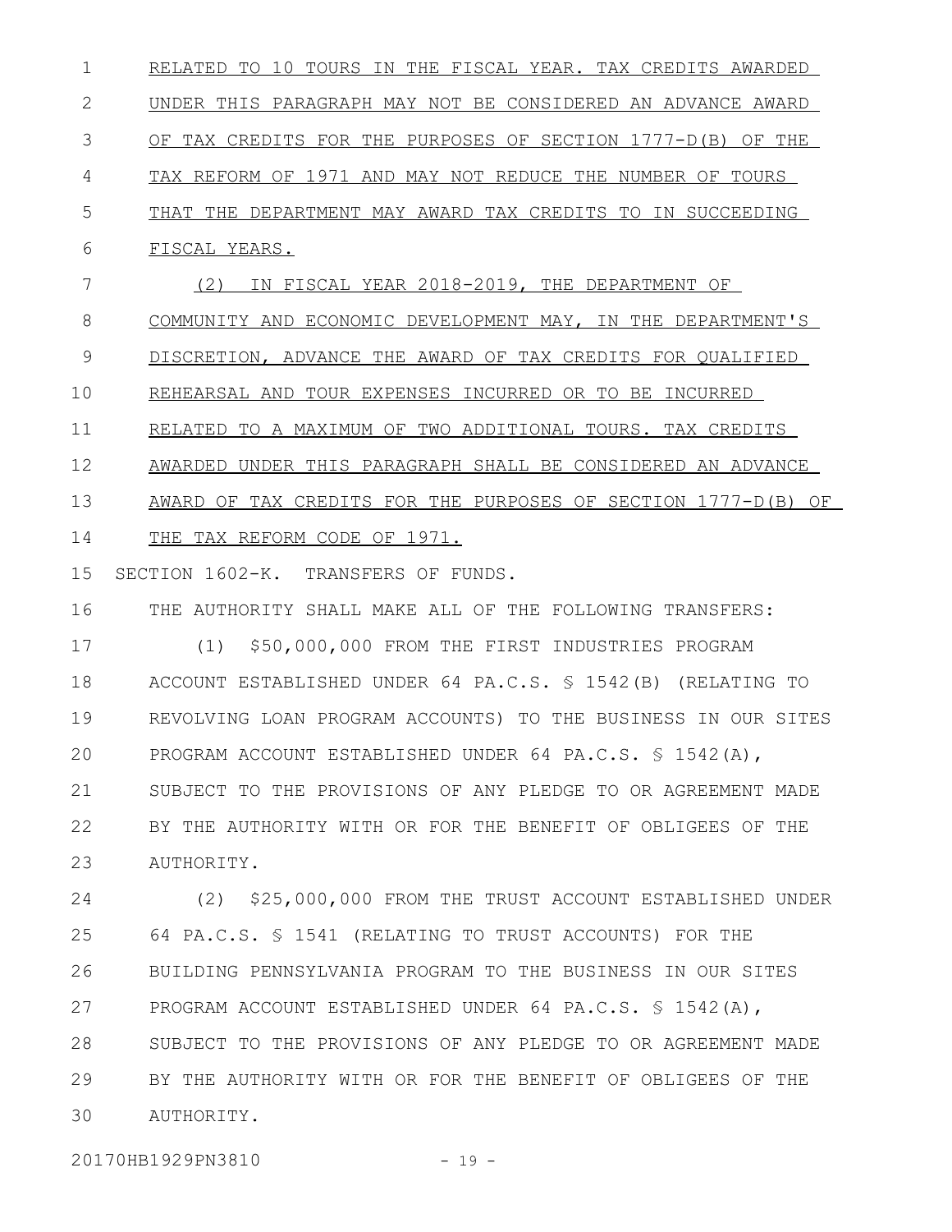RELATED TO 10 TOURS IN THE FISCAL YEAR. TAX CREDITS AWARDED UNDER THIS PARAGRAPH MAY NOT BE CONSIDERED AN ADVANCE AWARD OF TAX CREDITS FOR THE PURPOSES OF SECTION 1777-D(B) OF THE TAX REFORM OF 1971 AND MAY NOT REDUCE THE NUMBER OF TOURS THAT THE DEPARTMENT MAY AWARD TAX CREDITS TO IN SUCCEEDING FISCAL YEARS. (2) IN FISCAL YEAR 2018-2019, THE DEPARTMENT OF COMMUNITY AND ECONOMIC DEVELOPMENT MAY, IN THE DEPARTMENT'S DISCRETION, ADVANCE THE AWARD OF TAX CREDITS FOR QUALIFIED REHEARSAL AND TOUR EXPENSES INCURRED OR TO BE INCURRED RELATED TO A MAXIMUM OF TWO ADDITIONAL TOURS. TAX CREDITS AWARDED UNDER THIS PARAGRAPH SHALL BE CONSIDERED AN ADVANCE AWARD OF TAX CREDITS FOR THE PURPOSES OF SECTION 1777-D(B) OF THE TAX REFORM CODE OF 1971. SECTION 1602-K. TRANSFERS OF FUNDS. THE AUTHORITY SHALL MAKE ALL OF THE FOLLOWING TRANSFERS: (1) \$50,000,000 FROM THE FIRST INDUSTRIES PROGRAM ACCOUNT ESTABLISHED UNDER 64 PA.C.S. § 1542(B) (RELATING TO REVOLVING LOAN PROGRAM ACCOUNTS) TO THE BUSINESS IN OUR SITES 1 2 3 4 5 6 7 8 9 10 11 12 13 14 15 16 17 18 19

PROGRAM ACCOUNT ESTABLISHED UNDER 64 PA.C.S. § 1542(A), SUBJECT TO THE PROVISIONS OF ANY PLEDGE TO OR AGREEMENT MADE BY THE AUTHORITY WITH OR FOR THE BENEFIT OF OBLIGEES OF THE AUTHORITY. 21 22 23

(2) \$25,000,000 FROM THE TRUST ACCOUNT ESTABLISHED UNDER 64 PA.C.S. § 1541 (RELATING TO TRUST ACCOUNTS) FOR THE BUILDING PENNSYLVANIA PROGRAM TO THE BUSINESS IN OUR SITES PROGRAM ACCOUNT ESTABLISHED UNDER 64 PA.C.S. § 1542(A), SUBJECT TO THE PROVISIONS OF ANY PLEDGE TO OR AGREEMENT MADE BY THE AUTHORITY WITH OR FOR THE BENEFIT OF OBLIGEES OF THE AUTHORITY. 24 25 26 27 28 29 30

20170HB1929PN3810 - 19 -

20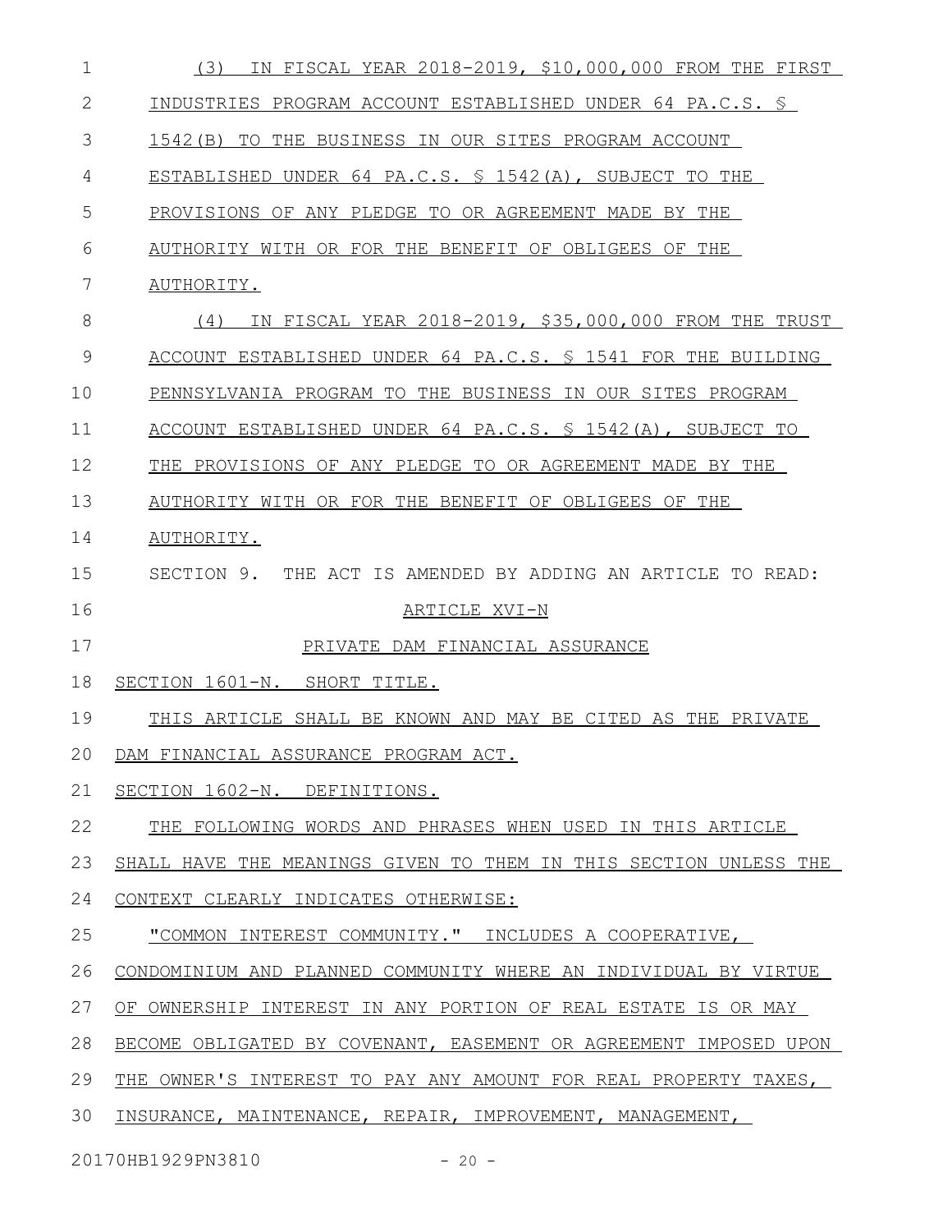| $\mathbf 1$  | IN FISCAL YEAR 2018-2019, \$10,000,000 FROM THE FIRST<br>(3)     |
|--------------|------------------------------------------------------------------|
| $\mathbf{2}$ | INDUSTRIES PROGRAM ACCOUNT ESTABLISHED UNDER 64 PA.C.S. §        |
| 3            | 1542 (B) TO THE BUSINESS IN OUR SITES PROGRAM ACCOUNT            |
| 4            | ESTABLISHED UNDER 64 PA.C.S. § 1542(A), SUBJECT TO THE           |
| 5            | PROVISIONS OF ANY PLEDGE TO OR AGREEMENT MADE BY THE             |
| 6            | AUTHORITY WITH OR FOR THE BENEFIT OF OBLIGEES OF THE             |
| 7            | AUTHORITY.                                                       |
| 8            | IN FISCAL YEAR 2018-2019, \$35,000,000 FROM THE TRUST<br>(4)     |
| 9            | ACCOUNT ESTABLISHED UNDER 64 PA.C.S. \$ 1541 FOR THE BUILDING    |
| 10           | PENNSYLVANIA PROGRAM TO THE BUSINESS IN OUR SITES PROGRAM        |
| 11           | ACCOUNT ESTABLISHED UNDER 64 PA.C.S. § 1542(A), SUBJECT TO       |
| 12           | THE PROVISIONS OF ANY PLEDGE TO OR AGREEMENT MADE BY THE         |
| 13           | AUTHORITY WITH OR FOR THE BENEFIT OF OBLIGEES OF THE             |
| 14           | AUTHORITY.                                                       |
| 15           | SECTION 9. THE ACT IS AMENDED BY ADDING AN ARTICLE TO READ:      |
| 16           | ARTICLE XVI-N                                                    |
| 17           | PRIVATE DAM FINANCIAL ASSURANCE                                  |
| 18           | SECTION 1601-N. SHORT TITLE.                                     |
| 19           | THIS ARTICLE SHALL BE KNOWN AND MAY BE CITED AS THE PRIVATE      |
| 20           | DAM FINANCIAL ASSURANCE PROGRAM ACT.                             |
| 21           | SECTION 1602-N. DEFINITIONS.                                     |
| 22           | THE FOLLOWING WORDS AND PHRASES WHEN USED IN THIS ARTICLE        |
| 23           | SHALL HAVE THE MEANINGS GIVEN TO THEM IN THIS SECTION UNLESS THE |
| 24           | CONTEXT CLEARLY INDICATES OTHERWISE:                             |
| 25           | "COMMON INTEREST COMMUNITY." INCLUDES A COOPERATIVE,             |
| 26           | CONDOMINIUM AND PLANNED COMMUNITY WHERE AN INDIVIDUAL BY VIRTUE  |
| 27           | OF OWNERSHIP INTEREST IN ANY PORTION OF REAL ESTATE IS OR MAY    |
| 28           | BECOME OBLIGATED BY COVENANT, EASEMENT OR AGREEMENT IMPOSED UPON |
| 29           | THE OWNER'S INTEREST TO PAY ANY AMOUNT FOR REAL PROPERTY TAXES,  |
| 30           | INSURANCE, MAINTENANCE, REPAIR, IMPROVEMENT, MANAGEMENT,         |
|              | 20170HB1929PN3810<br>$-20 -$                                     |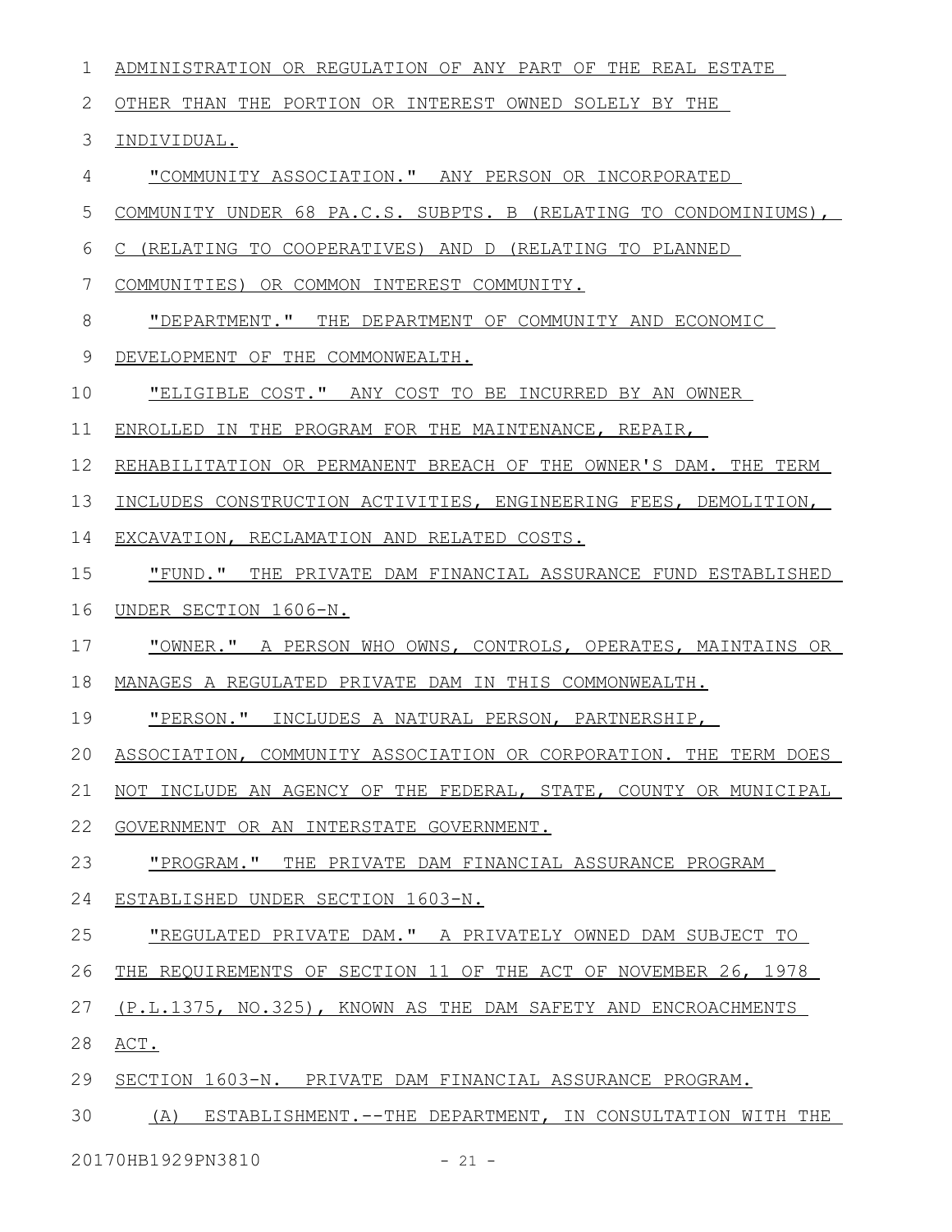| 1            | ADMINISTRATION OR REGULATION OF ANY PART OF THE REAL ESTATE         |
|--------------|---------------------------------------------------------------------|
| $\mathbf{2}$ | OTHER THAN THE PORTION OR INTEREST OWNED SOLELY BY THE              |
| 3            | INDIVIDUAL.                                                         |
| 4            | <u>"COMMUNITY ASSOCIATION." ANY PERSON OR INCORPORATED</u>          |
| 5            | COMMUNITY UNDER 68 PA.C.S. SUBPTS. B (RELATING TO CONDOMINIUMS),    |
| 6            | C (RELATING TO COOPERATIVES) AND D (RELATING TO PLANNED             |
| 7            | COMMUNITIES) OR COMMON INTEREST COMMUNITY.                          |
| 8            | "DEPARTMENT." THE DEPARTMENT OF COMMUNITY AND ECONOMIC              |
| 9            | DEVELOPMENT OF THE COMMONWEALTH.                                    |
| 10           | "ELIGIBLE COST." ANY COST TO BE INCURRED BY AN OWNER                |
| 11           | ENROLLED IN THE PROGRAM FOR THE MAINTENANCE, REPAIR,                |
| 12           | REHABILITATION OR PERMANENT BREACH OF THE OWNER'S DAM. THE TERM     |
| 13           | INCLUDES CONSTRUCTION ACTIVITIES, ENGINEERING FEES, DEMOLITION,     |
| 14           | EXCAVATION, RECLAMATION AND RELATED COSTS.                          |
| 15           | "FUND." THE PRIVATE DAM FINANCIAL ASSURANCE FUND ESTABLISHED        |
| 16           | UNDER SECTION 1606-N.                                               |
| 17           | "OWNER." A PERSON WHO OWNS, CONTROLS, OPERATES, MAINTAINS OR        |
| 18           | MANAGES A REGULATED PRIVATE DAM IN THIS COMMONWEALTH.               |
| 19           | "PERSON." INCLUDES A NATURAL PERSON, PARTNERSHIP,                   |
|              | 20 ASSOCIATION, COMMUNITY ASSOCIATION OR CORPORATION. THE TERM DOES |
| 21           | NOT INCLUDE AN AGENCY OF THE FEDERAL, STATE, COUNTY OR MUNICIPAL    |
| 22           | GOVERNMENT OR AN INTERSTATE GOVERNMENT.                             |
| 23           | "PROGRAM." THE PRIVATE DAM FINANCIAL ASSURANCE PROGRAM              |
| 24           | ESTABLISHED UNDER SECTION 1603-N.                                   |
| 25           | "REGULATED PRIVATE DAM." A PRIVATELY OWNED DAM SUBJECT TO           |
| 26           | THE REQUIREMENTS OF SECTION 11 OF THE ACT OF NOVEMBER 26, 1978      |
| 27           | (P.L.1375, NO.325), KNOWN AS THE DAM SAFETY AND ENCROACHMENTS       |
| 28           | ACT.                                                                |
| 29           | SECTION 1603-N. PRIVATE DAM FINANCIAL ASSURANCE PROGRAM.            |
| 30           | (A)<br>ESTABLISHMENT.--THE DEPARTMENT, IN CONSULTATION WITH THE     |
|              |                                                                     |

20170HB1929PN3810 - 21 -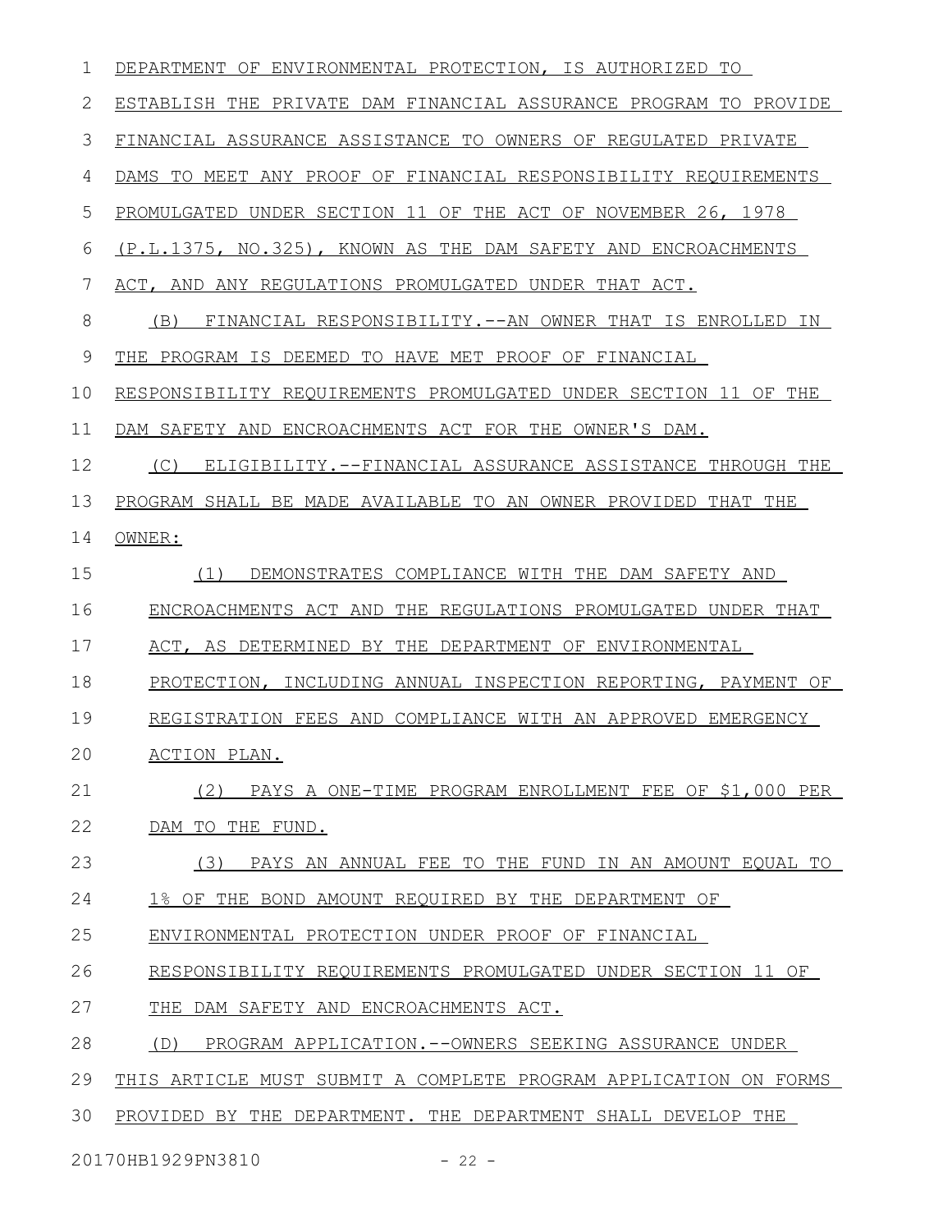| 1  | DEPARTMENT OF ENVIRONMENTAL PROTECTION, IS AUTHORIZED TO         |
|----|------------------------------------------------------------------|
| 2  | ESTABLISH THE PRIVATE DAM FINANCIAL ASSURANCE PROGRAM TO PROVIDE |
| 3  | FINANCIAL ASSURANCE ASSISTANCE TO OWNERS OF REGULATED PRIVATE    |
| 4  | DAMS TO MEET ANY PROOF OF FINANCIAL RESPONSIBILITY REQUIREMENTS  |
| 5  | PROMULGATED UNDER SECTION 11 OF THE ACT OF NOVEMBER 26, 1978     |
| 6  | (P.L.1375, NO.325), KNOWN AS THE DAM SAFETY AND ENCROACHMENTS    |
| 7  | ACT, AND ANY REGULATIONS PROMULGATED UNDER THAT ACT.             |
| 8  | (B)<br>FINANCIAL RESPONSIBILITY.--AN OWNER THAT IS ENROLLED IN   |
| 9  | THE PROGRAM IS DEEMED TO HAVE MET PROOF OF FINANCIAL             |
| 10 | RESPONSIBILITY REQUIREMENTS PROMULGATED UNDER SECTION 11 OF THE  |
| 11 | DAM SAFETY AND ENCROACHMENTS ACT FOR THE OWNER'S DAM.            |
| 12 | (C)<br>ELIGIBILITY.--FINANCIAL ASSURANCE ASSISTANCE THROUGH THE  |
| 13 | PROGRAM SHALL BE MADE AVAILABLE TO AN OWNER PROVIDED THAT THE    |
| 14 | OWNER:                                                           |
| 15 | DEMONSTRATES COMPLIANCE WITH THE DAM SAFETY AND<br>(1)           |
| 16 | ENCROACHMENTS ACT AND THE REGULATIONS PROMULGATED UNDER THAT     |
| 17 | ACT, AS DETERMINED BY THE DEPARTMENT OF ENVIRONMENTAL            |
| 18 | PROTECTION, INCLUDING ANNUAL INSPECTION REPORTING, PAYMENT OF    |
| 19 | REGISTRATION FEES AND COMPLIANCE WITH AN APPROVED EMERGENCY      |
| 20 | ACTION PLAN.                                                     |
| 21 | PAYS A ONE-TIME PROGRAM ENROLLMENT FEE OF \$1,000 PER<br>(2)     |
| 22 | DAM TO THE FUND.                                                 |
| 23 | PAYS AN ANNUAL FEE TO THE FUND IN AN AMOUNT EOUAL TO<br>(3)      |
| 24 | 1% OF THE BOND AMOUNT REQUIRED BY THE DEPARTMENT OF              |
| 25 | ENVIRONMENTAL PROTECTION UNDER PROOF OF FINANCIAL                |
| 26 | RESPONSIBILITY REQUIREMENTS PROMULGATED UNDER SECTION 11 OF      |
| 27 | THE<br>DAM SAFETY AND ENCROACHMENTS ACT.                         |
| 28 | PROGRAM APPLICATION. -- OWNERS SEEKING ASSURANCE UNDER<br>(D)    |
| 29 | THIS ARTICLE MUST SUBMIT A COMPLETE PROGRAM APPLICATION ON FORMS |
| 30 | PROVIDED BY THE DEPARTMENT. THE DEPARTMENT SHALL DEVELOP THE     |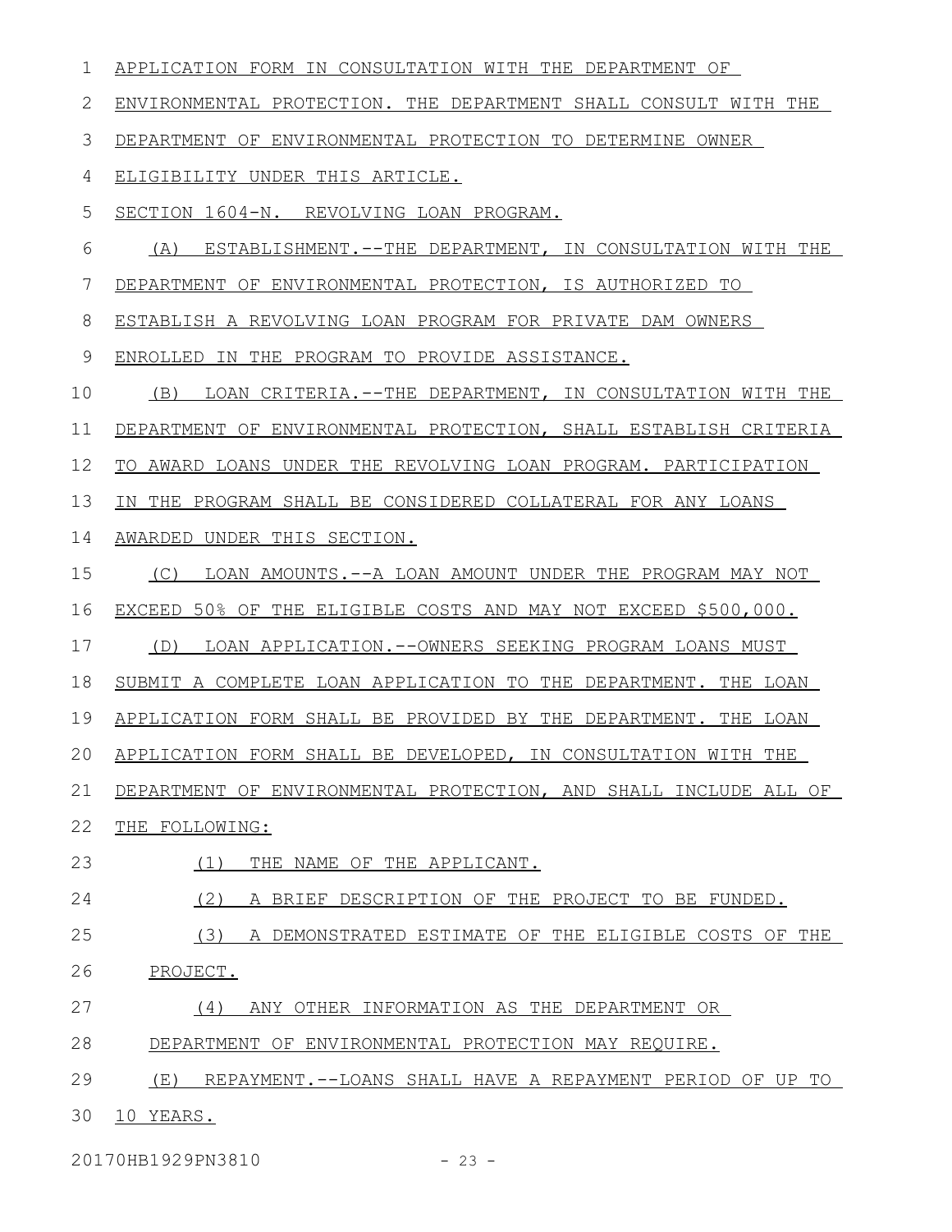APPLICATION FORM IN CONSULTATION WITH THE DEPARTMENT OF ENVIRONMENTAL PROTECTION. THE DEPARTMENT SHALL CONSULT WITH THE DEPARTMENT OF ENVIRONMENTAL PROTECTION TO DETERMINE OWNER ELIGIBILITY UNDER THIS ARTICLE. SECTION 1604-N. REVOLVING LOAN PROGRAM. (A) ESTABLISHMENT.--THE DEPARTMENT, IN CONSULTATION WITH THE DEPARTMENT OF ENVIRONMENTAL PROTECTION, IS AUTHORIZED TO ESTABLISH A REVOLVING LOAN PROGRAM FOR PRIVATE DAM OWNERS ENROLLED IN THE PROGRAM TO PROVIDE ASSISTANCE. (B) LOAN CRITERIA.--THE DEPARTMENT, IN CONSULTATION WITH THE DEPARTMENT OF ENVIRONMENTAL PROTECTION, SHALL ESTABLISH CRITERIA TO AWARD LOANS UNDER THE REVOLVING LOAN PROGRAM. PARTICIPATION IN THE PROGRAM SHALL BE CONSIDERED COLLATERAL FOR ANY LOANS AWARDED UNDER THIS SECTION. (C) LOAN AMOUNTS.--A LOAN AMOUNT UNDER THE PROGRAM MAY NOT EXCEED 50% OF THE ELIGIBLE COSTS AND MAY NOT EXCEED \$500,000. (D) LOAN APPLICATION.--OWNERS SEEKING PROGRAM LOANS MUST SUBMIT A COMPLETE LOAN APPLICATION TO THE DEPARTMENT. THE LOAN APPLICATION FORM SHALL BE PROVIDED BY THE DEPARTMENT. THE LOAN APPLICATION FORM SHALL BE DEVELOPED, IN CONSULTATION WITH THE DEPARTMENT OF ENVIRONMENTAL PROTECTION, AND SHALL INCLUDE ALL OF THE FOLLOWING: (1) THE NAME OF THE APPLICANT. (2) A BRIEF DESCRIPTION OF THE PROJECT TO BE FUNDED. (3) A DEMONSTRATED ESTIMATE OF THE ELIGIBLE COSTS OF THE PROJECT. (4) ANY OTHER INFORMATION AS THE DEPARTMENT OR DEPARTMENT OF ENVIRONMENTAL PROTECTION MAY REQUIRE. (E) REPAYMENT.--LOANS SHALL HAVE A REPAYMENT PERIOD OF UP TO 10 YEARS. 1 2 3 4 5 6 7 8 9 10 11 12 13 14 15 16 17 18 19 20 21 22 23 24 25 26 27 28 29 30

20170HB1929PN3810 - 23 -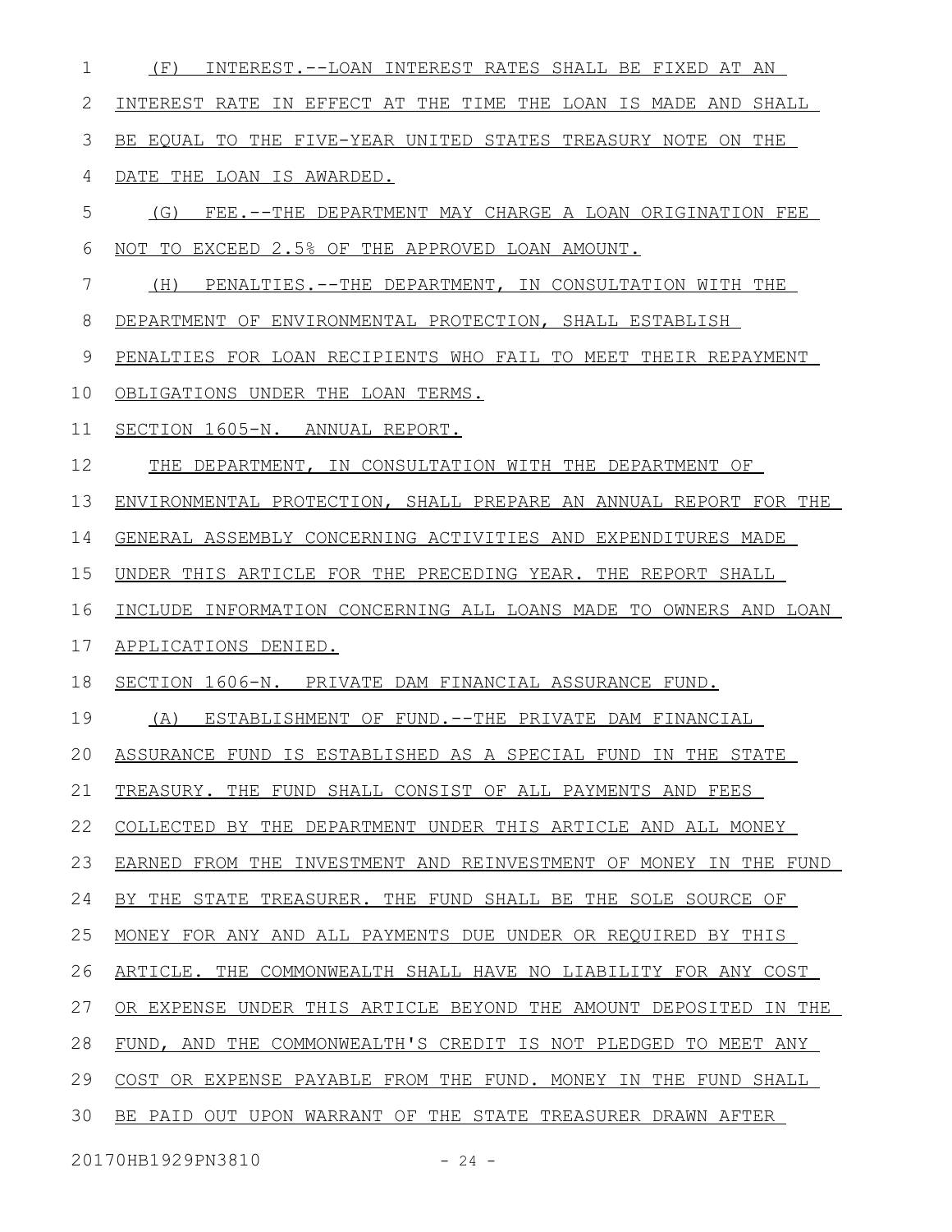| 1  | INTEREST.--LOAN INTEREST RATES SHALL BE FIXED AT AN<br>(F)       |
|----|------------------------------------------------------------------|
| 2  | INTEREST RATE IN EFFECT AT THE TIME THE LOAN IS MADE AND SHALL   |
| 3  | BE EQUAL TO THE FIVE-YEAR UNITED STATES TREASURY NOTE ON THE     |
| 4  | DATE THE LOAN IS AWARDED.                                        |
| 5  | (G) FEE.--THE DEPARTMENT MAY CHARGE A LOAN ORIGINATION FEE       |
| 6  | NOT TO EXCEED 2.5% OF THE APPROVED LOAN AMOUNT.                  |
| 7  | (H)<br>PENALTIES. --THE DEPARTMENT, IN CONSULTATION WITH THE     |
| 8  | DEPARTMENT OF ENVIRONMENTAL PROTECTION, SHALL ESTABLISH          |
| 9  | PENALTIES FOR LOAN RECIPIENTS WHO FAIL TO MEET THEIR REPAYMENT   |
| 10 | OBLIGATIONS UNDER THE LOAN TERMS.                                |
| 11 | SECTION 1605-N. ANNUAL REPORT.                                   |
| 12 | THE DEPARTMENT, IN CONSULTATION WITH THE DEPARTMENT OF           |
| 13 | ENVIRONMENTAL PROTECTION, SHALL PREPARE AN ANNUAL REPORT FOR THE |
| 14 | GENERAL ASSEMBLY CONCERNING ACTIVITIES AND EXPENDITURES MADE     |
| 15 | UNDER THIS ARTICLE FOR THE PRECEDING YEAR. THE REPORT SHALL      |
| 16 | INCLUDE INFORMATION CONCERNING ALL LOANS MADE TO OWNERS AND LOAN |
| 17 | APPLICATIONS DENIED.                                             |
| 18 | SECTION 1606-N. PRIVATE DAM FINANCIAL ASSURANCE FUND.            |
| 19 | (A) ESTABLISHMENT OF FUND.--THE PRIVATE DAM FINANCIAL            |
| 20 | ASSURANCE FUND IS ESTABLISHED AS A SPECIAL FUND IN THE STATE     |
| 21 | TREASURY. THE FUND SHALL CONSIST OF ALL PAYMENTS AND FEES        |
| 22 | COLLECTED BY THE DEPARTMENT UNDER THIS ARTICLE AND ALL MONEY     |
| 23 | EARNED FROM THE INVESTMENT AND REINVESTMENT OF MONEY IN THE FUND |
| 24 | BY THE STATE TREASURER. THE FUND SHALL BE THE SOLE SOURCE OF     |
| 25 | MONEY FOR ANY AND ALL PAYMENTS DUE UNDER OR REQUIRED BY THIS     |
| 26 | ARTICLE. THE COMMONWEALTH SHALL HAVE NO LIABILITY FOR ANY COST   |
| 27 | OR EXPENSE UNDER THIS ARTICLE BEYOND THE AMOUNT DEPOSITED IN THE |
| 28 | FUND, AND THE COMMONWEALTH'S CREDIT IS NOT PLEDGED TO MEET ANY   |
| 29 | COST OR EXPENSE PAYABLE FROM THE FUND. MONEY IN THE FUND SHALL   |
| 30 | BE PAID OUT UPON WARRANT OF THE STATE TREASURER DRAWN AFTER      |
|    |                                                                  |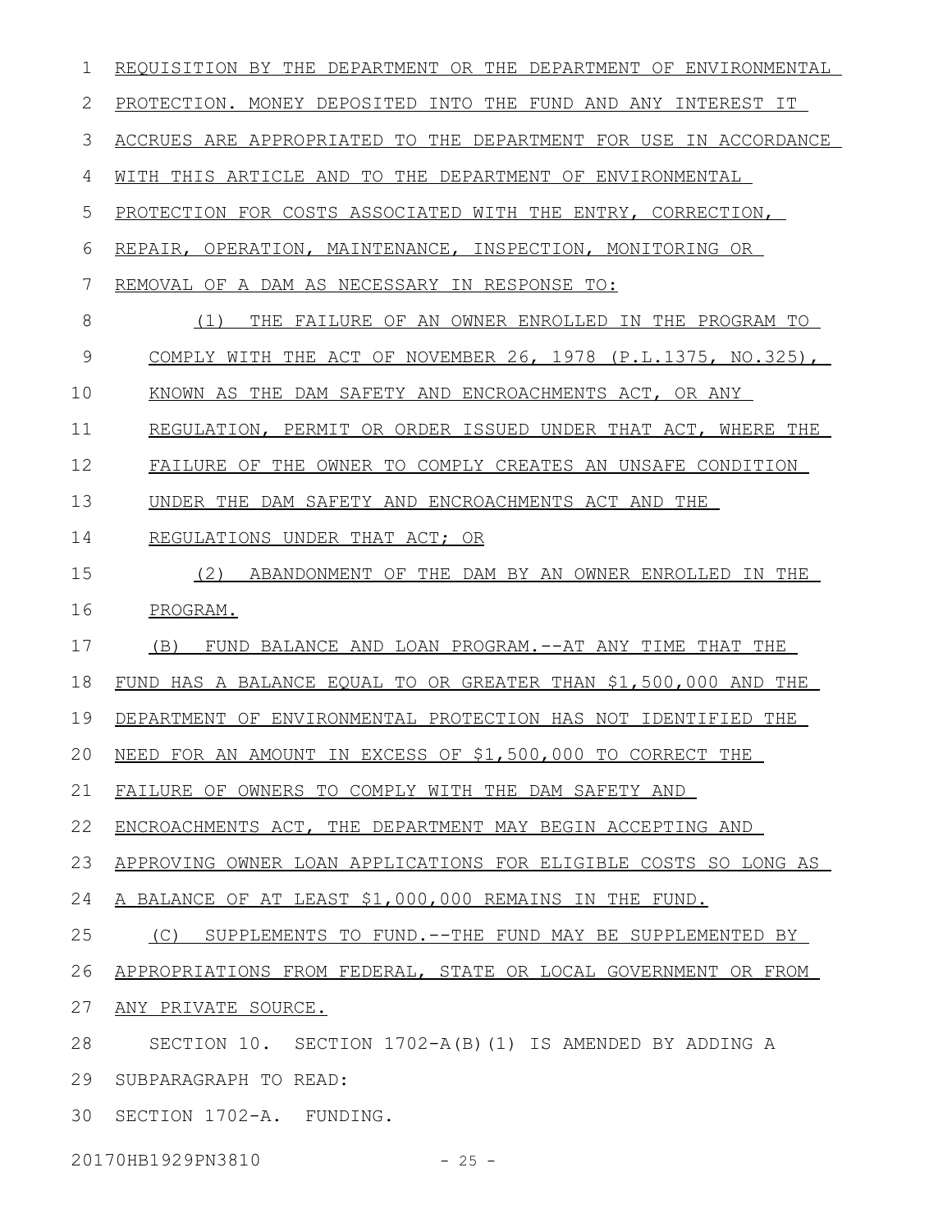REQUISITION BY THE DEPARTMENT OR THE DEPARTMENT OF ENVIRONMENTAL PROTECTION. MONEY DEPOSITED INTO THE FUND AND ANY INTEREST IT ACCRUES ARE APPROPRIATED TO THE DEPARTMENT FOR USE IN ACCORDANCE WITH THIS ARTICLE AND TO THE DEPARTMENT OF ENVIRONMENTAL PROTECTION FOR COSTS ASSOCIATED WITH THE ENTRY, CORRECTION, REPAIR, OPERATION, MAINTENANCE, INSPECTION, MONITORING OR REMOVAL OF A DAM AS NECESSARY IN RESPONSE TO: (1) THE FAILURE OF AN OWNER ENROLLED IN THE PROGRAM TO COMPLY WITH THE ACT OF NOVEMBER 26, 1978 (P.L.1375, NO.325), KNOWN AS THE DAM SAFETY AND ENCROACHMENTS ACT, OR ANY REGULATION, PERMIT OR ORDER ISSUED UNDER THAT ACT, WHERE THE FAILURE OF THE OWNER TO COMPLY CREATES AN UNSAFE CONDITION UNDER THE DAM SAFETY AND ENCROACHMENTS ACT AND THE REGULATIONS UNDER THAT ACT; OR (2) ABANDONMENT OF THE DAM BY AN OWNER ENROLLED IN THE PROGRAM. (B) FUND BALANCE AND LOAN PROGRAM.--AT ANY TIME THAT THE FUND HAS A BALANCE EQUAL TO OR GREATER THAN \$1,500,000 AND THE DEPARTMENT OF ENVIRONMENTAL PROTECTION HAS NOT IDENTIFIED THE NEED FOR AN AMOUNT IN EXCESS OF \$1,500,000 TO CORRECT THE FAILURE OF OWNERS TO COMPLY WITH THE DAM SAFETY AND ENCROACHMENTS ACT, THE DEPARTMENT MAY BEGIN ACCEPTING AND APPROVING OWNER LOAN APPLICATIONS FOR ELIGIBLE COSTS SO LONG AS A BALANCE OF AT LEAST \$1,000,000 REMAINS IN THE FUND. (C) SUPPLEMENTS TO FUND.--THE FUND MAY BE SUPPLEMENTED BY APPROPRIATIONS FROM FEDERAL, STATE OR LOCAL GOVERNMENT OR FROM ANY PRIVATE SOURCE. SECTION 10. SECTION 1702-A(B)(1) IS AMENDED BY ADDING A SUBPARAGRAPH TO READ: 30 SECTION 1702-A. FUNDING. 1 2 3 4 5 6 7 8 9 10 11 12 13 14 15 16 17 18 19 20 21 22 23 24 25 26 27 28 29

20170HB1929PN3810 - 25 -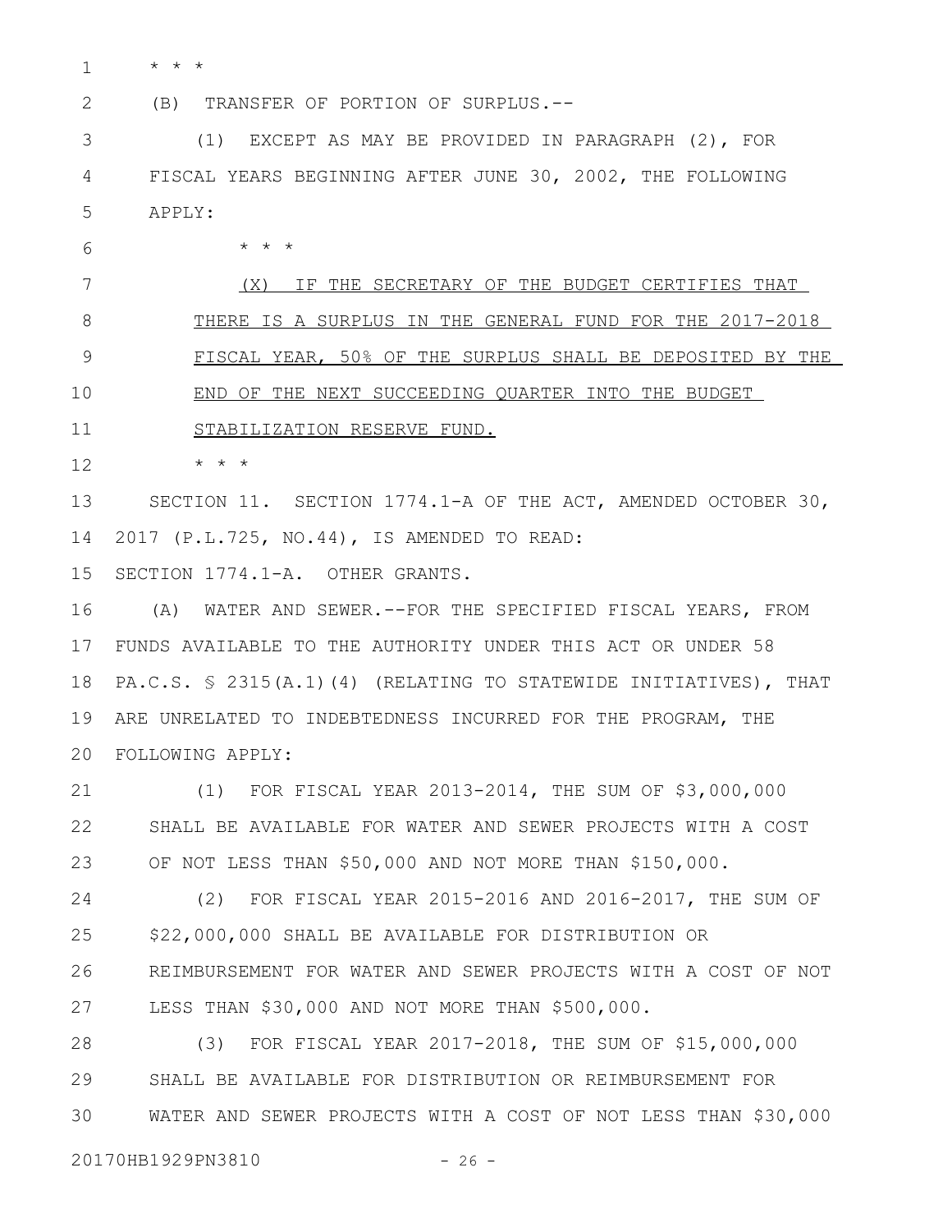1

2

6

\* \* \*

(B) TRANSFER OF PORTION OF SURPLUS.--

(1) EXCEPT AS MAY BE PROVIDED IN PARAGRAPH (2), FOR FISCAL YEARS BEGINNING AFTER JUNE 30, 2002, THE FOLLOWING APPLY: 3 4 5

\* \* \*

(X) IF THE SECRETARY OF THE BUDGET CERTIFIES THAT THERE IS A SURPLUS IN THE GENERAL FUND FOR THE 2017-2018 FISCAL YEAR, 50% OF THE SURPLUS SHALL BE DEPOSITED BY THE END OF THE NEXT SUCCEEDING QUARTER INTO THE BUDGET STABILIZATION RESERVE FUND. 7 8 9 10 11

\* \* \* 12

SECTION 11. SECTION 1774.1-A OF THE ACT, AMENDED OCTOBER 30, 2017 (P.L.725, NO.44), IS AMENDED TO READ: 13 14

SECTION 1774.1-A. OTHER GRANTS. 15

(A) WATER AND SEWER.--FOR THE SPECIFIED FISCAL YEARS, FROM FUNDS AVAILABLE TO THE AUTHORITY UNDER THIS ACT OR UNDER 58 17 18 PA.C.S. § 2315(A.1)(4) (RELATING TO STATEWIDE INITIATIVES), THAT ARE UNRELATED TO INDEBTEDNESS INCURRED FOR THE PROGRAM, THE FOLLOWING APPLY: 20 16 19

(1) FOR FISCAL YEAR 2013-2014, THE SUM OF \$3,000,000 SHALL BE AVAILABLE FOR WATER AND SEWER PROJECTS WITH A COST OF NOT LESS THAN \$50,000 AND NOT MORE THAN \$150,000. 21 22 23

(2) FOR FISCAL YEAR 2015-2016 AND 2016-2017, THE SUM OF \$22,000,000 SHALL BE AVAILABLE FOR DISTRIBUTION OR REIMBURSEMENT FOR WATER AND SEWER PROJECTS WITH A COST OF NOT LESS THAN \$30,000 AND NOT MORE THAN \$500,000. 24 25 26 27

(3) FOR FISCAL YEAR 2017-2018, THE SUM OF \$15,000,000 SHALL BE AVAILABLE FOR DISTRIBUTION OR REIMBURSEMENT FOR WATER AND SEWER PROJECTS WITH A COST OF NOT LESS THAN \$30,000 28 29 30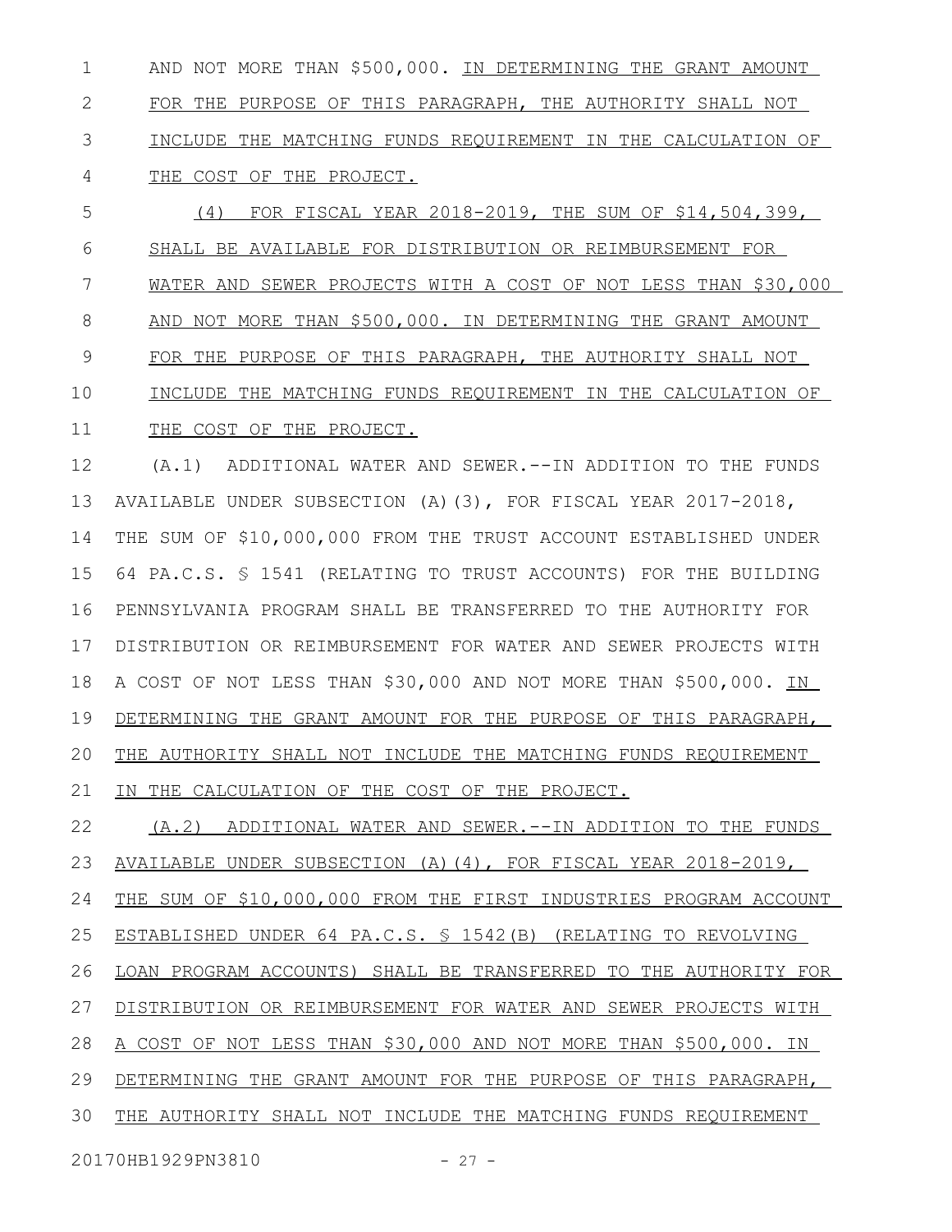AND NOT MORE THAN \$500,000. IN DETERMINING THE GRANT AMOUNT FOR THE PURPOSE OF THIS PARAGRAPH, THE AUTHORITY SHALL NOT INCLUDE THE MATCHING FUNDS REQUIREMENT IN THE CALCULATION OF THE COST OF THE PROJECT. 1 2 3 4

 (4) FOR FISCAL YEAR 2018-2019, THE SUM OF \$14,504,399, SHALL BE AVAILABLE FOR DISTRIBUTION OR REIMBURSEMENT FOR WATER AND SEWER PROJECTS WITH A COST OF NOT LESS THAN \$30,000 AND NOT MORE THAN \$500,000. IN DETERMINING THE GRANT AMOUNT FOR THE PURPOSE OF THIS PARAGRAPH, THE AUTHORITY SHALL NOT INCLUDE THE MATCHING FUNDS REQUIREMENT IN THE CALCULATION OF THE COST OF THE PROJECT. 5 6 7 8 9 10 11

(A.1) ADDITIONAL WATER AND SEWER.--IN ADDITION TO THE FUNDS AVAILABLE UNDER SUBSECTION (A)(3), FOR FISCAL YEAR 2017-2018, THE SUM OF \$10,000,000 FROM THE TRUST ACCOUNT ESTABLISHED UNDER 64 PA.C.S. § 1541 (RELATING TO TRUST ACCOUNTS) FOR THE BUILDING PENNSYLVANIA PROGRAM SHALL BE TRANSFERRED TO THE AUTHORITY FOR DISTRIBUTION OR REIMBURSEMENT FOR WATER AND SEWER PROJECTS WITH A COST OF NOT LESS THAN \$30,000 AND NOT MORE THAN \$500,000. IN DETERMINING THE GRANT AMOUNT FOR THE PURPOSE OF THIS PARAGRAPH, THE AUTHORITY SHALL NOT INCLUDE THE MATCHING FUNDS REQUIREMENT IN THE CALCULATION OF THE COST OF THE PROJECT. 12 13 14 15 16 17 18 19 20 21

 (A.2) ADDITIONAL WATER AND SEWER.--IN ADDITION TO THE FUNDS AVAILABLE UNDER SUBSECTION (A)(4), FOR FISCAL YEAR 2018-2019, THE SUM OF \$10,000,000 FROM THE FIRST INDUSTRIES PROGRAM ACCOUNT ESTABLISHED UNDER 64 PA.C.S. § 1542(B) (RELATING TO REVOLVING LOAN PROGRAM ACCOUNTS) SHALL BE TRANSFERRED TO THE AUTHORITY FOR DISTRIBUTION OR REIMBURSEMENT FOR WATER AND SEWER PROJECTS WITH A COST OF NOT LESS THAN \$30,000 AND NOT MORE THAN \$500,000. IN DETERMINING THE GRANT AMOUNT FOR THE PURPOSE OF THIS PARAGRAPH, THE AUTHORITY SHALL NOT INCLUDE THE MATCHING FUNDS REQUIREMENT 22 23 24 25 26 27 28 29 30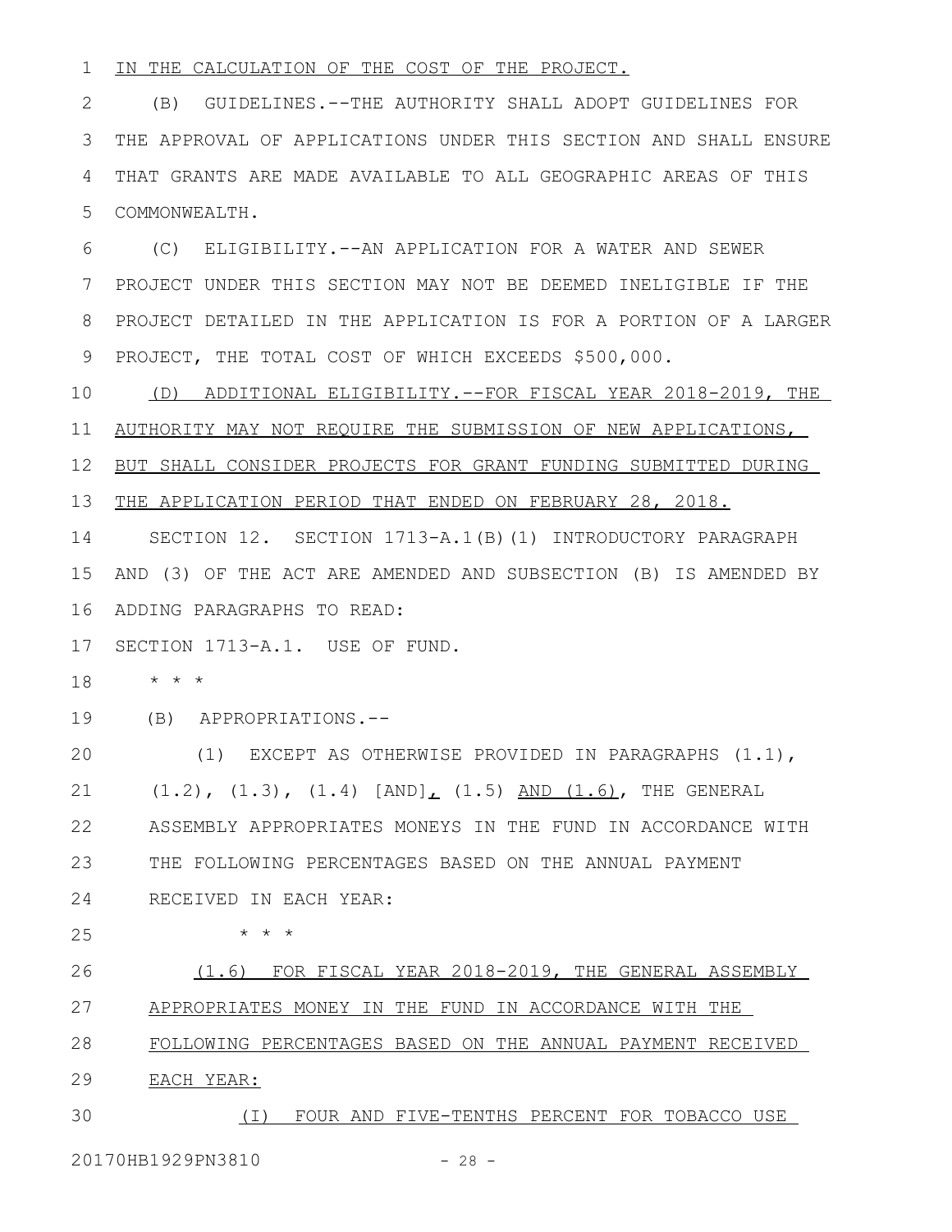#### IN THE CALCULATION OF THE COST OF THE PROJECT. 1

(B) GUIDELINES.--THE AUTHORITY SHALL ADOPT GUIDELINES FOR THE APPROVAL OF APPLICATIONS UNDER THIS SECTION AND SHALL ENSURE THAT GRANTS ARE MADE AVAILABLE TO ALL GEOGRAPHIC AREAS OF THIS COMMONWEALTH. 2 3 4 5

(C) ELIGIBILITY.--AN APPLICATION FOR A WATER AND SEWER PROJECT UNDER THIS SECTION MAY NOT BE DEEMED INELIGIBLE IF THE PROJECT DETAILED IN THE APPLICATION IS FOR A PORTION OF A LARGER PROJECT, THE TOTAL COST OF WHICH EXCEEDS \$500,000. 6 7 8 9

 (D) ADDITIONAL ELIGIBILITY.--FOR FISCAL YEAR 2018-2019, THE AUTHORITY MAY NOT REQUIRE THE SUBMISSION OF NEW APPLICATIONS, BUT SHALL CONSIDER PROJECTS FOR GRANT FUNDING SUBMITTED DURING THE APPLICATION PERIOD THAT ENDED ON FEBRUARY 28, 2018. SECTION 12. SECTION 1713-A.1(B)(1) INTRODUCTORY PARAGRAPH AND (3) OF THE ACT ARE AMENDED AND SUBSECTION (B) IS AMENDED BY ADDING PARAGRAPHS TO READ: 16 10 11 12 13 14 15

17 SECTION 1713-A.1. USE OF FUND.

\* \* \* 18

(B) APPROPRIATIONS.-- 19

(1) EXCEPT AS OTHERWISE PROVIDED IN PARAGRAPHS (1.1),  $(1.2)$ ,  $(1.3)$ ,  $(1.4)$   $[AND]$ ,  $(1.5)$  AND  $(1.6)$ , THE GENERAL ASSEMBLY APPROPRIATES MONEYS IN THE FUND IN ACCORDANCE WITH THE FOLLOWING PERCENTAGES BASED ON THE ANNUAL PAYMENT RECEIVED IN EACH YEAR: 20 21 22 23 24

25

\* \* \*

 (1.6) FOR FISCAL YEAR 2018-2019, THE GENERAL ASSEMBLY APPROPRIATES MONEY IN THE FUND IN ACCORDANCE WITH THE FOLLOWING PERCENTAGES BASED ON THE ANNUAL PAYMENT RECEIVED EACH YEAR: 26 27 28 29

 (I) FOUR AND FIVE-TENTHS PERCENT FOR TOBACCO USE 30

20170HB1929PN3810 - 28 -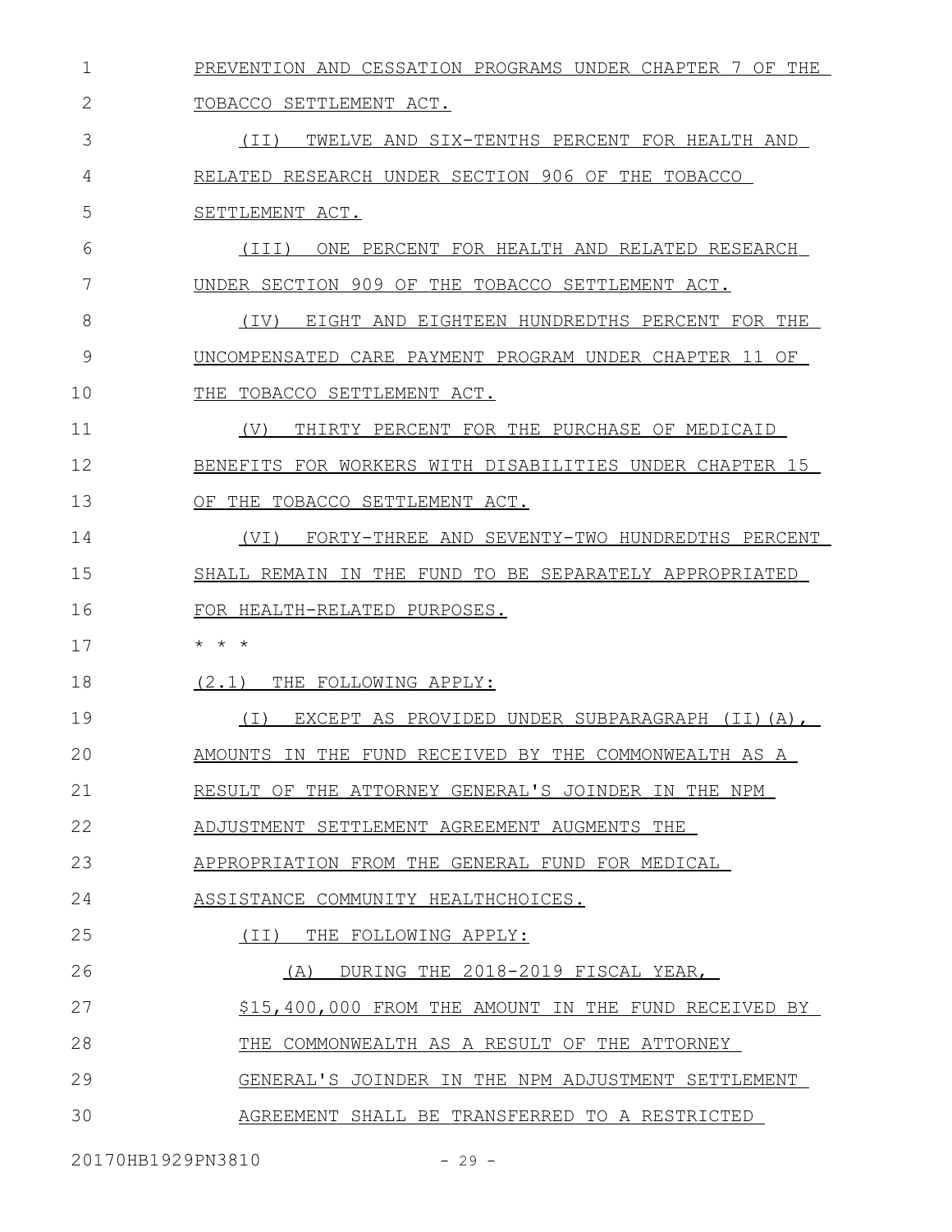| $\mathbf 1$ | PREVENTION AND CESSATION PROGRAMS UNDER CHAPTER 7 OF THE |
|-------------|----------------------------------------------------------|
| 2           | TOBACCO SETTLEMENT ACT.                                  |
| 3           | (TI)<br>TWELVE AND SIX-TENTHS PERCENT FOR HEALTH AND     |
| 4           | RELATED RESEARCH UNDER SECTION 906 OF THE TOBACCO        |
| 5           | SETTLEMENT ACT.                                          |
| 6           | ONE PERCENT FOR HEALTH AND RELATED RESEARCH<br>(TTT)     |
| 7           | UNDER SECTION 909 OF THE TOBACCO SETTLEMENT ACT.         |
| 8           | EIGHT AND EIGHTEEN HUNDREDTHS PERCENT FOR THE<br>(IV)    |
| 9           | UNCOMPENSATED CARE PAYMENT PROGRAM UNDER CHAPTER 11 OF   |
| 10          | THE TOBACCO SETTLEMENT ACT.                              |
| 11          | (V)<br>THIRTY PERCENT FOR THE PURCHASE OF MEDICAID       |
| 12          | BENEFITS FOR WORKERS WITH DISABILITIES UNDER CHAPTER 15  |
| 13          | OF THE TOBACCO SETTLEMENT ACT.                           |
| 14          | (VI)<br>FORTY-THREE AND SEVENTY-TWO HUNDREDTHS PERCENT   |
| 15          | SHALL REMAIN IN THE FUND TO BE SEPARATELY APPROPRIATED   |
| 16          | FOR HEALTH-RELATED PURPOSES.                             |
| 17          | $\star$ $\star$ $\star$                                  |
| 18          | (2.1)<br>THE FOLLOWING APPLY:                            |
| 19          | ( I )<br>EXCEPT AS PROVIDED UNDER SUBPARAGRAPH (II)(A),  |
| 20          | AMOUNTS IN THE FUND RECEIVED BY THE COMMONWEALTH AS A    |
| 21          | RESULT OF THE ATTORNEY GENERAL'S JOINDER IN THE NPM      |
| 22          | ADJUSTMENT SETTLEMENT AGREEMENT AUGMENTS THE             |
| 23          | APPROPRIATION FROM THE GENERAL FUND FOR MEDICAL          |
| 24          | ASSISTANCE COMMUNITY HEALTHCHOICES.                      |
| 25          | (II) THE FOLLOWING APPLY:                                |
| 26          | (A) DURING THE 2018-2019 FISCAL YEAR,                    |
| 27          | \$15,400,000 FROM THE AMOUNT IN THE FUND RECEIVED BY     |
| 28          | THE COMMONWEALTH AS A RESULT OF THE ATTORNEY             |
| 29          | GENERAL'S JOINDER IN THE NPM ADJUSTMENT SETTLEMENT       |
| 30          | AGREEMENT SHALL BE TRANSFERRED TO A RESTRICTED           |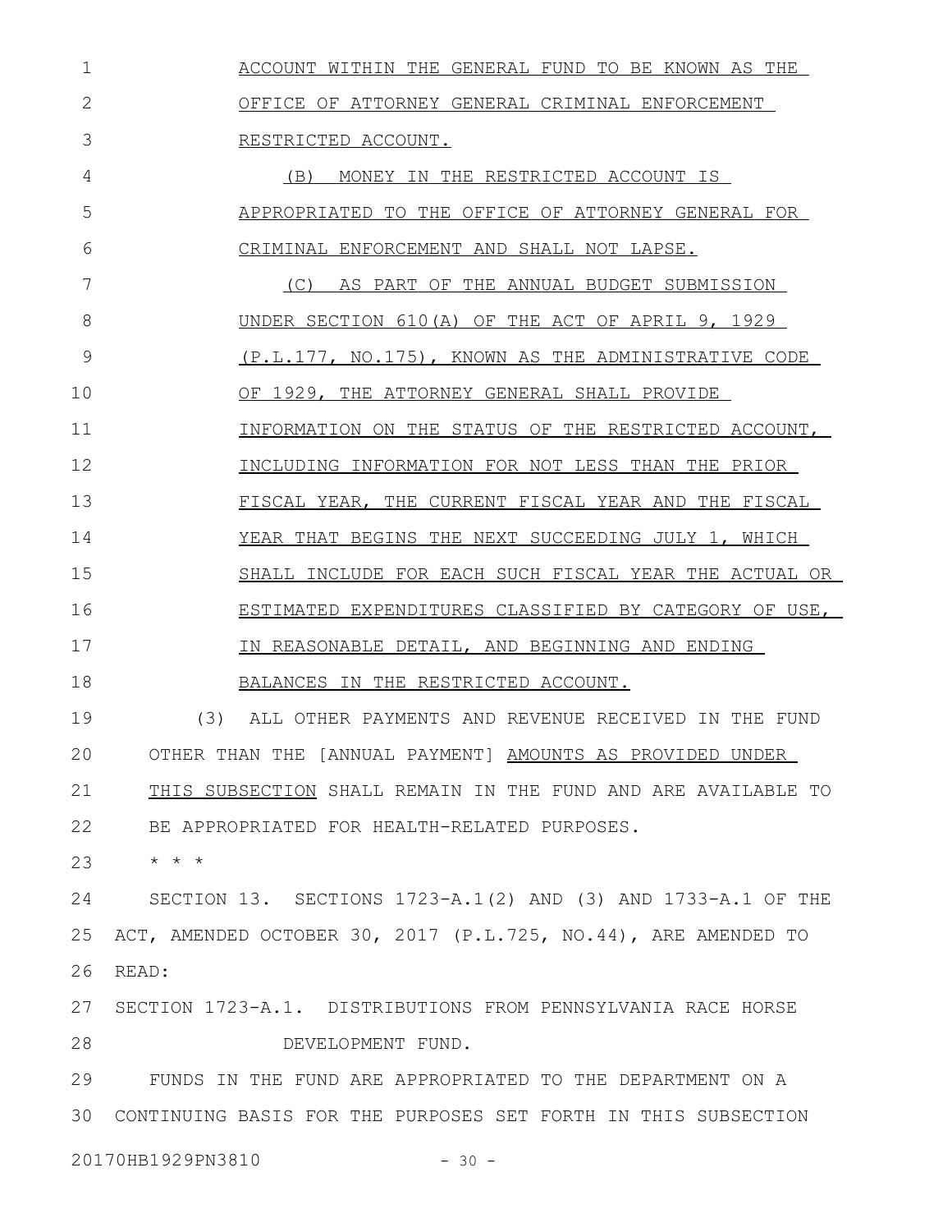| 1  | ACCOUNT WITHIN THE GENERAL FUND TO BE KNOWN AS THE             |
|----|----------------------------------------------------------------|
| 2  | OFFICE OF ATTORNEY GENERAL CRIMINAL ENFORCEMENT                |
| 3  | RESTRICTED ACCOUNT.                                            |
| 4  | (B)<br>MONEY IN THE RESTRICTED ACCOUNT IS                      |
| 5  | APPROPRIATED TO THE OFFICE OF ATTORNEY GENERAL FOR             |
| 6  | CRIMINAL ENFORCEMENT AND SHALL NOT LAPSE.                      |
| 7  | (C) AS PART OF THE ANNUAL BUDGET SUBMISSION                    |
| 8  | UNDER SECTION 610(A) OF THE ACT OF APRIL 9, 1929               |
| 9  | (P.L.177, NO.175), KNOWN AS THE ADMINISTRATIVE CODE            |
| 10 | OF 1929, THE ATTORNEY GENERAL SHALL PROVIDE                    |
| 11 | INFORMATION ON THE STATUS OF THE RESTRICTED ACCOUNT,           |
| 12 | INCLUDING INFORMATION FOR NOT LESS THAN THE PRIOR              |
| 13 | FISCAL YEAR, THE CURRENT FISCAL YEAR AND THE FISCAL            |
| 14 | YEAR THAT BEGINS THE NEXT SUCCEEDING JULY 1, WHICH             |
| 15 | SHALL INCLUDE FOR EACH SUCH FISCAL YEAR THE ACTUAL OR          |
| 16 | ESTIMATED EXPENDITURES CLASSIFIED BY CATEGORY OF USE,          |
| 17 | IN REASONABLE DETAIL, AND BEGINNING AND ENDING                 |
| 18 | BALANCES IN THE RESTRICTED ACCOUNT.                            |
| 19 | (3)<br>ALL OTHER PAYMENTS AND REVENUE RECEIVED IN THE FUND     |
| 20 | OTHER THAN THE [ANNUAL PAYMENT] AMOUNTS AS PROVIDED UNDER      |
| 21 | THIS SUBSECTION SHALL REMAIN IN THE FUND AND ARE AVAILABLE TO  |
| 22 | BE APPROPRIATED FOR HEALTH-RELATED PURPOSES.                   |
| 23 | $\star$ $\star$ $\star$                                        |
| 24 | SECTION 13. SECTIONS 1723-A.1(2) AND (3) AND 1733-A.1 OF THE   |
| 25 | ACT, AMENDED OCTOBER 30, 2017 (P.L.725, NO.44), ARE AMENDED TO |
| 26 | READ:                                                          |
| 27 | SECTION 1723-A.1. DISTRIBUTIONS FROM PENNSYLVANIA RACE HORSE   |
| 28 | DEVELOPMENT FUND.                                              |
| 29 | FUNDS IN THE FUND ARE APPROPRIATED TO THE DEPARTMENT ON A      |
| 30 | CONTINUING BASIS FOR THE PURPOSES SET FORTH IN THIS SUBSECTION |
|    | 20170HB1929PN3810<br>$-30 -$                                   |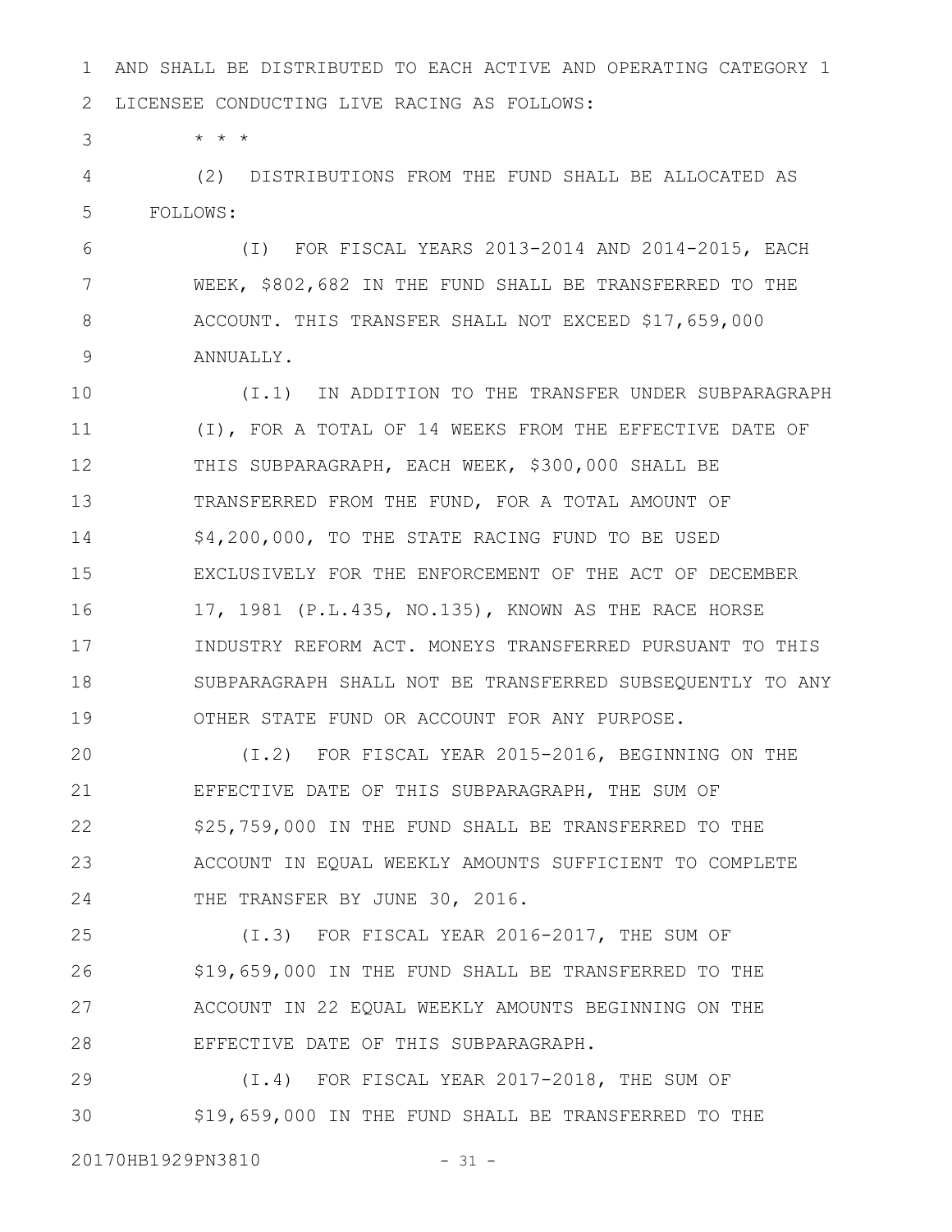AND SHALL BE DISTRIBUTED TO EACH ACTIVE AND OPERATING CATEGORY 1 LICENSEE CONDUCTING LIVE RACING AS FOLLOWS: 1 2

\* \* \*

3

(2) DISTRIBUTIONS FROM THE FUND SHALL BE ALLOCATED AS FOLLOWS: 4 5

(I) FOR FISCAL YEARS 2013-2014 AND 2014-2015, EACH WEEK, \$802,682 IN THE FUND SHALL BE TRANSFERRED TO THE ACCOUNT. THIS TRANSFER SHALL NOT EXCEED \$17,659,000 ANNUALLY. 6 7 8 9

(I.1) IN ADDITION TO THE TRANSFER UNDER SUBPARAGRAPH (I), FOR A TOTAL OF 14 WEEKS FROM THE EFFECTIVE DATE OF THIS SUBPARAGRAPH, EACH WEEK, \$300,000 SHALL BE TRANSFERRED FROM THE FUND, FOR A TOTAL AMOUNT OF \$4,200,000, TO THE STATE RACING FUND TO BE USED EXCLUSIVELY FOR THE ENFORCEMENT OF THE ACT OF DECEMBER 17, 1981 (P.L.435, NO.135), KNOWN AS THE RACE HORSE INDUSTRY REFORM ACT. MONEYS TRANSFERRED PURSUANT TO THIS SUBPARAGRAPH SHALL NOT BE TRANSFERRED SUBSEQUENTLY TO ANY OTHER STATE FUND OR ACCOUNT FOR ANY PURPOSE. 10 11 12 13 14 15 16 17 18 19

(I.2) FOR FISCAL YEAR 2015-2016, BEGINNING ON THE EFFECTIVE DATE OF THIS SUBPARAGRAPH, THE SUM OF \$25,759,000 IN THE FUND SHALL BE TRANSFERRED TO THE ACCOUNT IN EQUAL WEEKLY AMOUNTS SUFFICIENT TO COMPLETE THE TRANSFER BY JUNE 30, 2016. 20 21 22 23 24

(I.3) FOR FISCAL YEAR 2016-2017, THE SUM OF \$19,659,000 IN THE FUND SHALL BE TRANSFERRED TO THE ACCOUNT IN 22 EQUAL WEEKLY AMOUNTS BEGINNING ON THE EFFECTIVE DATE OF THIS SUBPARAGRAPH. 25 26 27 28

(I.4) FOR FISCAL YEAR 2017-2018, THE SUM OF \$19,659,000 IN THE FUND SHALL BE TRANSFERRED TO THE 29 30

20170HB1929PN3810 - 31 -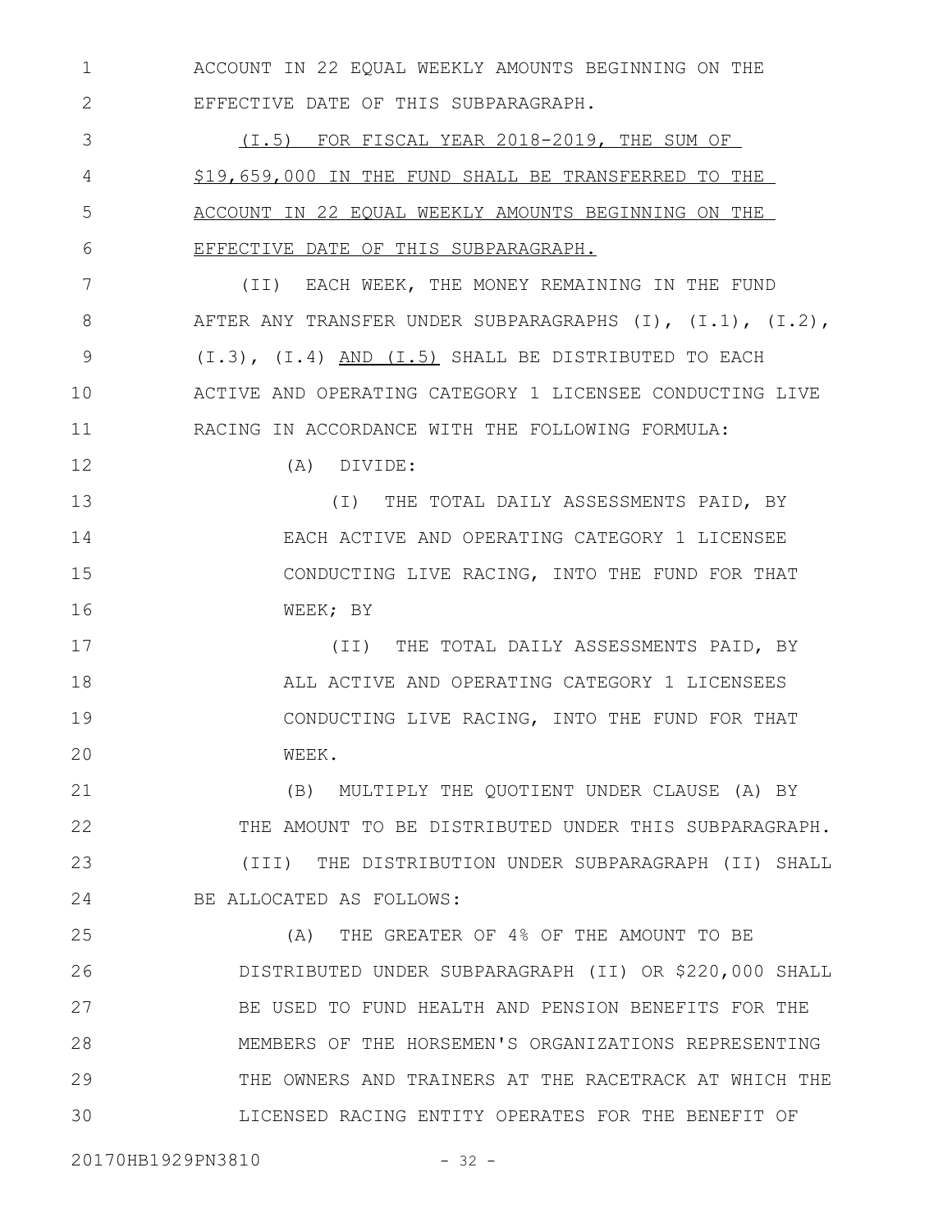ACCOUNT IN 22 EQUAL WEEKLY AMOUNTS BEGINNING ON THE EFFECTIVE DATE OF THIS SUBPARAGRAPH. 1 2

(I.5) FOR FISCAL YEAR 2018-2019, THE SUM OF \$19,659,000 IN THE FUND SHALL BE TRANSFERRED TO THE ACCOUNT IN 22 EQUAL WEEKLY AMOUNTS BEGINNING ON THE EFFECTIVE DATE OF THIS SUBPARAGRAPH. 3 4 5 6

(II) EACH WEEK, THE MONEY REMAINING IN THE FUND AFTER ANY TRANSFER UNDER SUBPARAGRAPHS (I), (I.1), (I.2), (I.3), (I.4) AND (I.5) SHALL BE DISTRIBUTED TO EACH ACTIVE AND OPERATING CATEGORY 1 LICENSEE CONDUCTING LIVE RACING IN ACCORDANCE WITH THE FOLLOWING FORMULA: 7 8 9 10 11

12

(A) DIVIDE:

(I) THE TOTAL DAILY ASSESSMENTS PAID, BY EACH ACTIVE AND OPERATING CATEGORY 1 LICENSEE CONDUCTING LIVE RACING, INTO THE FUND FOR THAT WEEK; BY 13 14 15 16

(II) THE TOTAL DAILY ASSESSMENTS PAID, BY ALL ACTIVE AND OPERATING CATEGORY 1 LICENSEES CONDUCTING LIVE RACING, INTO THE FUND FOR THAT WEEK. 17 18 19 20

(B) MULTIPLY THE QUOTIENT UNDER CLAUSE (A) BY THE AMOUNT TO BE DISTRIBUTED UNDER THIS SUBPARAGRAPH. (III) THE DISTRIBUTION UNDER SUBPARAGRAPH (II) SHALL BE ALLOCATED AS FOLLOWS: 21 22 23 24

(A) THE GREATER OF 4% OF THE AMOUNT TO BE DISTRIBUTED UNDER SUBPARAGRAPH (II) OR \$220,000 SHALL BE USED TO FUND HEALTH AND PENSION BENEFITS FOR THE MEMBERS OF THE HORSEMEN'S ORGANIZATIONS REPRESENTING THE OWNERS AND TRAINERS AT THE RACETRACK AT WHICH THE LICENSED RACING ENTITY OPERATES FOR THE BENEFIT OF 25 26 27 28 29 30

20170HB1929PN3810 - 32 -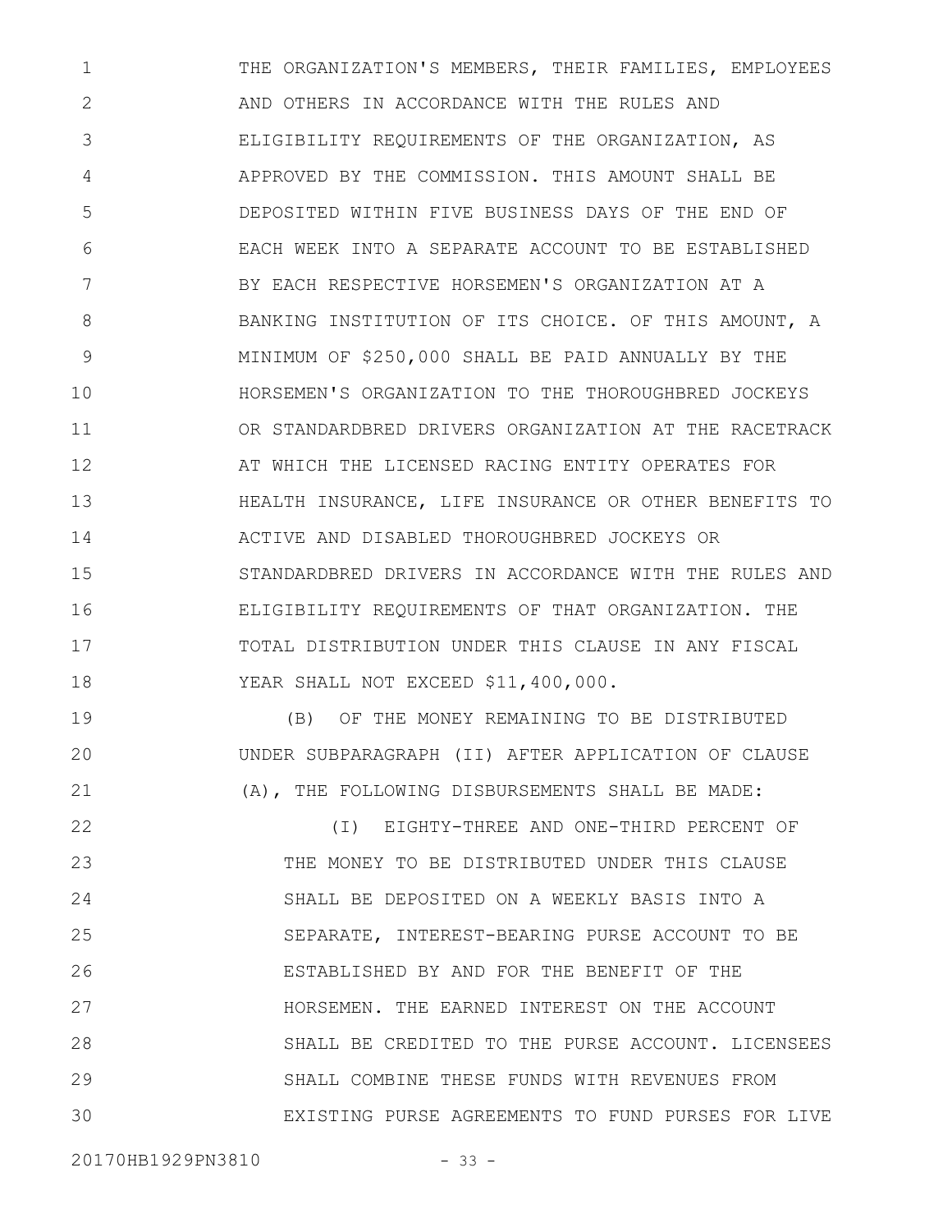THE ORGANIZATION'S MEMBERS, THEIR FAMILIES, EMPLOYEES AND OTHERS IN ACCORDANCE WITH THE RULES AND ELIGIBILITY REQUIREMENTS OF THE ORGANIZATION, AS APPROVED BY THE COMMISSION. THIS AMOUNT SHALL BE DEPOSITED WITHIN FIVE BUSINESS DAYS OF THE END OF EACH WEEK INTO A SEPARATE ACCOUNT TO BE ESTABLISHED BY EACH RESPECTIVE HORSEMEN'S ORGANIZATION AT A BANKING INSTITUTION OF ITS CHOICE. OF THIS AMOUNT, A MINIMUM OF \$250,000 SHALL BE PAID ANNUALLY BY THE HORSEMEN'S ORGANIZATION TO THE THOROUGHBRED JOCKEYS OR STANDARDBRED DRIVERS ORGANIZATION AT THE RACETRACK AT WHICH THE LICENSED RACING ENTITY OPERATES FOR HEALTH INSURANCE, LIFE INSURANCE OR OTHER BENEFITS TO ACTIVE AND DISABLED THOROUGHBRED JOCKEYS OR STANDARDBRED DRIVERS IN ACCORDANCE WITH THE RULES AND ELIGIBILITY REQUIREMENTS OF THAT ORGANIZATION. THE TOTAL DISTRIBUTION UNDER THIS CLAUSE IN ANY FISCAL YEAR SHALL NOT EXCEED \$11,400,000. 1 2 3 4 5 6 7 8 9 10 11 12 13 14 15 16 17 18

(B) OF THE MONEY REMAINING TO BE DISTRIBUTED UNDER SUBPARAGRAPH (II) AFTER APPLICATION OF CLAUSE (A), THE FOLLOWING DISBURSEMENTS SHALL BE MADE:

(I) EIGHTY-THREE AND ONE-THIRD PERCENT OF THE MONEY TO BE DISTRIBUTED UNDER THIS CLAUSE SHALL BE DEPOSITED ON A WEEKLY BASIS INTO A SEPARATE, INTEREST-BEARING PURSE ACCOUNT TO BE ESTABLISHED BY AND FOR THE BENEFIT OF THE HORSEMEN. THE EARNED INTEREST ON THE ACCOUNT SHALL BE CREDITED TO THE PURSE ACCOUNT. LICENSEES SHALL COMBINE THESE FUNDS WITH REVENUES FROM EXISTING PURSE AGREEMENTS TO FUND PURSES FOR LIVE 22 23 24 25 26 27 28 29 30

19

20

21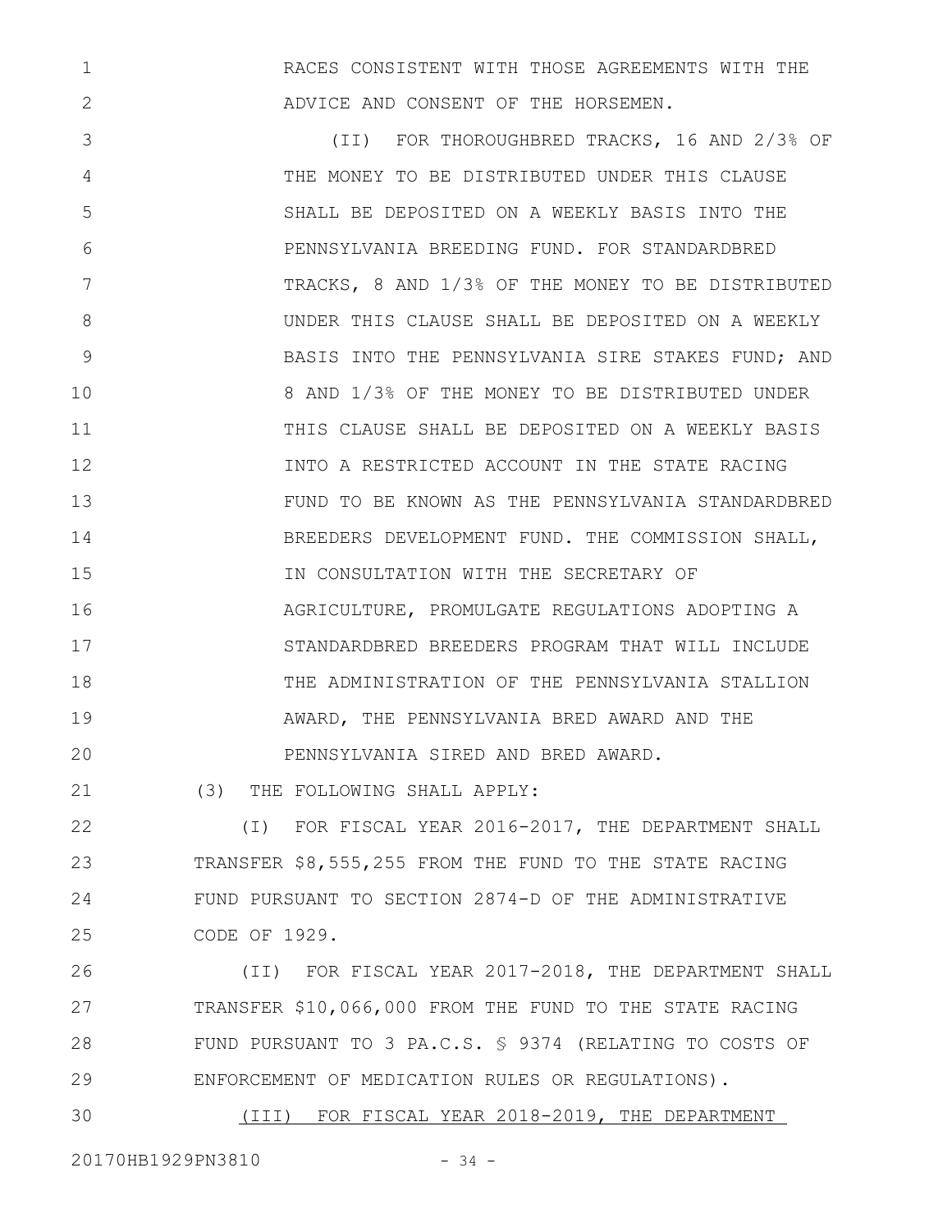RACES CONSISTENT WITH THOSE AGREEMENTS WITH THE ADVICE AND CONSENT OF THE HORSEMEN.

(II) FOR THOROUGHBRED TRACKS, 16 AND 2/3% OF THE MONEY TO BE DISTRIBUTED UNDER THIS CLAUSE SHALL BE DEPOSITED ON A WEEKLY BASIS INTO THE PENNSYLVANIA BREEDING FUND. FOR STANDARDBRED TRACKS, 8 AND 1/3% OF THE MONEY TO BE DISTRIBUTED UNDER THIS CLAUSE SHALL BE DEPOSITED ON A WEEKLY BASIS INTO THE PENNSYLVANIA SIRE STAKES FUND; AND 8 AND 1/3% OF THE MONEY TO BE DISTRIBUTED UNDER THIS CLAUSE SHALL BE DEPOSITED ON A WEEKLY BASIS INTO A RESTRICTED ACCOUNT IN THE STATE RACING FUND TO BE KNOWN AS THE PENNSYLVANIA STANDARDBRED BREEDERS DEVELOPMENT FUND. THE COMMISSION SHALL, IN CONSULTATION WITH THE SECRETARY OF AGRICULTURE, PROMULGATE REGULATIONS ADOPTING A STANDARDBRED BREEDERS PROGRAM THAT WILL INCLUDE THE ADMINISTRATION OF THE PENNSYLVANIA STALLION AWARD, THE PENNSYLVANIA BRED AWARD AND THE PENNSYLVANIA SIRED AND BRED AWARD. 3 4 5 6 7 8 9 10 11 12 13 14 15 16 17 18 19 20

(3) THE FOLLOWING SHALL APPLY: 21

(I) FOR FISCAL YEAR 2016-2017, THE DEPARTMENT SHALL TRANSFER \$8,555,255 FROM THE FUND TO THE STATE RACING FUND PURSUANT TO SECTION 2874-D OF THE ADMINISTRATIVE CODE OF 1929. 22 23 24 25

(II) FOR FISCAL YEAR 2017-2018, THE DEPARTMENT SHALL TRANSFER \$10,066,000 FROM THE FUND TO THE STATE RACING FUND PURSUANT TO 3 PA.C.S. § 9374 (RELATING TO COSTS OF ENFORCEMENT OF MEDICATION RULES OR REGULATIONS). 26 27 28 29

(III) FOR FISCAL YEAR 2018-2019, THE DEPARTMENT 30

20170HB1929PN3810 - 34 -

1

2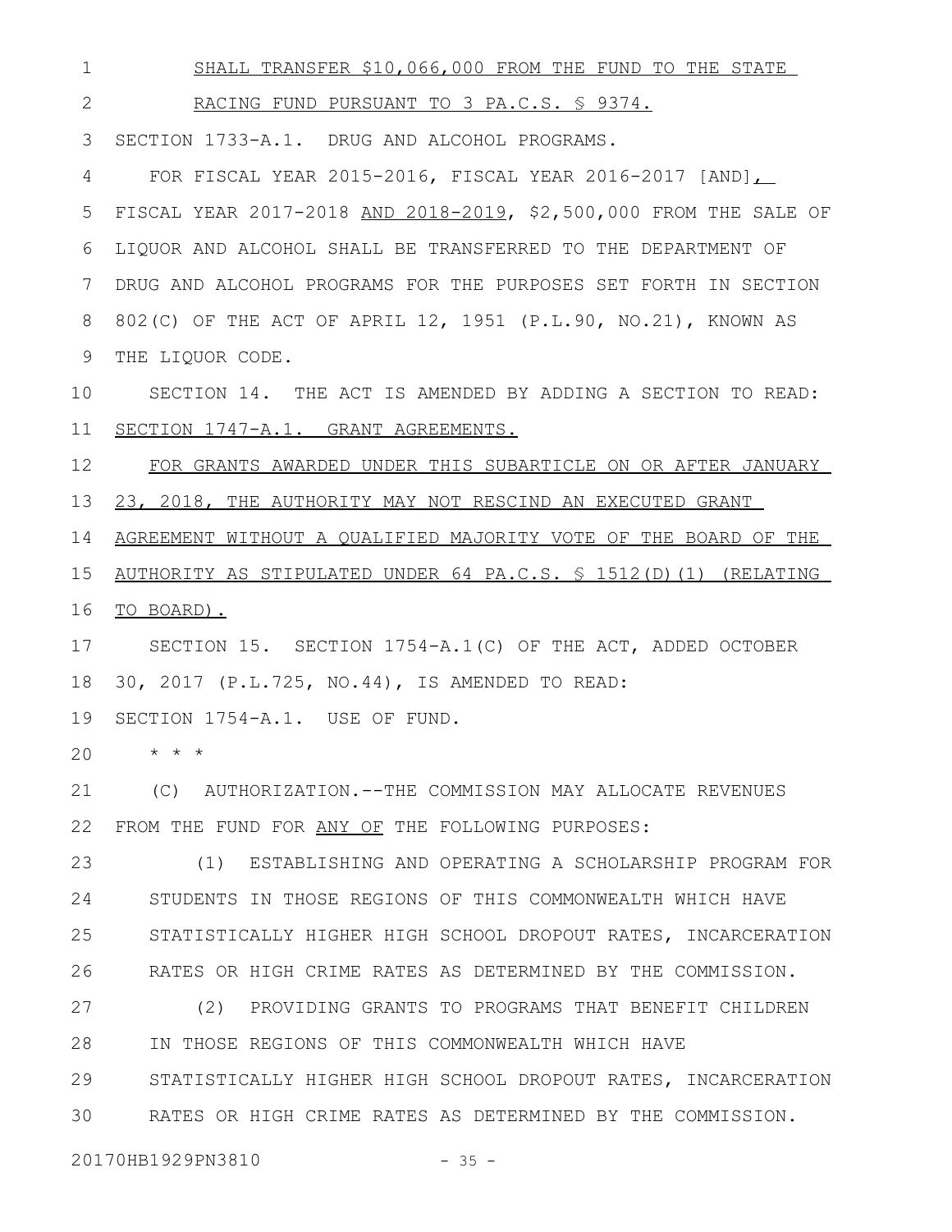SHALL TRANSFER \$10,066,000 FROM THE FUND TO THE STATE RACING FUND PURSUANT TO 3 PA.C.S. § 9374. SECTION 1733-A.1. DRUG AND ALCOHOL PROGRAMS. 3 FOR FISCAL YEAR 2015-2016, FISCAL YEAR 2016-2017 [AND], FISCAL YEAR 2017-2018 AND 2018-2019, \$2,500,000 FROM THE SALE OF LIQUOR AND ALCOHOL SHALL BE TRANSFERRED TO THE DEPARTMENT OF DRUG AND ALCOHOL PROGRAMS FOR THE PURPOSES SET FORTH IN SECTION 802(C) OF THE ACT OF APRIL 12, 1951 (P.L.90, NO.21), KNOWN AS THE LIQUOR CODE. SECTION 14. THE ACT IS AMENDED BY ADDING A SECTION TO READ: SECTION 1747-A.1. GRANT AGREEMENTS. FOR GRANTS AWARDED UNDER THIS SUBARTICLE ON OR AFTER JANUARY 23, 2018, THE AUTHORITY MAY NOT RESCIND AN EXECUTED GRANT AGREEMENT WITHOUT A QUALIFIED MAJORITY VOTE OF THE BOARD OF THE AUTHORITY AS STIPULATED UNDER 64 PA.C.S. § 1512(D)(1) (RELATING 16 TO BOARD). SECTION 15. SECTION 1754-A.1(C) OF THE ACT, ADDED OCTOBER 30, 2017 (P.L.725, NO.44), IS AMENDED TO READ: SECTION 1754-A.1. USE OF FUND. \* \* \* (C) AUTHORIZATION.--THE COMMISSION MAY ALLOCATE REVENUES FROM THE FUND FOR ANY OF THE FOLLOWING PURPOSES: (1) ESTABLISHING AND OPERATING A SCHOLARSHIP PROGRAM FOR STUDENTS IN THOSE REGIONS OF THIS COMMONWEALTH WHICH HAVE STATISTICALLY HIGHER HIGH SCHOOL DROPOUT RATES, INCARCERATION RATES OR HIGH CRIME RATES AS DETERMINED BY THE COMMISSION. (2) PROVIDING GRANTS TO PROGRAMS THAT BENEFIT CHILDREN IN THOSE REGIONS OF THIS COMMONWEALTH WHICH HAVE STATISTICALLY HIGHER HIGH SCHOOL DROPOUT RATES, INCARCERATION RATES OR HIGH CRIME RATES AS DETERMINED BY THE COMMISSION. 1 2 4 5 6 7 8 9 10 11 12 13 14 15 17 18 19 20 21 22 23 24 25 26 27 28 29 30

20170HB1929PN3810 - 35 -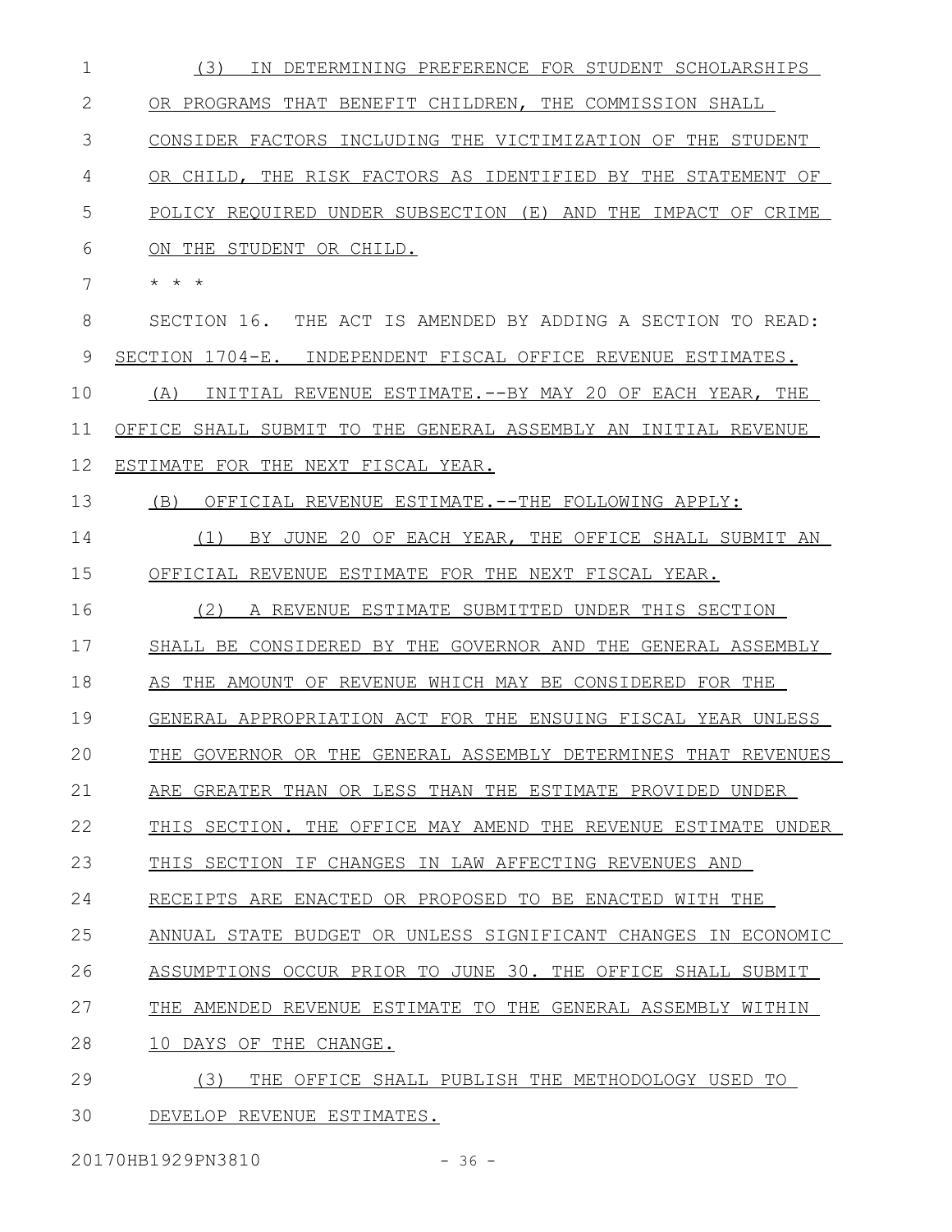| $\mathbf 1$  | (3)<br>IN DETERMINING PREFERENCE FOR STUDENT SCHOLARSHIPS       |
|--------------|-----------------------------------------------------------------|
| $\mathbf{2}$ | OR PROGRAMS THAT BENEFIT CHILDREN, THE COMMISSION SHALL         |
| 3            | CONSIDER FACTORS INCLUDING THE VICTIMIZATION OF THE STUDENT     |
| 4            | OR CHILD, THE RISK FACTORS AS IDENTIFIED BY THE STATEMENT<br>OF |
| 5            | POLICY REOUIRED UNDER SUBSECTION (E) AND THE IMPACT OF CRIME    |
| 6            | ON THE STUDENT OR CHILD.                                        |
| 7            | * * *                                                           |
| 8            | SECTION 16. THE ACT IS AMENDED BY ADDING A SECTION TO READ:     |
| 9            | SECTION 1704-E. INDEPENDENT FISCAL OFFICE REVENUE ESTIMATES.    |
| 10           | INITIAL REVENUE ESTIMATE. -- BY MAY 20 OF EACH YEAR, THE<br>(A) |
| 11           | OFFICE SHALL SUBMIT TO THE GENERAL ASSEMBLY AN INITIAL REVENUE  |
| 12           | ESTIMATE FOR THE NEXT FISCAL YEAR.                              |
| 13           | (B)<br>OFFICIAL REVENUE ESTIMATE.--THE FOLLOWING APPLY:         |
| 14           | BY JUNE 20 OF EACH YEAR, THE OFFICE SHALL SUBMIT AN<br>(1)      |
| 15           | OFFICIAL REVENUE ESTIMATE FOR THE NEXT FISCAL YEAR.             |
| 16           | (2)<br>A REVENUE ESTIMATE SUBMITTED UNDER THIS SECTION          |
| 17           | SHALL BE CONSIDERED BY THE GOVERNOR AND THE GENERAL ASSEMBLY    |
| 18           | AS THE AMOUNT OF REVENUE WHICH MAY BE CONSIDERED FOR THE        |
| 19           | GENERAL APPROPRIATION ACT FOR THE ENSUING FISCAL YEAR UNLESS    |
| 20           | THE GOVERNOR OR THE GENERAL ASSEMBLY DETERMINES THAT REVENUES   |
| 21           | ARE GREATER THAN OR LESS THAN THE ESTIMATE PROVIDED UNDER       |
| 22           | THIS SECTION. THE OFFICE MAY AMEND THE REVENUE ESTIMATE UNDER   |
| 23           | THIS SECTION IF CHANGES IN LAW AFFECTING REVENUES AND           |
| 24           | RECEIPTS ARE ENACTED OR PROPOSED TO BE ENACTED WITH THE         |
| 25           | ANNUAL STATE BUDGET OR UNLESS SIGNIFICANT CHANGES IN ECONOMIC   |
| 26           | ASSUMPTIONS OCCUR PRIOR TO JUNE 30. THE OFFICE SHALL SUBMIT     |
| 27           | THE AMENDED REVENUE ESTIMATE TO THE GENERAL ASSEMBLY WITHIN     |
| 28           | 10 DAYS OF THE CHANGE.                                          |
| 29           | THE OFFICE SHALL PUBLISH THE METHODOLOGY USED TO<br>(3)         |
| 30           | DEVELOP REVENUE ESTIMATES.                                      |

20170HB1929PN3810 - 36 -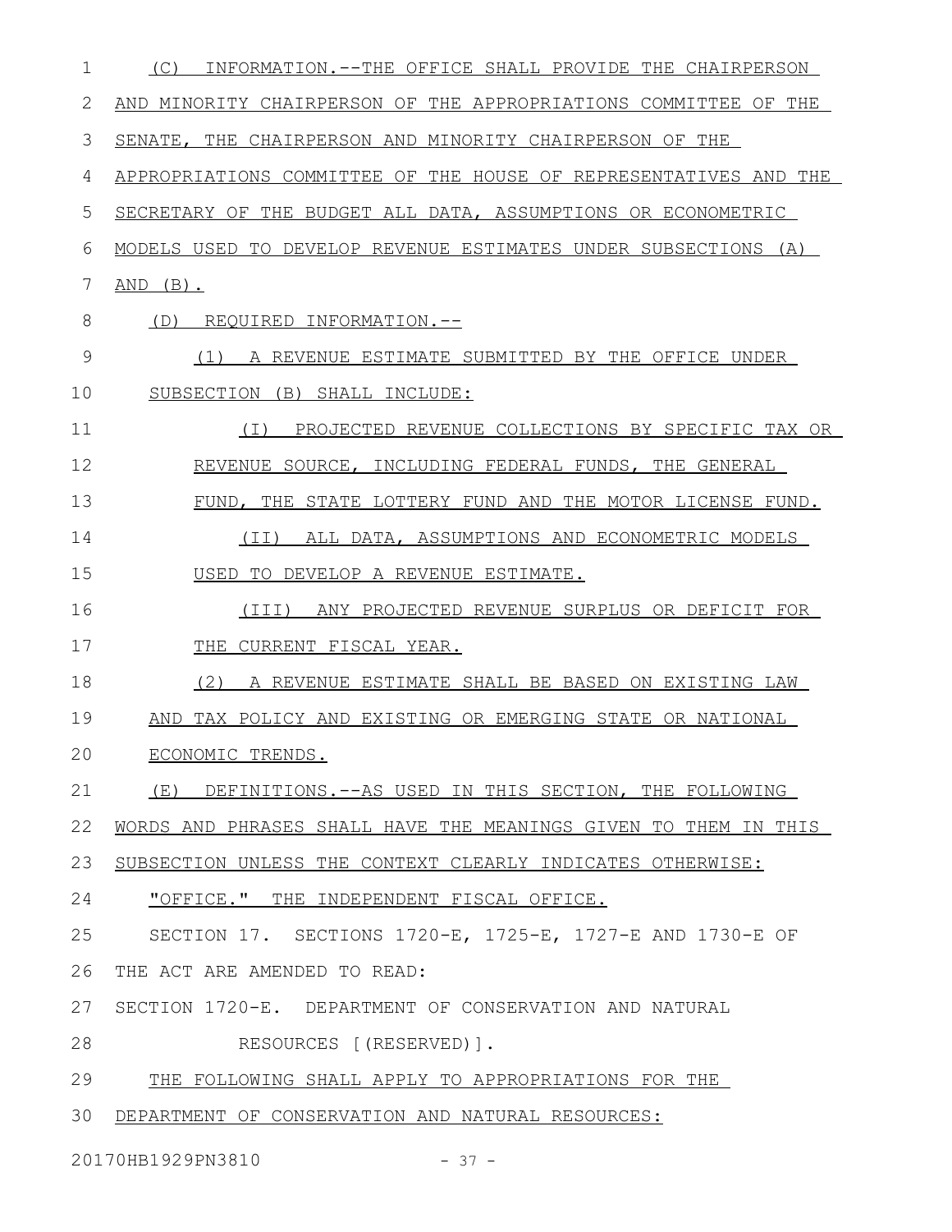| 1  | INFORMATION.--THE OFFICE SHALL PROVIDE THE CHAIRPERSON<br>(C)       |
|----|---------------------------------------------------------------------|
| 2  | AND MINORITY CHAIRPERSON OF THE APPROPRIATIONS COMMITTEE OF<br>THE  |
| 3  | THE CHAIRPERSON AND MINORITY CHAIRPERSON OF THE<br>SENATE,          |
| 4  | APPROPRIATIONS COMMITTEE OF THE HOUSE OF REPRESENTATIVES AND<br>THE |
| 5  | SECRETARY OF THE BUDGET ALL DATA, ASSUMPTIONS OR ECONOMETRIC        |
| 6  | MODELS USED TO DEVELOP REVENUE ESTIMATES UNDER SUBSECTIONS<br>(A)   |
| 7  | $AND$ $(B)$ .                                                       |
| 8  | REQUIRED INFORMATION.--<br>(D)                                      |
| 9  | A REVENUE ESTIMATE SUBMITTED BY THE OFFICE UNDER<br>(1)             |
| 10 | SUBSECTION (B) SHALL INCLUDE:                                       |
| 11 | PROJECTED REVENUE COLLECTIONS BY SPECIFIC TAX OR<br>( I )           |
| 12 | REVENUE SOURCE, INCLUDING FEDERAL FUNDS, THE GENERAL                |
| 13 | FUND, THE STATE LOTTERY FUND AND THE MOTOR LICENSE FUND.            |
| 14 | ALL DATA, ASSUMPTIONS AND ECONOMETRIC MODELS<br>(II)                |
| 15 | USED TO DEVELOP A REVENUE ESTIMATE.                                 |
| 16 | ANY PROJECTED REVENUE SURPLUS OR DEFICIT FOR<br>(TII)               |
| 17 | THE<br>CURRENT FISCAL YEAR.                                         |
| 18 | (2)<br>A REVENUE ESTIMATE SHALL BE BASED ON EXISTING LAW            |
| 19 | AND TAX POLICY AND EXISTING OR EMERGING STATE OR NATIONAL           |
| 20 | ECONOMIC TRENDS.                                                    |
| 21 | (E) DEFINITIONS.--AS USED IN THIS SECTION, THE FOLLOWING            |
| 22 | WORDS AND PHRASES SHALL HAVE THE MEANINGS GIVEN TO THEM IN THIS     |
| 23 | SUBSECTION UNLESS THE CONTEXT CLEARLY INDICATES OTHERWISE:          |
| 24 | "OFFICE." THE INDEPENDENT FISCAL OFFICE.                            |
| 25 | SECTION 17. SECTIONS 1720-E, 1725-E, 1727-E AND 1730-E OF           |
| 26 | THE ACT ARE AMENDED TO READ:                                        |
| 27 | SECTION 1720-E. DEPARTMENT OF CONSERVATION AND NATURAL              |
| 28 | RESOURCES [(RESERVED)].                                             |
| 29 | THE FOLLOWING SHALL APPLY TO APPROPRIATIONS FOR THE                 |
| 30 | DEPARTMENT OF CONSERVATION AND NATURAL RESOURCES:                   |
|    | 20170HB1929PN3810<br>$-37 -$                                        |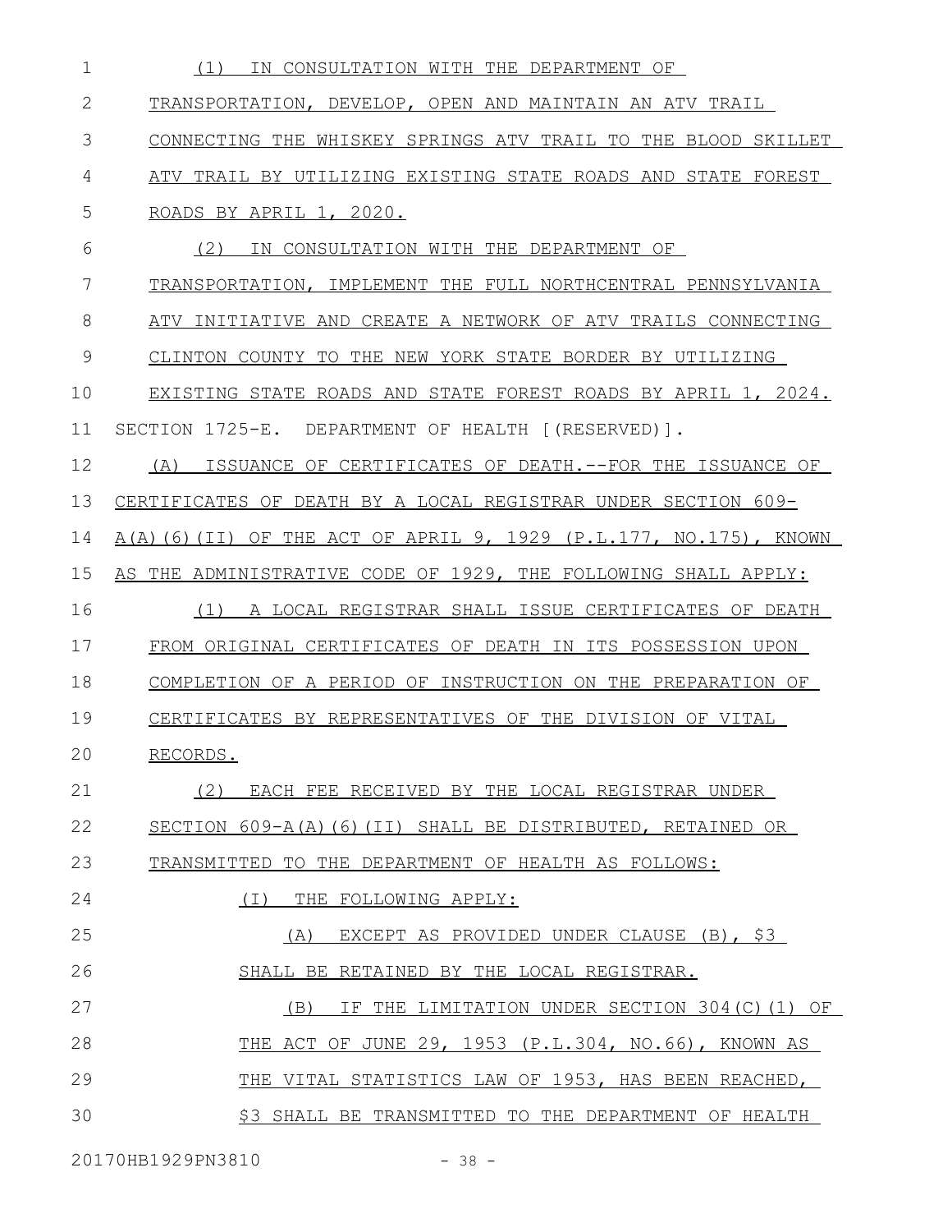| 1             | IN CONSULTATION WITH THE DEPARTMENT OF<br>(1)                    |
|---------------|------------------------------------------------------------------|
| 2             | TRANSPORTATION, DEVELOP, OPEN AND MAINTAIN AN ATV TRAIL          |
| 3             | CONNECTING THE WHISKEY SPRINGS ATV TRAIL TO THE BLOOD SKILLET    |
| 4             | ATV TRAIL BY UTILIZING EXISTING STATE ROADS AND STATE FOREST     |
| 5             | ROADS BY APRIL 1, 2020.                                          |
| 6             | (2)<br>IN CONSULTATION WITH THE DEPARTMENT OF                    |
| 7             | TRANSPORTATION, IMPLEMENT THE FULL NORTHCENTRAL PENNSYLVANIA     |
| 8             | ATV INITIATIVE AND CREATE A NETWORK OF ATV TRAILS CONNECTING     |
| $\mathcal{G}$ | CLINTON COUNTY TO THE NEW YORK STATE BORDER BY UTILIZING         |
| 10            | EXISTING STATE ROADS AND STATE FOREST ROADS BY APRIL 1, 2024.    |
| 11            | SECTION 1725-E. DEPARTMENT OF HEALTH [(RESERVED)].               |
| 12            | (A)<br>ISSUANCE OF CERTIFICATES OF DEATH.--FOR THE ISSUANCE OF   |
| 13            | CERTIFICATES OF DEATH BY A LOCAL REGISTRAR UNDER SECTION 609-    |
| 14            | A(A)(6)(II) OF THE ACT OF APRIL 9, 1929 (P.L.177, NO.175), KNOWN |
| 15            | AS THE ADMINISTRATIVE CODE OF 1929, THE FOLLOWING SHALL APPLY:   |
| 16            | (1)<br>A LOCAL REGISTRAR SHALL ISSUE CERTIFICATES OF DEATH       |
| 17            | FROM ORIGINAL CERTIFICATES OF DEATH IN ITS POSSESSION UPON       |
| 18            | COMPLETION OF A PERIOD OF INSTRUCTION ON THE PREPARATION OF      |
| 19            | CERTIFICATES BY REPRESENTATIVES OF THE DIVISION OF VITAL         |
| 20            | RECORDS.                                                         |
| 21            | (2)<br>EACH FEE RECEIVED BY THE LOCAL REGISTRAR UNDER            |
| 22            | SECTION 609-A(A)(6)(II) SHALL BE DISTRIBUTED, RETAINED OR        |
| 23            | TRANSMITTED TO THE DEPARTMENT OF HEALTH AS FOLLOWS:              |
| 24            | (T)<br>THE FOLLOWING APPLY:                                      |
| 25            | EXCEPT AS PROVIDED UNDER CLAUSE (B), \$3<br>(A)                  |
| 26            | SHALL BE RETAINED BY THE LOCAL REGISTRAR.                        |
| 27            | (B) IF THE LIMITATION UNDER SECTION 304(C)(1) OF                 |
| 28            | THE ACT OF JUNE 29, 1953 (P.L.304, NO.66), KNOWN AS              |
| 29            | THE VITAL STATISTICS LAW OF 1953, HAS BEEN REACHED,              |
| 30            | \$3 SHALL BE TRANSMITTED TO THE DEPARTMENT OF HEALTH             |

20170HB1929PN3810 - 38 -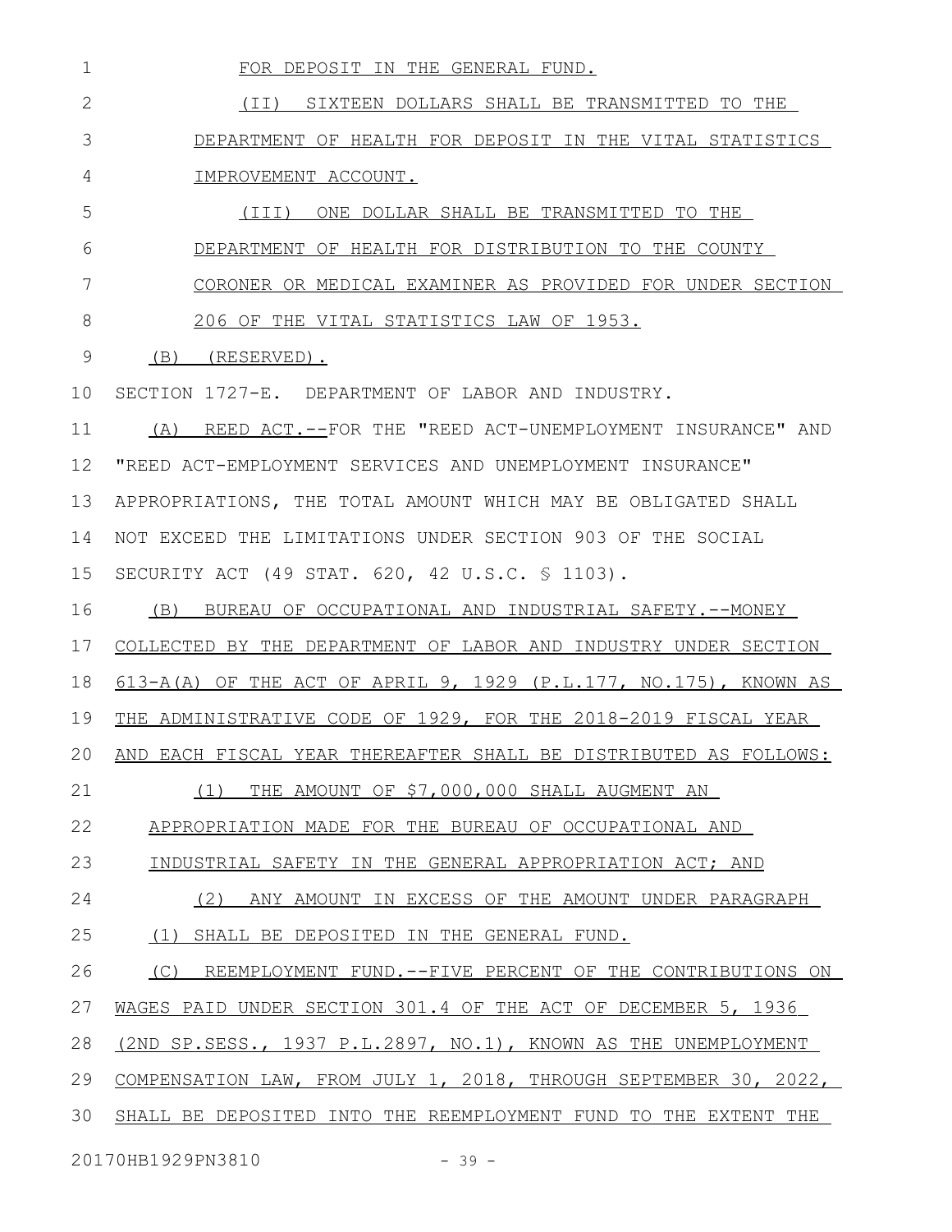| $\mathbf 1$   | FOR DEPOSIT IN THE GENERAL FUND.                                 |
|---------------|------------------------------------------------------------------|
| $\mathbf{2}$  | (II) SIXTEEN DOLLARS SHALL BE TRANSMITTED TO THE                 |
| 3             | DEPARTMENT OF HEALTH FOR DEPOSIT IN THE VITAL STATISTICS         |
| 4             | IMPROVEMENT ACCOUNT.                                             |
| 5             | (III) ONE DOLLAR SHALL BE TRANSMITTED TO THE                     |
| 6             | DEPARTMENT OF HEALTH FOR DISTRIBUTION TO THE COUNTY              |
| 7             | CORONER OR MEDICAL EXAMINER AS PROVIDED FOR UNDER SECTION        |
| 8             | 206 OF THE VITAL STATISTICS LAW OF 1953.                         |
| $\mathcal{G}$ | $(B)$ (RESERVED).                                                |
| 10            | SECTION 1727-E. DEPARTMENT OF LABOR AND INDUSTRY.                |
| 11            | (A) REED ACT.--FOR THE "REED ACT-UNEMPLOYMENT INSURANCE" AND     |
| 12            | "REED ACT-EMPLOYMENT SERVICES AND UNEMPLOYMENT INSURANCE"        |
| 13            | APPROPRIATIONS, THE TOTAL AMOUNT WHICH MAY BE OBLIGATED SHALL    |
| 14            | NOT EXCEED THE LIMITATIONS UNDER SECTION 903 OF THE SOCIAL       |
| 15            | SECURITY ACT (49 STAT. 620, 42 U.S.C. § 1103).                   |
| 16            | (B) BUREAU OF OCCUPATIONAL AND INDUSTRIAL SAFETY.--MONEY         |
| 17            | COLLECTED BY THE DEPARTMENT OF LABOR AND INDUSTRY UNDER SECTION  |
| 18            | 613-A(A) OF THE ACT OF APRIL 9, 1929 (P.L.177, NO.175), KNOWN AS |
| 19            | THE ADMINISTRATIVE CODE OF 1929, FOR THE 2018-2019 FISCAL YEAR   |
| 20            | AND EACH FISCAL YEAR THEREAFTER SHALL BE DISTRIBUTED AS FOLLOWS: |
| 21            | THE AMOUNT OF \$7,000,000 SHALL AUGMENT AN<br>(1)                |
| 22            | APPROPRIATION MADE FOR THE BUREAU OF OCCUPATIONAL AND            |
| 23            | INDUSTRIAL SAFETY IN THE GENERAL APPROPRIATION ACT; AND          |
| 24            | (2)<br>ANY AMOUNT IN EXCESS OF THE AMOUNT UNDER PARAGRAPH        |
| 25            | (1) SHALL BE DEPOSITED IN THE GENERAL FUND.                      |
| 26            | (C) REEMPLOYMENT FUND.--FIVE PERCENT OF THE CONTRIBUTIONS ON     |
| 27            | WAGES PAID UNDER SECTION 301.4 OF THE ACT OF DECEMBER 5, 1936    |
| 28            | (2ND SP.SESS., 1937 P.L.2897, NO.1), KNOWN AS THE UNEMPLOYMENT   |
| 29            | COMPENSATION LAW, FROM JULY 1, 2018, THROUGH SEPTEMBER 30, 2022, |
| 30            | SHALL BE DEPOSITED INTO THE REEMPLOYMENT FUND TO THE EXTENT THE  |
|               | 20170HB1929PN3810<br>$-39 -$                                     |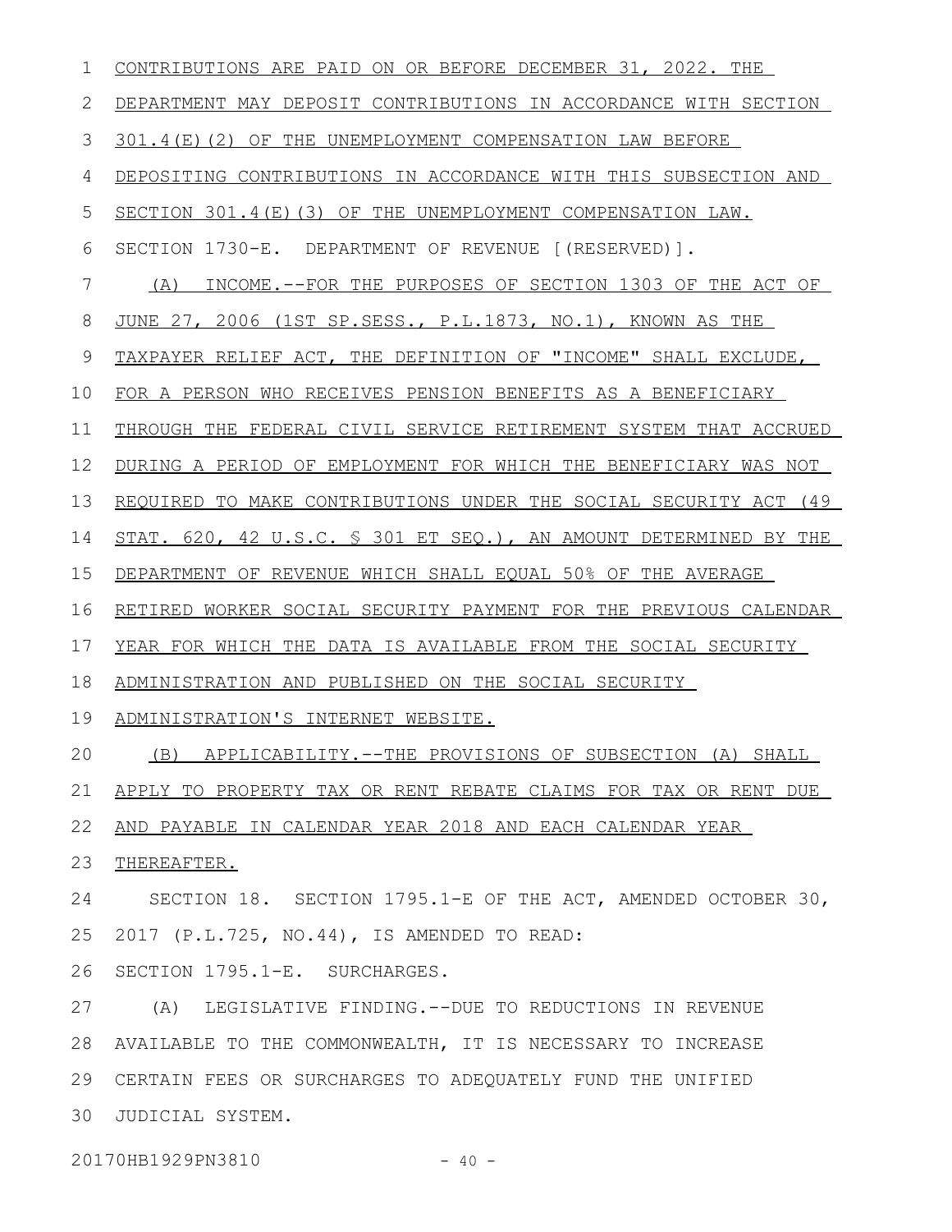| 1  | CONTRIBUTIONS ARE PAID ON OR BEFORE DECEMBER 31, 2022. THE       |
|----|------------------------------------------------------------------|
| 2  | DEPARTMENT MAY DEPOSIT CONTRIBUTIONS IN ACCORDANCE WITH SECTION  |
| 3  | 301.4(E)(2) OF THE UNEMPLOYMENT COMPENSATION LAW BEFORE          |
| 4  | DEPOSITING CONTRIBUTIONS IN ACCORDANCE WITH THIS SUBSECTION AND  |
| 5  | SECTION 301.4(E)(3) OF THE UNEMPLOYMENT COMPENSATION LAW.        |
| 6  | SECTION 1730-E. DEPARTMENT OF REVENUE [(RESERVED)].              |
| 7  | INCOME.--FOR THE PURPOSES OF SECTION 1303 OF THE ACT OF<br>(A)   |
| 8  | JUNE 27, 2006 (1ST SP.SESS., P.L.1873, NO.1), KNOWN AS THE       |
| 9  | TAXPAYER RELIEF ACT, THE DEFINITION OF "INCOME" SHALL EXCLUDE,   |
| 10 | FOR A PERSON WHO RECEIVES PENSION BENEFITS AS A BENEFICIARY      |
| 11 | THROUGH THE FEDERAL CIVIL SERVICE RETIREMENT SYSTEM THAT ACCRUED |
| 12 | DURING A PERIOD OF EMPLOYMENT FOR WHICH THE BENEFICIARY WAS NOT  |
| 13 | REQUIRED TO MAKE CONTRIBUTIONS UNDER THE SOCIAL SECURITY ACT (49 |
| 14 | STAT. 620, 42 U.S.C. § 301 ET SEQ.), AN AMOUNT DETERMINED BY THE |
| 15 | DEPARTMENT OF REVENUE WHICH SHALL EQUAL 50% OF THE AVERAGE       |
| 16 | RETIRED WORKER SOCIAL SECURITY PAYMENT FOR THE PREVIOUS CALENDAR |
| 17 | YEAR FOR WHICH THE DATA IS AVAILABLE FROM THE SOCIAL SECURITY    |
| 18 | ADMINISTRATION AND PUBLISHED ON THE SOCIAL SECURITY              |
| 19 | ADMINISTRATION'S INTERNET WEBSITE.                               |
| 20 | APPLICABILITY.--THE PROVISIONS OF SUBSECTION (A) SHALL<br>(B)    |
| 21 | APPLY TO PROPERTY TAX OR RENT REBATE CLAIMS FOR TAX OR RENT DUE  |
| 22 | AND PAYABLE IN CALENDAR YEAR 2018 AND EACH CALENDAR YEAR         |
| 23 | THEREAFTER.                                                      |
| 24 | SECTION 18. SECTION 1795.1-E OF THE ACT, AMENDED OCTOBER 30,     |
| 25 | 2017 (P.L.725, NO.44), IS AMENDED TO READ:                       |
| 26 | SECTION 1795.1-E. SURCHARGES.                                    |
| 27 | (A) LEGISLATIVE FINDING. -- DUE TO REDUCTIONS IN REVENUE         |
| 28 | AVAILABLE TO THE COMMONWEALTH, IT IS NECESSARY TO INCREASE       |
| 29 | CERTAIN FEES OR SURCHARGES TO ADEQUATELY FUND THE UNIFIED        |
| 30 | JUDICIAL SYSTEM.                                                 |
|    | 20170HB1929PN3810<br>$-40 -$                                     |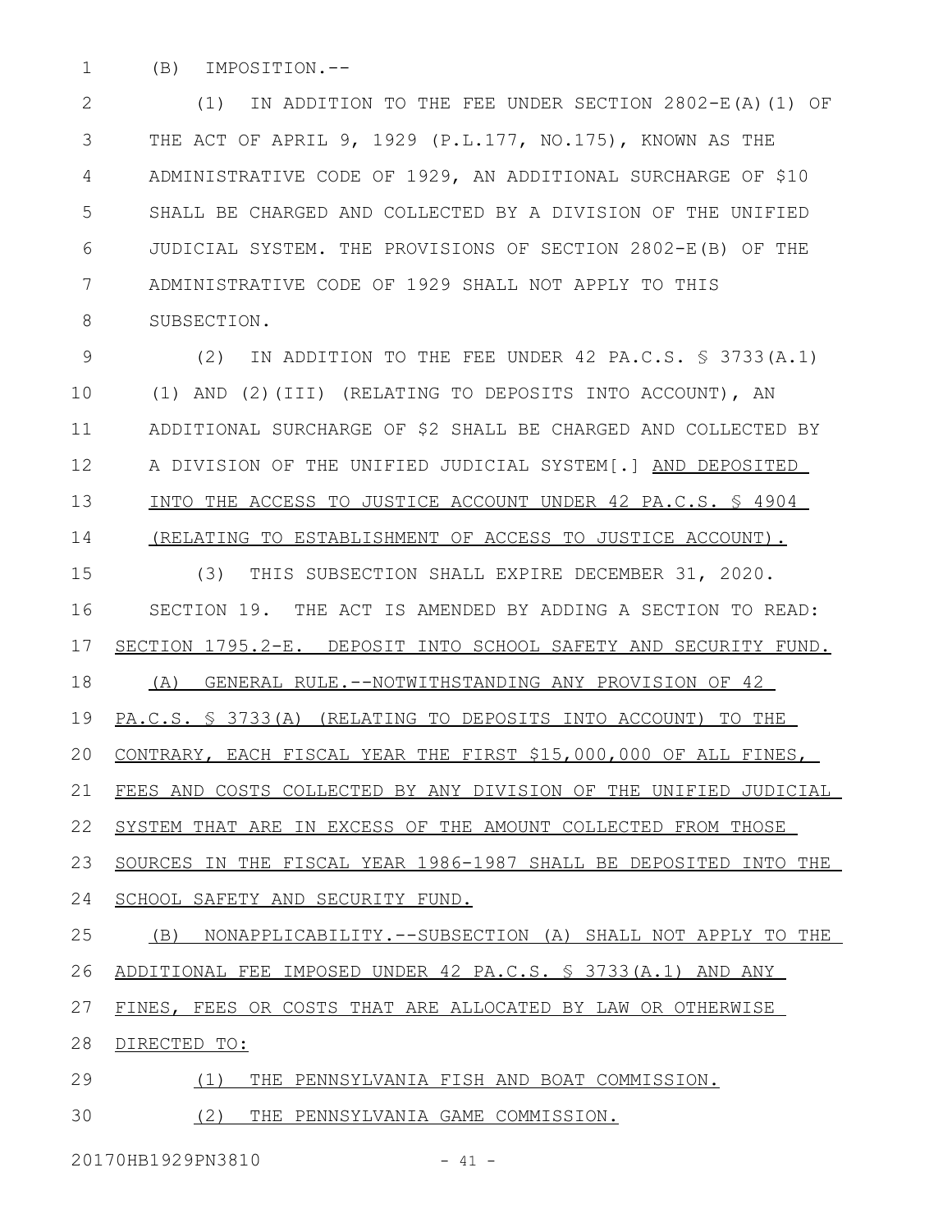(B) IMPOSITION.-- 1

(1) IN ADDITION TO THE FEE UNDER SECTION 2802-E(A)(1) OF THE ACT OF APRIL 9, 1929 (P.L.177, NO.175), KNOWN AS THE ADMINISTRATIVE CODE OF 1929, AN ADDITIONAL SURCHARGE OF \$10 SHALL BE CHARGED AND COLLECTED BY A DIVISION OF THE UNIFIED JUDICIAL SYSTEM. THE PROVISIONS OF SECTION 2802-E(B) OF THE ADMINISTRATIVE CODE OF 1929 SHALL NOT APPLY TO THIS SUBSECTION. 2 3 4 5 6 7 8

(2) IN ADDITION TO THE FEE UNDER 42 PA.C.S. § 3733(A.1) (1) AND (2)(III) (RELATING TO DEPOSITS INTO ACCOUNT), AN ADDITIONAL SURCHARGE OF \$2 SHALL BE CHARGED AND COLLECTED BY A DIVISION OF THE UNIFIED JUDICIAL SYSTEM[.] AND DEPOSITED INTO THE ACCESS TO JUSTICE ACCOUNT UNDER 42 PA.C.S. § 4904 (RELATING TO ESTABLISHMENT OF ACCESS TO JUSTICE ACCOUNT). 9 10 11 12 13 14

(3) THIS SUBSECTION SHALL EXPIRE DECEMBER 31, 2020. SECTION 19. THE ACT IS AMENDED BY ADDING A SECTION TO READ: SECTION 1795.2-E. DEPOSIT INTO SCHOOL SAFETY AND SECURITY FUND. (A) GENERAL RULE.--NOTWITHSTANDING ANY PROVISION OF 42 PA.C.S. § 3733(A) (RELATING TO DEPOSITS INTO ACCOUNT) TO THE CONTRARY, EACH FISCAL YEAR THE FIRST \$15,000,000 OF ALL FINES, FEES AND COSTS COLLECTED BY ANY DIVISION OF THE UNIFIED JUDICIAL SYSTEM THAT ARE IN EXCESS OF THE AMOUNT COLLECTED FROM THOSE SOURCES IN THE FISCAL YEAR 1986-1987 SHALL BE DEPOSITED INTO THE SCHOOL SAFETY AND SECURITY FUND. (B) NONAPPLICABILITY.--SUBSECTION (A) SHALL NOT APPLY TO THE ADDITIONAL FEE IMPOSED UNDER 42 PA.C.S. § 3733(A.1) AND ANY FINES, FEES OR COSTS THAT ARE ALLOCATED BY LAW OR OTHERWISE DIRECTED TO: 15 16 17 18 19 20 21 22 23 24 25 26 27 28

(1) THE PENNSYLVANIA FISH AND BOAT COMMISSION. 29

(2) THE PENNSYLVANIA GAME COMMISSION. 30

20170HB1929PN3810 - 41 -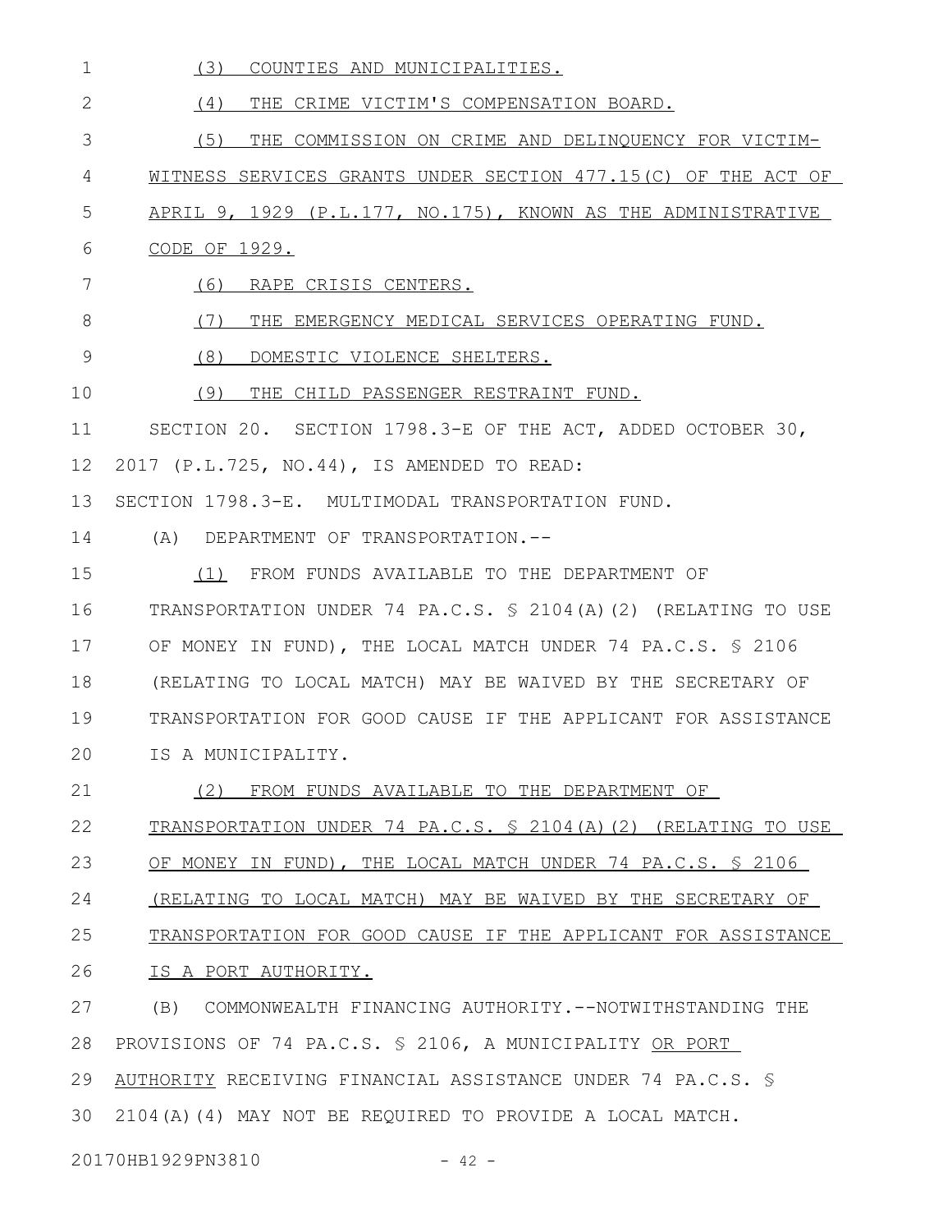| $\mathbf 1$<br>(3)<br>COUNTIES AND MUNICIPALITIES.                        |
|---------------------------------------------------------------------------|
| $\mathbf{2}$<br>THE CRIME VICTIM'S COMPENSATION BOARD.<br>(4)             |
| 3<br>(5)<br>THE COMMISSION ON CRIME AND DELINQUENCY FOR VICTIM-           |
| 4<br>WITNESS SERVICES GRANTS UNDER SECTION 477.15(C) OF THE ACT OF        |
| 5<br>APRIL 9, 1929 (P.L.177, NO.175), KNOWN AS THE ADMINISTRATIVE         |
| 6<br>CODE OF 1929.                                                        |
| 7<br>(6)<br>RAPE CRISIS CENTERS.                                          |
| 8<br>(7)<br>THE EMERGENCY MEDICAL SERVICES OPERATING FUND.                |
| 9<br>(8)<br>DOMESTIC VIOLENCE SHELTERS.                                   |
| 10<br>(9)<br>THE CHILD PASSENGER RESTRAINT FUND.                          |
| 11<br>SECTION 20. SECTION 1798.3-E OF THE ACT, ADDED OCTOBER 30,          |
| 12<br>2017 (P.L.725, NO.44), IS AMENDED TO READ:                          |
| 13<br>SECTION 1798.3-E. MULTIMODAL TRANSPORTATION FUND.                   |
| 14<br>(A) DEPARTMENT OF TRANSPORTATION.--                                 |
| 15<br>(1) FROM FUNDS AVAILABLE TO THE DEPARTMENT OF                       |
| 16<br>TRANSPORTATION UNDER 74 PA.C.S. § 2104(A)(2) (RELATING TO USE       |
| 17<br>OF MONEY IN FUND), THE LOCAL MATCH UNDER 74 PA.C.S. § 2106          |
| 18<br>(RELATING TO LOCAL MATCH) MAY BE WAIVED BY THE SECRETARY OF         |
| 19<br>TRANSPORTATION FOR GOOD CAUSE IF THE APPLICANT FOR ASSISTANCE       |
| 20<br>IS A MUNICIPALITY.                                                  |
| 21<br>(2) FROM FUNDS AVAILABLE TO THE DEPARTMENT OF                       |
| 22<br>TRANSPORTATION UNDER 74 PA.C.S. § 2104(A)(2) (RELATING TO USE       |
| 23<br>OF MONEY IN FUND), THE LOCAL MATCH UNDER 74 PA.C.S. \$ 2106         |
| 24<br><u>(RELATING TO LOCAL MATCH) MAY BE WAIVED BY THE SECRETARY OF </u> |
| 25<br>TRANSPORTATION FOR GOOD CAUSE IF THE APPLICANT FOR ASSISTANCE       |
| 26<br>IS A PORT AUTHORITY.                                                |
| 27<br>COMMONWEALTH FINANCING AUTHORITY.--NOTWITHSTANDING THE<br>(B)       |
| PROVISIONS OF 74 PA.C.S. § 2106, A MUNICIPALITY OR PORT<br>28             |
| 29<br>AUTHORITY RECEIVING FINANCIAL ASSISTANCE UNDER 74 PA.C.S. §         |
| 30<br>2104(A)(4) MAY NOT BE REQUIRED TO PROVIDE A LOCAL MATCH.            |
| 20170HB1929PN3810<br>$-42 -$                                              |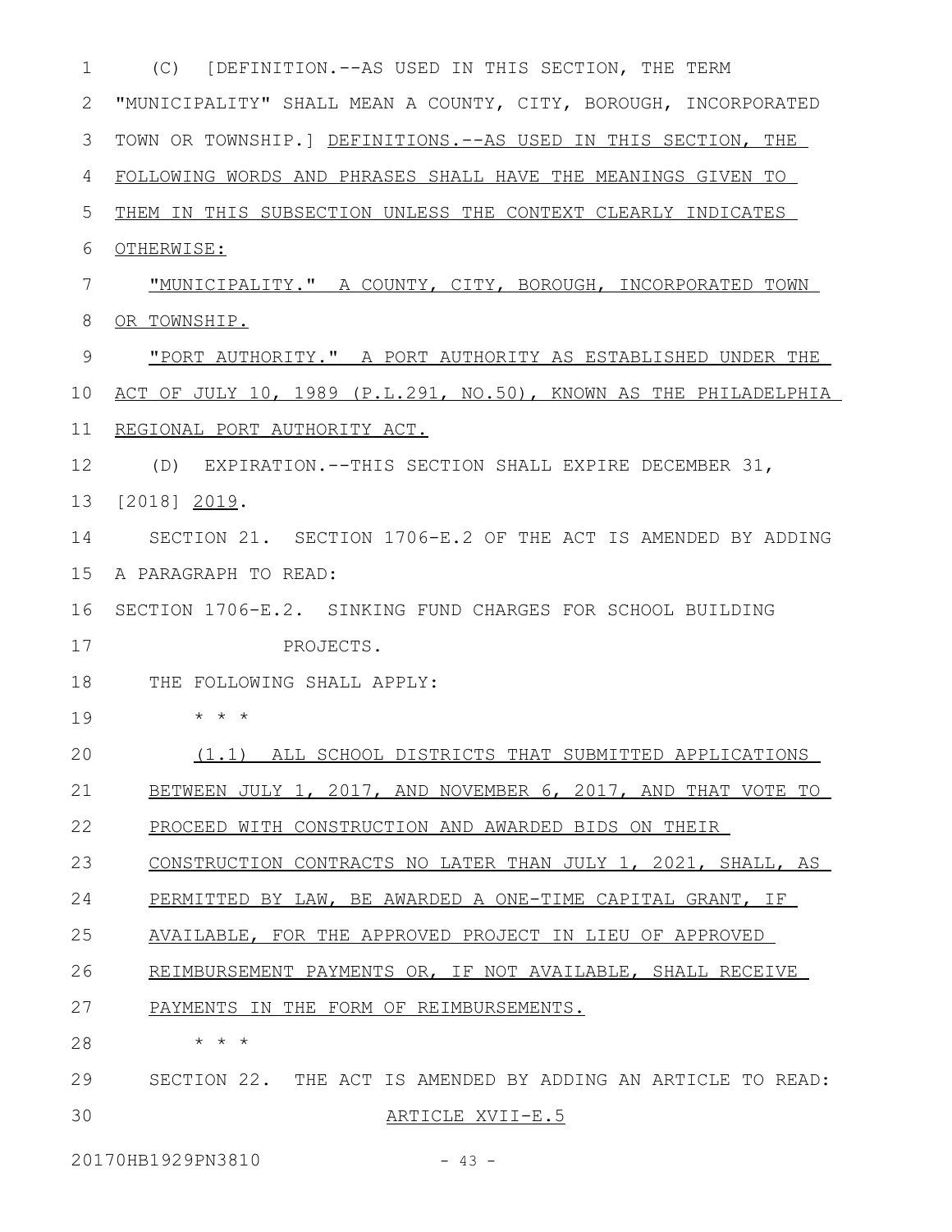| 1  | (C) [DEFINITION.--AS USED IN THIS SECTION, THE TERM                 |
|----|---------------------------------------------------------------------|
| 2  | "MUNICIPALITY" SHALL MEAN A COUNTY, CITY, BOROUGH, INCORPORATED     |
| 3  | TOWN OR TOWNSHIP.] DEFINITIONS. -- AS USED IN THIS SECTION, THE     |
| 4  | FOLLOWING WORDS AND PHRASES SHALL HAVE THE MEANINGS GIVEN TO        |
| 5  | THEM IN THIS SUBSECTION UNLESS THE CONTEXT CLEARLY INDICATES        |
| 6  | OTHERWISE:                                                          |
| 7  | "MUNICIPALITY." A COUNTY, CITY, BOROUGH, INCORPORATED TOWN          |
| 8  | OR TOWNSHIP.                                                        |
| 9  | <u> "PORT AUTHORITY." A PORT AUTHORITY AS ESTABLISHED UNDER THE</u> |
| 10 | ACT OF JULY 10, 1989 (P.L.291, NO.50), KNOWN AS THE PHILADELPHIA    |
| 11 | REGIONAL PORT AUTHORITY ACT.                                        |
| 12 | (D) EXPIRATION.--THIS SECTION SHALL EXPIRE DECEMBER 31,             |
| 13 | [2018] 2019.                                                        |
| 14 | SECTION 21. SECTION 1706-E.2 OF THE ACT IS AMENDED BY ADDING        |
| 15 | A PARAGRAPH TO READ:                                                |
| 16 | SECTION 1706-E.2. SINKING FUND CHARGES FOR SCHOOL BUILDING          |
| 17 | PROJECTS.                                                           |
| 18 | THE FOLLOWING SHALL APPLY:                                          |
| 19 | $\star$ $\star$ $\star$                                             |
| 20 | (1.1) ALL SCHOOL DISTRICTS THAT SUBMITTED APPLICATIONS              |
| 21 | BETWEEN JULY 1, 2017, AND NOVEMBER 6, 2017, AND THAT VOTE TO        |
| 22 | PROCEED WITH CONSTRUCTION AND AWARDED BIDS ON THEIR                 |
| 23 | CONSTRUCTION CONTRACTS NO LATER THAN JULY 1, 2021, SHALL, AS        |
| 24 | PERMITTED BY LAW, BE AWARDED A ONE-TIME CAPITAL GRANT, IF           |
| 25 | AVAILABLE, FOR THE APPROVED PROJECT IN LIEU OF APPROVED             |
| 26 | REIMBURSEMENT PAYMENTS OR, IF NOT AVAILABLE, SHALL RECEIVE          |
| 27 | PAYMENTS IN THE FORM OF REIMBURSEMENTS.                             |
| 28 | $\star$ $\star$ $\star$                                             |
| 29 | SECTION 22. THE ACT IS AMENDED BY ADDING AN ARTICLE TO READ:        |
| 30 | ARTICLE XVII-E.5                                                    |

20170HB1929PN3810 - 43 -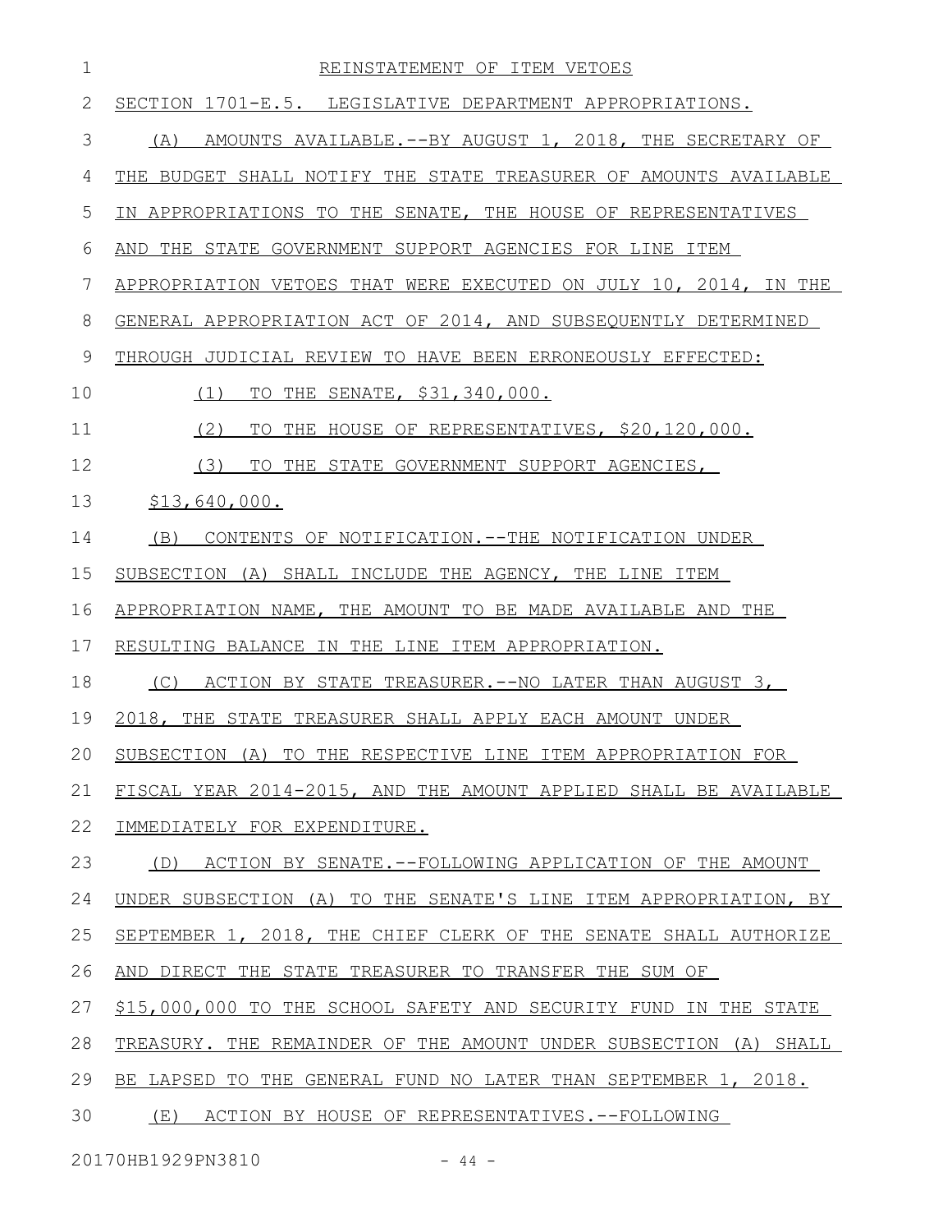| 1  | REINSTATEMENT OF ITEM VETOES                                           |
|----|------------------------------------------------------------------------|
| 2  | SECTION 1701-E.5. LEGISLATIVE DEPARTMENT APPROPRIATIONS.               |
| 3  | AMOUNTS AVAILABLE. -- BY AUGUST 1, 2018, THE SECRETARY OF<br>(A)       |
| 4  | THE BUDGET SHALL NOTIFY THE STATE TREASURER OF AMOUNTS AVAILABLE       |
| 5  | IN APPROPRIATIONS TO THE SENATE, THE HOUSE OF REPRESENTATIVES          |
| 6  | AND THE STATE GOVERNMENT SUPPORT AGENCIES FOR LINE ITEM                |
| 7  | APPROPRIATION VETOES THAT WERE EXECUTED ON JULY 10, 2014, IN THE       |
| 8  | GENERAL APPROPRIATION ACT OF 2014, AND SUBSEQUENTLY DETERMINED         |
| 9  | THROUGH JUDICIAL REVIEW TO HAVE BEEN ERRONEOUSLY EFFECTED:             |
| 10 | THE SENATE, \$31,340,000.<br>(1)<br>TO                                 |
| 11 | (2)<br>THE HOUSE OF REPRESENTATIVES, \$20,120,000.<br>TO               |
| 12 | (3)<br>TO<br>THE STATE GOVERNMENT SUPPORT AGENCIES,                    |
| 13 | \$13,640,000.                                                          |
| 14 | CONTENTS OF NOTIFICATION. -- THE NOTIFICATION UNDER<br>(B)             |
| 15 | SUBSECTION (A) SHALL INCLUDE THE AGENCY, THE LINE ITEM                 |
| 16 | APPROPRIATION NAME, THE AMOUNT TO BE MADE AVAILABLE AND THE            |
| 17 | RESULTING BALANCE IN THE LINE ITEM APPROPRIATION.                      |
| 18 | ACTION BY STATE TREASURER. -- NO LATER THAN AUGUST 3,<br>(C)           |
| 19 | 2018, THE STATE TREASURER SHALL APPLY EACH AMOUNT UNDER                |
| 20 | SUBSECTION (A) TO THE RESPECTIVE LINE ITEM APPROPRIATION FOR           |
| 21 | FISCAL YEAR 2014-2015, AND THE AMOUNT APPLIED SHALL BE AVAILABLE       |
| 22 | IMMEDIATELY FOR EXPENDITURE.                                           |
| 23 | ACTION BY SENATE.--FOLLOWING APPLICATION OF THE AMOUNT<br>(D)          |
| 24 | UNDER SUBSECTION (A) TO THE SENATE'S LINE ITEM APPROPRIATION, BY       |
| 25 | SEPTEMBER 1, 2018, THE CHIEF CLERK OF THE SENATE SHALL AUTHORIZE       |
| 26 | AND DIRECT THE STATE TREASURER TO TRANSFER THE SUM OF                  |
| 27 | \$15,000,000 TO THE SCHOOL SAFETY AND SECURITY FUND<br>IN THE STATE    |
| 28 | TREASURY. THE REMAINDER OF THE AMOUNT UNDER SUBSECTION<br>(A)<br>SHALL |
| 29 | THE GENERAL FUND NO LATER THAN SEPTEMBER 1, 2018.<br>BE LAPSED TO      |
| 30 | (E)<br>ACTION BY HOUSE OF REPRESENTATIVES.--FOLLOWING                  |
|    |                                                                        |

20170HB1929PN3810 - 44 -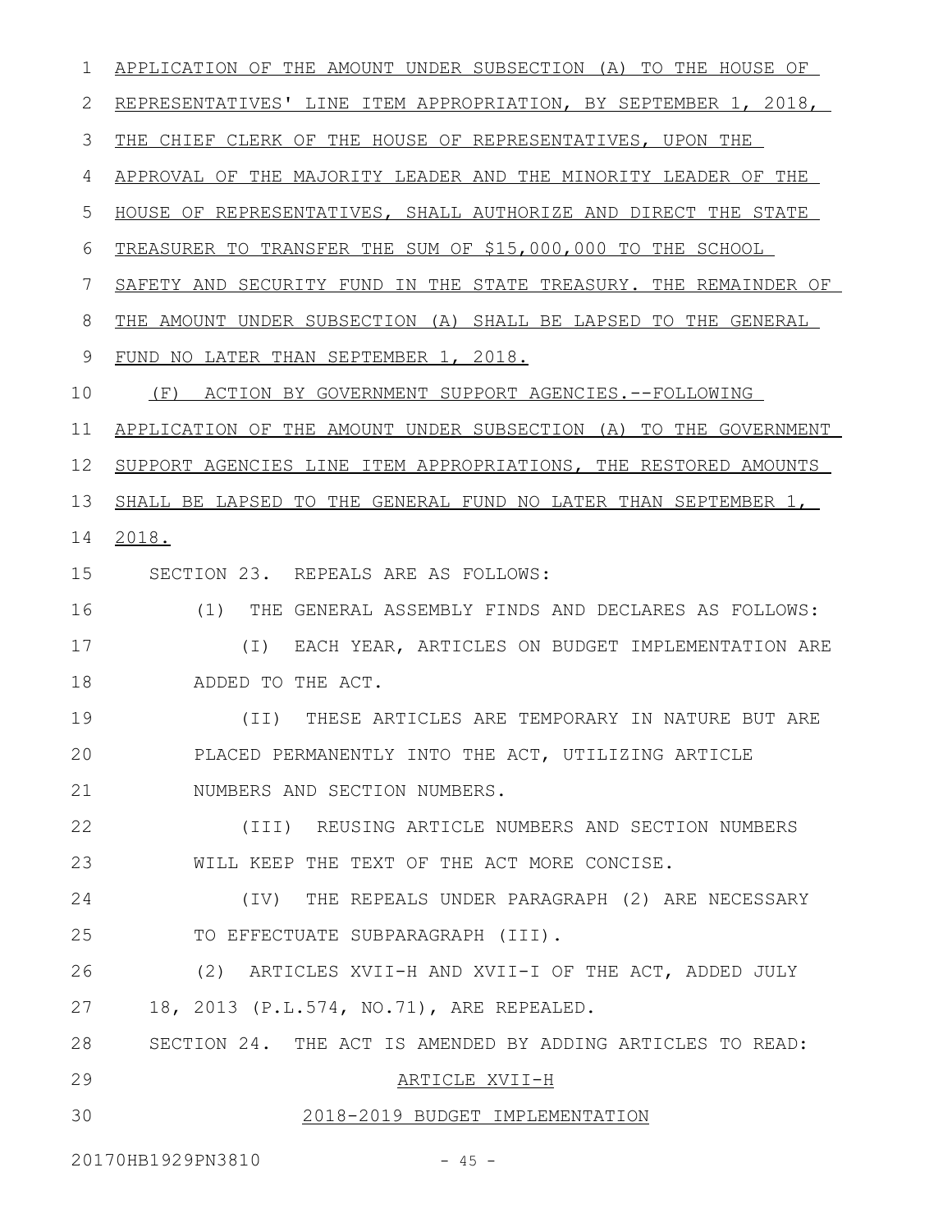APPLICATION OF THE AMOUNT UNDER SUBSECTION (A) TO THE HOUSE OF 2 REPRESENTATIVES' LINE ITEM APPROPRIATION, BY SEPTEMBER 1, 2018, THE CHIEF CLERK OF THE HOUSE OF REPRESENTATIVES, UPON THE APPROVAL OF THE MAJORITY LEADER AND THE MINORITY LEADER OF THE HOUSE OF REPRESENTATIVES, SHALL AUTHORIZE AND DIRECT THE STATE TREASURER TO TRANSFER THE SUM OF \$15,000,000 TO THE SCHOOL SAFETY AND SECURITY FUND IN THE STATE TREASURY. THE REMAINDER OF THE AMOUNT UNDER SUBSECTION (A) SHALL BE LAPSED TO THE GENERAL FUND NO LATER THAN SEPTEMBER 1, 2018. (F) ACTION BY GOVERNMENT SUPPORT AGENCIES.--FOLLOWING APPLICATION OF THE AMOUNT UNDER SUBSECTION (A) TO THE GOVERNMENT SUPPORT AGENCIES LINE ITEM APPROPRIATIONS, THE RESTORED AMOUNTS SHALL BE LAPSED TO THE GENERAL FUND NO LATER THAN SEPTEMBER 1, 14 2018. SECTION 23. REPEALS ARE AS FOLLOWS: (1) THE GENERAL ASSEMBLY FINDS AND DECLARES AS FOLLOWS: (I) EACH YEAR, ARTICLES ON BUDGET IMPLEMENTATION ARE ADDED TO THE ACT. (II) THESE ARTICLES ARE TEMPORARY IN NATURE BUT ARE PLACED PERMANENTLY INTO THE ACT, UTILIZING ARTICLE NUMBERS AND SECTION NUMBERS. (III) REUSING ARTICLE NUMBERS AND SECTION NUMBERS WILL KEEP THE TEXT OF THE ACT MORE CONCISE. (IV) THE REPEALS UNDER PARAGRAPH (2) ARE NECESSARY TO EFFECTUATE SUBPARAGRAPH (III). (2) ARTICLES XVII-H AND XVII-I OF THE ACT, ADDED JULY 18, 2013 (P.L.574, NO.71), ARE REPEALED. SECTION 24. THE ACT IS AMENDED BY ADDING ARTICLES TO READ: ARTICLE XVII-H 2018-2019 BUDGET IMPLEMENTATION 20170HB1929PN3810 - 45 -1 3 4 5 6 7 8 9 10 11 12 13 15 16 17 18 19 20 21 22 23 24 25 26 27 28 29 30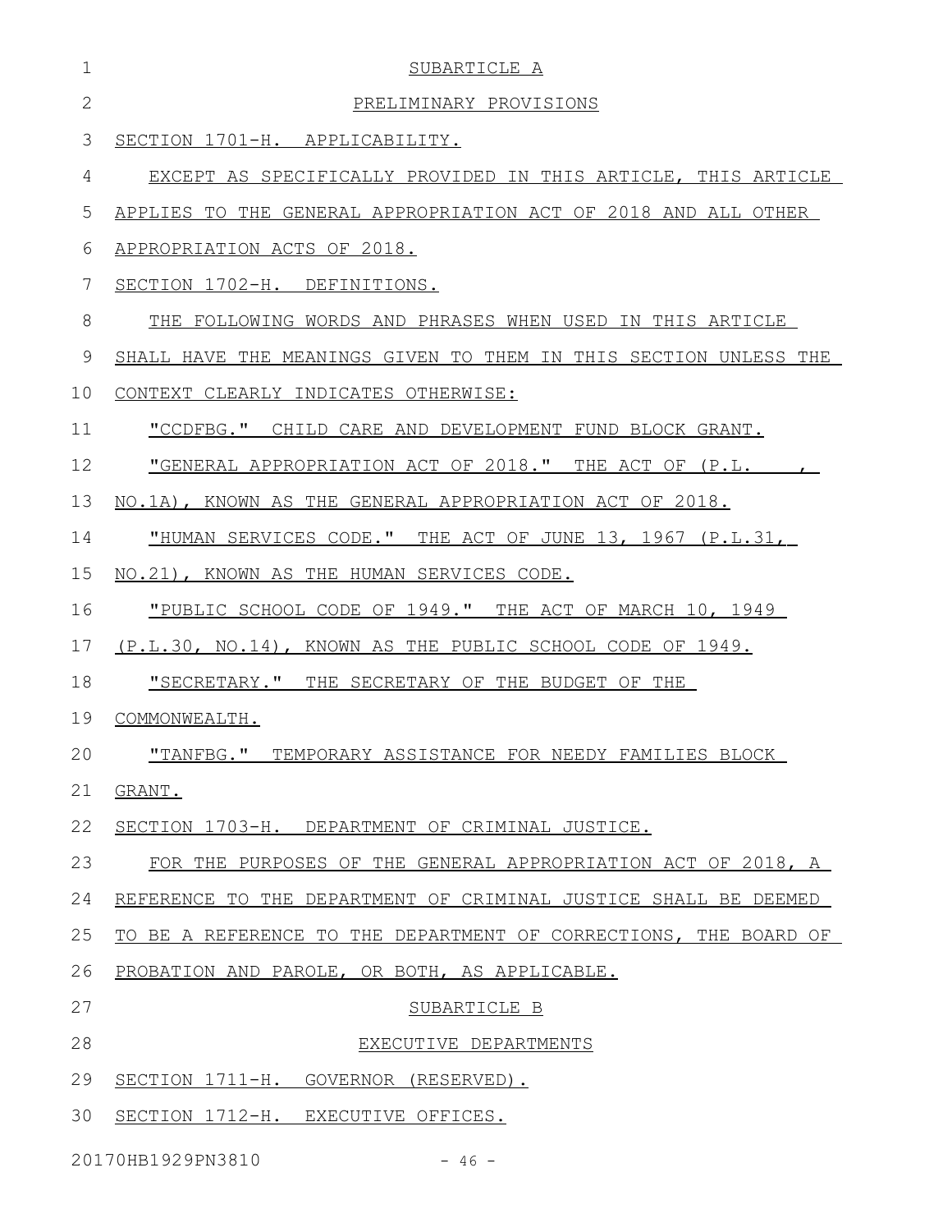| $\mathbf 1$    | SUBARTICLE A                                                     |
|----------------|------------------------------------------------------------------|
| $\overline{2}$ | PRELIMINARY PROVISIONS                                           |
| 3              | SECTION 1701-H. APPLICABILITY.                                   |
| 4              | EXCEPT AS SPECIFICALLY PROVIDED IN THIS ARTICLE, THIS ARTICLE    |
| 5              | APPLIES TO THE GENERAL APPROPRIATION ACT OF 2018 AND ALL OTHER   |
| 6              | APPROPRIATION ACTS OF 2018.                                      |
| 7              | SECTION 1702-H. DEFINITIONS.                                     |
| 8              | THE FOLLOWING WORDS AND PHRASES WHEN USED IN THIS ARTICLE        |
| 9              | SHALL HAVE THE MEANINGS GIVEN TO THEM IN THIS SECTION UNLESS THE |
| 10             | CONTEXT CLEARLY INDICATES OTHERWISE:                             |
| 11             | "CCDFBG." CHILD CARE AND DEVELOPMENT FUND BLOCK GRANT.           |
| 12             | "GENERAL APPROPRIATION ACT OF 2018." THE ACT OF (P.L.            |
| 13             | NO.1A), KNOWN AS THE GENERAL APPROPRIATION ACT OF 2018.          |
| 14             | "HUMAN SERVICES CODE." THE ACT OF JUNE 13, 1967 (P.L.31,         |
| 15             | NO.21), KNOWN AS THE HUMAN SERVICES CODE.                        |
| 16             | "PUBLIC SCHOOL CODE OF 1949." THE ACT OF MARCH 10, 1949          |
| 17             | (P.L.30, NO.14), KNOWN AS THE PUBLIC SCHOOL CODE OF 1949.        |
| 18             | <u> "SECRETARY."</u> THE SECRETARY OF THE BUDGET OF THE          |
| 19             | COMMONWEALTH.                                                    |
| 20             | "TANFBG." TEMPORARY ASSISTANCE FOR NEEDY FAMILIES BLOCK          |
| 21             | GRANT.                                                           |
| 22             | SECTION 1703-H. DEPARTMENT OF CRIMINAL JUSTICE.                  |
| 23             | FOR THE PURPOSES OF THE GENERAL APPROPRIATION ACT OF 2018, A     |
| 24             | REFERENCE TO THE DEPARTMENT OF CRIMINAL JUSTICE SHALL BE DEEMED  |
| 25             | TO BE A REFERENCE TO THE DEPARTMENT OF CORRECTIONS, THE BOARD OF |
| 26             | PROBATION AND PAROLE, OR BOTH, AS APPLICABLE.                    |
| 27             | SUBARTICLE B                                                     |
| 28             | EXECUTIVE DEPARTMENTS                                            |
| 29             | SECTION 1711-H. GOVERNOR (RESERVED).                             |
| 30             | SECTION 1712-H. EXECUTIVE OFFICES.                               |
|                | 20170HB1929PN3810<br>$-46 -$                                     |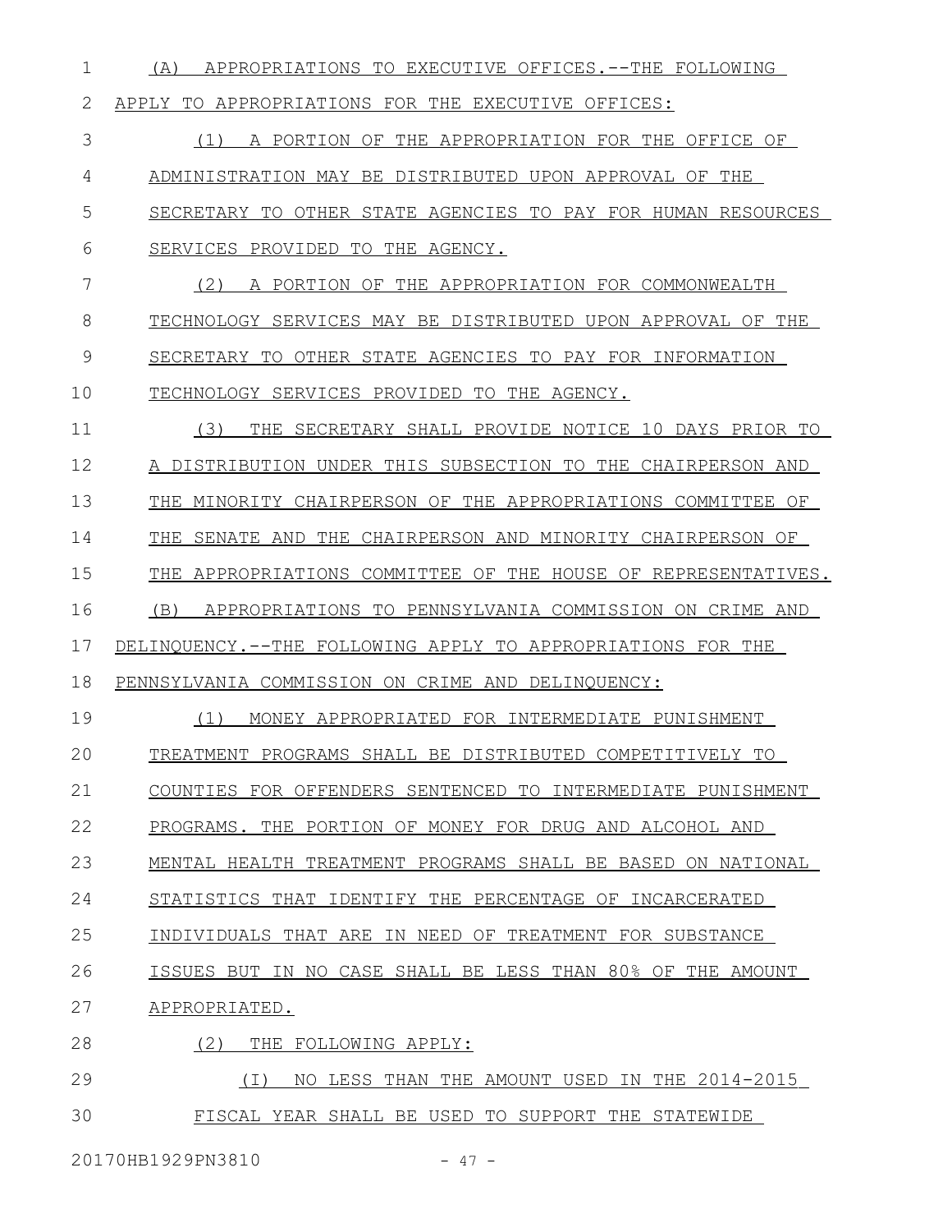(A) APPROPRIATIONS TO EXECUTIVE OFFICES.--THE FOLLOWING APPLY TO APPROPRIATIONS FOR THE EXECUTIVE OFFICES: (1) A PORTION OF THE APPROPRIATION FOR THE OFFICE OF ADMINISTRATION MAY BE DISTRIBUTED UPON APPROVAL OF THE SECRETARY TO OTHER STATE AGENCIES TO PAY FOR HUMAN RESOURCES SERVICES PROVIDED TO THE AGENCY. (2) A PORTION OF THE APPROPRIATION FOR COMMONWEALTH TECHNOLOGY SERVICES MAY BE DISTRIBUTED UPON APPROVAL OF THE SECRETARY TO OTHER STATE AGENCIES TO PAY FOR INFORMATION TECHNOLOGY SERVICES PROVIDED TO THE AGENCY. (3) THE SECRETARY SHALL PROVIDE NOTICE 10 DAYS PRIOR TO A DISTRIBUTION UNDER THIS SUBSECTION TO THE CHAIRPERSON AND THE MINORITY CHAIRPERSON OF THE APPROPRIATIONS COMMITTEE OF THE SENATE AND THE CHAIRPERSON AND MINORITY CHAIRPERSON OF THE APPROPRIATIONS COMMITTEE OF THE HOUSE OF REPRESENTATIVES. (B) APPROPRIATIONS TO PENNSYLVANIA COMMISSION ON CRIME AND DELINQUENCY.--THE FOLLOWING APPLY TO APPROPRIATIONS FOR THE PENNSYLVANIA COMMISSION ON CRIME AND DELINQUENCY: (1) MONEY APPROPRIATED FOR INTERMEDIATE PUNISHMENT TREATMENT PROGRAMS SHALL BE DISTRIBUTED COMPETITIVELY TO COUNTIES FOR OFFENDERS SENTENCED TO INTERMEDIATE PUNISHMENT PROGRAMS. THE PORTION OF MONEY FOR DRUG AND ALCOHOL AND MENTAL HEALTH TREATMENT PROGRAMS SHALL BE BASED ON NATIONAL STATISTICS THAT IDENTIFY THE PERCENTAGE OF INCARCERATED INDIVIDUALS THAT ARE IN NEED OF TREATMENT FOR SUBSTANCE ISSUES BUT IN NO CASE SHALL BE LESS THAN 80% OF THE AMOUNT APPROPRIATED. (2) THE FOLLOWING APPLY: (I) NO LESS THAN THE AMOUNT USED IN THE 2014-2015 FISCAL YEAR SHALL BE USED TO SUPPORT THE STATEWIDE 1 2 3 4 5 6 7 8 9 10 11 12 13 14 15 16 17 18 19 20 21 22 23 24 25 26 27 28 29 30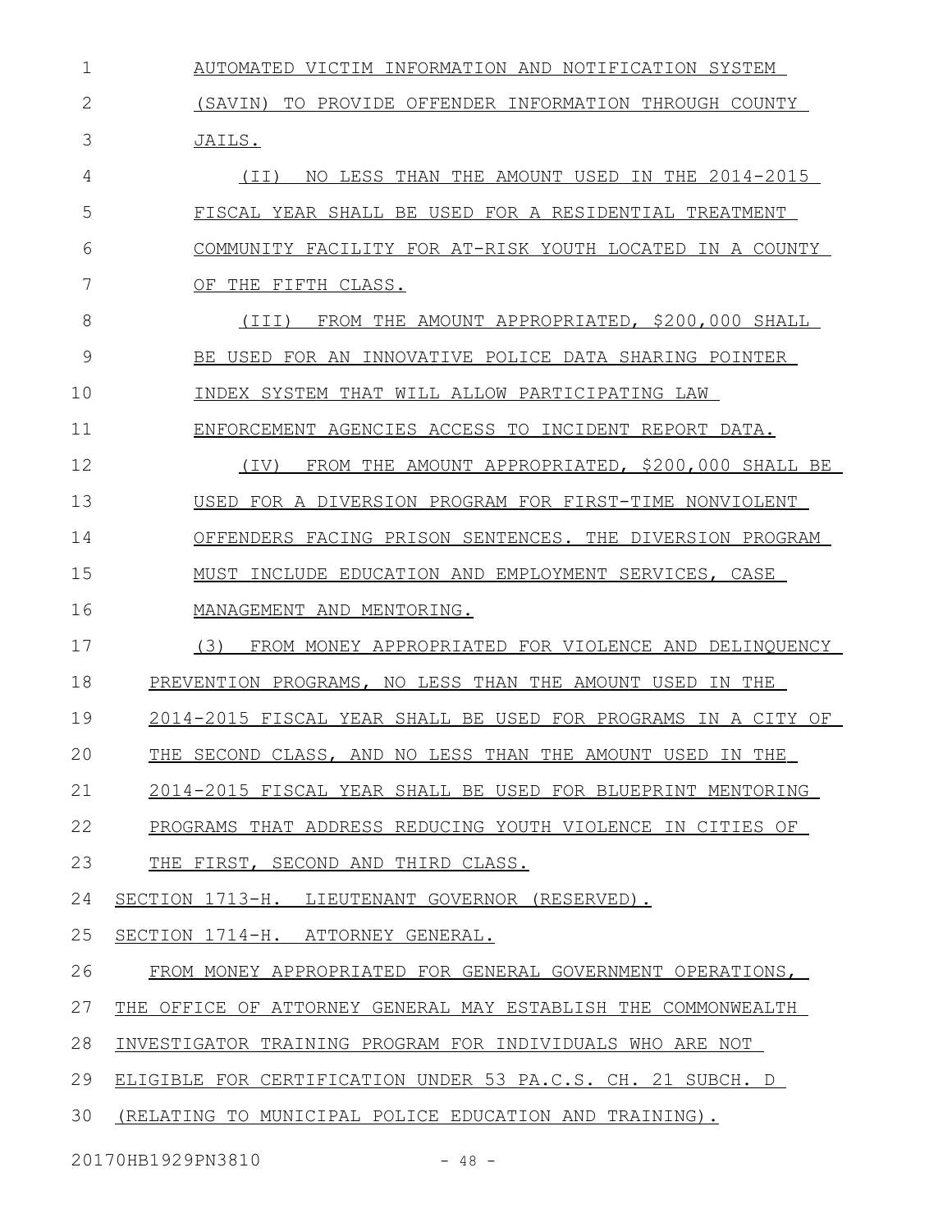AUTOMATED VICTIM INFORMATION AND NOTIFICATION SYSTEM (SAVIN) TO PROVIDE OFFENDER INFORMATION THROUGH COUNTY JAILS. (II) NO LESS THAN THE AMOUNT USED IN THE 2014-2015 FISCAL YEAR SHALL BE USED FOR A RESIDENTIAL TREATMENT COMMUNITY FACILITY FOR AT-RISK YOUTH LOCATED IN A COUNTY OF THE FIFTH CLASS. (III) FROM THE AMOUNT APPROPRIATED, \$200,000 SHALL BE USED FOR AN INNOVATIVE POLICE DATA SHARING POINTER INDEX SYSTEM THAT WILL ALLOW PARTICIPATING LAW ENFORCEMENT AGENCIES ACCESS TO INCIDENT REPORT DATA. (IV) FROM THE AMOUNT APPROPRIATED, \$200,000 SHALL BE USED FOR A DIVERSION PROGRAM FOR FIRST-TIME NONVIOLENT OFFENDERS FACING PRISON SENTENCES. THE DIVERSION PROGRAM MUST INCLUDE EDUCATION AND EMPLOYMENT SERVICES, CASE MANAGEMENT AND MENTORING. (3) FROM MONEY APPROPRIATED FOR VIOLENCE AND DELINQUENCY PREVENTION PROGRAMS, NO LESS THAN THE AMOUNT USED IN THE 2014-2015 FISCAL YEAR SHALL BE USED FOR PROGRAMS IN A CITY OF THE SECOND CLASS, AND NO LESS THAN THE AMOUNT USED IN THE 2014- 2015 FISCAL YEAR SHALL BE USED FOR BLUEPRINT MENTORING PROGRAMS THAT ADDRESS REDUCING YOUTH VIOLENCE IN CITIES OF THE FIRST, SECOND AND THIRD CLASS. SECTION 1713-H. LIEUTENANT GOVERNOR (RESERVED). SECTION 1714-H. ATTORNEY GENERAL. FROM MONEY APPROPRIATED FOR GENERAL GOVERNMENT OPERATIONS, THE OFFICE OF ATTORNEY GENERAL MAY ESTABLISH THE COMMONWEALTH INVESTIGATOR TRAINING PROGRAM FOR INDIVIDUALS WHO ARE NOT ELIGIBLE FOR CERTIFICATION UNDER 53 PA.C.S. CH. 21 SUBCH. D (RELATING TO MUNICIPAL POLICE EDUCATION AND TRAINING). 1 2 3 4 5 6 7 8 9 10 11 12 13 14 15 16 17 18 19 20 21 22 23 24 25 26 27 28 29 30

20170HB1929PN3810 - 48 -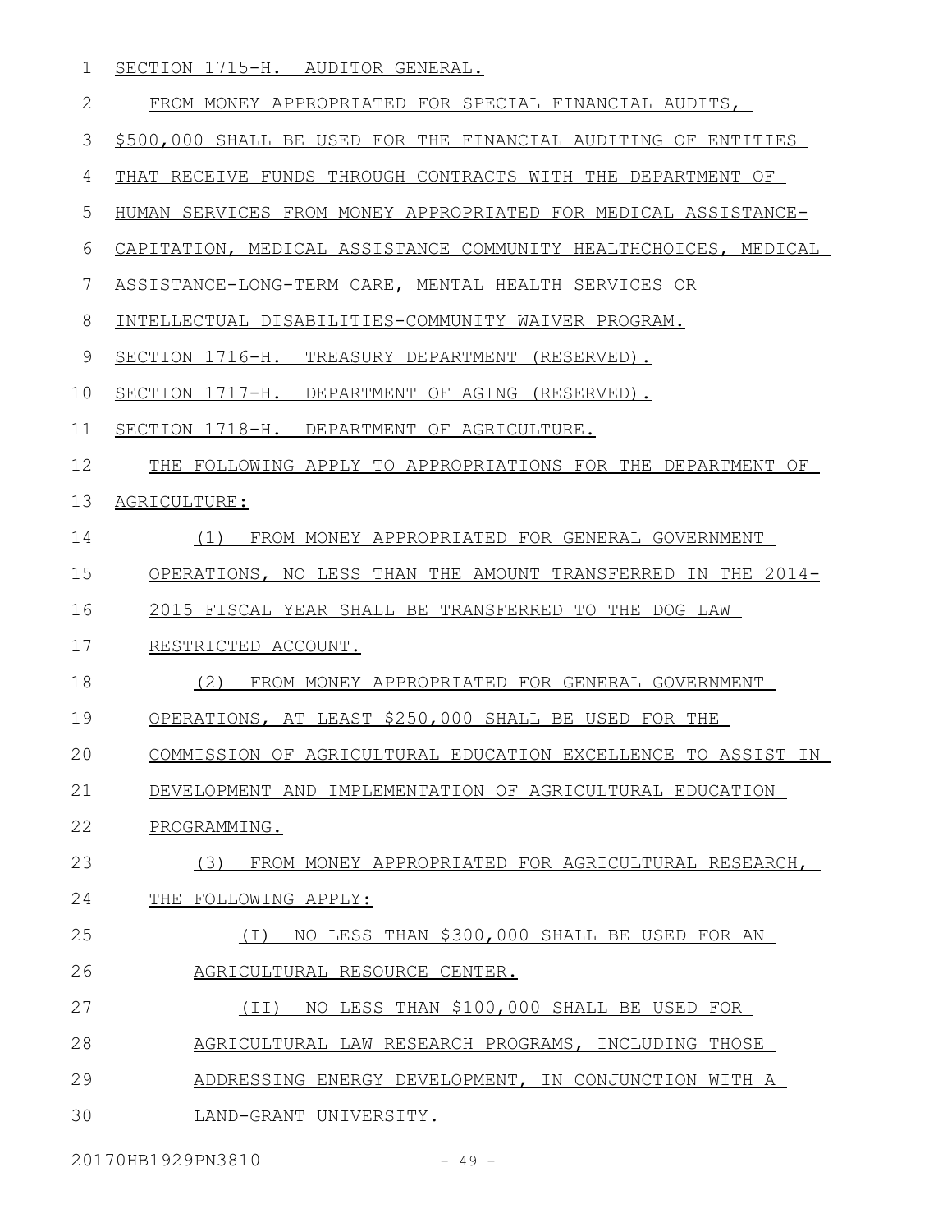SECTION 1715-H. AUDITOR GENERAL. 1

| FROM | MONEY APPROPRIATED FOR SPECIAL FINANCIAL AUDITS, |  |  |  |
|------|--------------------------------------------------|--|--|--|
|      |                                                  |  |  |  |

\$500,000 SHALL BE USED FOR THE FINANCIAL AUDITING OF ENTITIES 3

THAT RECEIVE FUNDS THROUGH CONTRACTS WITH THE DEPARTMENT OF 4

HUMAN SERVICES FROM MONEY APPROPRIATED FOR MEDICAL ASSISTANCE-5

CAPITATION, MEDICAL ASSISTANCE COMMUNITY HEALTHCHOICES, MEDICAL 6

ASSISTANCE-LONG-TERM CARE, MENTAL HEALTH SERVICES OR 7

INTELLECTUAL DISABILITIES-COMMUNITY WAIVER PROGRAM. 8

 SECTION 1716-H. TREASURY DEPARTMENT (RESERVED). 9

SECTION 1717-H. DEPARTMENT OF AGING (RESERVED). 10

 SECTION 1718-H. DEPARTMENT OF AGRICULTURE. 11

THE FOLLOWING APPLY TO APPROPRIATIONS FOR THE DEPARTMENT OF 12

## AGRICULTURE: 13

 (1) FROM MONEY APPROPRIATED FOR GENERAL GOVERNMENT 14

OPERATIONS, NO LESS THAN THE AMOUNT TRANSFERRED IN THE 2014- 15

2015 FISCAL YEAR SHALL BE TRANSFERRED TO THE DOG LAW 16

## RESTRICTED ACCOUNT. 17

(2) FROM MONEY APPROPRIATED FOR GENERAL GOVERNMENT 18

OPERATIONS, AT LEAST \$250,000 SHALL BE USED FOR THE 19

COMMISSION OF AGRICULTURAL EDUCATION EXCELLENCE TO ASSIST IN 20

DEVELOPMENT AND IMPLEMENTATION OF AGRICULTURAL EDUCATION 21

PROGRAMMING. 22

 (3) FROM MONEY APPROPRIATED FOR AGRICULTURAL RESEARCH, 23

## THE FOLLOWING APPLY: 24

## (I) NO LESS THAN \$300,000 SHALL BE USED FOR AN AGRICULTURAL RESOURCE CENTER. 25 26

(II) NO LESS THAN \$100,000 SHALL BE USED FOR 27

- AGRICULTURAL LAW RESEARCH PROGRAMS, INCLUDING THOSE 28
- ADDRESSING ENERGY DEVELOPMENT, IN CONJUNCTION WITH A 29
- LAND-GRANT UNIVERSITY. 30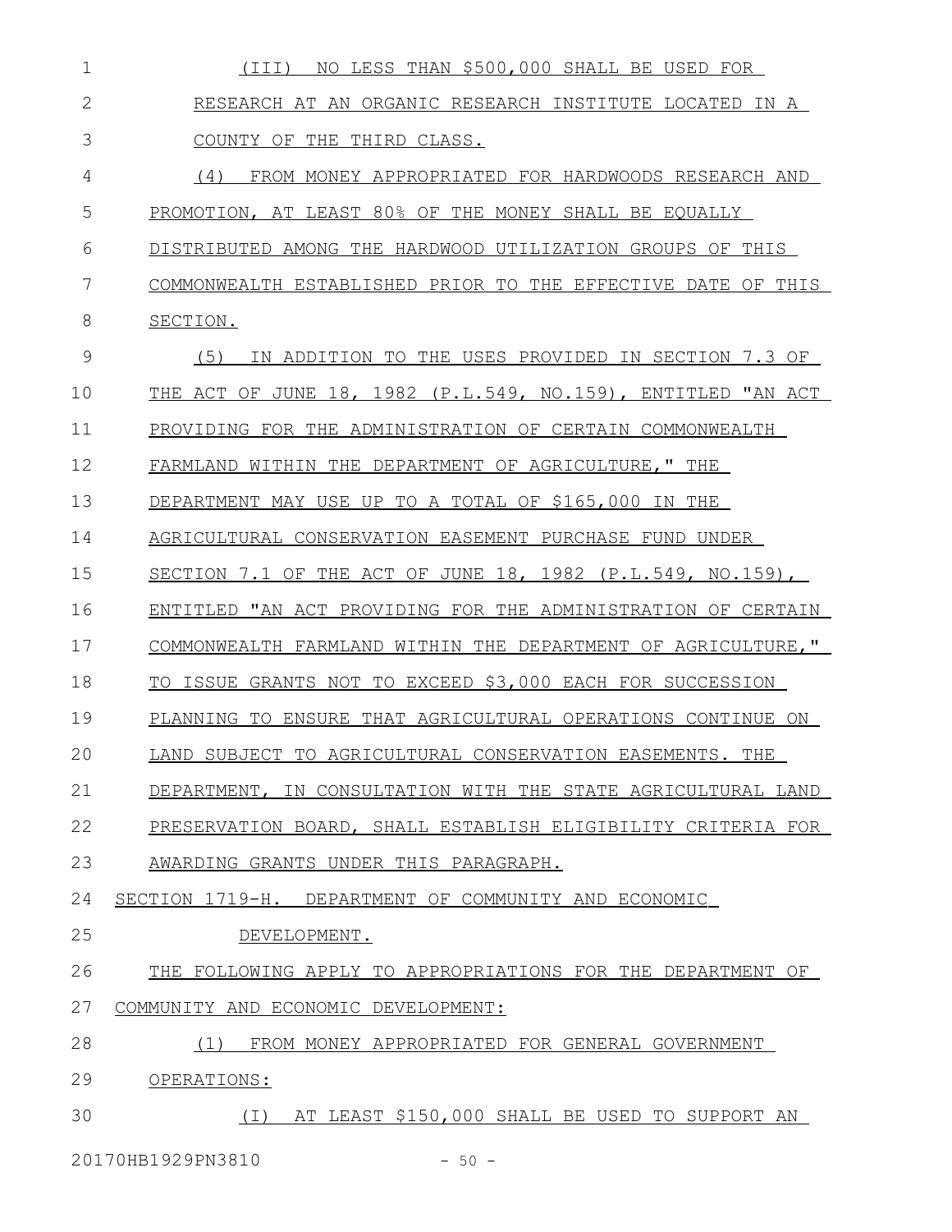| 1              | NO LESS THAN \$500,000 SHALL BE USED FOR<br>(III)             |
|----------------|---------------------------------------------------------------|
| $\overline{2}$ | RESEARCH AT AN ORGANIC RESEARCH INSTITUTE LOCATED IN A        |
| 3              | COUNTY OF THE THIRD CLASS.                                    |
| 4              | (4)<br>FROM MONEY APPROPRIATED FOR HARDWOODS RESEARCH AND     |
| 5              | PROMOTION, AT LEAST 80% OF THE MONEY SHALL BE EQUALLY         |
| 6              | DISTRIBUTED AMONG THE HARDWOOD UTILIZATION GROUPS OF THIS     |
| 7              | COMMONWEALTH ESTABLISHED PRIOR TO THE EFFECTIVE DATE OF THIS  |
| 8              | SECTION.                                                      |
| 9              | IN ADDITION TO THE USES PROVIDED IN SECTION 7.3 OF<br>(5)     |
| 10             | THE ACT OF JUNE 18, 1982 (P.L.549, NO.159), ENTITLED "AN ACT  |
| 11             | PROVIDING FOR THE ADMINISTRATION OF CERTAIN COMMONWEALTH      |
| 12             | FARMLAND WITHIN THE DEPARTMENT OF AGRICULTURE," THE           |
| 13             | DEPARTMENT MAY USE UP TO A TOTAL OF \$165,000 IN THE          |
| 14             | AGRICULTURAL CONSERVATION EASEMENT PURCHASE FUND UNDER        |
| 15             | SECTION 7.1 OF THE ACT OF JUNE 18, 1982 $(P.L.549, NO.159)$ , |
| 16             | ENTITLED "AN ACT PROVIDING FOR THE ADMINISTRATION OF CERTAIN  |
| 17             | COMMONWEALTH FARMLAND WITHIN THE DEPARTMENT OF AGRICULTURE, " |
| 18             | TO ISSUE GRANTS NOT TO EXCEED \$3,000 EACH FOR SUCCESSION     |
| 19             | PLANNING TO ENSURE THAT AGRICULTURAL OPERATIONS CONTINUE ON   |
| 20             | LAND SUBJECT TO AGRICULTURAL CONSERVATION EASEMENTS. THE      |
| 21             | DEPARTMENT, IN CONSULTATION WITH THE STATE AGRICULTURAL LAND  |
| 22             | PRESERVATION BOARD, SHALL ESTABLISH ELIGIBILITY CRITERIA FOR  |
| 23             | AWARDING GRANTS UNDER THIS PARAGRAPH.                         |
| 24             | SECTION 1719-H. DEPARTMENT OF COMMUNITY AND ECONOMIC          |
| 25             | DEVELOPMENT.                                                  |
| 26             | THE FOLLOWING APPLY TO APPROPRIATIONS FOR THE DEPARTMENT OF   |
| 27             | COMMUNITY AND ECONOMIC DEVELOPMENT:                           |
| 28             | FROM MONEY APPROPRIATED FOR GENERAL GOVERNMENT<br>(1)         |
| 29             | OPERATIONS:                                                   |
| 30             | (I) AT LEAST \$150,000 SHALL BE USED TO SUPPORT AN            |
|                |                                                               |

20170HB1929PN3810 - 50 -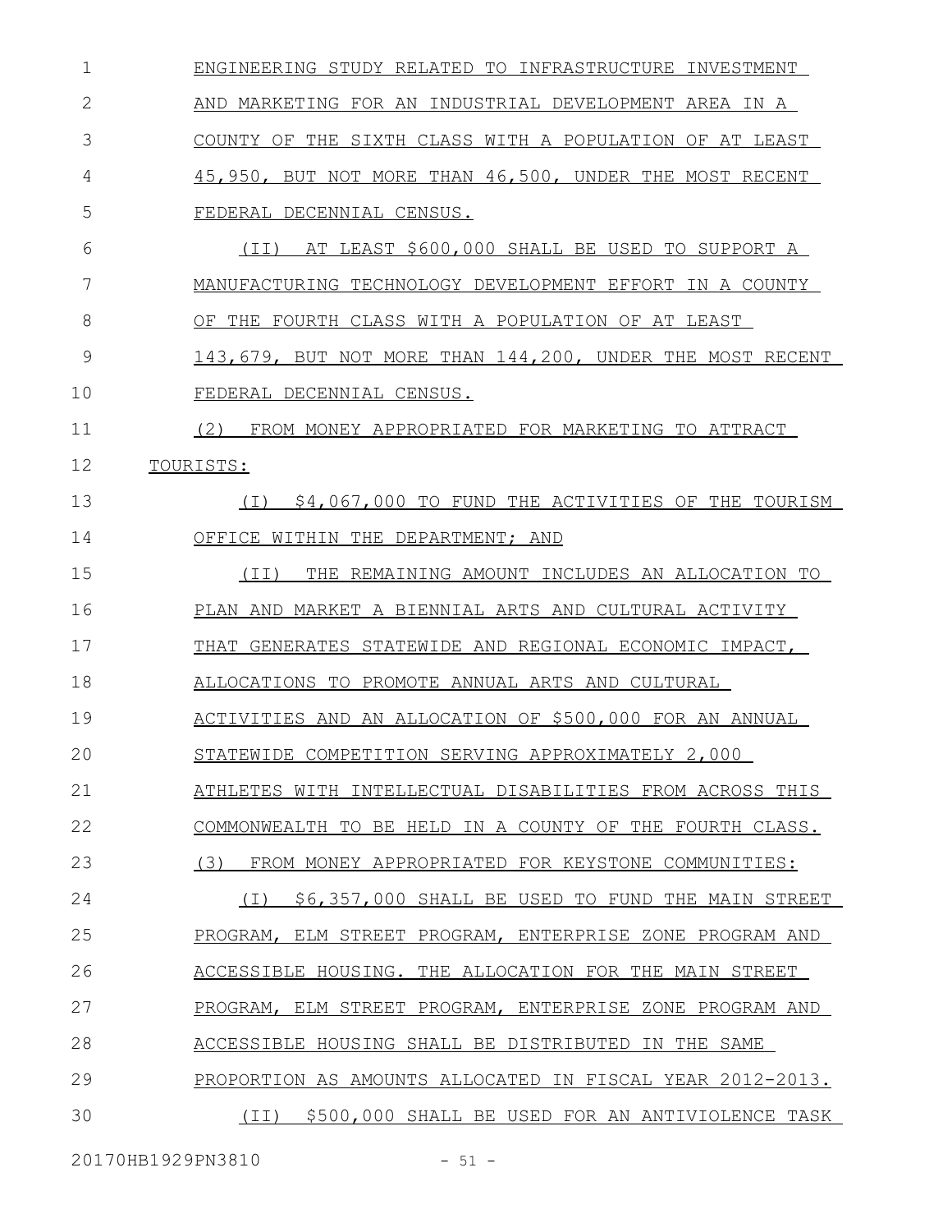| $\mathbf 1$ | ENGINEERING STUDY RELATED TO INFRASTRUCTURE INVESTMENT     |
|-------------|------------------------------------------------------------|
| 2           | AND MARKETING FOR AN INDUSTRIAL DEVELOPMENT AREA IN A      |
| 3           | COUNTY OF THE SIXTH CLASS WITH A POPULATION OF AT LEAST    |
| 4           | 45,950, BUT NOT MORE THAN 46,500, UNDER THE MOST RECENT    |
| 5           | FEDERAL DECENNIAL CENSUS.                                  |
| 6           | AT LEAST \$600,000 SHALL BE USED TO SUPPORT A<br>(TI)      |
| 7           | MANUFACTURING TECHNOLOGY DEVELOPMENT EFFORT IN A COUNTY    |
| 8           | OF THE FOURTH CLASS WITH A POPULATION OF AT LEAST          |
| 9           | 143,679, BUT NOT MORE THAN 144,200, UNDER THE MOST RECENT  |
| 10          | FEDERAL DECENNIAL CENSUS.                                  |
| 11          | (2)<br>FROM MONEY APPROPRIATED FOR MARKETING TO ATTRACT    |
| 12          | TOURISTS:                                                  |
| 13          | \$4,067,000 TO FUND THE ACTIVITIES OF THE TOURISM<br>( I ) |
| 14          | OFFICE WITHIN THE DEPARTMENT; AND                          |
| 15          | REMAINING AMOUNT INCLUDES AN ALLOCATION TO<br>(TI)<br>THE  |
| 16          | MARKET A BIENNIAL ARTS AND CULTURAL ACTIVITY<br>PLAN AND   |
| 17          | GENERATES STATEWIDE AND REGIONAL ECONOMIC IMPACT,<br>THAT  |
| 18          | ALLOCATIONS TO PROMOTE ANNUAL ARTS AND CULTURAL            |
| 19          | ACTIVITIES AND AN ALLOCATION OF \$500,000 FOR AN ANNUAL    |
| 20          | STATEWIDE COMPETITION SERVING APPROXIMATELY 2,000          |
| 21          | ATHLETES WITH INTELLECTUAL DISABILITIES FROM ACROSS THIS   |
| 22          | COMMONWEALTH TO BE HELD IN A COUNTY OF THE FOURTH CLASS.   |
| 23          | (3)<br>FROM MONEY APPROPRIATED FOR KEYSTONE COMMUNITIES:   |
| 24          | \$6,357,000 SHALL BE USED TO FUND THE MAIN STREET<br>( I ) |
| 25          | PROGRAM, ELM STREET PROGRAM, ENTERPRISE ZONE PROGRAM AND   |
| 26          | ACCESSIBLE HOUSING. THE ALLOCATION FOR THE MAIN STREET     |
| 27          | PROGRAM, ELM STREET PROGRAM, ENTERPRISE ZONE PROGRAM AND   |
| 28          | ACCESSIBLE HOUSING SHALL BE DISTRIBUTED IN THE SAME        |
| 29          | PROPORTION AS AMOUNTS ALLOCATED IN FISCAL YEAR 2012-2013.  |
| 30          | (II) \$500,000 SHALL BE USED FOR AN ANTIVIOLENCE TASK      |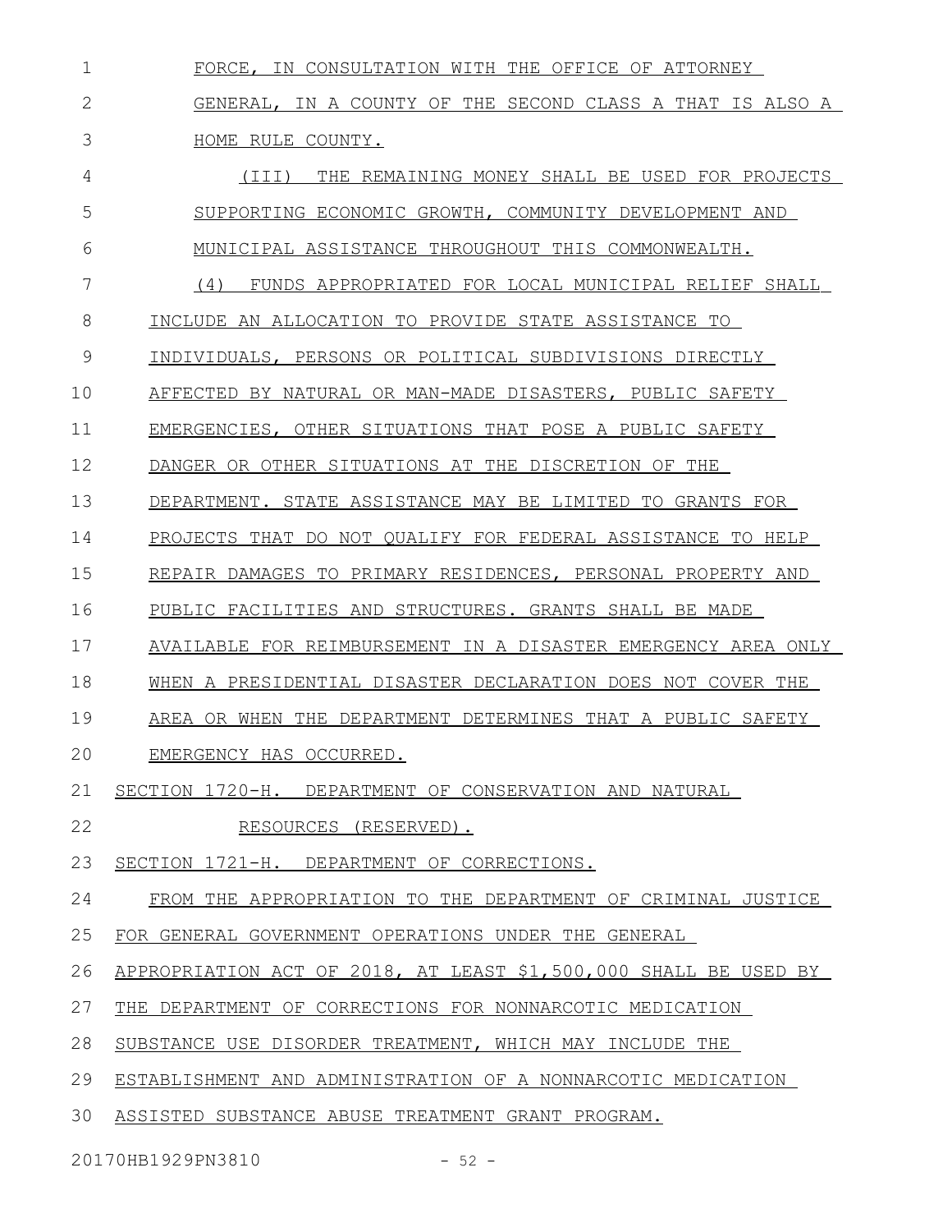FORCE, IN CONSULTATION WITH THE OFFICE OF ATTORNEY GENERAL, IN A COUNTY OF THE SECOND CLASS A THAT IS ALSO A HOME RULE COUNTY. (III) THE REMAINING MONEY SHALL BE USED FOR PROJECTS SUPPORTING ECONOMIC GROWTH, COMMUNITY DEVELOPMENT AND MUNICIPAL ASSISTANCE THROUGHOUT THIS COMMONWEALTH. (4) FUNDS APPROPRIATED FOR LOCAL MUNICIPAL RELIEF SHALL INCLUDE AN ALLOCATION TO PROVIDE STATE ASSISTANCE TO INDIVIDUALS, PERSONS OR POLITICAL SUBDIVISIONS DIRECTLY AFFECTED BY NATURAL OR MAN-MADE DISASTERS, PUBLIC SAFETY EMERGENCIES, OTHER SITUATIONS THAT POSE A PUBLIC SAFETY DANGER OR OTHER SITUATIONS AT THE DISCRETION OF THE DEPARTMENT. STATE ASSISTANCE MAY BE LIMITED TO GRANTS FOR PROJECTS THAT DO NOT QUALIFY FOR FEDERAL ASSISTANCE TO HELP REPAIR DAMAGES TO PRIMARY RESIDENCES, PERSONAL PROPERTY AND PUBLIC FACILITIES AND STRUCTURES. GRANTS SHALL BE MADE AVAILABLE FOR REIMBURSEMENT IN A DISASTER EMERGENCY AREA ONLY WHEN A PRESIDENTIAL DISASTER DECLARATION DOES NOT COVER THE AREA OR WHEN THE DEPARTMENT DETERMINES THAT A PUBLIC SAFETY EMERGENCY HAS OCCURRED. SECTION 1720-H. DEPARTMENT OF CONSERVATION AND NATURAL RESOURCES (RESERVED). SECTION 1721-H. DEPARTMENT OF CORRECTIONS. FROM THE APPROPRIATION TO THE DEPARTMENT OF CRIMINAL JUSTICE FOR GENERAL GOVERNMENT OPERATIONS UNDER THE GENERAL APPROPRIATION ACT OF 2018, AT LEAST \$1,500,000 SHALL BE USED BY THE DEPARTMENT OF CORRECTIONS FOR NONNARCOTIC MEDICATION SUBSTANCE USE DISORDER TREATMENT, WHICH MAY INCLUDE THE ESTABLISHMENT AND ADMINISTRATION OF A NONNARCOTIC MEDICATION ASSISTED SUBSTANCE ABUSE TREATMENT GRANT PROGRAM. 1 2 3 4 5 6 7 8 9 10 11 12 13 14 15 16 17 18 19 20 21 22 23 24 25 26 27 28 29 30

20170HB1929PN3810 - 52 -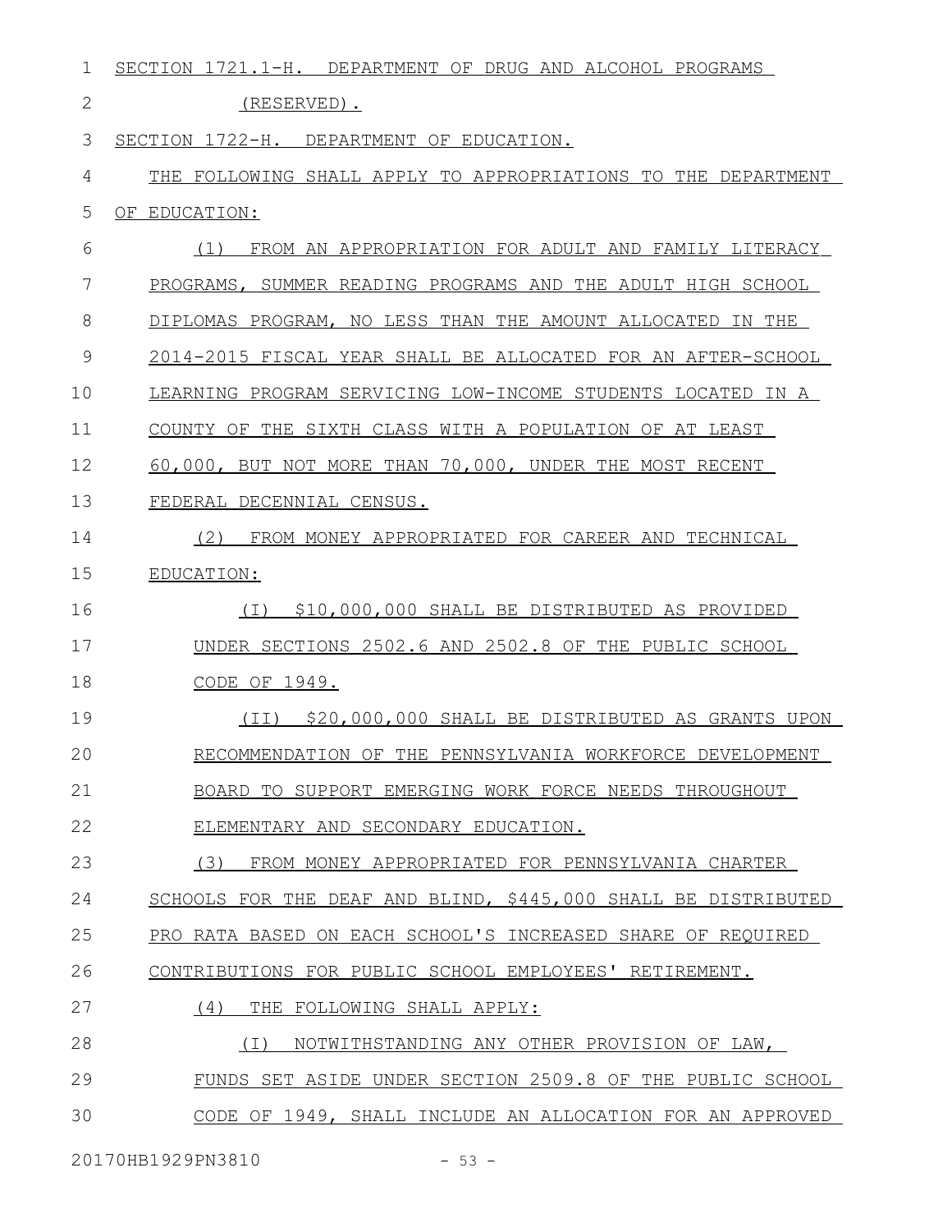| 1  | SECTION 1721.1-H. DEPARTMENT OF DRUG AND ALCOHOL PROGRAMS      |
|----|----------------------------------------------------------------|
| 2  | (RESERVED).                                                    |
| 3  | SECTION 1722-H. DEPARTMENT OF EDUCATION.                       |
| 4  | THE FOLLOWING SHALL APPLY TO APPROPRIATIONS TO THE DEPARTMENT  |
| 5  | OF EDUCATION:                                                  |
| 6  | (1)<br>FROM AN APPROPRIATION FOR ADULT AND FAMILY LITERACY     |
| 7  | PROGRAMS, SUMMER READING PROGRAMS AND THE ADULT HIGH SCHOOL    |
| 8  | DIPLOMAS PROGRAM, NO LESS THAN THE AMOUNT ALLOCATED IN THE     |
| 9  | 2014-2015 FISCAL YEAR SHALL BE ALLOCATED FOR AN AFTER-SCHOOL   |
| 10 | LEARNING PROGRAM SERVICING LOW-INCOME STUDENTS LOCATED IN A    |
| 11 | COUNTY OF THE SIXTH CLASS WITH A POPULATION OF AT LEAST        |
| 12 | 60,000, BUT NOT MORE THAN 70,000, UNDER THE MOST RECENT        |
| 13 | FEDERAL DECENNIAL CENSUS.                                      |
| 14 | (2)<br>FROM MONEY APPROPRIATED FOR CAREER AND TECHNICAL        |
| 15 | EDUCATION:                                                     |
| 16 | \$10,000,000 SHALL BE DISTRIBUTED AS PROVIDED<br>( I )         |
| 17 | UNDER SECTIONS 2502.6 AND 2502.8 OF THE PUBLIC SCHOOL          |
| 18 | CODE OF 1949.                                                  |
| 19 | \$20,000,000 SHALL BE DISTRIBUTED AS GRANTS UPON<br>(TI)       |
| 20 | RECOMMENDATION OF THE PENNSYLVANIA WORKFORCE DEVELOPMENT       |
| 21 | BOARD TO SUPPORT EMERGING WORK FORCE NEEDS THROUGHOUT          |
| 22 | ELEMENTARY AND SECONDARY EDUCATION.                            |
| 23 | (3)<br>FROM MONEY APPROPRIATED FOR PENNSYLVANIA CHARTER        |
| 24 | SCHOOLS FOR THE DEAF AND BLIND, \$445,000 SHALL BE DISTRIBUTED |
| 25 | PRO RATA BASED ON EACH SCHOOL'S INCREASED SHARE OF REQUIRED    |
| 26 | CONTRIBUTIONS FOR PUBLIC SCHOOL EMPLOYEES' RETIREMENT.         |
| 27 | (4)<br>THE FOLLOWING SHALL APPLY:                              |
| 28 | NOTWITHSTANDING ANY OTHER PROVISION OF LAW,<br>( I )           |
| 29 | FUNDS SET ASIDE UNDER SECTION 2509.8 OF THE PUBLIC SCHOOL      |
| 30 | CODE OF 1949, SHALL INCLUDE AN ALLOCATION FOR AN APPROVED      |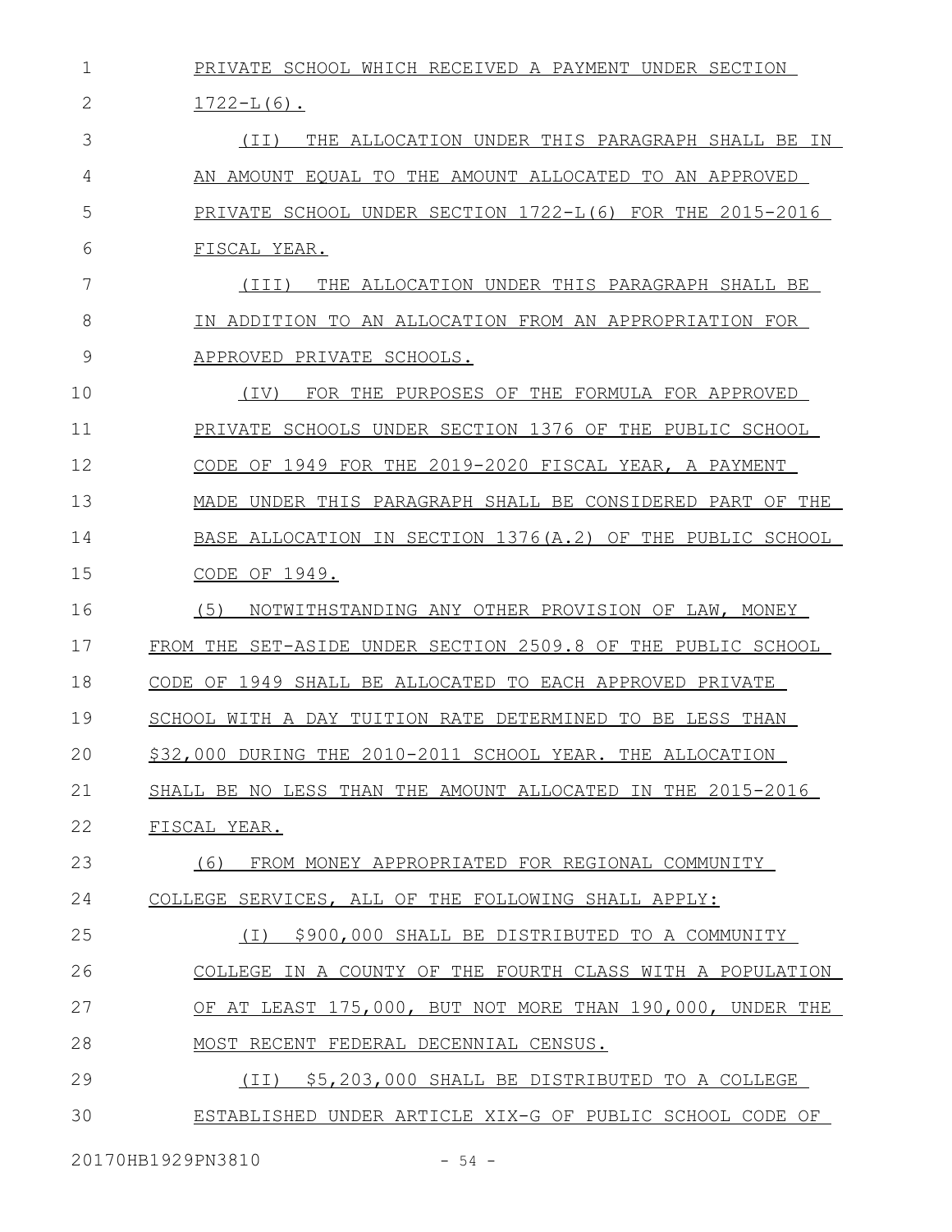| $\mathbf 1$ | PRIVATE SCHOOL WHICH RECEIVED A PAYMENT UNDER SECTION        |
|-------------|--------------------------------------------------------------|
| 2           | $1722 - L(6)$ .                                              |
| 3           | THE ALLOCATION UNDER THIS PARAGRAPH SHALL BE IN<br>(II)      |
| 4           | AN AMOUNT EQUAL TO THE AMOUNT ALLOCATED TO AN APPROVED       |
| 5           | PRIVATE SCHOOL UNDER SECTION 1722-L(6) FOR THE 2015-2016     |
| 6           | FISCAL YEAR.                                                 |
| 7           | THE ALLOCATION UNDER THIS PARAGRAPH SHALL BE<br>(III)        |
| 8           | IN ADDITION TO AN ALLOCATION FROM AN APPROPRIATION FOR       |
| 9           | APPROVED PRIVATE SCHOOLS.                                    |
| 10          | FOR THE PURPOSES OF THE FORMULA FOR APPROVED<br>(IV)         |
| 11          | PRIVATE SCHOOLS UNDER SECTION 1376 OF THE PUBLIC SCHOOL      |
| 12          | CODE OF 1949 FOR THE 2019-2020 FISCAL YEAR, A PAYMENT        |
| 13          | MADE UNDER THIS PARAGRAPH SHALL BE CONSIDERED PART OF THE    |
| 14          | BASE ALLOCATION IN SECTION 1376(A.2) OF THE PUBLIC SCHOOL    |
| 15          | CODE OF 1949.                                                |
| 16          | (5)<br>NOTWITHSTANDING ANY OTHER PROVISION OF LAW, MONEY     |
| 17          | FROM THE SET-ASIDE UNDER SECTION 2509.8 OF THE PUBLIC SCHOOL |
| 18          | CODE OF 1949 SHALL BE ALLOCATED TO EACH APPROVED PRIVATE     |
| 19          | SCHOOL WITH A DAY TUITION RATE DETERMINED TO BE LESS THAN    |
| 20          | \$32,000 DURING THE 2010-2011 SCHOOL YEAR. THE ALLOCATION    |
| 21          | SHALL BE NO LESS THAN THE AMOUNT ALLOCATED IN THE 2015-2016  |
| 22          | FISCAL YEAR.                                                 |
| 23          | (6)<br>FROM MONEY APPROPRIATED FOR REGIONAL COMMUNITY        |
| 24          | COLLEGE SERVICES, ALL OF THE FOLLOWING SHALL APPLY:          |
| 25          | \$900,000 SHALL BE DISTRIBUTED TO A COMMUNITY<br>(T)         |
| 26          | COLLEGE IN A COUNTY OF THE FOURTH CLASS WITH A POPULATION    |
| 27          | OF AT LEAST 175,000, BUT NOT MORE THAN 190,000, UNDER THE    |
| 28          | MOST RECENT FEDERAL DECENNIAL CENSUS.                        |
| 29          | (II) \$5,203,000 SHALL BE DISTRIBUTED TO A COLLEGE           |
| 30          | ESTABLISHED UNDER ARTICLE XIX-G OF PUBLIC SCHOOL CODE OF     |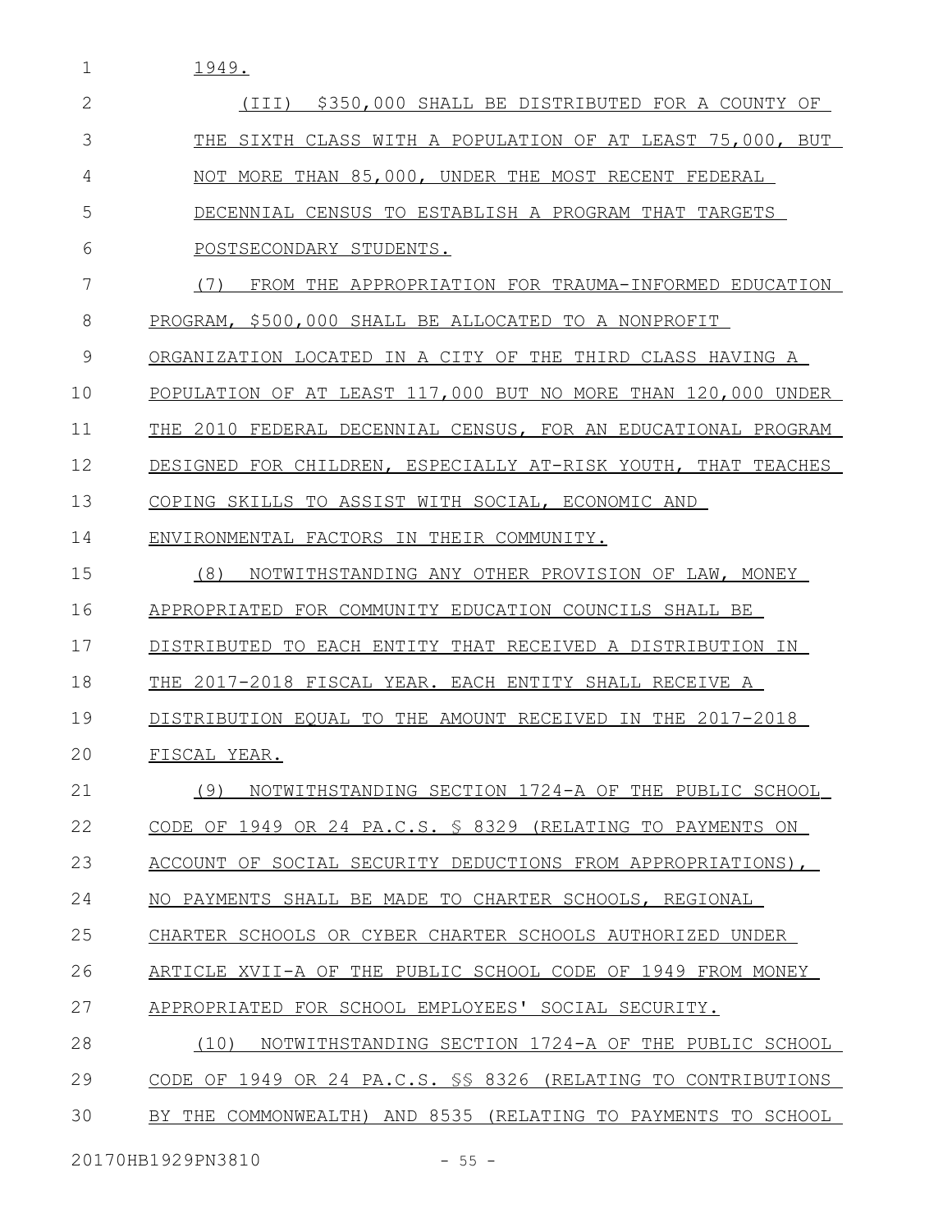1 1949.

| 2  | \$350,000 SHALL BE DISTRIBUTED FOR A COUNTY OF<br>(TTT)         |
|----|-----------------------------------------------------------------|
| 3  | THE SIXTH CLASS WITH A POPULATION OF AT LEAST 75,000, BUT       |
| 4  | NOT MORE THAN 85,000, UNDER THE MOST RECENT FEDERAL             |
| 5  | DECENNIAL CENSUS TO ESTABLISH A PROGRAM THAT TARGETS            |
| 6  | POSTSECONDARY STUDENTS.                                         |
| 7  | (7)<br>FROM THE APPROPRIATION FOR TRAUMA-INFORMED EDUCATION     |
| 8  | PROGRAM, \$500,000 SHALL BE ALLOCATED TO A NONPROFIT            |
| 9  | ORGANIZATION LOCATED IN A CITY OF THE THIRD CLASS HAVING A      |
| 10 | POPULATION OF AT LEAST 117,000 BUT NO MORE THAN 120,000 UNDER   |
| 11 | THE 2010 FEDERAL DECENNIAL CENSUS, FOR AN EDUCATIONAL PROGRAM   |
| 12 | DESIGNED FOR CHILDREN, ESPECIALLY AT-RISK YOUTH, THAT TEACHES   |
| 13 | COPING SKILLS TO ASSIST WITH SOCIAL, ECONOMIC AND               |
| 14 | ENVIRONMENTAL FACTORS IN THEIR COMMUNITY.                       |
| 15 | (8)<br>NOTWITHSTANDING ANY OTHER PROVISION OF LAW, MONEY        |
| 16 | APPROPRIATED FOR COMMUNITY EDUCATION COUNCILS SHALL BE          |
| 17 | TO EACH ENTITY THAT RECEIVED A DISTRIBUTION IN<br>DISTRIBUTED   |
| 18 | THE 2017-2018 FISCAL YEAR. EACH ENTITY SHALL RECEIVE A          |
| 19 | DISTRIBUTION EOUAL TO THE AMOUNT RECEIVED IN THE 2017-2018      |
| 20 | FISCAL YEAR.                                                    |
| 21 | NOTWITHSTANDING SECTION 1724-A OF THE PUBLIC SCHOOL<br>(9)      |
| 22 | CODE OF 1949 OR 24 PA.C.S. § 8329 (RELATING TO PAYMENTS ON      |
| 23 | ACCOUNT OF SOCIAL SECURITY DEDUCTIONS FROM APPROPRIATIONS),     |
| 24 | NO PAYMENTS SHALL BE MADE TO CHARTER SCHOOLS, REGIONAL          |
| 25 | CHARTER SCHOOLS OR CYBER CHARTER SCHOOLS AUTHORIZED UNDER       |
| 26 | ARTICLE XVII-A OF THE PUBLIC SCHOOL CODE OF 1949 FROM MONEY     |
| 27 | APPROPRIATED FOR SCHOOL EMPLOYEES' SOCIAL SECURITY.             |
| 28 | NOTWITHSTANDING SECTION 1724-A OF THE PUBLIC SCHOOL<br>(10)     |
| 29 | CODE OF 1949 OR 24 PA.C.S. \$\$ 8326 (RELATING TO CONTRIBUTIONS |
| 30 | BY THE COMMONWEALTH) AND 8535 (RELATING TO PAYMENTS TO SCHOOL   |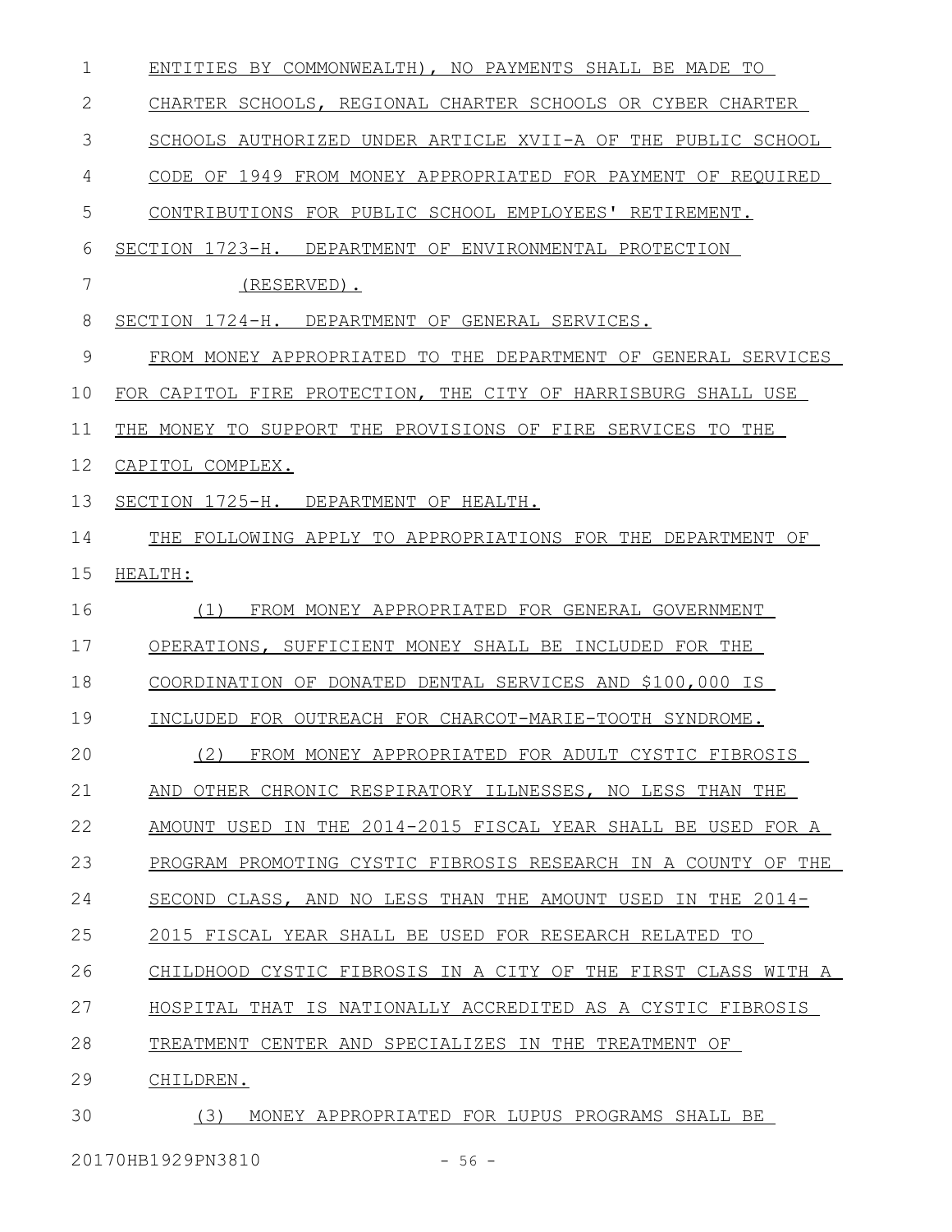| 1  | ENTITIES BY COMMONWEALTH), NO PAYMENTS SHALL BE MADE TO       |
|----|---------------------------------------------------------------|
| 2  | CHARTER SCHOOLS, REGIONAL CHARTER SCHOOLS OR CYBER CHARTER    |
| 3  | SCHOOLS AUTHORIZED UNDER ARTICLE XVII-A OF THE PUBLIC SCHOOL  |
| 4  | CODE OF 1949 FROM MONEY APPROPRIATED FOR PAYMENT OF REQUIRED  |
| 5  | CONTRIBUTIONS FOR PUBLIC SCHOOL EMPLOYEES' RETIREMENT.        |
| 6  | SECTION 1723-H. DEPARTMENT OF ENVIRONMENTAL PROTECTION        |
| 7  | (RESERVED).                                                   |
| 8  | SECTION 1724-H. DEPARTMENT OF GENERAL SERVICES.               |
| 9  | FROM MONEY APPROPRIATED TO THE DEPARTMENT OF GENERAL SERVICES |
| 10 | FOR CAPITOL FIRE PROTECTION, THE CITY OF HARRISBURG SHALL USE |
| 11 | THE MONEY TO SUPPORT THE PROVISIONS OF FIRE SERVICES TO THE   |
| 12 | CAPITOL COMPLEX.                                              |
| 13 | SECTION 1725-H. DEPARTMENT OF HEALTH.                         |
| 14 | THE FOLLOWING APPLY TO APPROPRIATIONS FOR THE DEPARTMENT OF   |
| 15 | HEALTH:                                                       |
| 16 | FROM MONEY APPROPRIATED FOR GENERAL GOVERNMENT<br>(1)         |
| 17 | OPERATIONS, SUFFICIENT MONEY SHALL BE INCLUDED FOR THE        |
| 18 | COORDINATION OF DONATED DENTAL SERVICES AND \$100,000 IS      |
| 19 | INCLUDED FOR OUTREACH FOR CHARCOT-MARIE-TOOTH SYNDROME.       |
| 20 | (2) FROM MONEY APPROPRIATED FOR ADULT CYSTIC FIBROSIS         |
| 21 | AND OTHER CHRONIC RESPIRATORY ILLNESSES, NO LESS THAN THE     |
| 22 | AMOUNT USED IN THE 2014-2015 FISCAL YEAR SHALL BE USED FOR A  |
| 23 | PROGRAM PROMOTING CYSTIC FIBROSIS RESEARCH IN A COUNTY OF THE |
| 24 | SECOND CLASS, AND NO LESS THAN THE AMOUNT USED IN THE 2014-   |
| 25 | 2015 FISCAL YEAR SHALL BE USED FOR RESEARCH RELATED TO        |
| 26 | CHILDHOOD CYSTIC FIBROSIS IN A CITY OF THE FIRST CLASS WITH A |
| 27 | HOSPITAL THAT IS NATIONALLY ACCREDITED AS A CYSTIC FIBROSIS   |
| 28 | TREATMENT CENTER AND SPECIALIZES IN THE TREATMENT OF          |
| 29 | CHILDREN.                                                     |
| 30 | MONEY APPROPRIATED FOR LUPUS PROGRAMS SHALL BE<br>(3)         |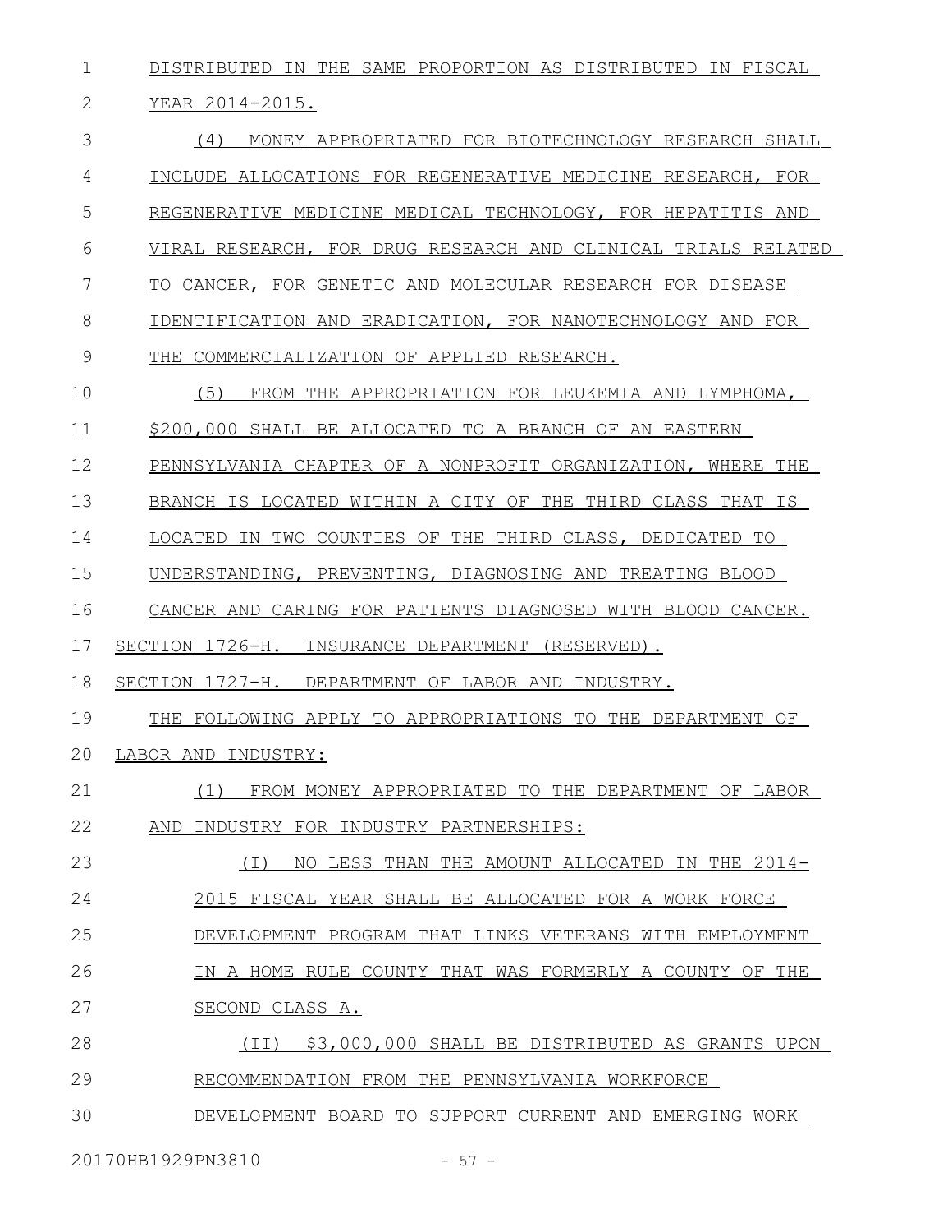DISTRIBUTED IN THE SAME PROPORTION AS DISTRIBUTED IN FISCAL YEAR 2014-2015. (4) MONEY APPROPRIATED FOR BIOTECHNOLOGY RESEARCH SHALL INCLUDE ALLOCATIONS FOR REGENERATIVE MEDICINE RESEARCH, FOR REGENERATIVE MEDICINE MEDICAL TECHNOLOGY, FOR HEPATITIS AND VIRAL RESEARCH, FOR DRUG RESEARCH AND CLINICAL TRIALS RELATED TO CANCER, FOR GENETIC AND MOLECULAR RESEARCH FOR DISEASE IDENTIFICATION AND ERADICATION, FOR NANOTECHNOLOGY AND FOR THE COMMERCIALIZATION OF APPLIED RESEARCH. (5) FROM THE APPROPRIATION FOR LEUKEMIA AND LYMPHOMA, \$200,000 SHALL BE ALLOCATED TO A BRANCH OF AN EASTERN PENNSYLVANIA CHAPTER OF A NONPROFIT ORGANIZATION, WHERE THE BRANCH IS LOCATED WITHIN A CITY OF THE THIRD CLASS THAT IS LOCATED IN TWO COUNTIES OF THE THIRD CLASS, DEDICATED TO UNDERSTANDING, PREVENTING, DIAGNOSING AND TREATING BLOOD CANCER AND CARING FOR PATIENTS DIAGNOSED WITH BLOOD CANCER. SECTION 1726-H. INSURANCE DEPARTMENT (RESERVED). SECTION 1727-H. DEPARTMENT OF LABOR AND INDUSTRY. THE FOLLOWING APPLY TO APPROPRIATIONS TO THE DEPARTMENT OF LABOR AND INDUSTRY: (1) FROM MONEY APPROPRIATED TO THE DEPARTMENT OF LABOR AND INDUSTRY FOR INDUSTRY PARTNERSHIPS: (I) NO LESS THAN THE AMOUNT ALLOCATED IN THE 2014- 2015 FISCAL YEAR SHALL BE ALLOCATED FOR A WORK FORCE DEVELOPMENT PROGRAM THAT LINKS VETERANS WITH EMPLOYMENT IN A HOME RULE COUNTY THAT WAS FORMERLY A COUNTY OF THE SECOND CLASS A. (II) \$3,000,000 SHALL BE DISTRIBUTED AS GRANTS UPON RECOMMENDATION FROM THE PENNSYLVANIA WORKFORCE DEVELOPMENT BOARD TO SUPPORT CURRENT AND EMERGING WORK 1 2 3 4 5 6 7 8 9 10 11 12 13 14 15 16 17 18 19 20 21 22 23 24 25 26 27 28 29 30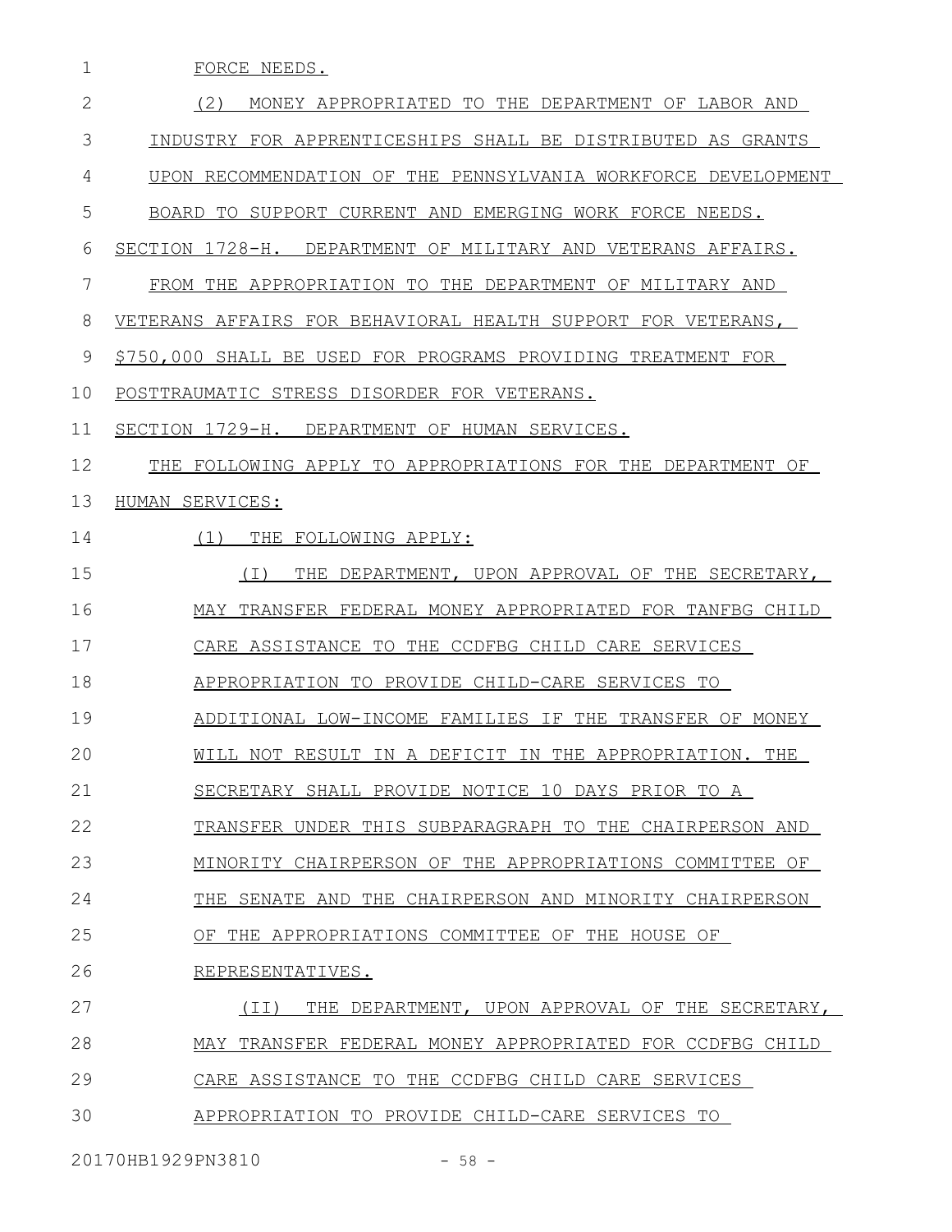| 1  | FORCE NEEDS.                                                  |
|----|---------------------------------------------------------------|
| 2  | (2)<br>MONEY APPROPRIATED TO THE DEPARTMENT OF LABOR AND      |
| 3  | INDUSTRY FOR APPRENTICESHIPS SHALL BE DISTRIBUTED AS GRANTS   |
| 4  | UPON RECOMMENDATION OF THE PENNSYLVANIA WORKFORCE DEVELOPMENT |
| 5  | BOARD TO SUPPORT CURRENT AND EMERGING WORK FORCE NEEDS.       |
| 6  | SECTION 1728-H. DEPARTMENT OF MILITARY AND VETERANS AFFAIRS.  |
| 7  | FROM THE APPROPRIATION TO THE DEPARTMENT OF MILITARY AND      |
| 8  | VETERANS AFFAIRS FOR BEHAVIORAL HEALTH SUPPORT FOR VETERANS,  |
| 9  | \$750,000 SHALL BE USED FOR PROGRAMS PROVIDING TREATMENT FOR  |
| 10 | POSTTRAUMATIC STRESS DISORDER FOR VETERANS.                   |
| 11 | SECTION 1729-H. DEPARTMENT OF HUMAN SERVICES.                 |
| 12 | THE FOLLOWING APPLY TO APPROPRIATIONS FOR THE DEPARTMENT OF   |
| 13 | HUMAN SERVICES:                                               |
| 14 | (1)<br>THE FOLLOWING APPLY:                                   |
| 15 | THE DEPARTMENT, UPON APPROVAL OF THE SECRETARY,<br>( I )      |
| 16 | MAY TRANSFER FEDERAL MONEY APPROPRIATED FOR TANFBG CHILD      |
| 17 | CARE ASSISTANCE TO THE CCDFBG CHILD CARE SERVICES             |
| 18 | APPROPRIATION TO PROVIDE CHILD-CARE SERVICES TO               |
| 19 | ADDITIONAL LOW-INCOME FAMILIES IF THE TRANSFER OF MONEY       |
| 20 | WILL NOT RESULT IN A DEFICIT IN THE APPROPRIATION. THE        |
| 21 | SECRETARY SHALL PROVIDE NOTICE 10 DAYS PRIOR TO A             |
| 22 | TRANSFER UNDER THIS SUBPARAGRAPH TO THE CHAIRPERSON AND       |
| 23 | MINORITY CHAIRPERSON OF THE APPROPRIATIONS COMMITTEE OF       |
| 24 | THE SENATE AND THE CHAIRPERSON AND MINORITY CHAIRPERSON       |
| 25 | OF THE APPROPRIATIONS COMMITTEE OF THE HOUSE OF               |
| 26 | REPRESENTATIVES.                                              |
| 27 | (II) THE DEPARTMENT, UPON APPROVAL OF THE SECRETARY,          |
| 28 | MAY TRANSFER FEDERAL MONEY APPROPRIATED FOR CCDFBG CHILD      |
| 29 | CARE ASSISTANCE TO THE CCDFBG CHILD CARE SERVICES             |
| 30 | APPROPRIATION TO PROVIDE CHILD-CARE SERVICES TO               |
|    |                                                               |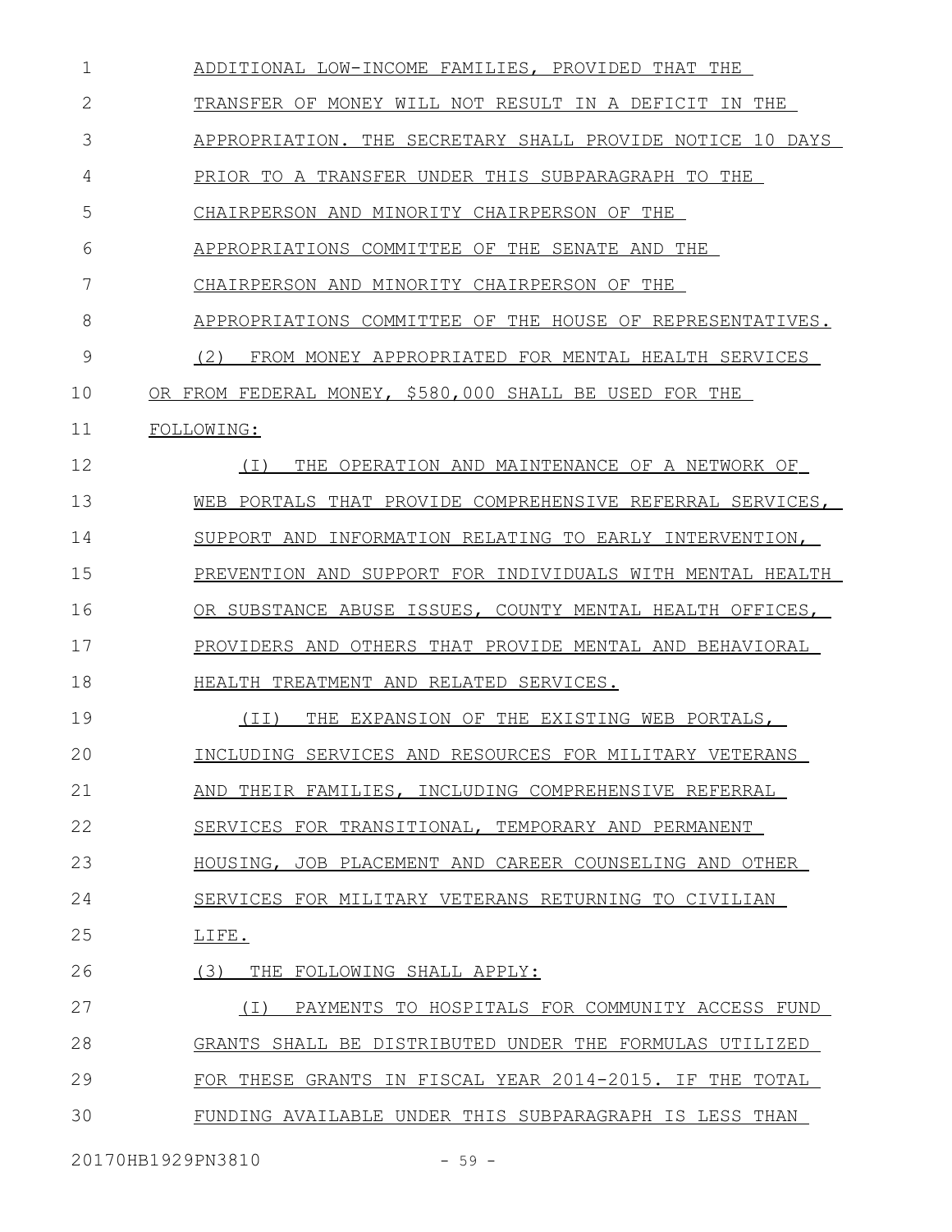| 1  | ADDITIONAL LOW-INCOME FAMILIES, PROVIDED THAT THE           |
|----|-------------------------------------------------------------|
| 2  | TRANSFER OF MONEY WILL NOT RESULT IN A DEFICIT IN THE       |
| 3  | APPROPRIATION. THE SECRETARY SHALL PROVIDE NOTICE 10 DAYS   |
| 4  | PRIOR TO A TRANSFER UNDER THIS SUBPARAGRAPH TO THE          |
| 5  | CHAIRPERSON AND MINORITY CHAIRPERSON OF THE                 |
| 6  | APPROPRIATIONS COMMITTEE OF THE SENATE AND THE              |
| 7  | CHAIRPERSON AND MINORITY CHAIRPERSON OF<br>THE              |
| 8  | APPROPRIATIONS COMMITTEE OF THE HOUSE OF REPRESENTATIVES.   |
| 9  | (2)<br>FROM MONEY APPROPRIATED FOR MENTAL HEALTH SERVICES   |
| 10 | OR FROM FEDERAL MONEY, \$580,000 SHALL BE USED FOR THE      |
| 11 | FOLLOWING:                                                  |
| 12 | ( I )<br>THE OPERATION AND MAINTENANCE OF A NETWORK OF      |
| 13 | WEB PORTALS THAT PROVIDE COMPREHENSIVE REFERRAL SERVICES,   |
| 14 | SUPPORT AND INFORMATION RELATING TO EARLY INTERVENTION,     |
| 15 | PREVENTION AND SUPPORT FOR INDIVIDUALS WITH MENTAL HEALTH   |
| 16 | OR SUBSTANCE ABUSE ISSUES, COUNTY MENTAL HEALTH OFFICES,    |
| 17 | PROVIDERS AND OTHERS THAT PROVIDE MENTAL AND BEHAVIORAL     |
| 18 | HEALTH TREATMENT AND RELATED SERVICES.                      |
| 19 | THE EXPANSION OF THE EXISTING WEB PORTALS,<br>(TI)          |
| 20 | INCLUDING SERVICES AND RESOURCES FOR MILITARY VETERANS      |
| 21 | AND THEIR FAMILIES, INCLUDING COMPREHENSIVE REFERRAL        |
| 22 | SERVICES FOR TRANSITIONAL, TEMPORARY AND PERMANENT          |
| 23 | HOUSING, JOB PLACEMENT AND CAREER COUNSELING AND OTHER      |
| 24 | SERVICES FOR MILITARY VETERANS RETURNING TO CIVILIAN        |
| 25 | LIFE.                                                       |
| 26 | (3)<br>THE FOLLOWING SHALL APPLY:                           |
| 27 | PAYMENTS TO HOSPITALS FOR COMMUNITY ACCESS FUND<br>$(\top)$ |
| 28 | GRANTS SHALL BE DISTRIBUTED UNDER THE FORMULAS UTILIZED     |
| 29 | FOR THESE GRANTS IN FISCAL YEAR 2014-2015. IF THE TOTAL     |
| 30 | FUNDING AVAILABLE UNDER THIS SUBPARAGRAPH IS LESS THAN      |
|    |                                                             |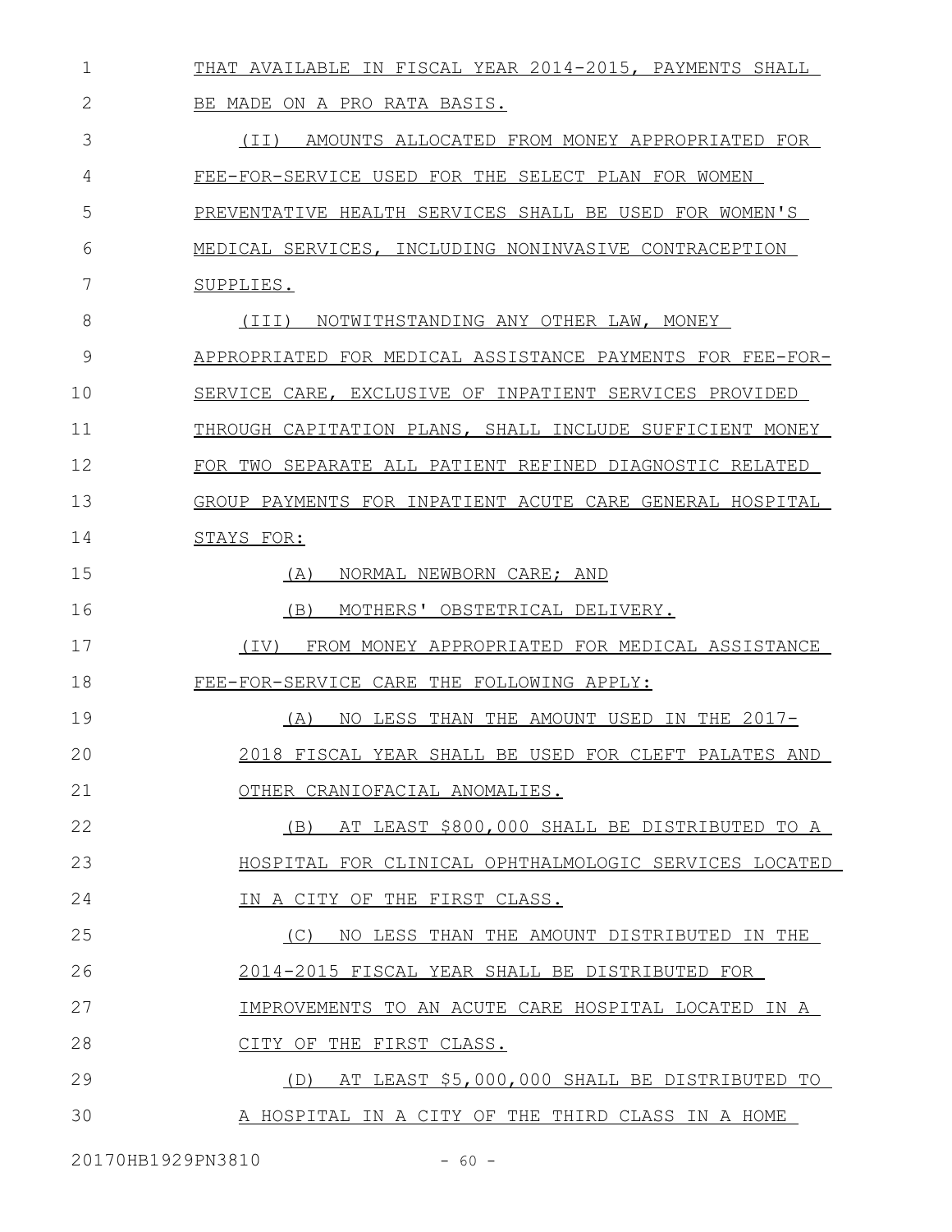| 1  | THAT AVAILABLE IN FISCAL YEAR 2014-2015, PAYMENTS SHALL   |
|----|-----------------------------------------------------------|
| 2  | BE MADE ON A PRO RATA BASIS.                              |
| 3  | AMOUNTS ALLOCATED FROM MONEY APPROPRIATED FOR<br>(TT)     |
| 4  | FEE-FOR-SERVICE USED FOR THE SELECT PLAN FOR WOMEN        |
| 5  | PREVENTATIVE HEALTH SERVICES SHALL BE USED FOR WOMEN'S    |
| 6  | MEDICAL SERVICES, INCLUDING NONINVASIVE CONTRACEPTION     |
| 7  | SUPPLIES.                                                 |
| 8  | NOTWITHSTANDING ANY OTHER LAW, MONEY<br>(III)             |
| 9  | APPROPRIATED FOR MEDICAL ASSISTANCE PAYMENTS FOR FEE-FOR- |
| 10 | SERVICE CARE, EXCLUSIVE OF INPATIENT SERVICES PROVIDED    |
| 11 | THROUGH CAPITATION PLANS, SHALL INCLUDE SUFFICIENT MONEY  |
| 12 | FOR TWO SEPARATE ALL PATIENT REFINED DIAGNOSTIC RELATED   |
| 13 | GROUP PAYMENTS FOR INPATIENT ACUTE CARE GENERAL HOSPITAL  |
| 14 | STAYS FOR:                                                |
| 15 | (A)<br>NORMAL NEWBORN CARE; AND                           |
| 16 | (B)<br>MOTHERS' OBSTETRICAL DELIVERY.                     |
| 17 | FROM MONEY APPROPRIATED FOR MEDICAL ASSISTANCE<br>(TV)    |
| 18 | FEE-FOR-SERVICE CARE THE FOLLOWING APPLY:                 |
| 19 | NO LESS THAN THE AMOUNT USED IN THE 2017-<br>(A)          |
| 20 | 2018 FISCAL YEAR SHALL BE USED FOR CLEFT PALATES AND      |
| 21 | OTHER CRANIOFACIAL ANOMALIES.                             |
| 22 | AT LEAST \$800,000 SHALL BE DISTRIBUTED TO A<br>(B)       |
| 23 | HOSPITAL FOR CLINICAL OPHTHALMOLOGIC SERVICES LOCATED     |
| 24 | IN A CITY OF THE FIRST CLASS.                             |
| 25 | (C)<br>NO LESS THAN THE AMOUNT DISTRIBUTED IN THE         |
| 26 | 2014-2015 FISCAL YEAR SHALL BE DISTRIBUTED FOR            |
| 27 | IMPROVEMENTS TO AN ACUTE CARE HOSPITAL LOCATED IN A       |
| 28 | CITY OF THE FIRST CLASS.                                  |
| 29 | (D) AT LEAST \$5,000,000 SHALL BE DISTRIBUTED TO          |
| 30 | A HOSPITAL IN A CITY OF THE THIRD CLASS IN A HOME         |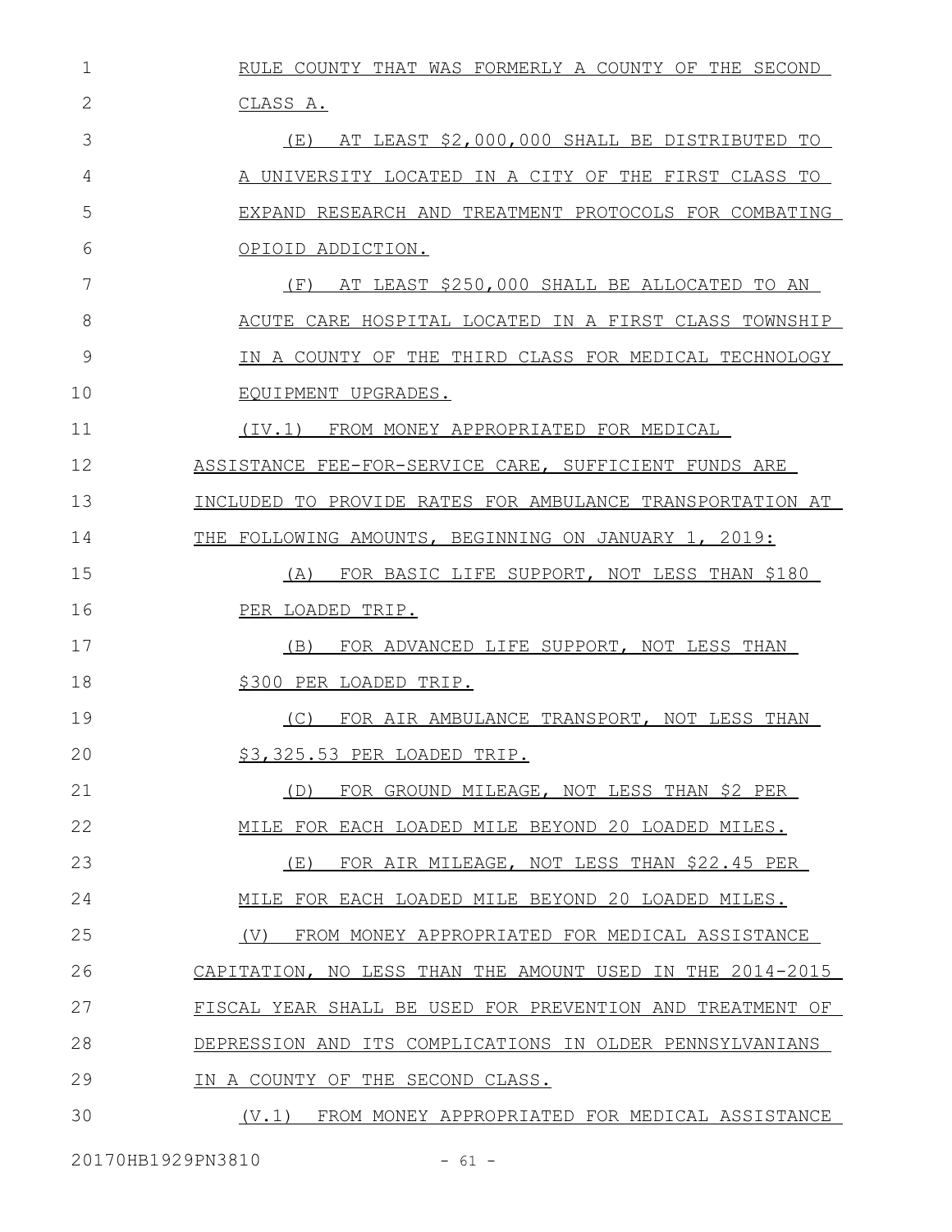RULE COUNTY THAT WAS FORMERLY A COUNTY OF THE SECOND CLASS A. (E) AT LEAST \$2,000,000 SHALL BE DISTRIBUTED TO A UNIVERSITY LOCATED IN A CITY OF THE FIRST CLASS TO EXPAND RESEARCH AND TREATMENT PROTOCOLS FOR COMBATING OPIOID ADDICTION. (F) AT LEAST \$250,000 SHALL BE ALLOCATED TO AN ACUTE CARE HOSPITAL LOCATED IN A FIRST CLASS TOWNSHIP IN A COUNTY OF THE THIRD CLASS FOR MEDICAL TECHNOLOGY EQUIPMENT UPGRADES. (IV.1) FROM MONEY APPROPRIATED FOR MEDICAL ASSISTANCE FEE-FOR-SERVICE CARE, SUFFICIENT FUNDS ARE INCLUDED TO PROVIDE RATES FOR AMBULANCE TRANSPORTATION AT THE FOLLOWING AMOUNTS, BEGINNING ON JANUARY 1, 2019: (A) FOR BASIC LIFE SUPPORT, NOT LESS THAN \$180 PER LOADED TRIP. (B) FOR ADVANCED LIFE SUPPORT, NOT LESS THAN \$300 PER LOADED TRIP. (C) FOR AIR AMBULANCE TRANSPORT, NOT LESS THAN \$3,325.53 PER LOADED TRIP. (D) FOR GROUND MILEAGE, NOT LESS THAN \$2 PER MILE FOR EACH LOADED MILE BEYOND 20 LOADED MILES. (E) FOR AIR MILEAGE, NOT LESS THAN \$22.45 PER MILE FOR EACH LOADED MILE BEYOND 20 LOADED MILES. (V) FROM MONEY APPROPRIATED FOR MEDICAL ASSISTANCE CAPITATION, NO LESS THAN THE AMOUNT USED IN THE 2014-2015 FISCAL YEAR SHALL BE USED FOR PREVENTION AND TREATMENT OF DEPRESSION AND ITS COMPLICATIONS IN OLDER PENNSYLVANIANS IN A COUNTY OF THE SECOND CLASS. (V.1) FROM MONEY APPROPRIATED FOR MEDICAL ASSISTANCE 1 2 3 4 5 6 7 8 9 10 11 12 13 14 15 16 17 18 19 20 21 22 23 24 25 26 27 28 29 30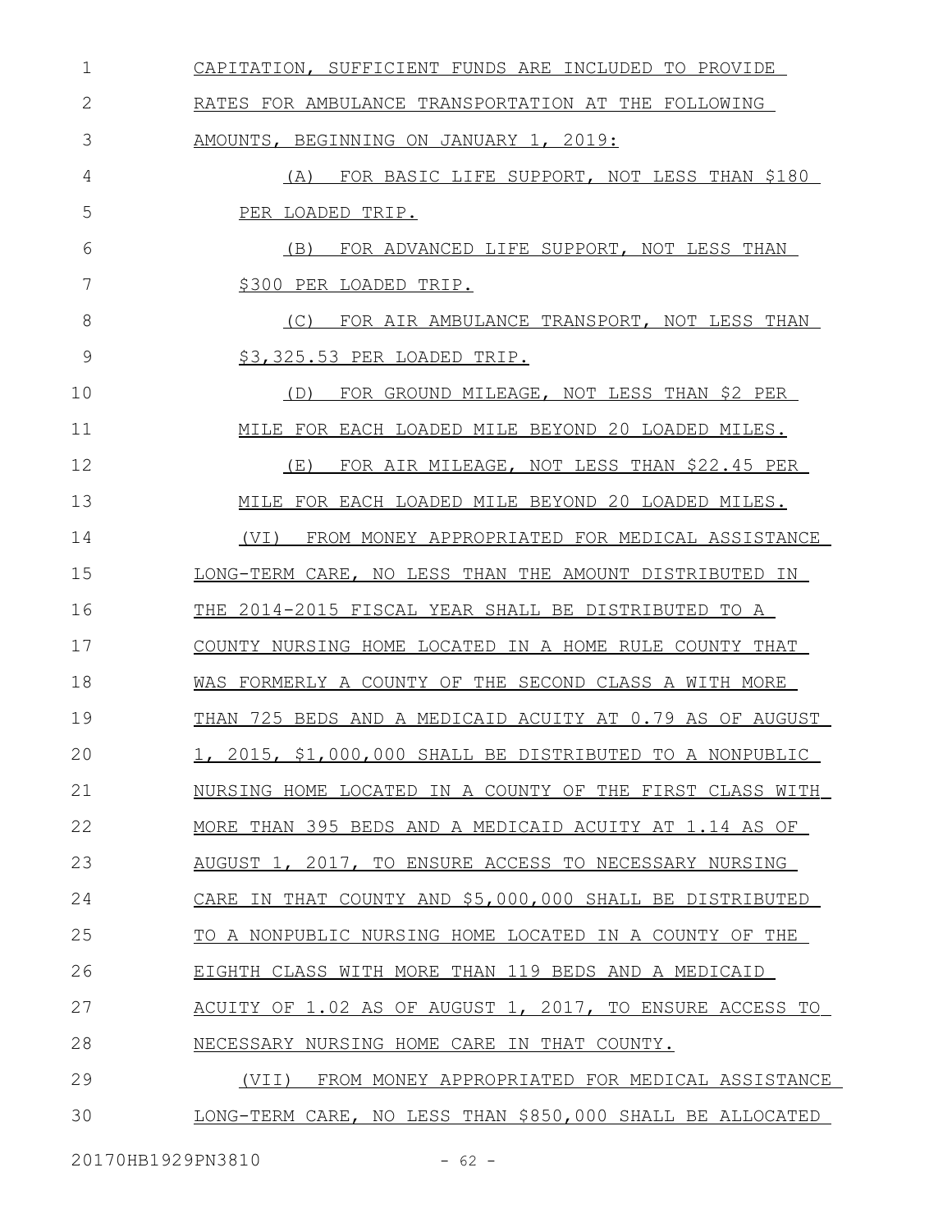| $\mathbf 1$ | CAPITATION, SUFFICIENT FUNDS ARE INCLUDED TO PROVIDE      |
|-------------|-----------------------------------------------------------|
| 2           | RATES FOR AMBULANCE TRANSPORTATION AT THE FOLLOWING       |
| 3           | AMOUNTS, BEGINNING ON JANUARY 1, 2019:                    |
| 4           | (A) FOR BASIC LIFE SUPPORT, NOT LESS THAN \$180           |
| 5           | PER LOADED TRIP.                                          |
| 6           | FOR ADVANCED LIFE SUPPORT, NOT LESS THAN<br>(B)           |
| 7           | \$300 PER LOADED TRIP.                                    |
| 8           | (C) FOR AIR AMBULANCE TRANSPORT, NOT LESS THAN            |
| 9           | \$3,325.53 PER LOADED TRIP.                               |
| 10          | FOR GROUND MILEAGE, NOT LESS THAN \$2 PER<br>(D)          |
| 11          | MILE FOR EACH LOADED MILE BEYOND 20 LOADED MILES.         |
| 12          | FOR AIR MILEAGE, NOT LESS THAN \$22.45 PER<br>(E)         |
| 13          | MILE FOR EACH LOADED MILE BEYOND 20 LOADED MILES.         |
| 14          | (VI) FROM MONEY APPROPRIATED FOR MEDICAL ASSISTANCE       |
| 15          | LONG-TERM CARE, NO LESS THAN THE AMOUNT DISTRIBUTED IN    |
| 16          | THE 2014-2015 FISCAL YEAR SHALL BE DISTRIBUTED TO A       |
| 17          | COUNTY NURSING HOME LOCATED IN A HOME RULE COUNTY THAT    |
| 18          | WAS FORMERLY A COUNTY OF THE SECOND CLASS A WITH MORE     |
| 19          | THAN 725 BEDS AND A MEDICAID ACUITY AT 0.79 AS OF AUGUST  |
| 20          | 1, 2015, \$1,000,000 SHALL BE DISTRIBUTED TO A NONPUBLIC  |
| 21          | NURSING HOME LOCATED IN A COUNTY OF THE FIRST CLASS WITH  |
| 22          | MORE THAN 395 BEDS AND A MEDICAID ACUITY AT 1.14 AS OF    |
| 23          | AUGUST 1, 2017, TO ENSURE ACCESS TO NECESSARY NURSING     |
| 24          | CARE IN THAT COUNTY AND \$5,000,000 SHALL BE DISTRIBUTED  |
| 25          | TO A NONPUBLIC NURSING HOME LOCATED IN A COUNTY OF THE    |
| 26          | EIGHTH CLASS WITH MORE THAN 119 BEDS AND A MEDICAID       |
| 27          | ACUITY OF 1.02 AS OF AUGUST 1, 2017, TO ENSURE ACCESS TO  |
| 28          | NECESSARY NURSING HOME CARE IN THAT COUNTY.               |
| 29          | (VII) FROM MONEY APPROPRIATED FOR MEDICAL ASSISTANCE      |
| 30          | LONG-TERM CARE, NO LESS THAN \$850,000 SHALL BE ALLOCATED |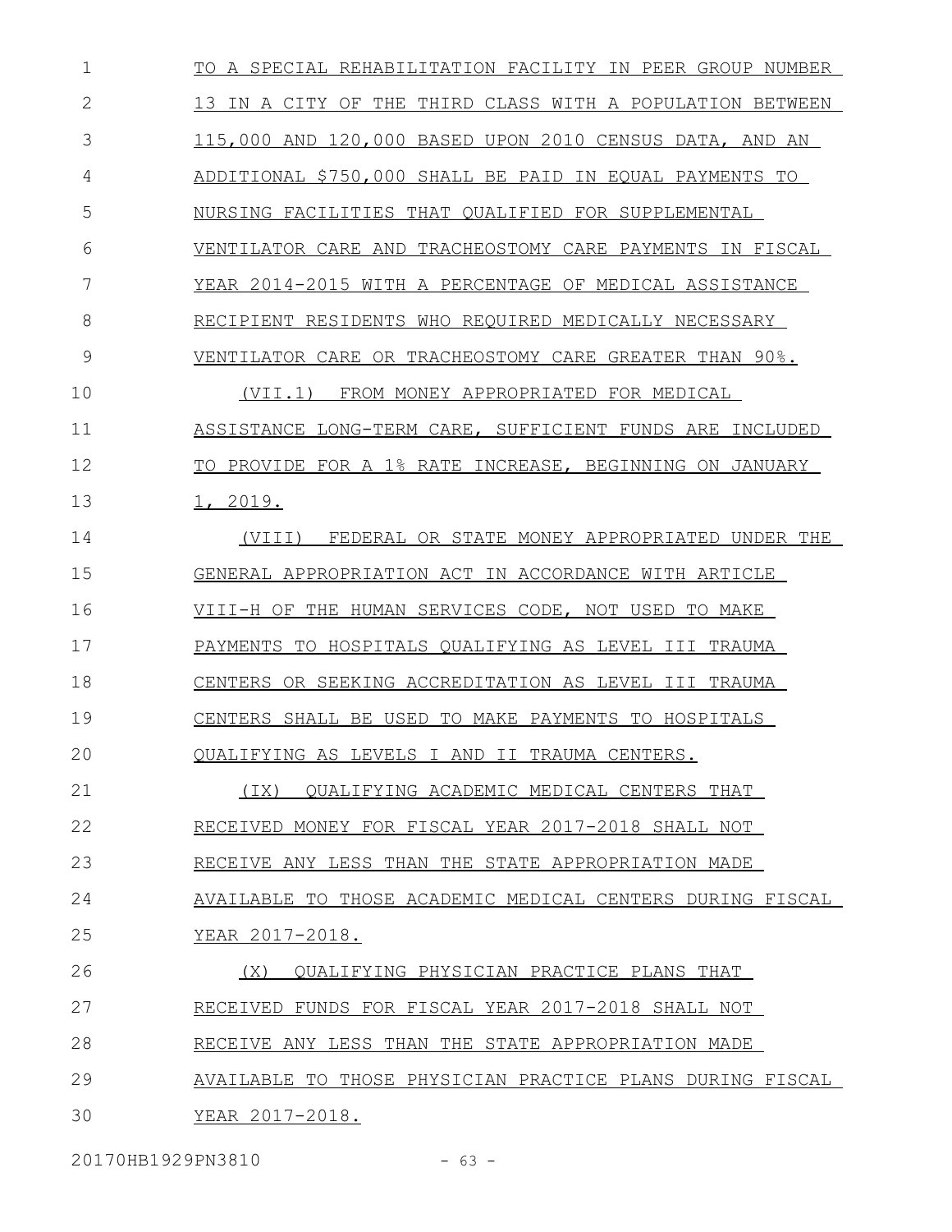TO A SPECIAL REHABILITATION FACILITY IN PEER GROUP NUMBER 13 IN A CITY OF THE THIRD CLASS WITH A POPULATION BETWEEN 115,000 AND 120,000 BASED UPON 2010 CENSUS DATA, AND AN ADDITIONAL \$750,000 SHALL BE PAID IN EQUAL PAYMENTS TO NURSING FACILITIES THAT QUALIFIED FOR SUPPLEMENTAL VENTILATOR CARE AND TRACHEOSTOMY CARE PAYMENTS IN FISCAL YEAR 2014-2015 WITH A PERCENTAGE OF MEDICAL ASSISTANCE RECIPIENT RESIDENTS WHO REQUIRED MEDICALLY NECESSARY VENTILATOR CARE OR TRACHEOSTOMY CARE GREATER THAN 90%. (VII.1) FROM MONEY APPROPRIATED FOR MEDICAL ASSISTANCE LONG-TERM CARE, SUFFICIENT FUNDS ARE INCLUDED TO PROVIDE FOR A 1% RATE INCREASE, BEGINNING ON JANUARY 1, 2019. (VIII) FEDERAL OR STATE MONEY APPROPRIATED UNDER THE GENERAL APPROPRIATION ACT IN ACCORDANCE WITH ARTICLE VIII-H OF THE HUMAN SERVICES CODE, NOT USED TO MAKE PAYMENTS TO HOSPITALS QUALIFYING AS LEVEL III TRAUMA CENTERS OR SEEKING ACCREDITATION AS LEVEL III TRAUMA CENTERS SHALL BE USED TO MAKE PAYMENTS TO HOSPITALS QUALIFYING AS LEVELS I AND II TRAUMA CENTERS. (IX) QUALIFYING ACADEMIC MEDICAL CENTERS THAT RECEIVED MONEY FOR FISCAL YEAR 2017-2018 SHALL NOT RECEIVE ANY LESS THAN THE STATE APPROPRIATION MADE AVAILABLE TO THOSE ACADEMIC MEDICAL CENTERS DURING FISCAL YEAR 2017-2018. (X) QUALIFYING PHYSICIAN PRACTICE PLANS THAT RECEIVED FUNDS FOR FISCAL YEAR 2017-2018 SHALL NOT RECEIVE ANY LESS THAN THE STATE APPROPRIATION MADE AVAILABLE TO THOSE PHYSICIAN PRACTICE PLANS DURING FISCAL YEAR 2017-2018. 1 2 3 4 5 6 7 8 9 10 11 12 13 14 15 16 17 18 19 20 21 22 23 24 25 26 27 28 29 30

20170HB1929PN3810 - 63 -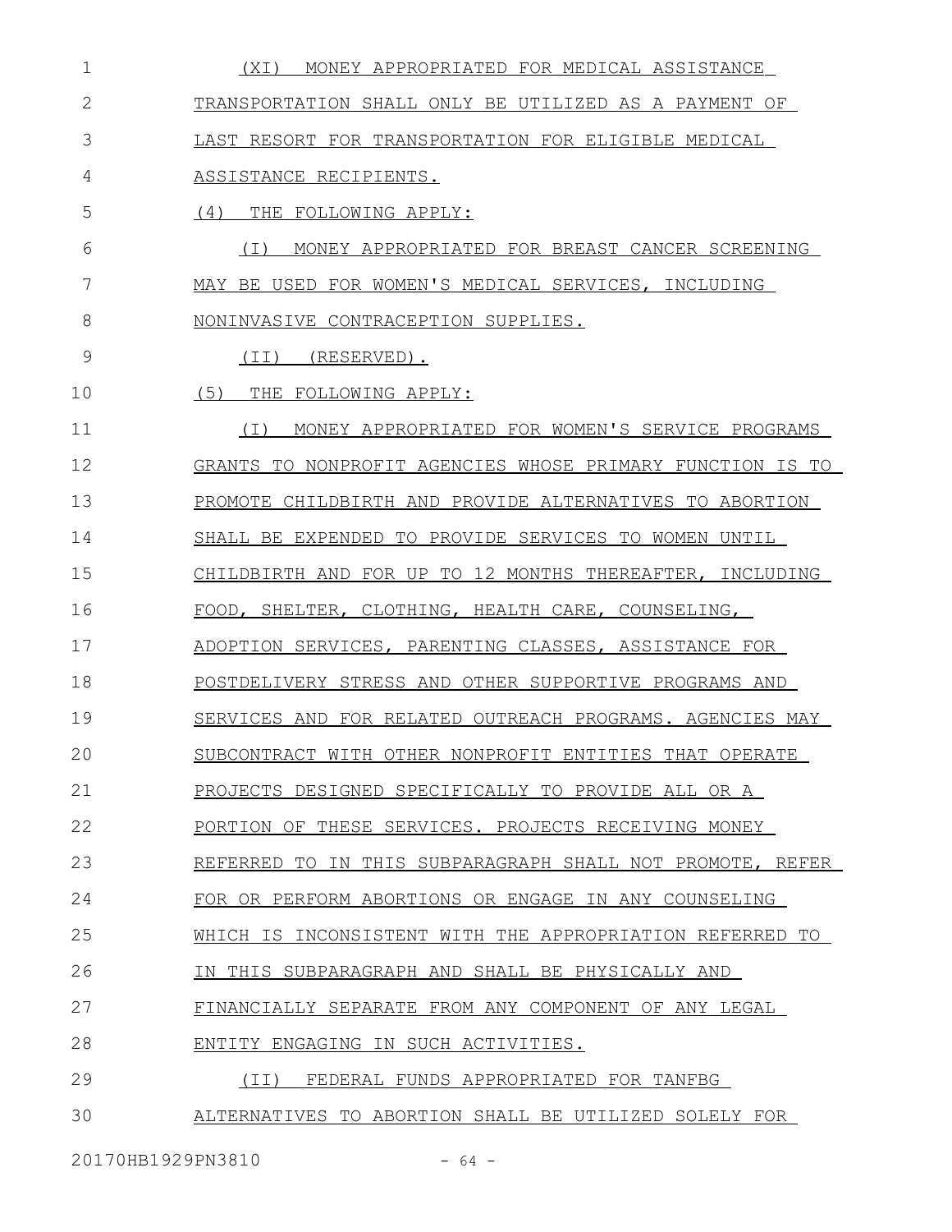| 1            | MONEY APPROPRIATED FOR MEDICAL ASSISTANCE<br>(XI)         |
|--------------|-----------------------------------------------------------|
| $\mathbf{2}$ | TRANSPORTATION SHALL ONLY BE UTILIZED AS A PAYMENT OF     |
| 3            | LAST RESORT FOR TRANSPORTATION FOR ELIGIBLE MEDICAL       |
| 4            | ASSISTANCE RECIPIENTS.                                    |
| 5            | (4) THE FOLLOWING APPLY:                                  |
| 6            | MONEY APPROPRIATED FOR BREAST CANCER SCREENING<br>( I )   |
| 7            | MAY BE USED FOR WOMEN'S MEDICAL SERVICES, INCLUDING       |
| 8            | NONINVASIVE CONTRACEPTION SUPPLIES.                       |
| 9            | (TI)<br>(RESERVED).                                       |
| 10           | (5)<br>THE FOLLOWING APPLY:                               |
| 11           | (I)<br>MONEY APPROPRIATED FOR WOMEN'S SERVICE PROGRAMS    |
| 12           | GRANTS TO NONPROFIT AGENCIES WHOSE PRIMARY FUNCTION IS TO |
| 13           | PROMOTE CHILDBIRTH AND PROVIDE ALTERNATIVES TO ABORTION   |
| 14           | SHALL BE EXPENDED TO PROVIDE SERVICES TO WOMEN UNTIL      |
| 15           | CHILDBIRTH AND FOR UP TO 12 MONTHS THEREAFTER, INCLUDING  |
| 16           | FOOD, SHELTER, CLOTHING, HEALTH CARE, COUNSELING,         |
| 17           | ADOPTION SERVICES, PARENTING CLASSES, ASSISTANCE FOR      |
| 18           | POSTDELIVERY STRESS AND OTHER SUPPORTIVE PROGRAMS AND     |
| 19           | SERVICES AND FOR RELATED OUTREACH PROGRAMS. AGENCIES MAY  |
| 20           | SUBCONTRACT WITH OTHER NONPROFIT ENTITIES THAT OPERATE    |
| 21           | PROJECTS DESIGNED SPECIFICALLY TO PROVIDE ALL OR A        |
| 22           | PORTION OF THESE SERVICES. PROJECTS RECEIVING MONEY       |
| 23           | REFERRED TO IN THIS SUBPARAGRAPH SHALL NOT PROMOTE, REFER |
| 24           | FOR OR PERFORM ABORTIONS OR ENGAGE IN ANY COUNSELING      |
| 25           | WHICH IS INCONSISTENT WITH THE APPROPRIATION REFERRED TO  |
| 26           | IN THIS SUBPARAGRAPH AND SHALL BE PHYSICALLY AND          |
| 27           | FINANCIALLY SEPARATE FROM ANY COMPONENT OF ANY LEGAL      |
| 28           | ENTITY ENGAGING IN SUCH ACTIVITIES.                       |
| 29           | FEDERAL FUNDS APPROPRIATED FOR TANFBG<br>(TI)             |
| 30           | ALTERNATIVES TO ABORTION SHALL BE UTILIZED SOLELY FOR     |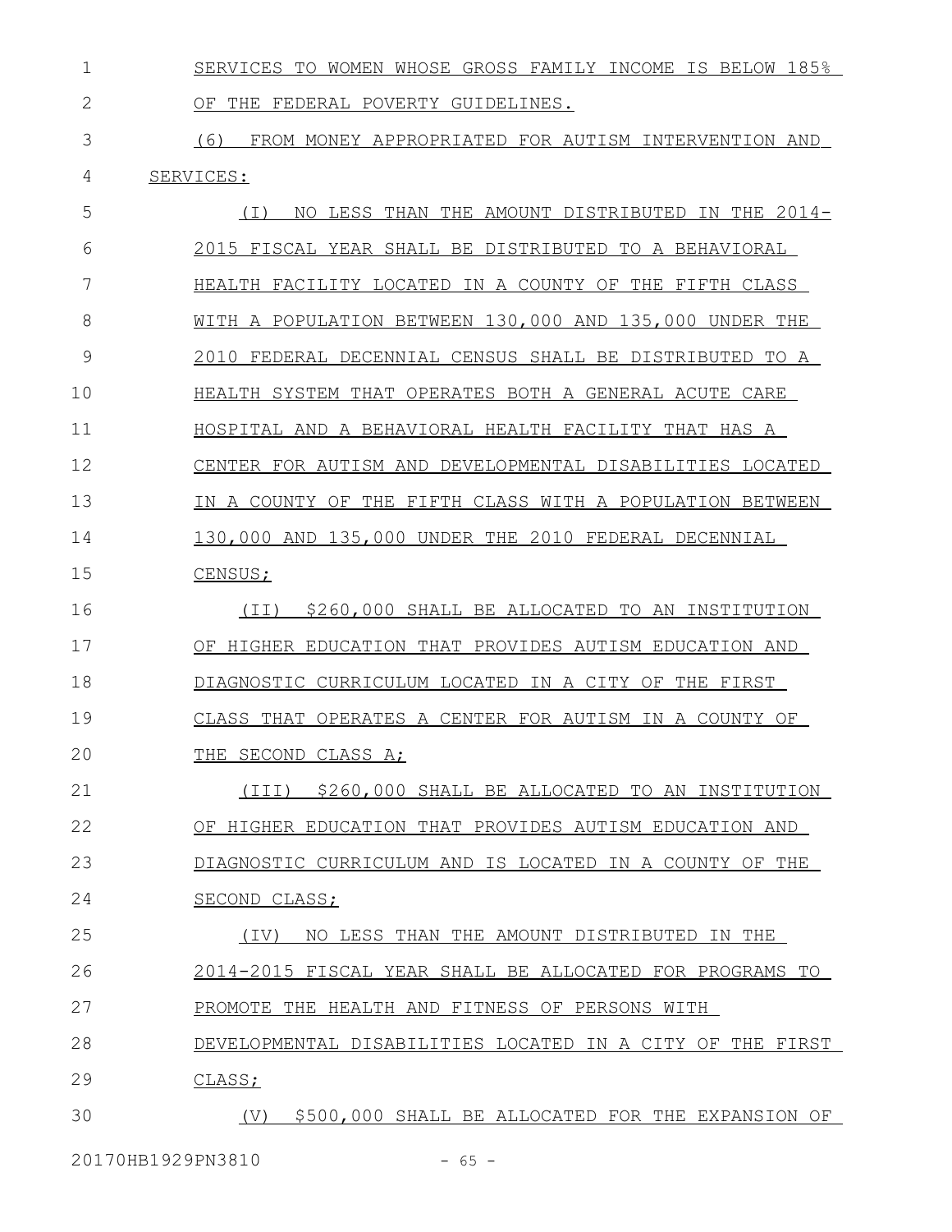SERVICES TO WOMEN WHOSE GROSS FAMILY INCOME IS BELOW 185% OF THE FEDERAL POVERTY GUIDELINES. 1 2

 (6) FROM MONEY APPROPRIATED FOR AUTISM INTERVENTION AND SERVICES: 3 4

| 5  | ( I )<br>NO LESS THAN THE AMOUNT DISTRIBUTED IN THE 2014- |
|----|-----------------------------------------------------------|
| 6  | 2015 FISCAL YEAR SHALL BE DISTRIBUTED TO A BEHAVIORAL     |
| 7  | HEALTH FACILITY LOCATED IN A COUNTY OF THE FIFTH CLASS    |
| 8  | WITH A POPULATION BETWEEN 130,000 AND 135,000 UNDER THE   |
| 9  | 2010 FEDERAL DECENNIAL CENSUS SHALL BE DISTRIBUTED TO A   |
| 10 | HEALTH SYSTEM THAT OPERATES BOTH A GENERAL ACUTE CARE     |
| 11 | HOSPITAL AND A BEHAVIORAL HEALTH FACILITY THAT HAS A      |
| 12 | CENTER FOR AUTISM AND DEVELOPMENTAL DISABILITIES LOCATED  |
| 13 | IN A COUNTY OF THE FIFTH CLASS WITH A POPULATION BETWEEN  |
| 14 | 130,000 AND 135,000 UNDER THE 2010 FEDERAL DECENNIAL      |
| 15 | CENSUS;                                                   |
| 16 | \$260,000 SHALL BE ALLOCATED TO AN INSTITUTION<br>(II)    |
| 17 | OF HIGHER EDUCATION THAT PROVIDES AUTISM EDUCATION AND    |
| 18 | DIAGNOSTIC CURRICULUM LOCATED IN A CITY OF THE FIRST      |
| 19 | OPERATES A CENTER FOR AUTISM IN A COUNTY OF<br>CLASS THAT |
| 20 | THE SECOND CLASS A;                                       |
| 21 | (III)<br>\$260,000 SHALL BE ALLOCATED TO AN INSTITUTION   |
| 22 | OF HIGHER EDUCATION THAT PROVIDES AUTISM EDUCATION AND    |
| 23 | DIAGNOSTIC CURRICULUM AND IS LOCATED IN A COUNTY OF THE   |
| 24 | SECOND CLASS;                                             |
| 25 | NO LESS THAN THE AMOUNT DISTRIBUTED IN THE<br>(IV)        |
| 26 | 2014-2015 FISCAL YEAR SHALL BE ALLOCATED FOR PROGRAMS TO  |
| 27 | PROMOTE THE HEALTH AND FITNESS OF PERSONS WITH            |
| 28 | DEVELOPMENTAL DISABILITIES LOCATED IN A CITY OF THE FIRST |
| 29 | CLASS;                                                    |
| 30 | (V) \$500,000 SHALL BE ALLOCATED FOR THE EXPANSION OF     |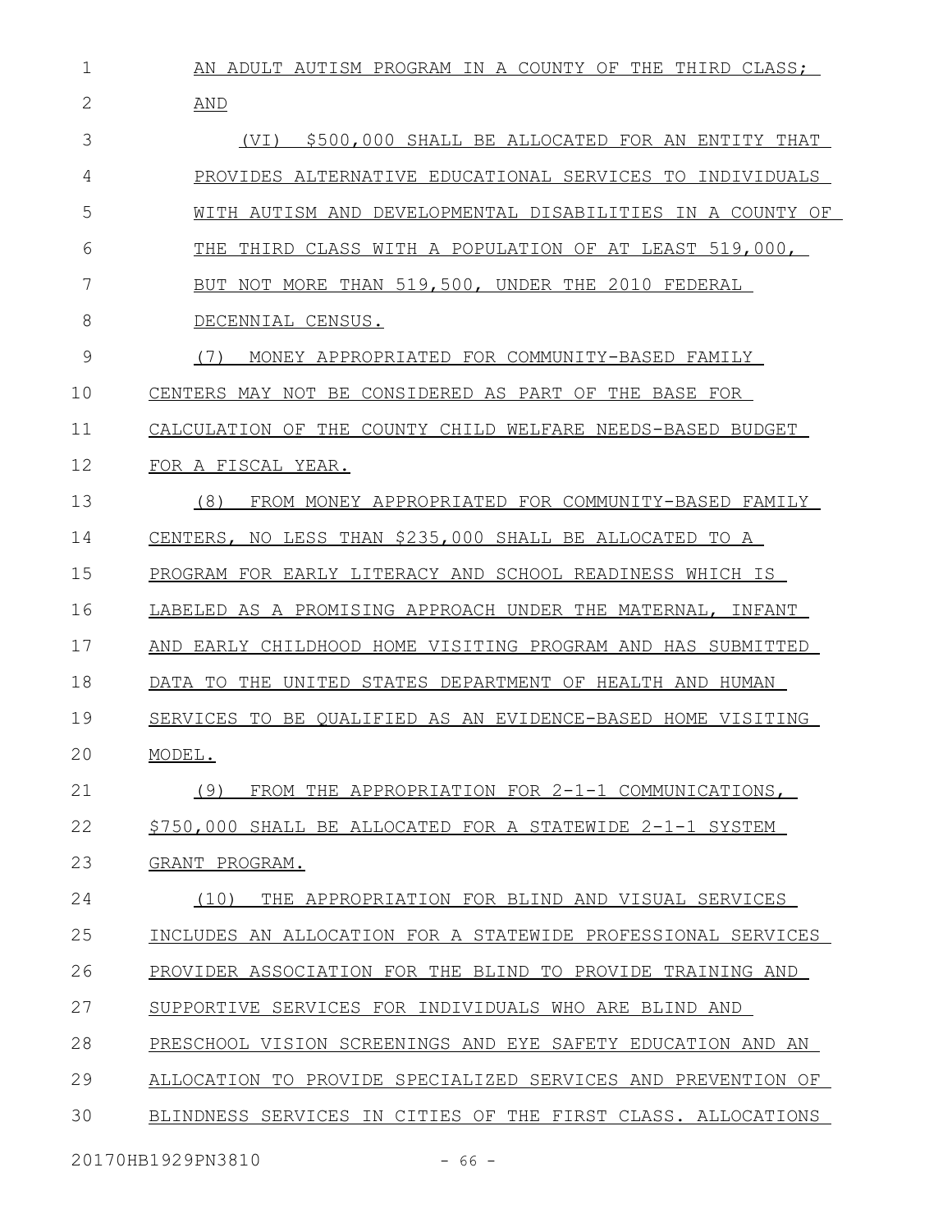| 1  | AN ADULT AUTISM PROGRAM IN A COUNTY OF THE THIRD CLASS:               |
|----|-----------------------------------------------------------------------|
| 2  | AND                                                                   |
| 3  | \$500,000 SHALL BE ALLOCATED FOR AN ENTITY THAT<br>(VI)               |
| 4  | PROVIDES ALTERNATIVE EDUCATIONAL SERVICES TO INDIVIDUALS              |
| 5  | WITH AUTISM AND DEVELOPMENTAL DISABILITIES IN A COUNTY OF             |
| 6  | THIRD CLASS WITH A POPULATION OF AT LEAST 519,000,<br>THE             |
| 7  | BUT NOT MORE THAN 519,500, UNDER THE 2010 FEDERAL                     |
| 8  | DECENNIAL CENSUS.                                                     |
| 9  | (7)<br>MONEY APPROPRIATED FOR COMMUNITY-BASED FAMILY                  |
| 10 | CONSIDERED AS PART OF THE BASE FOR<br>CENTERS MAY NOT BE              |
| 11 | CALCULATION OF THE COUNTY CHILD WELFARE NEEDS-BASED BUDGET            |
| 12 | FOR A FISCAL YEAR.                                                    |
| 13 | (8)<br>FROM MONEY APPROPRIATED FOR COMMUNITY-BASED FAMILY             |
| 14 | NO LESS THAN \$235,000 SHALL BE ALLOCATED TO A<br>CENTERS.            |
| 15 | PROGRAM FOR EARLY LITERACY AND SCHOOL READINESS WHICH IS              |
| 16 | AS A PROMISING APPROACH UNDER THE MATERNAL,<br>LABELED<br>INFANT      |
| 17 | EARLY CHILDHOOD HOME VISITING PROGRAM AND HAS SUBMITTED<br>AND        |
| 18 | TO<br>STATES DEPARTMENT OF HEALTH AND HUMAN<br>DATA<br>THE.<br>UNITED |
| 19 | BE OUALIFIED AS AN EVIDENCE-BASED HOME VISITING<br>SERVICES<br>TO     |
| 20 | MODEL.                                                                |
| 21 | FROM THE APPROPRIATION FOR 2-1-1 COMMUNICATIONS,<br>(9)               |
| 22 | \$750,000 SHALL BE ALLOCATED FOR A STATEWIDE 2-1-1 SYSTEM             |
| 23 | GRANT PROGRAM.                                                        |
| 24 | (10)<br>THE APPROPRIATION FOR BLIND AND VISUAL SERVICES               |
| 25 | INCLUDES AN ALLOCATION FOR A STATEWIDE PROFESSIONAL SERVICES          |
| 26 | PROVIDER ASSOCIATION FOR THE BLIND TO PROVIDE TRAINING AND            |
| 27 | SUPPORTIVE SERVICES FOR INDIVIDUALS WHO ARE BLIND AND                 |
| 28 | PRESCHOOL VISION SCREENINGS AND EYE SAFETY EDUCATION AND AN           |
| 29 | ALLOCATION TO PROVIDE SPECIALIZED SERVICES AND PREVENTION OF          |
| 30 | BLINDNESS SERVICES IN CITIES OF THE FIRST CLASS. ALLOCATIONS          |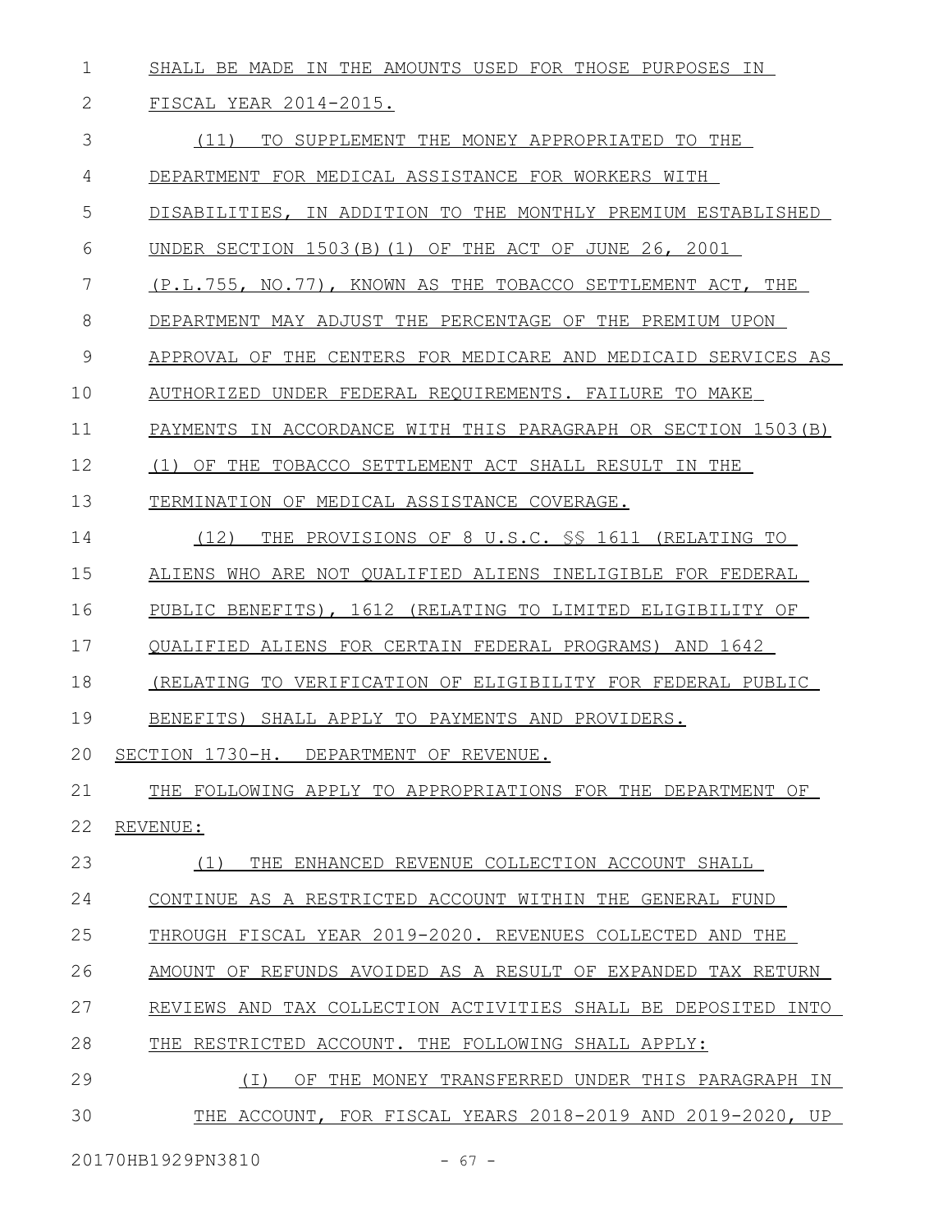SHALL BE MADE IN THE AMOUNTS USED FOR THOSE PURPOSES IN 1

|  | SCAL YEAR 2014-2015. |
|--|----------------------|
|  |                      |

 (11) TO SUPPLEMENT THE MONEY APPROPRIATED TO THE DEPARTMENT FOR MEDICAL ASSISTANCE FOR WORKERS WITH DISABILITIES, IN ADDITION TO THE MONTHLY PREMIUM ESTABLISHED UNDER SECTION 1503(B)(1) OF THE ACT OF JUNE 26, 2001 (P.L.755, NO.77), KNOWN AS THE TOBACCO SETTLEMENT ACT, THE DEPARTMENT MAY ADJUST THE PERCENTAGE OF THE PREMIUM UPON APPROVAL OF THE CENTERS FOR MEDICARE AND MEDICAID SERVICES AS AUTHORIZED UNDER FEDERAL REQUIREMENTS. FAILURE TO MAKE PAYMENTS IN ACCORDANCE WITH THIS PARAGRAPH OR SECTION 1503(B) (1) OF THE TOBACCO SETTLEMENT ACT SHALL RESULT IN THE TERMINATION OF MEDICAL ASSISTANCE COVERAGE. (12) THE PROVISIONS OF 8 U.S.C. §§ 1611 (RELATING TO ALIENS WHO ARE NOT QUALIFIED ALIENS INELIGIBLE FOR FEDERAL PUBLIC BENEFITS), 1612 (RELATING TO LIMITED ELIGIBILITY OF QUALIFIED ALIENS FOR CERTAIN FEDERAL PROGRAMS) AND 1642 (RELATING TO VERIFICATION OF ELIGIBILITY FOR FEDERAL PUBLIC BENEFITS) SHALL APPLY TO PAYMENTS AND PROVIDERS. SECTION 1730-H. DEPARTMENT OF REVENUE. THE FOLLOWING APPLY TO APPROPRIATIONS FOR THE DEPARTMENT OF REVENUE: (1) THE ENHANCED REVENUE COLLECTION ACCOUNT SHALL CONTINUE AS A RESTRICTED ACCOUNT WITHIN THE GENERAL FUND THROUGH FISCAL YEAR 2019-2020. REVENUES COLLECTED AND THE AMOUNT OF REFUNDS AVOIDED AS A RESULT OF EXPANDED TAX RETURN REVIEWS AND TAX COLLECTION ACTIVITIES SHALL BE DEPOSITED INTO THE RESTRICTED ACCOUNT. THE FOLLOWING SHALL APPLY: (I) OF THE MONEY TRANSFERRED UNDER THIS PARAGRAPH IN THE ACCOUNT, FOR FISCAL YEARS 2018-2019 AND 2019-2020, UP 3 4 5 6 7 8 9 10 11 12 13 14 15 16 17 18 19 20 21 22 23 24 25 26 27 28 29 30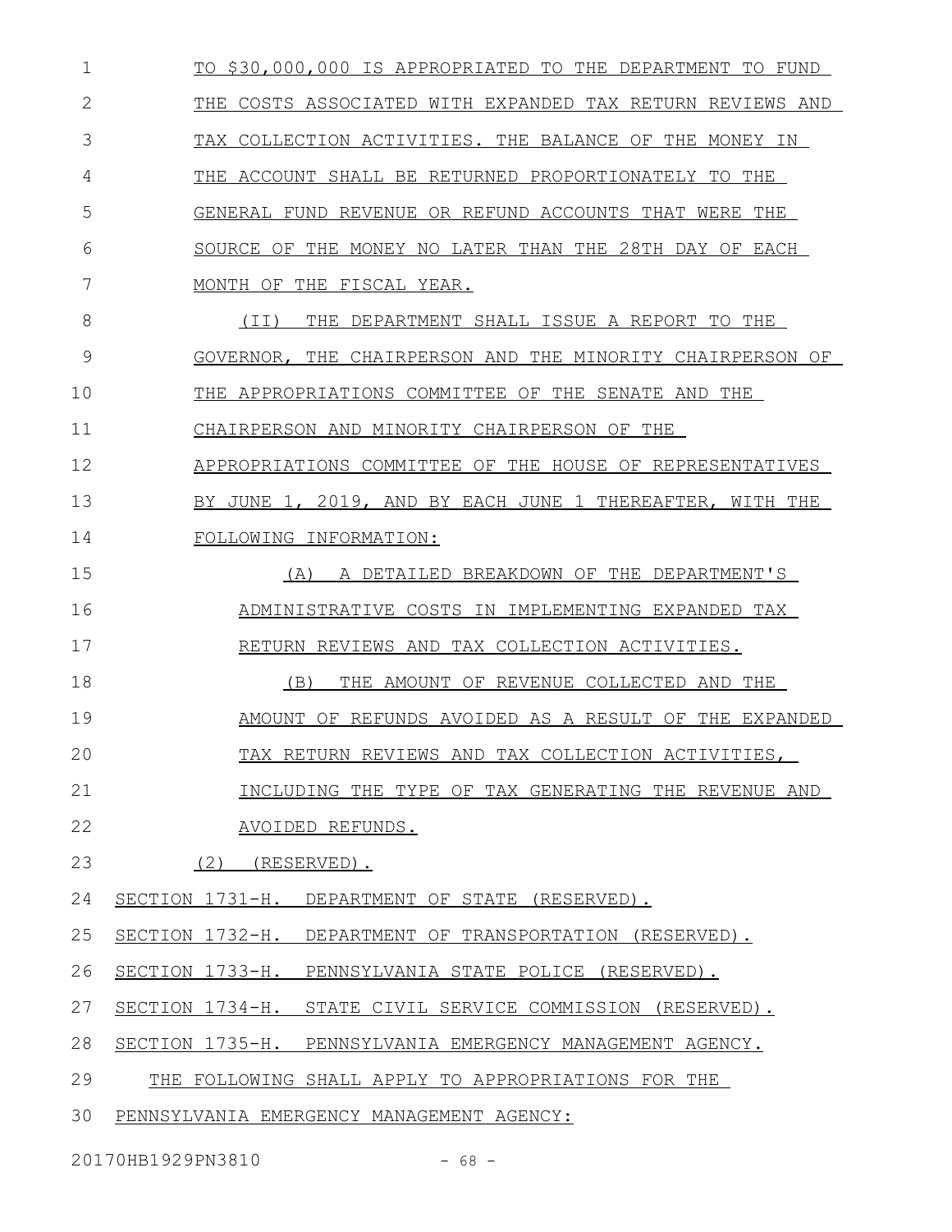TO \$30,000,000 IS APPROPRIATED TO THE DEPARTMENT TO FUND THE COSTS ASSOCIATED WITH EXPANDED TAX RETURN REVIEWS AND TAX COLLECTION ACTIVITIES. THE BALANCE OF THE MONEY IN THE ACCOUNT SHALL BE RETURNED PROPORTIONATELY TO THE GENERAL FUND REVENUE OR REFUND ACCOUNTS THAT WERE THE SOURCE OF THE MONEY NO LATER THAN THE 28TH DAY OF EACH MONTH OF THE FISCAL YEAR. (II) THE DEPARTMENT SHALL ISSUE A REPORT TO THE GOVERNOR, THE CHAIRPERSON AND THE MINORITY CHAIRPERSON OF THE APPROPRIATIONS COMMITTEE OF THE SENATE AND THE CHAIRPERSON AND MINORITY CHAIRPERSON OF THE APPROPRIATIONS COMMITTEE OF THE HOUSE OF REPRESENTATIVES BY JUNE 1, 2019, AND BY EACH JUNE 1 THEREAFTER, WITH THE FOLLOWING INFORMATION: (A) A DETAILED BREAKDOWN OF THE DEPARTMENT'S ADMINISTRATIVE COSTS IN IMPLEMENTING EXPANDED TAX RETURN REVIEWS AND TAX COLLECTION ACTIVITIES. (B) THE AMOUNT OF REVENUE COLLECTED AND THE AMOUNT OF REFUNDS AVOIDED AS A RESULT OF THE EXPANDED TAX RETURN REVIEWS AND TAX COLLECTION ACTIVITIES, INCLUDING THE TYPE OF TAX GENERATING THE REVENUE AND AVOIDED REFUNDS. (2) (RESERVED). SECTION 1731-H. DEPARTMENT OF STATE (RESERVED). SECTION 1732-H. DEPARTMENT OF TRANSPORTATION (RESERVED). SECTION 1733-H. PENNSYLVANIA STATE POLICE (RESERVED). SECTION 1734-H. STATE CIVIL SERVICE COMMISSION (RESERVED). SECTION 1735-H. PENNSYLVANIA EMERGENCY MANAGEMENT AGENCY. THE FOLLOWING SHALL APPLY TO APPROPRIATIONS FOR THE PENNSYLVANIA EMERGENCY MANAGEMENT AGENCY: 1 2 3 4 5 6 7 8 9 10 11 12 13 14 15 16 17 18 19 20 21 22 23 24 25 26 27 28 29 30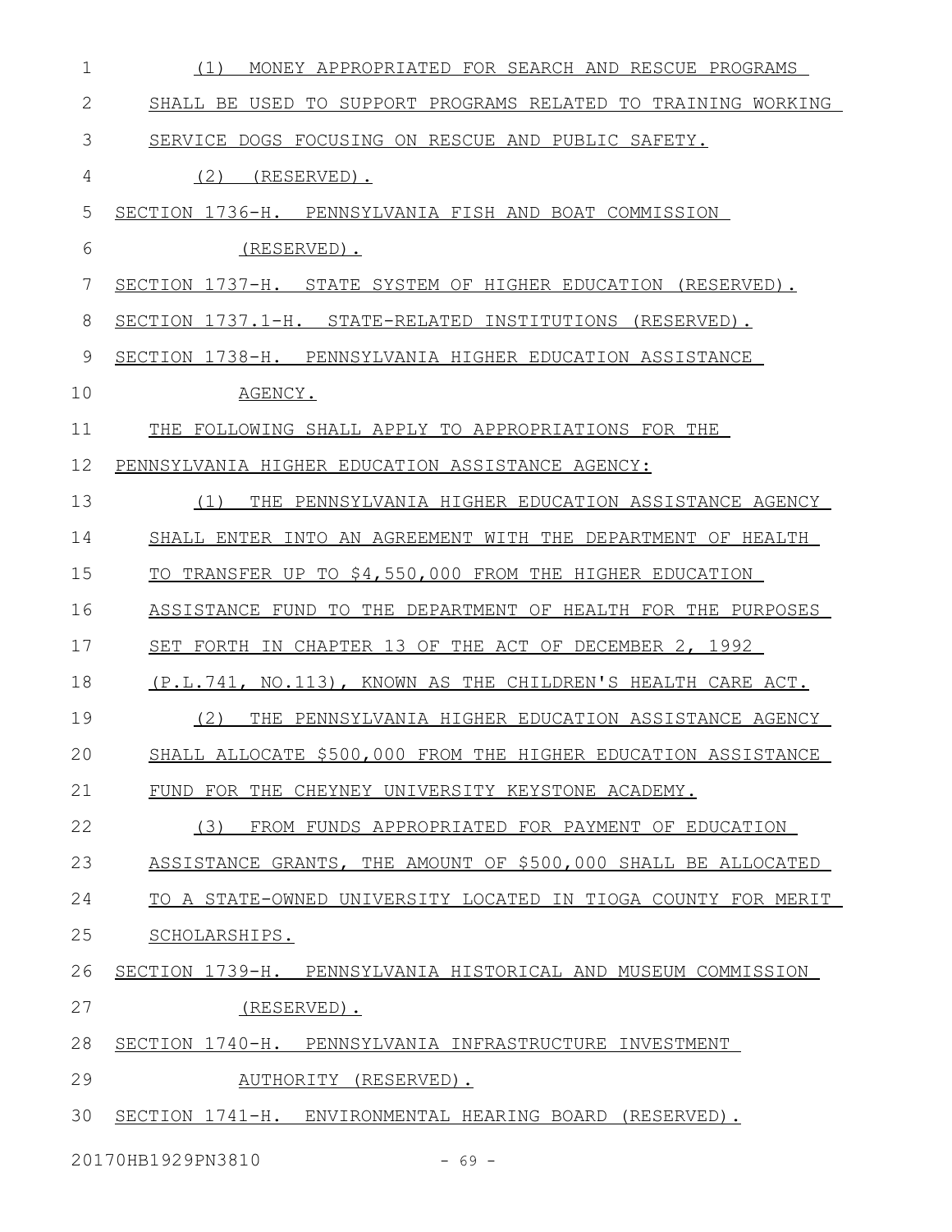| $\mathbf 1$  | MONEY APPROPRIATED FOR SEARCH AND RESCUE PROGRAMS<br>(1)      |
|--------------|---------------------------------------------------------------|
| $\mathbf{2}$ | SHALL BE USED TO SUPPORT PROGRAMS RELATED TO TRAINING WORKING |
| 3            | SERVICE DOGS FOCUSING ON RESCUE AND PUBLIC SAFETY.            |
| 4            | (2)<br>(RESERVED).                                            |
| 5            | SECTION 1736-H. PENNSYLVANIA FISH AND BOAT COMMISSION         |
| 6            | (RESERVED).                                                   |
| 7            | SECTION 1737-H. STATE SYSTEM OF HIGHER EDUCATION (RESERVED).  |
| 8            | SECTION 1737.1-H. STATE-RELATED INSTITUTIONS (RESERVED).      |
| 9            | SECTION 1738-H. PENNSYLVANIA HIGHER EDUCATION ASSISTANCE      |
| 10           | AGENCY.                                                       |
| 11           | THE FOLLOWING SHALL APPLY TO APPROPRIATIONS FOR THE           |
| 12           | PENNSYLVANIA HIGHER EDUCATION ASSISTANCE AGENCY:              |
| 13           | (1)<br>THE PENNSYLVANIA HIGHER EDUCATION ASSISTANCE AGENCY    |
| 14           | SHALL ENTER INTO AN AGREEMENT WITH THE DEPARTMENT OF HEALTH   |
| 15           | TO TRANSFER UP TO \$4,550,000 FROM THE HIGHER EDUCATION       |
| 16           | ASSISTANCE FUND TO THE DEPARTMENT OF HEALTH FOR THE PURPOSES  |
| 17           | SET FORTH IN CHAPTER 13 OF THE ACT OF DECEMBER 2, 1992        |
| 18           | (P.L.741, NO.113), KNOWN AS THE CHILDREN'S HEALTH CARE ACT.   |
| 19           | (2)<br>THE PENNSYLVANIA HIGHER EDUCATION ASSISTANCE AGENCY    |
| 20           | SHALL ALLOCATE \$500,000 FROM THE HIGHER EDUCATION ASSISTANCE |
| 21           | FUND FOR THE CHEYNEY UNIVERSITY KEYSTONE ACADEMY.             |
| 22           | (3)<br>FROM FUNDS APPROPRIATED FOR PAYMENT OF EDUCATION       |
| 23           | ASSISTANCE GRANTS, THE AMOUNT OF \$500,000 SHALL BE ALLOCATED |
| 24           | TO A STATE-OWNED UNIVERSITY LOCATED IN TIOGA COUNTY FOR MERIT |
| 25           | SCHOLARSHIPS.                                                 |
| 26           | SECTION 1739-H. PENNSYLVANIA HISTORICAL AND MUSEUM COMMISSION |
| 27           | (RESERVED).                                                   |
| 28           | SECTION 1740-H. PENNSYLVANIA INFRASTRUCTURE INVESTMENT        |
| 29           | AUTHORITY (RESERVED).                                         |
| 30           | SECTION 1741-H. ENVIRONMENTAL HEARING BOARD (RESERVED).       |

20170HB1929PN3810 - 69 -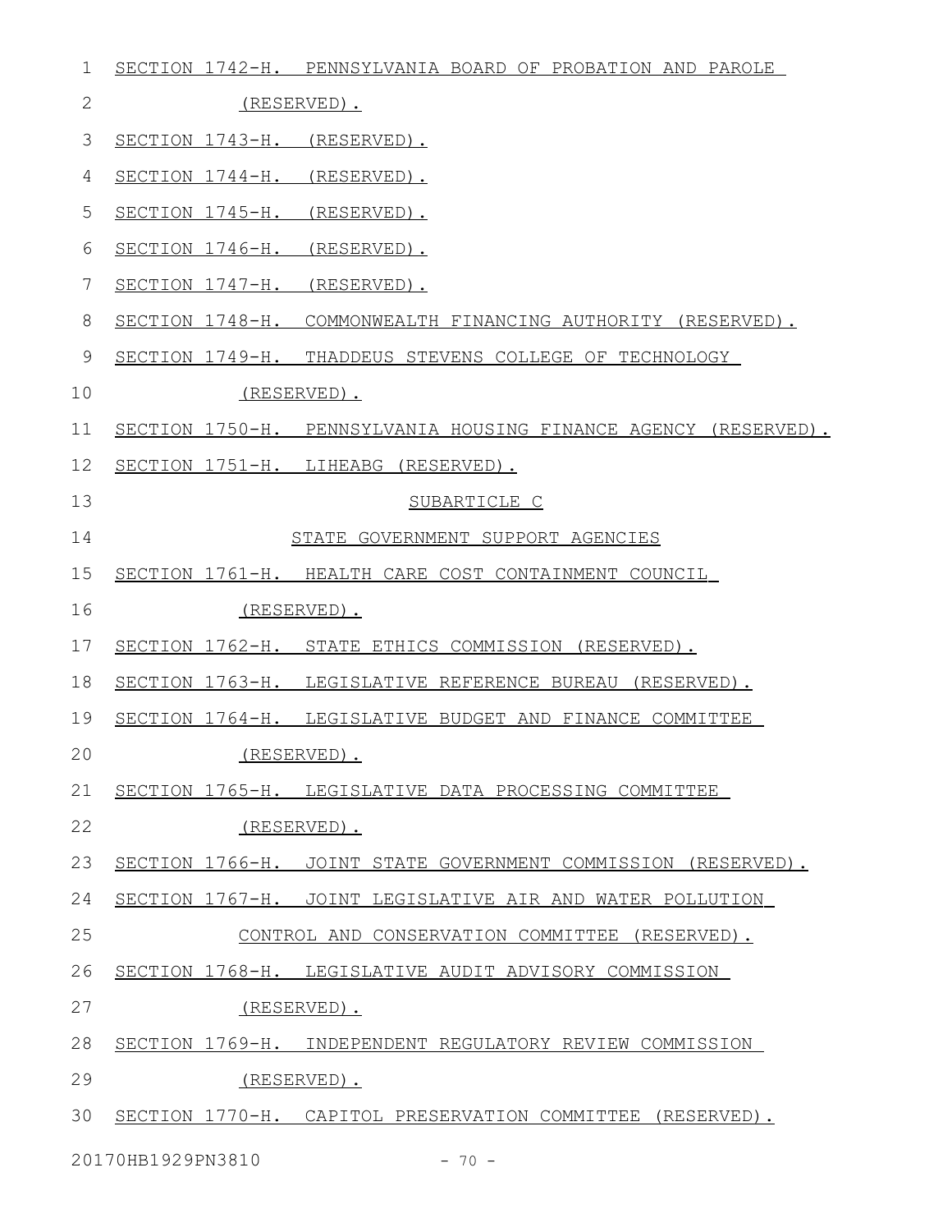| 1            | SECTION 1742-H. PENNSYLVANIA BOARD OF PROBATION AND PAROLE      |
|--------------|-----------------------------------------------------------------|
| $\mathbf{2}$ | (RESERVED).                                                     |
| 3            | SECTION 1743-H. (RESERVED).                                     |
| 4            | SECTION 1744-H. (RESERVED).                                     |
| 5            | SECTION 1745-H. (RESERVED).                                     |
| 6            | SECTION 1746-H. (RESERVED).                                     |
| 7            | SECTION 1747-H. (RESERVED).                                     |
| 8            | SECTION 1748-H. COMMONWEALTH FINANCING AUTHORITY (RESERVED).    |
| 9            | SECTION 1749-H. THADDEUS STEVENS COLLEGE OF TECHNOLOGY          |
| 10           | (RESERVED).                                                     |
| 11           | SECTION 1750-H. PENNSYLVANIA HOUSING FINANCE AGENCY (RESERVED). |
| 12           | SECTION 1751-H. LIHEABG (RESERVED).                             |
| 13           | SUBARTICLE C                                                    |
| 14           | STATE GOVERNMENT SUPPORT AGENCIES                               |
| 15           | SECTION 1761-H. HEALTH CARE COST CONTAINMENT COUNCIL            |
| 16           | (RESERVED).                                                     |
| 17           | SECTION 1762-H. STATE ETHICS COMMISSION (RESERVED).             |
| 18           | SECTION 1763-H. LEGISLATIVE REFERENCE BUREAU (RESERVED).        |
| 19           | SECTION 1764-H. LEGISLATIVE BUDGET AND FINANCE COMMITTEE        |
| 20           | (RESERVED).                                                     |
| 21           | SECTION 1765-H. LEGISLATIVE DATA PROCESSING COMMITTEE           |
| 22           | (RESERVED).                                                     |
| 23           | SECTION 1766-H. JOINT STATE GOVERNMENT COMMISSION (RESERVED).   |
| 24           | SECTION 1767-H. JOINT LEGISLATIVE AIR AND WATER POLLUTION       |
| 25           | CONTROL AND CONSERVATION COMMITTEE (RESERVED).                  |
| 26           | SECTION 1768-H. LEGISLATIVE AUDIT ADVISORY COMMISSION           |
| 27           | (RESERVED).                                                     |
| 28           | SECTION 1769-H. INDEPENDENT REGULATORY REVIEW COMMISSION        |
| 29           | (RESERVED).                                                     |
| 30           | SECTION 1770-H. CAPITOL PRESERVATION COMMITTEE (RESERVED).      |

20170HB1929PN3810 - 70 -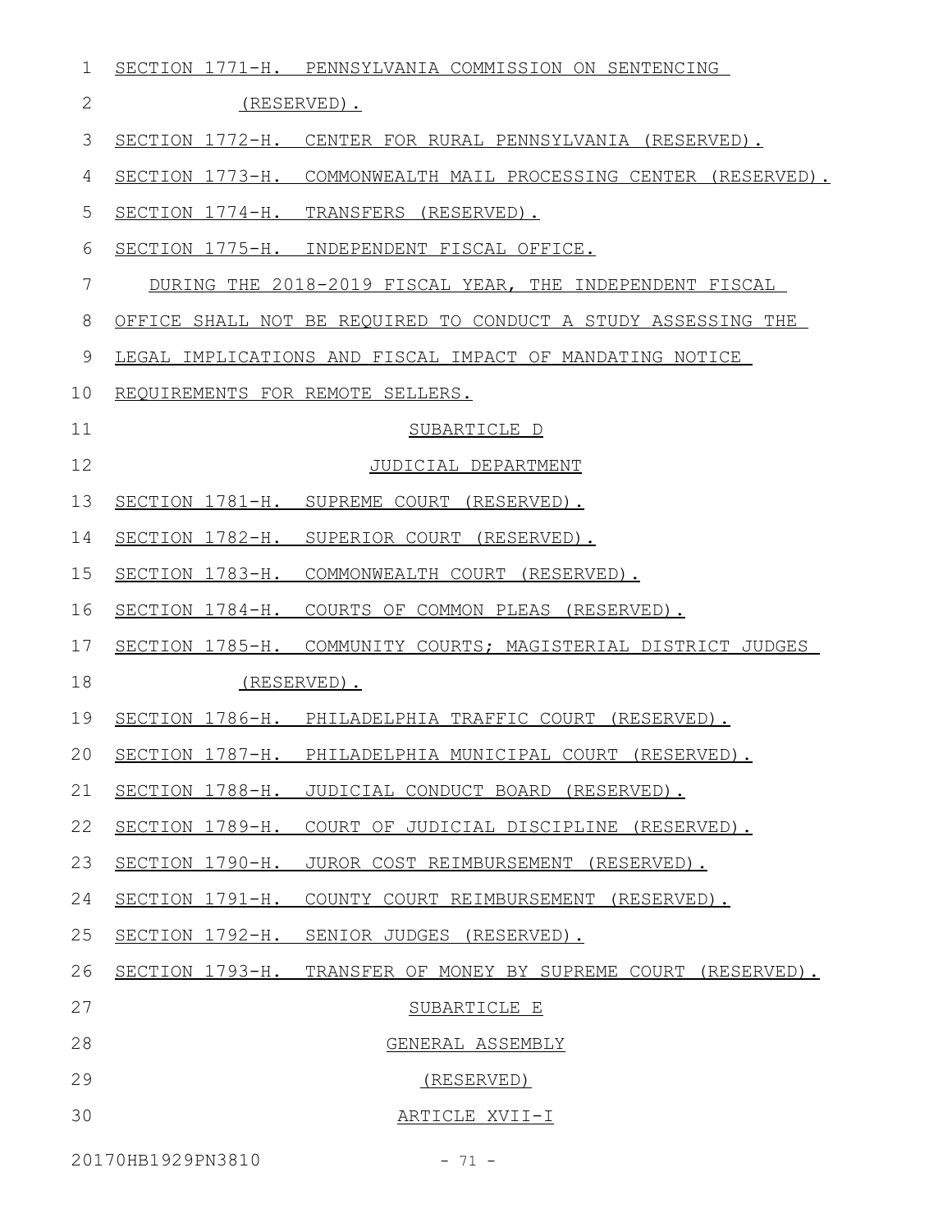| $\mathbf 1$  |                                  | SECTION 1771-H. PENNSYLVANIA COMMISSION ON SENTENCING           |
|--------------|----------------------------------|-----------------------------------------------------------------|
| $\mathbf{2}$ |                                  | (RESERVED).                                                     |
| 3            |                                  | SECTION 1772-H. CENTER FOR RURAL PENNSYLVANIA (RESERVED).       |
| 4            |                                  | SECTION 1773-H. COMMONWEALTH MAIL PROCESSING CENTER (RESERVED). |
| 5            |                                  | SECTION 1774-H. TRANSFERS (RESERVED).                           |
| 6            |                                  | SECTION 1775-H. INDEPENDENT FISCAL OFFICE.                      |
| 7            |                                  | DURING THE 2018-2019 FISCAL YEAR, THE INDEPENDENT FISCAL        |
| 8            |                                  | OFFICE SHALL NOT BE REQUIRED TO CONDUCT A STUDY ASSESSING THE   |
| 9            |                                  | LEGAL IMPLICATIONS AND FISCAL IMPACT OF MANDATING NOTICE        |
| 10           | REQUIREMENTS FOR REMOTE SELLERS. |                                                                 |
| 11           |                                  | SUBARTICLE D                                                    |
| 12           |                                  | JUDICIAL DEPARTMENT                                             |
| 13           |                                  | SECTION 1781-H. SUPREME COURT (RESERVED).                       |
| 14           |                                  | SECTION 1782-H. SUPERIOR COURT (RESERVED).                      |
| 15           |                                  | SECTION 1783-H. COMMONWEALTH COURT (RESERVED).                  |
| 16           |                                  | SECTION 1784-H. COURTS OF COMMON PLEAS (RESERVED).              |
| 17           |                                  | SECTION 1785-H. COMMUNITY COURTS; MAGISTERIAL DISTRICT JUDGES   |
| 18           |                                  | (RESERVED).                                                     |
| 19           |                                  | SECTION 1786-H. PHILADELPHIA TRAFFIC COURT (RESERVED).          |
|              |                                  | 20 SECTION 1787-H. PHILADELPHIA MUNICIPAL COURT (RESERVED).     |
| 21           |                                  | SECTION 1788-H. JUDICIAL CONDUCT BOARD (RESERVED).              |
| 22           |                                  | SECTION 1789-H. COURT OF JUDICIAL DISCIPLINE (RESERVED).        |
| 23           |                                  | SECTION 1790-H. JUROR COST REIMBURSEMENT (RESERVED).            |
| 24           |                                  | SECTION 1791-H. COUNTY COURT REIMBURSEMENT (RESERVED).          |
| 25           |                                  | SECTION 1792-H. SENIOR JUDGES (RESERVED).                       |
| 26           |                                  | SECTION 1793-H. TRANSFER OF MONEY BY SUPREME COURT (RESERVED).  |
| 27           |                                  | SUBARTICLE E                                                    |
| 28           |                                  | GENERAL ASSEMBLY                                                |
| 29           |                                  | (RESERVED)                                                      |
| 30           |                                  | ARTICLE XVII-I                                                  |
|              |                                  |                                                                 |

20170HB1929PN3810 - 71 -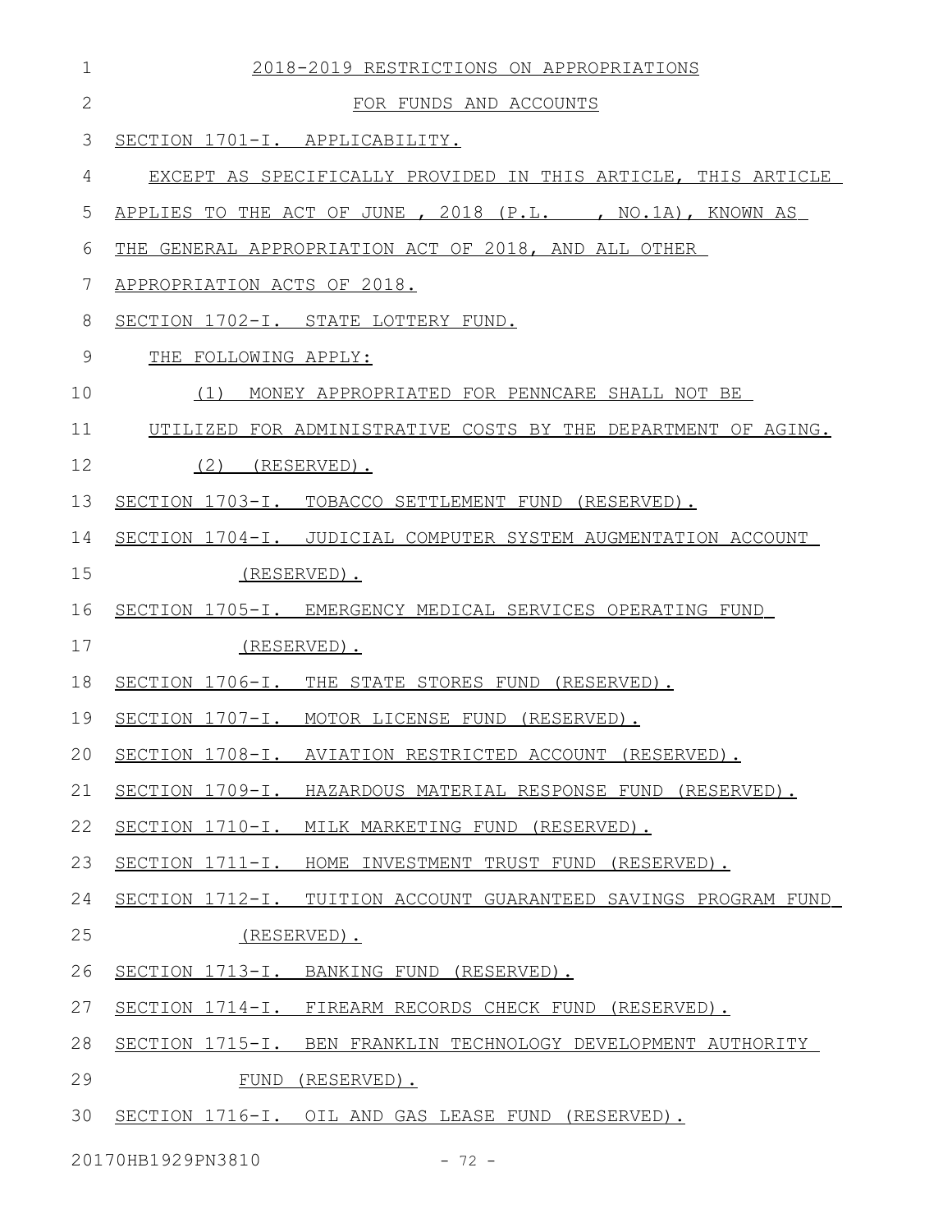| $\mathbf 1$  | 2018-2019 RESTRICTIONS ON APPROPRIATIONS                        |  |
|--------------|-----------------------------------------------------------------|--|
| $\mathbf{2}$ | FOR FUNDS AND ACCOUNTS                                          |  |
| 3            | SECTION 1701-I. APPLICABILITY.                                  |  |
| 4            | EXCEPT AS SPECIFICALLY PROVIDED IN THIS ARTICLE, THIS ARTICLE   |  |
| 5            | APPLIES TO THE ACT OF JUNE , 2018 (P.L. , NO.1A), KNOWN AS      |  |
| 6            | THE GENERAL APPROPRIATION ACT OF 2018, AND ALL OTHER            |  |
| 7            | APPROPRIATION ACTS OF 2018.                                     |  |
| 8            | SECTION 1702-I. STATE LOTTERY FUND.                             |  |
| 9            | THE FOLLOWING APPLY:                                            |  |
| 10           | MONEY APPROPRIATED FOR PENNCARE SHALL NOT BE<br>(1)             |  |
| 11           | UTILIZED FOR ADMINISTRATIVE COSTS BY THE DEPARTMENT OF AGING.   |  |
| 12           | $(2)$ (RESERVED).                                               |  |
| 13           | SECTION 1703-I. TOBACCO SETTLEMENT FUND (RESERVED).             |  |
| 14           | SECTION 1704-I. JUDICIAL COMPUTER SYSTEM AUGMENTATION ACCOUNT   |  |
| 15           | (RESERVED).                                                     |  |
| 16           | SECTION 1705-I. EMERGENCY MEDICAL SERVICES OPERATING FUND       |  |
| 17           | (RESERVED).                                                     |  |
| 18           | SECTION 1706-I. THE STATE STORES FUND (RESERVED).               |  |
| 19           | SECTION 1707-I. MOTOR LICENSE FUND (RESERVED).                  |  |
|              | 20 SECTION 1708-I. AVIATION RESTRICTED ACCOUNT (RESERVED).      |  |
| 21           | SECTION 1709-I. HAZARDOUS MATERIAL RESPONSE FUND (RESERVED).    |  |
| 22           | SECTION 1710-I. MILK MARKETING FUND (RESERVED).                 |  |
| 23           | SECTION 1711-I. HOME INVESTMENT TRUST FUND (RESERVED).          |  |
| 24           | SECTION 1712-I. TUITION ACCOUNT GUARANTEED SAVINGS PROGRAM FUND |  |
| 25           | (RESERVED).                                                     |  |
| 26           | SECTION 1713-I. BANKING FUND (RESERVED).                        |  |
| 27           | SECTION 1714-I. FIREARM RECORDS CHECK FUND (RESERVED).          |  |
| 28           | SECTION 1715-I. BEN FRANKLIN TECHNOLOGY DEVELOPMENT AUTHORITY   |  |
| 29           | FUND (RESERVED).                                                |  |
| 30           | SECTION 1716-I. OIL AND GAS LEASE FUND (RESERVED).              |  |

20170HB1929PN3810 - 72 -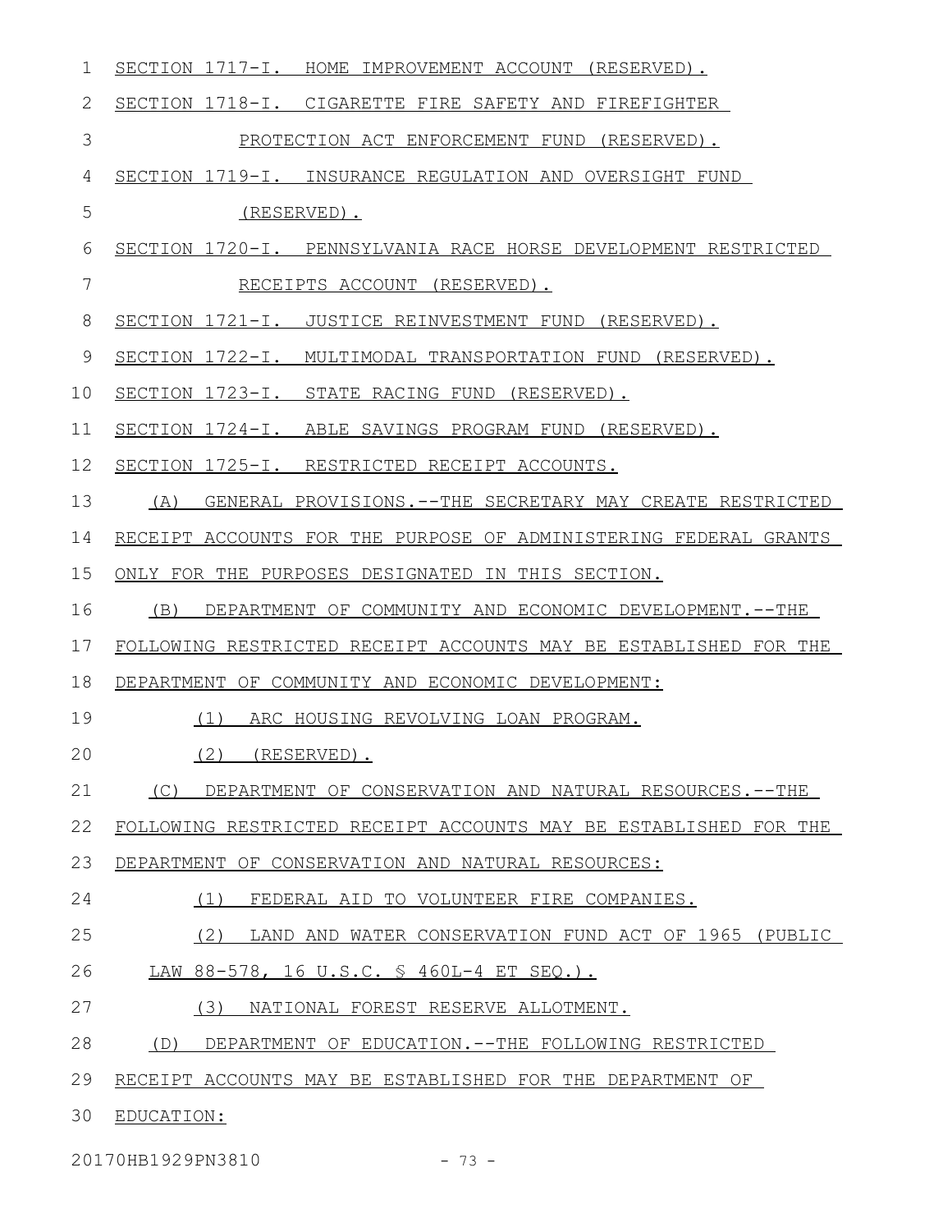| 1           | SECTION 1717-I. HOME IMPROVEMENT ACCOUNT (RESERVED).             |
|-------------|------------------------------------------------------------------|
| 2           | SECTION 1718-I. CIGARETTE FIRE SAFETY AND FIREFIGHTER            |
| 3           | PROTECTION ACT ENFORCEMENT FUND (RESERVED).                      |
| 4           | SECTION 1719-I. INSURANCE REGULATION AND OVERSIGHT FUND          |
| 5           | (RESERVED).                                                      |
| 6           | SECTION 1720-I. PENNSYLVANIA RACE HORSE DEVELOPMENT RESTRICTED   |
| 7           | RECEIPTS ACCOUNT (RESERVED).                                     |
| 8           | SECTION 1721-I. JUSTICE REINVESTMENT FUND (RESERVED).            |
| $\mathsf 9$ | SECTION 1722-I. MULTIMODAL TRANSPORTATION FUND (RESERVED).       |
| 10          | SECTION 1723-I. STATE RACING FUND (RESERVED).                    |
| 11          | SECTION 1724-I. ABLE SAVINGS PROGRAM FUND (RESERVED).            |
| 12          | SECTION 1725-I. RESTRICTED RECEIPT ACCOUNTS.                     |
| 13          | (A) GENERAL PROVISIONS.--THE SECRETARY MAY CREATE RESTRICTED     |
| 14          | RECEIPT ACCOUNTS FOR THE PURPOSE OF ADMINISTERING FEDERAL GRANTS |
| 15          | ONLY FOR THE PURPOSES DESIGNATED IN THIS SECTION.                |
| 16          | DEPARTMENT OF COMMUNITY AND ECONOMIC DEVELOPMENT. -- THE<br>(B)  |
| 17          | FOLLOWING RESTRICTED RECEIPT ACCOUNTS MAY BE ESTABLISHED FOR THE |
| 18          | DEPARTMENT OF COMMUNITY AND ECONOMIC DEVELOPMENT:                |
| 19          | (1) ARC HOUSING REVOLVING LOAN PROGRAM.                          |
| 20          | $(2)$ (RESERVED).                                                |
| 21          | (C) DEPARTMENT OF CONSERVATION AND NATURAL RESOURCES.--THE       |
| 22          | FOLLOWING RESTRICTED RECEIPT ACCOUNTS MAY BE ESTABLISHED FOR THE |
| 23          | DEPARTMENT OF CONSERVATION AND NATURAL RESOURCES:                |
| 24          | (1)<br>FEDERAL AID TO VOLUNTEER FIRE COMPANIES.                  |
| 25          | LAND AND WATER CONSERVATION FUND ACT OF 1965 (PUBLIC<br>(2)      |
| 26          | LAW 88-578, 16 U.S.C. § 460L-4 ET SEQ.).                         |
| 27          | (3)<br>NATIONAL FOREST RESERVE ALLOTMENT.                        |
| 28          | DEPARTMENT OF EDUCATION.--THE FOLLOWING RESTRICTED<br>(D)        |
| 29          | RECEIPT ACCOUNTS MAY BE ESTABLISHED FOR THE DEPARTMENT OF        |
| 30          | EDUCATION:                                                       |
|             |                                                                  |

20170HB1929PN3810 - 73 -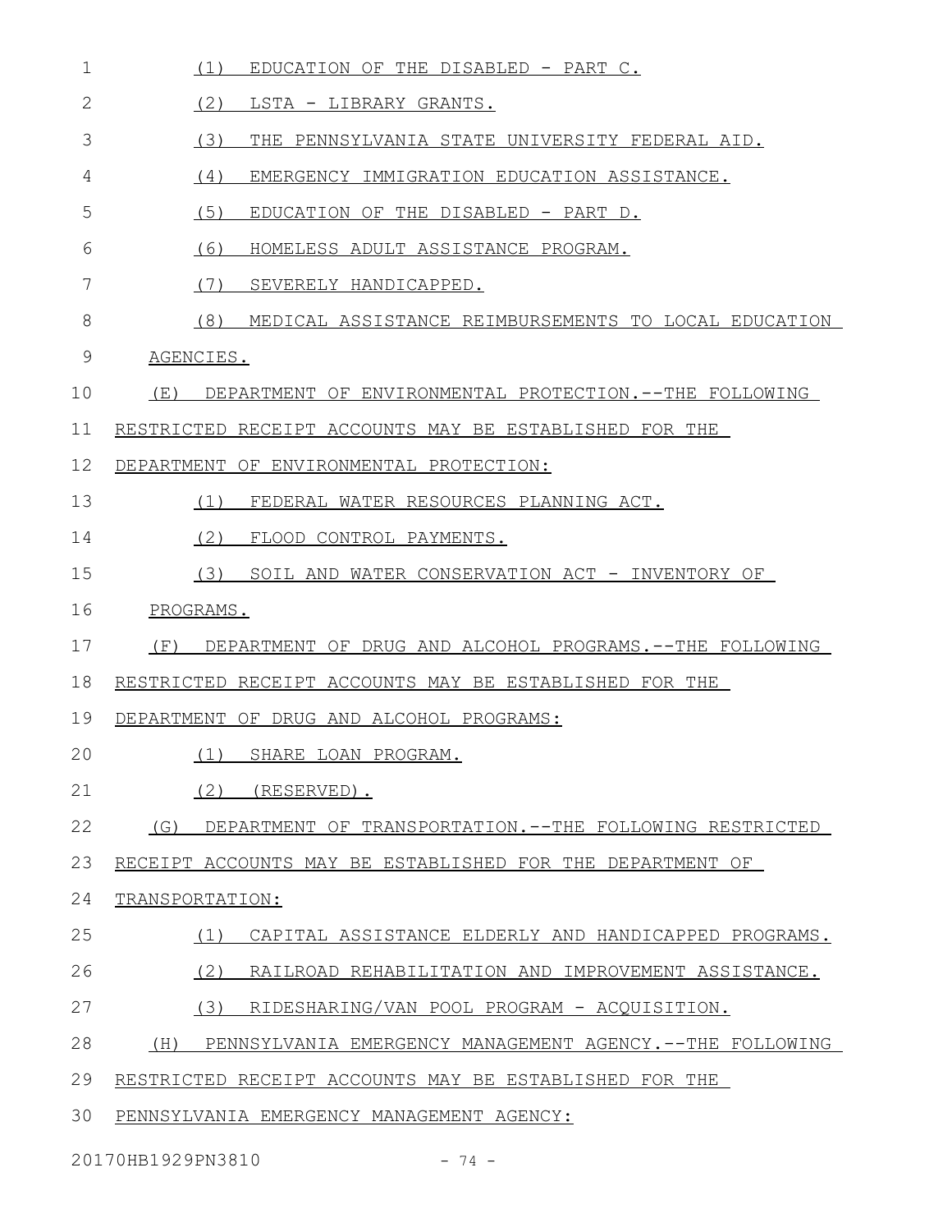| $\mathbf 1$  | (1)<br>EDUCATION OF THE DISABLED - PART C.                      |
|--------------|-----------------------------------------------------------------|
| $\mathbf{2}$ | (2)<br>LSTA - LIBRARY GRANTS.                                   |
| 3            | (3)<br>THE PENNSYLVANIA STATE UNIVERSITY FEDERAL AID.           |
| 4            | (4)<br>EMERGENCY IMMIGRATION EDUCATION ASSISTANCE.              |
| 5            | (5)<br>EDUCATION OF THE DISABLED - PART D.                      |
| 6            | (6)<br>HOMELESS ADULT ASSISTANCE PROGRAM.                       |
| 7            | (7)<br>SEVERELY HANDICAPPED.                                    |
| 8            | (8)<br>MEDICAL ASSISTANCE REIMBURSEMENTS TO LOCAL EDUCATION     |
| 9            | AGENCIES.                                                       |
| 10           | (E)<br>DEPARTMENT OF ENVIRONMENTAL PROTECTION. -- THE FOLLOWING |
| 11           | RESTRICTED RECEIPT ACCOUNTS MAY BE ESTABLISHED FOR THE          |
| 12           | DEPARTMENT OF ENVIRONMENTAL PROTECTION:                         |
| 13           | (1)<br>FEDERAL WATER RESOURCES PLANNING ACT.                    |
| 14           | (2)<br>FLOOD CONTROL PAYMENTS.                                  |
| 15           | (3)<br>SOIL AND WATER CONSERVATION ACT - INVENTORY OF           |
| 16           | PROGRAMS.                                                       |
| 17           | (F)<br>DEPARTMENT OF DRUG AND ALCOHOL PROGRAMS.--THE FOLLOWING  |
| 18           | RESTRICTED RECEIPT ACCOUNTS MAY BE ESTABLISHED FOR THE          |
| 19           | DEPARTMENT OF DRUG AND ALCOHOL PROGRAMS:                        |
| 20           | (1)<br>SHARE LOAN PROGRAM.                                      |
| 21           | (2)<br>(RESERVED).                                              |
| 22           | (G)<br>DEPARTMENT OF TRANSPORTATION.--THE FOLLOWING RESTRICTED  |
| 23           | RECEIPT ACCOUNTS MAY BE ESTABLISHED FOR THE DEPARTMENT OF       |
| 24           | TRANSPORTATION:                                                 |
| 25           | (1)<br>CAPITAL ASSISTANCE ELDERLY AND HANDICAPPED PROGRAMS.     |
| 26           | (2)<br>RAILROAD REHABILITATION AND IMPROVEMENT ASSISTANCE.      |
| 27           | (3)<br>RIDESHARING/VAN POOL PROGRAM - ACQUISITION.              |
| 28           | (H)<br>PENNSYLVANIA EMERGENCY MANAGEMENT AGENCY.--THE FOLLOWING |
| 29           | RESTRICTED RECEIPT ACCOUNTS MAY BE ESTABLISHED FOR THE          |
| 30           | PENNSYLVANIA EMERGENCY MANAGEMENT AGENCY:                       |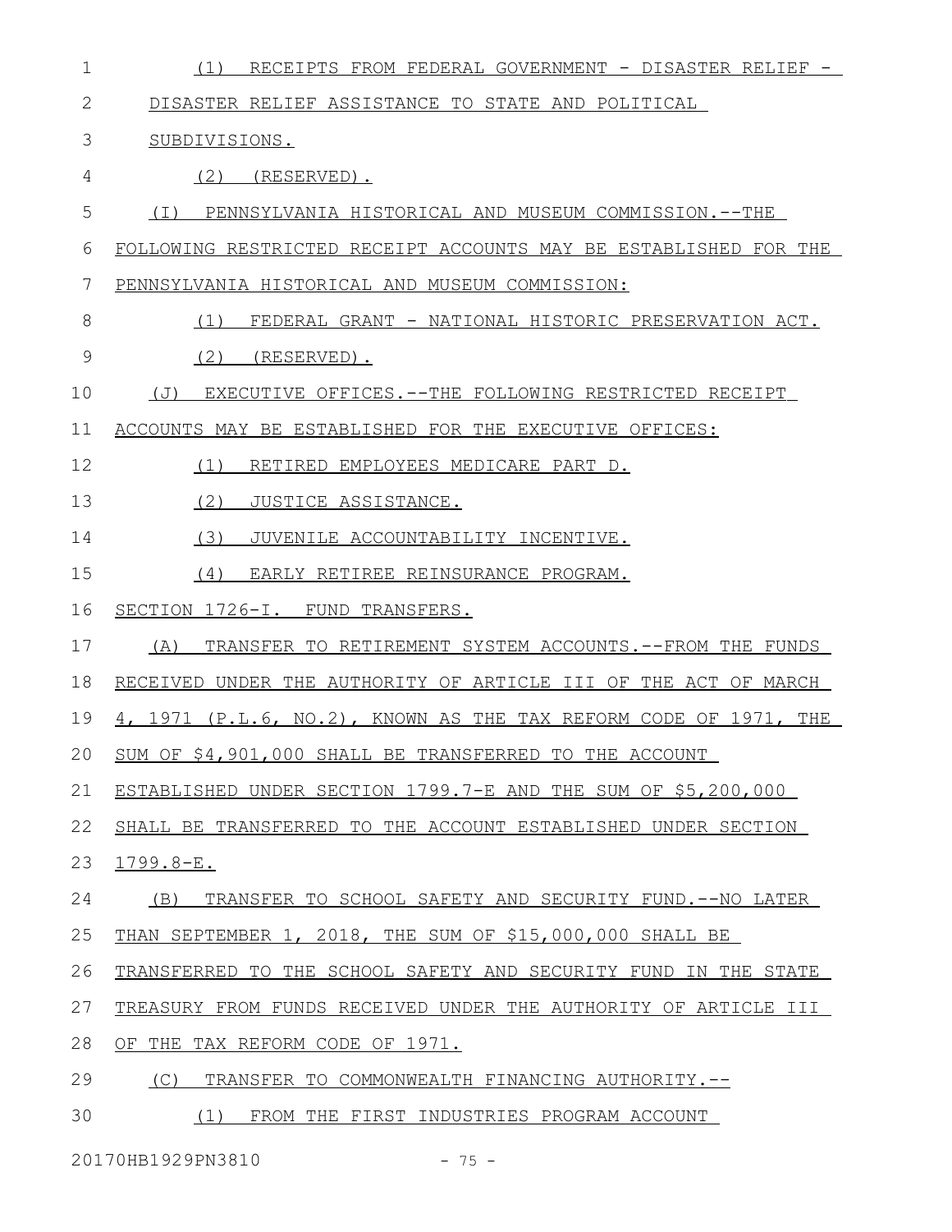| $\mathbf 1$   | RECEIPTS FROM FEDERAL GOVERNMENT - DISASTER RELIEF -<br>(1)      |
|---------------|------------------------------------------------------------------|
| $\mathbf{2}$  | DISASTER RELIEF ASSISTANCE TO STATE AND POLITICAL                |
| 3             | SUBDIVISIONS.                                                    |
| 4             | (2)<br>(RESERVED).                                               |
| 5             | ( I )<br>PENNSYLVANIA HISTORICAL AND MUSEUM COMMISSION.--THE     |
| 6             | FOLLOWING RESTRICTED RECEIPT ACCOUNTS MAY BE ESTABLISHED FOR THE |
| 7             | PENNSYLVANIA HISTORICAL AND MUSEUM COMMISSION:                   |
| 8             | FEDERAL GRANT - NATIONAL HISTORIC PRESERVATION ACT.<br>(1)       |
| $\mathcal{G}$ | (2)<br>(RESERVED).                                               |
| 10            | EXECUTIVE OFFICES. --THE FOLLOWING RESTRICTED RECEIPT<br>(J)     |
| 11            | ACCOUNTS MAY BE ESTABLISHED FOR THE EXECUTIVE OFFICES:           |
| 12            | (1)<br>RETIRED EMPLOYEES MEDICARE PART D.                        |
| 13            | (2)<br>JUSTICE ASSISTANCE.                                       |
| 14            | (3)<br>JUVENILE ACCOUNTABILITY INCENTIVE.                        |
| 15            | (4)<br>EARLY RETIREE REINSURANCE PROGRAM.                        |
| 16            | SECTION 1726-I. FUND TRANSFERS.                                  |
| 17            | (A)<br>TRANSFER TO RETIREMENT SYSTEM ACCOUNTS. -- FROM THE FUNDS |
| 18            | RECEIVED UNDER THE AUTHORITY OF ARTICLE III OF THE ACT OF MARCH  |
| 19            | 4, 1971 (P.L.6, NO.2), KNOWN AS THE TAX REFORM CODE OF 1971, THE |
| 20            | SUM OF \$4,901,000 SHALL BE TRANSFERRED TO THE ACCOUNT           |
| 21            | ESTABLISHED UNDER SECTION 1799.7-E AND THE SUM OF \$5,200,000    |
| 22            | SHALL BE TRANSFERRED TO THE ACCOUNT ESTABLISHED UNDER SECTION    |
| 23            | $1799.8 - E.$                                                    |
| 24            | TRANSFER TO SCHOOL SAFETY AND SECURITY FUND. -- NO LATER<br>(B)  |
| 25            | THAN SEPTEMBER 1, 2018, THE SUM OF \$15,000,000 SHALL BE         |
| 26            | TRANSFERRED TO THE SCHOOL SAFETY AND SECURITY FUND IN THE STATE  |
| 27            | TREASURY FROM FUNDS RECEIVED UNDER THE AUTHORITY OF ARTICLE III  |
| 28            | OF THE TAX REFORM CODE OF 1971.                                  |
| 29            | (C)<br>TRANSFER TO COMMONWEALTH FINANCING AUTHORITY.--           |
| 30            | FROM THE FIRST INDUSTRIES PROGRAM ACCOUNT<br>(1)                 |

20170HB1929PN3810 - 75 -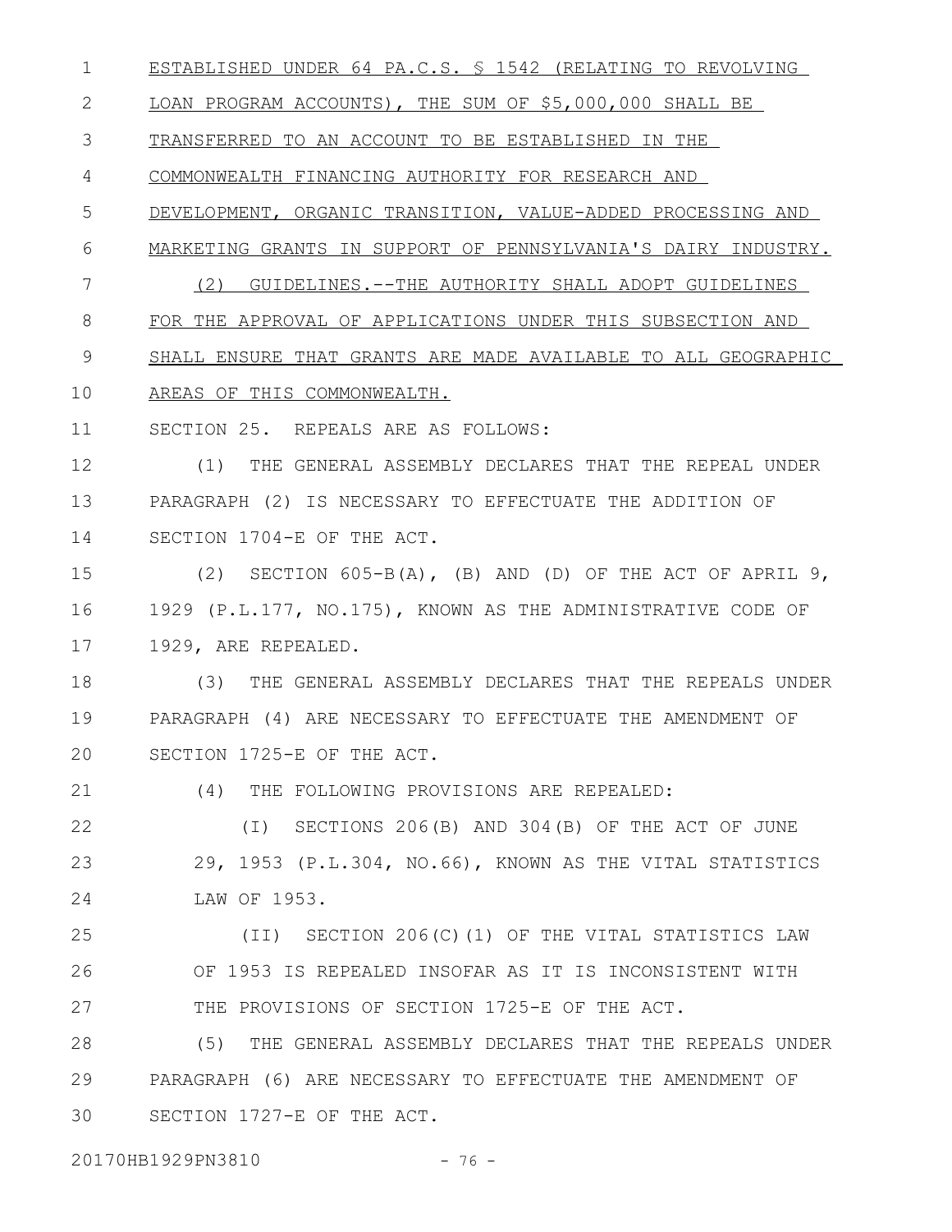ESTABLISHED UNDER 64 PA.C.S. § 1542 (RELATING TO REVOLVING LOAN PROGRAM ACCOUNTS), THE SUM OF \$5,000,000 SHALL BE TRANSFERRED TO AN ACCOUNT TO BE ESTABLISHED IN THE COMMONWEALTH FINANCING AUTHORITY FOR RESEARCH AND DEVELOPMENT, ORGANIC TRANSITION, VALUE-ADDED PROCESSING AND MARKETING GRANTS IN SUPPORT OF PENNSYLVANIA'S DAIRY INDUSTRY. (2) GUIDELINES.--THE AUTHORITY SHALL ADOPT GUIDELINES FOR THE APPROVAL OF APPLICATIONS UNDER THIS SUBSECTION AND SHALL ENSURE THAT GRANTS ARE MADE AVAILABLE TO ALL GEOGRAPHIC AREAS OF THIS COMMONWEALTH. SECTION 25. REPEALS ARE AS FOLLOWS: (1) THE GENERAL ASSEMBLY DECLARES THAT THE REPEAL UNDER PARAGRAPH (2) IS NECESSARY TO EFFECTUATE THE ADDITION OF SECTION 1704-E OF THE ACT. (2) SECTION  $605-B(A)$ , (B) AND (D) OF THE ACT OF APRIL 9, 1929 (P.L.177, NO.175), KNOWN AS THE ADMINISTRATIVE CODE OF 1929, ARE REPEALED. (3) THE GENERAL ASSEMBLY DECLARES THAT THE REPEALS UNDER PARAGRAPH (4) ARE NECESSARY TO EFFECTUATE THE AMENDMENT OF SECTION 1725-E OF THE ACT. (4) THE FOLLOWING PROVISIONS ARE REPEALED: (I) SECTIONS 206(B) AND 304(B) OF THE ACT OF JUNE 29, 1953 (P.L.304, NO.66), KNOWN AS THE VITAL STATISTICS LAW OF 1953. 1 2 3 4 5 6 7 8 9 10 11 12 13 14 15 16 17 18 19 20 21 22 23 24

(II) SECTION 206(C)(1) OF THE VITAL STATISTICS LAW OF 1953 IS REPEALED INSOFAR AS IT IS INCONSISTENT WITH THE PROVISIONS OF SECTION 1725-E OF THE ACT. 25 26 27

(5) THE GENERAL ASSEMBLY DECLARES THAT THE REPEALS UNDER PARAGRAPH (6) ARE NECESSARY TO EFFECTUATE THE AMENDMENT OF SECTION 1727-E OF THE ACT. 28 29 30

20170HB1929PN3810 - 76 -